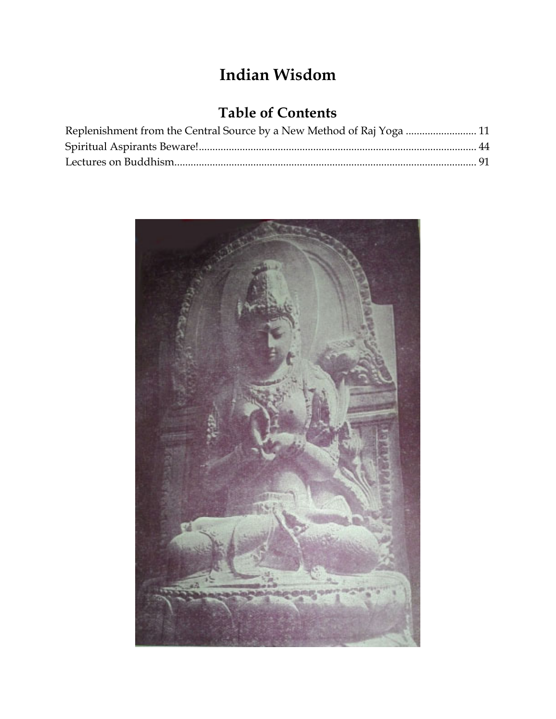# **Indian Wisdom**

# **Table of Contents**

| Replenishment from the Central Source by a New Method of Raj Yoga  11 |  |
|-----------------------------------------------------------------------|--|
|                                                                       |  |
|                                                                       |  |

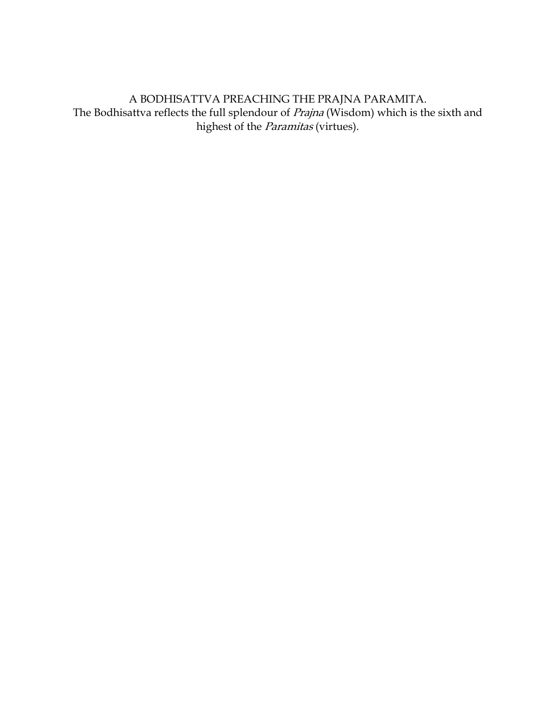A BODHISATTVA PREACHING THE PRAJNA PARAMITA. The Bodhisattva reflects the full splendour of *Prajna* (Wisdom) which is the sixth and highest of the *Paramitas* (virtues).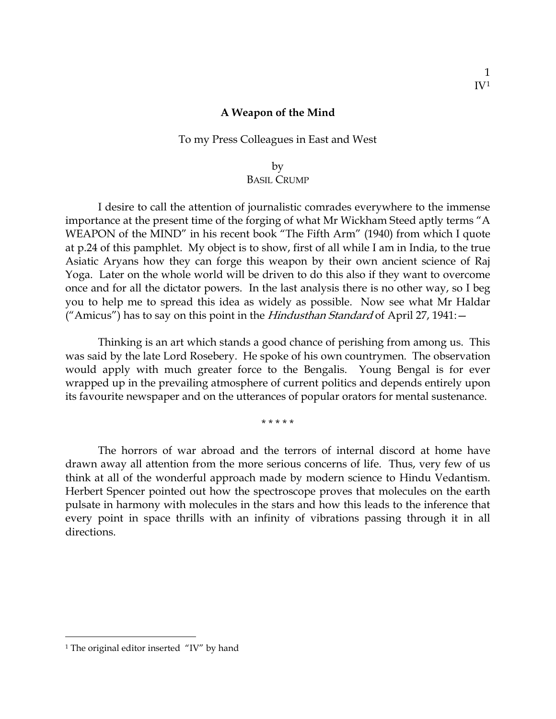#### **A Weapon of the Mind**

### To my Press Colleagues in East and West

### by BASIL CRUMP

I desire to call the attention of journalistic comrades everywhere to the immense importance at the present time of the forging of what Mr Wickham Steed aptly terms "A WEAPON of the MIND" in his recent book "The Fifth Arm" (1940) from which I quote at p.24 of this pamphlet. My object is to show, first of all while I am in India, to the true Asiatic Aryans how they can forge this weapon by their own ancient science of Raj Yoga. Later on the whole world will be driven to do this also if they want to overcome once and for all the dictator powers. In the last analysis there is no other way, so I beg you to help me to spread this idea as widely as possible. Now see what Mr Haldar ("Amicus") has to say on this point in the *Hindusthan Standard* of April 27, 1941: -

Thinking is an art which stands a good chance of perishing from among us. This was said by the late Lord Rosebery. He spoke of his own countrymen. The observation would apply with much greater force to the Bengalis. Young Bengal is for ever wrapped up in the prevailing atmosphere of current politics and depends entirely upon its favourite newspaper and on the utterances of popular orators for mental sustenance.

\* \* \* \* \*

The horrors of war abroad and the terrors of internal discord at home have drawn away all attention from the more serious concerns of life. Thus, very few of us think at all of the wonderful approach made by modern science to Hindu Vedantism. Herbert Spencer pointed out how the spectroscope proves that molecules on the earth pulsate in harmony with molecules in the stars and how this leads to the inference that every point in space thrills with an infinity of vibrations passing through it in all directions.

<span id="page-2-0"></span><sup>&</sup>lt;sup>1</sup> The original editor inserted "IV" by hand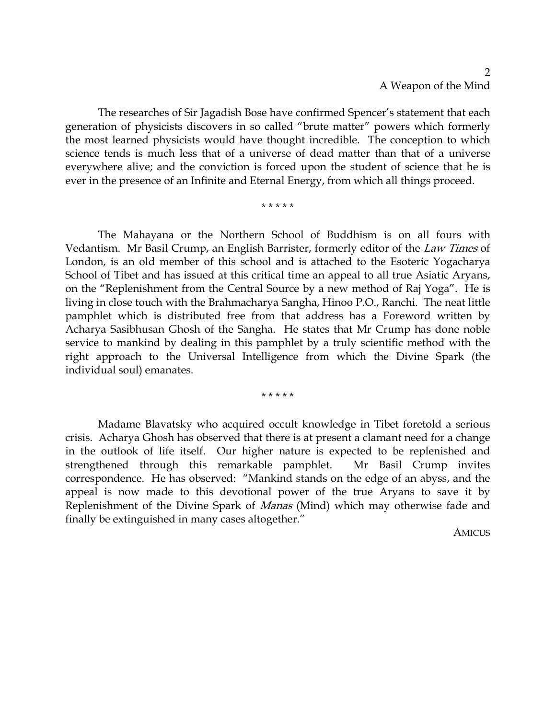The researches of Sir Jagadish Bose have confirmed Spencer's statement that each generation of physicists discovers in so called "brute matter" powers which formerly the most learned physicists would have thought incredible. The conception to which science tends is much less that of a universe of dead matter than that of a universe everywhere alive; and the conviction is forced upon the student of science that he is ever in the presence of an Infinite and Eternal Energy, from which all things proceed.

\* \* \* \* \*

The Mahayana or the Northern School of Buddhism is on all fours with Vedantism. Mr Basil Crump, an English Barrister, formerly editor of the Law Times of London, is an old member of this school and is attached to the Esoteric Yogacharya School of Tibet and has issued at this critical time an appeal to all true Asiatic Aryans, on the "Replenishment from the Central Source by a new method of Raj Yoga". He is living in close touch with the Brahmacharya Sangha, Hinoo P.O., Ranchi. The neat little pamphlet which is distributed free from that address has a Foreword written by Acharya Sasibhusan Ghosh of the Sangha. He states that Mr Crump has done noble service to mankind by dealing in this pamphlet by a truly scientific method with the right approach to the Universal Intelligence from which the Divine Spark (the individual soul) emanates.

\* \* \* \* \*

Madame Blavatsky who acquired occult knowledge in Tibet foretold a serious crisis. Acharya Ghosh has observed that there is at present a clamant need for a change in the outlook of life itself. Our higher nature is expected to be replenished and strengthened through this remarkable pamphlet. Mr Basil Crump invites correspondence. He has observed: "Mankind stands on the edge of an abyss, and the appeal is now made to this devotional power of the true Aryans to save it by Replenishment of the Divine Spark of Manas (Mind) which may otherwise fade and finally be extinguished in many cases altogether."

**AMICUS**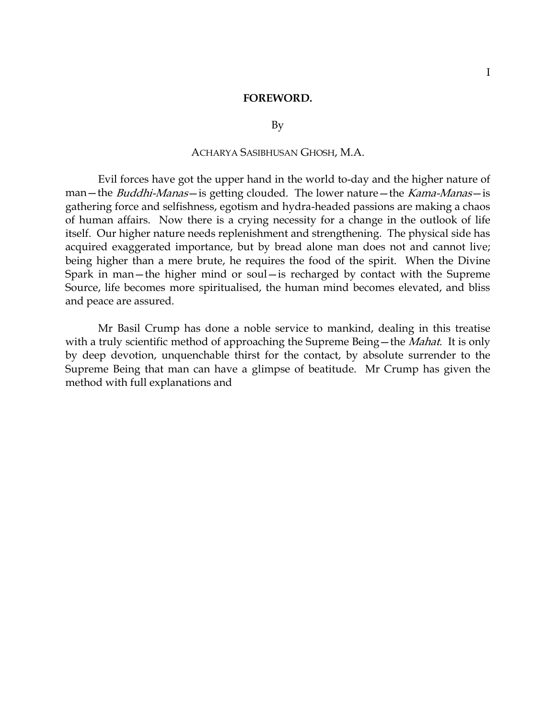#### **FOREWORD.**

#### By

### ACHARYA SASIBHUSAN GHOSH, M.A.

Evil forces have got the upper hand in the world to-day and the higher nature of man—the *Buddhi-Manas*—is getting clouded. The lower nature—the *Kama-Manas*—is gathering force and selfishness, egotism and hydra-headed passions are making a chaos of human affairs. Now there is a crying necessity for a change in the outlook of life itself. Our higher nature needs replenishment and strengthening. The physical side has acquired exaggerated importance, but by bread alone man does not and cannot live; being higher than a mere brute, he requires the food of the spirit. When the Divine Spark in man—the higher mind or soul—is recharged by contact with the Supreme Source, life becomes more spiritualised, the human mind becomes elevated, and bliss and peace are assured.

Mr Basil Crump has done a noble service to mankind, dealing in this treatise with a truly scientific method of approaching the Supreme Being—the *Mahat*. It is only by deep devotion, unquenchable thirst for the contact, by absolute surrender to the Supreme Being that man can have a glimpse of beatitude. Mr Crump has given the method with full explanations and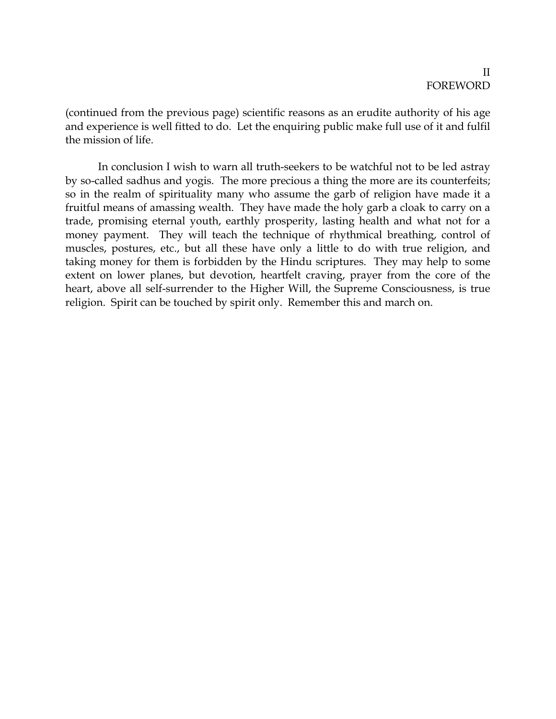### II FOREWORD

(continued from the previous page) scientific reasons as an erudite authority of his age and experience is well fitted to do. Let the enquiring public make full use of it and fulfil the mission of life.

In conclusion I wish to warn all truth-seekers to be watchful not to be led astray by so-called sadhus and yogis. The more precious a thing the more are its counterfeits; so in the realm of spirituality many who assume the garb of religion have made it a fruitful means of amassing wealth. They have made the holy garb a cloak to carry on a trade, promising eternal youth, earthly prosperity, lasting health and what not for a money payment. They will teach the technique of rhythmical breathing, control of muscles, postures, etc., but all these have only a little to do with true religion, and taking money for them is forbidden by the Hindu scriptures. They may help to some extent on lower planes, but devotion, heartfelt craving, prayer from the core of the heart, above all self-surrender to the Higher Will, the Supreme Consciousness, is true religion. Spirit can be touched by spirit only. Remember this and march on.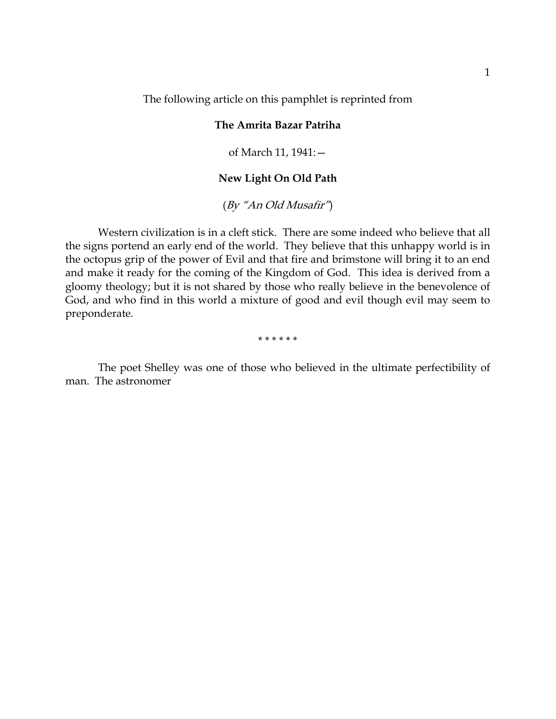The following article on this pamphlet is reprinted from

### **The Amrita Bazar Patriha**

of March 11, 1941:—

### **New Light On Old Path**

(By "An Old Musafir")

Western civilization is in a cleft stick. There are some indeed who believe that all the signs portend an early end of the world. They believe that this unhappy world is in the octopus grip of the power of Evil and that fire and brimstone will bring it to an end and make it ready for the coming of the Kingdom of God. This idea is derived from a gloomy theology; but it is not shared by those who really believe in the benevolence of God, and who find in this world a mixture of good and evil though evil may seem to preponderate.

\* \* \* \* \* \*

The poet Shelley was one of those who believed in the ultimate perfectibility of man. The astronomer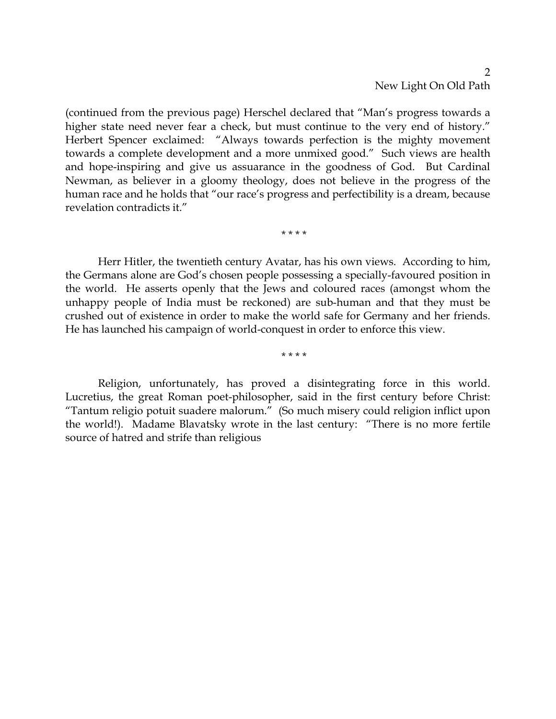### $\mathcal{P}$ New Light On Old Path

(continued from the previous page) Herschel declared that "Man's progress towards a higher state need never fear a check, but must continue to the very end of history." Herbert Spencer exclaimed: "Always towards perfection is the mighty movement towards a complete development and a more unmixed good." Such views are health and hope-inspiring and give us assuarance in the goodness of God. But Cardinal Newman, as believer in a gloomy theology, does not believe in the progress of the human race and he holds that "our race's progress and perfectibility is a dream, because revelation contradicts it."

Herr Hitler, the twentieth century Avatar, has his own views. According to him, the Germans alone are God's chosen people possessing a specially-favoured position in the world. He asserts openly that the Jews and coloured races (amongst whom the unhappy people of India must be reckoned) are sub-human and that they must be crushed out of existence in order to make the world safe for Germany and her friends. He has launched his campaign of world-conquest in order to enforce this view.

\* \* \* \*

\* \* \* \*

Religion, unfortunately, has proved a disintegrating force in this world. Lucretius, the great Roman poet-philosopher, said in the first century before Christ: "Tantum religio potuit suadere malorum." (So much misery could religion inflict upon the world!). Madame Blavatsky wrote in the last century: "There is no more fertile source of hatred and strife than religious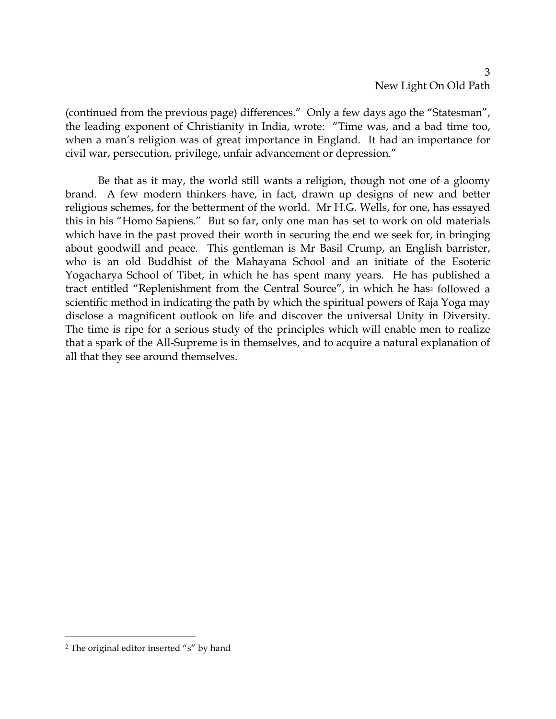(continued from the previous page) differences." Only a few days ago the "Statesman", the leading exponent of Christianity in India, wrote: "Time was, and a bad time too, when a man's religion was of great importance in England. It had an importance for civil war, persecution, privilege, unfair advancement or depression."

Be that as it may, the world still wants a religion, though not one of a gloomy brand. A few modern thinkers have, in fact, drawn up designs of new and better religious schemes, for the betterment of the world. Mr H.G. Wells, for one, has essayed this in his "Homo Sapiens." But so far, only one man has set to work on old materials which have in the past proved their worth in securing the end we seek for, in bringing about goodwill and peace. This gentleman is Mr Basil Crump, an English barrister, who is an old Buddhist of the Mahayana School and an initiate of the Esoteric Yogacharya School of Tibet, in which he has spent many years. He has published a tract entitled "Replenishment from the Central Source", in which he has<sup>[2](#page-8-0)</sup> followed a scientific method in indicating the path by which the spiritual powers of Raja Yoga may disclose a magnificent outlook on life and discover the universal Unity in Diversity. The time is ripe for a serious study of the principles which will enable men to realize that a spark of the All-Supreme is in themselves, and to acquire a natural explanation of all that they see around themselves.

<span id="page-8-0"></span><sup>2</sup> The original editor inserted "s" by hand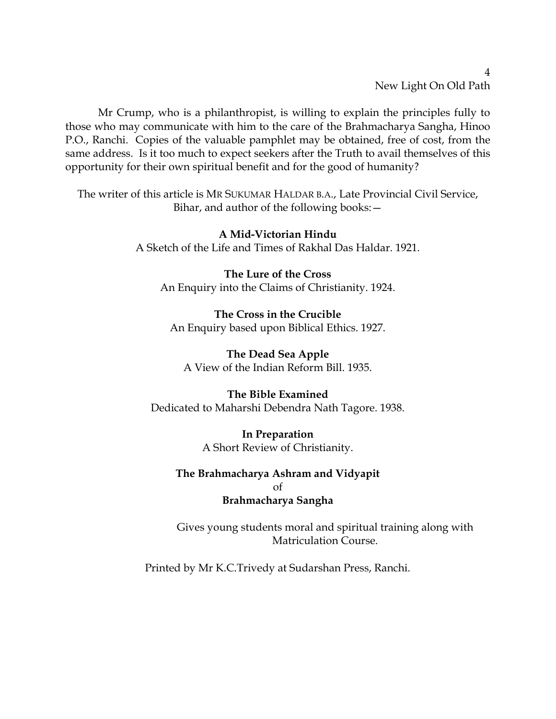New Light On Old Path

4

Mr Crump, who is a philanthropist, is willing to explain the principles fully to those who may communicate with him to the care of the Brahmacharya Sangha, Hinoo P.O., Ranchi. Copies of the valuable pamphlet may be obtained, free of cost, from the same address. Is it too much to expect seekers after the Truth to avail themselves of this opportunity for their own spiritual benefit and for the good of humanity?

The writer of this article is MR SUKUMAR HALDAR B.A., Late Provincial Civil Service, Bihar, and author of the following books:—

> **A Mid-Victorian Hindu** A Sketch of the Life and Times of Rakhal Das Haldar. 1921.

**The Lure of the Cross** An Enquiry into the Claims of Christianity. 1924.

**The Cross in the Crucible** An Enquiry based upon Biblical Ethics. 1927.

**The Dead Sea Apple** A View of the Indian Reform Bill. 1935.

# **The Bible Examined**

Dedicated to Maharshi Debendra Nath Tagore. 1938.

**In Preparation** A Short Review of Christianity.

**The Brahmacharya Ashram and Vidyapit** of **Brahmacharya Sangha**

Gives young students moral and spiritual training along with Matriculation Course.

Printed by Mr K.C.Trivedy at Sudarshan Press, Ranchi.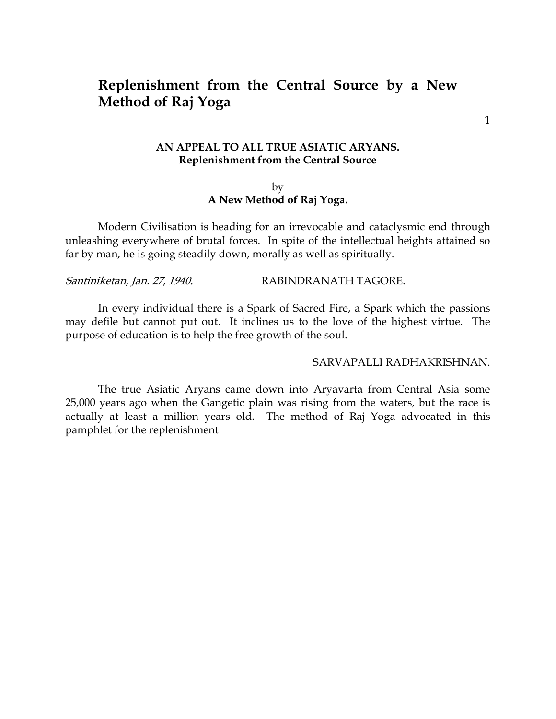# <span id="page-10-0"></span>**Replenishment from the Central Source by a New Method of Raj Yoga**

1

### **AN APPEAL TO ALL TRUE ASIATIC ARYANS. Replenishment from the Central Source**

### by **A New Method of Raj Yoga.**

Modern Civilisation is heading for an irrevocable and cataclysmic end through unleashing everywhere of brutal forces. In spite of the intellectual heights attained so far by man, he is going steadily down, morally as well as spiritually.

### Santiniketan, Jan. 27, 1940. RABINDRANATH TAGORE.

In every individual there is a Spark of Sacred Fire, a Spark which the passions may defile but cannot put out. It inclines us to the love of the highest virtue. The purpose of education is to help the free growth of the soul.

#### SARVAPALLI RADHAKRISHNAN.

The true Asiatic Aryans came down into Aryavarta from Central Asia some 25,000 years ago when the Gangetic plain was rising from the waters, but the race is actually at least a million years old. The method of Raj Yoga advocated in this pamphlet for the replenishment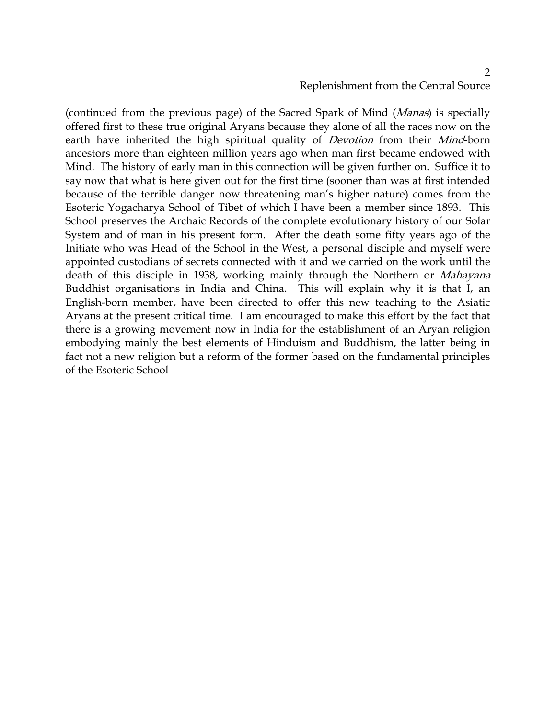# Replenishment from the Central Source

(continued from the previous page) of the Sacred Spark of Mind (Manas) is specially offered first to these true original Aryans because they alone of all the races now on the earth have inherited the high spiritual quality of *Devotion* from their *Mind-born* ancestors more than eighteen million years ago when man first became endowed with Mind. The history of early man in this connection will be given further on. Suffice it to say now that what is here given out for the first time (sooner than was at first intended because of the terrible danger now threatening man's higher nature) comes from the Esoteric Yogacharya School of Tibet of which I have been a member since 1893. This School preserves the Archaic Records of the complete evolutionary history of our Solar System and of man in his present form. After the death some fifty years ago of the Initiate who was Head of the School in the West, a personal disciple and myself were appointed custodians of secrets connected with it and we carried on the work until the death of this disciple in 1938, working mainly through the Northern or Mahayana Buddhist organisations in India and China. This will explain why it is that I, an English-born member, have been directed to offer this new teaching to the Asiatic Aryans at the present critical time. I am encouraged to make this effort by the fact that there is a growing movement now in India for the establishment of an Aryan religion embodying mainly the best elements of Hinduism and Buddhism, the latter being in fact not a new religion but a reform of the former based on the fundamental principles of the Esoteric School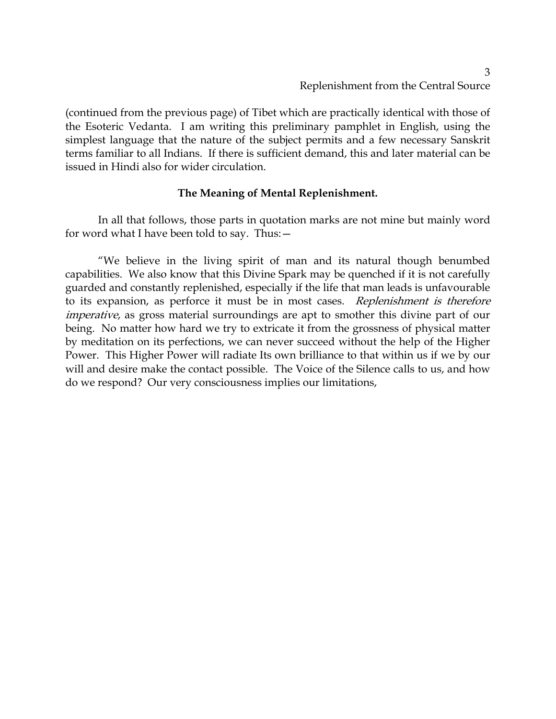(continued from the previous page) of Tibet which are practically identical with those of the Esoteric Vedanta. I am writing this preliminary pamphlet in English, using the simplest language that the nature of the subject permits and a few necessary Sanskrit terms familiar to all Indians. If there is sufficient demand, this and later material can be issued in Hindi also for wider circulation.

## **The Meaning of Mental Replenishment.**

In all that follows, those parts in quotation marks are not mine but mainly word for word what I have been told to say. Thus:—

"We believe in the living spirit of man and its natural though benumbed capabilities. We also know that this Divine Spark may be quenched if it is not carefully guarded and constantly replenished, especially if the life that man leads is unfavourable to its expansion, as perforce it must be in most cases. Replenishment is therefore imperative, as gross material surroundings are apt to smother this divine part of our being. No matter how hard we try to extricate it from the grossness of physical matter by meditation on its perfections, we can never succeed without the help of the Higher Power. This Higher Power will radiate Its own brilliance to that within us if we by our will and desire make the contact possible. The Voice of the Silence calls to us, and how do we respond? Our very consciousness implies our limitations,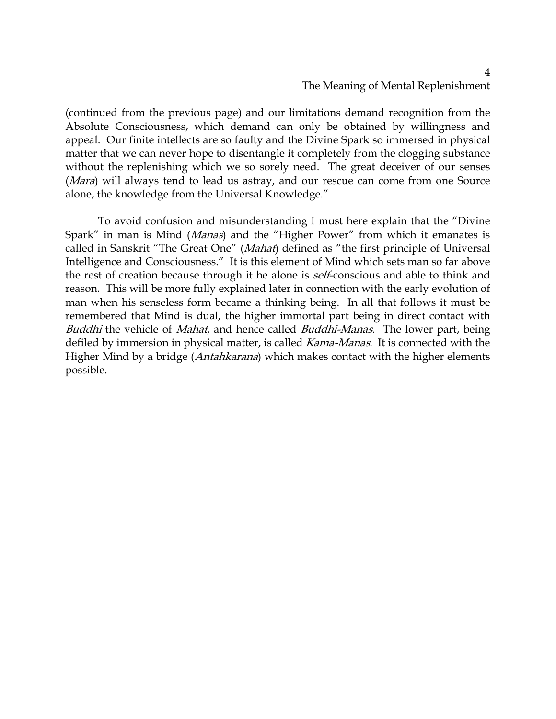# The Meaning of Mental Replenishment

(continued from the previous page) and our limitations demand recognition from the Absolute Consciousness, which demand can only be obtained by willingness and appeal. Our finite intellects are so faulty and the Divine Spark so immersed in physical matter that we can never hope to disentangle it completely from the clogging substance without the replenishing which we so sorely need. The great deceiver of our senses (*Mara*) will always tend to lead us astray, and our rescue can come from one Source alone, the knowledge from the Universal Knowledge."

To avoid confusion and misunderstanding I must here explain that the "Divine Spark" in man is Mind (Manas) and the "Higher Power" from which it emanates is called in Sanskrit "The Great One" (Mahat) defined as "the first principle of Universal Intelligence and Consciousness." It is this element of Mind which sets man so far above the rest of creation because through it he alone is *self*-conscious and able to think and reason. This will be more fully explained later in connection with the early evolution of man when his senseless form became a thinking being. In all that follows it must be remembered that Mind is dual, the higher immortal part being in direct contact with Buddhi the vehicle of Mahat, and hence called Buddhi-Manas. The lower part, being defiled by immersion in physical matter, is called *Kama-Manas*. It is connected with the Higher Mind by a bridge (*Antahkarana*) which makes contact with the higher elements possible.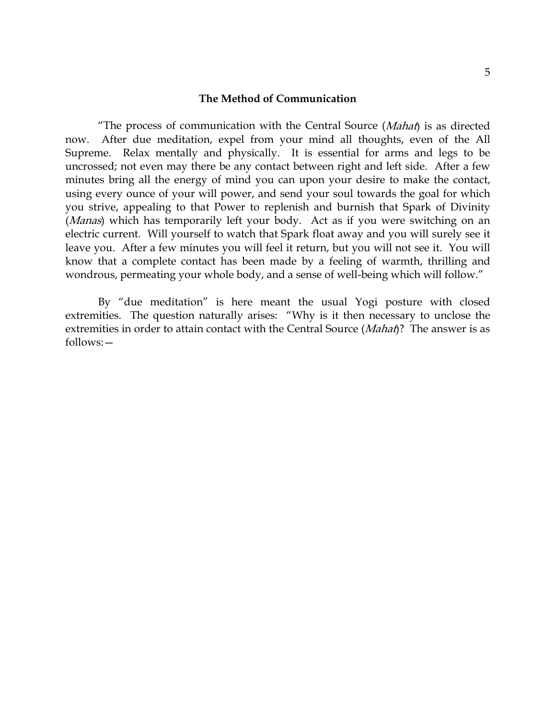#### **The Method of Communication**

"The process of communication with the Central Source  $(Mahaf)$  is as directed now. After due meditation, expel from your mind all thoughts, even of the All Supreme. Relax mentally and physically. It is essential for arms and legs to be uncrossed; not even may there be any contact between right and left side. After a few minutes bring all the energy of mind you can upon your desire to make the contact, using every ounce of your will power, and send your soul towards the goal for which you strive, appealing to that Power to replenish and burnish that Spark of Divinity (*Manas*) which has temporarily left your body. Act as if you were switching on an electric current. Will yourself to watch that Spark float away and you will surely see it leave you. After a few minutes you will feel it return, but you will not see it. You will know that a complete contact has been made by a feeling of warmth, thrilling and wondrous, permeating your whole body, and a sense of well-being which will follow."

By "due meditation" is here meant the usual Yogi posture with closed extremities. The question naturally arises: "Why is it then necessary to unclose the extremities in order to attain contact with the Central Source (Mahat)? The answer is as follows:—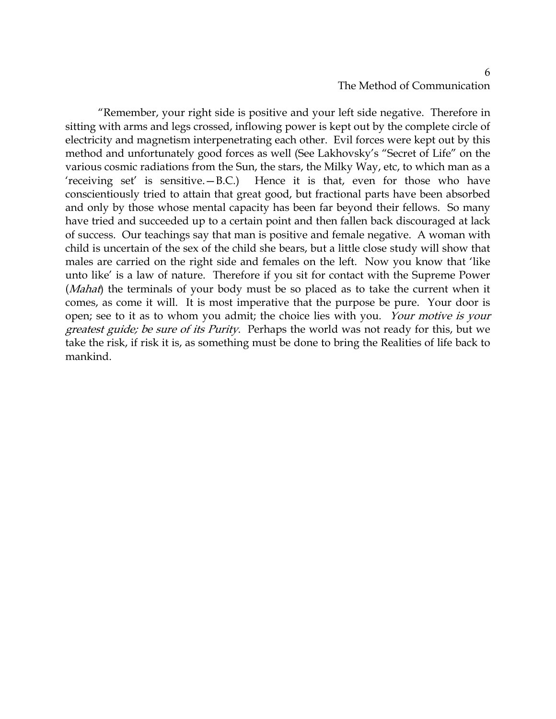# The Method of Communication

"Remember, your right side is positive and your left side negative. Therefore in sitting with arms and legs crossed, inflowing power is kept out by the complete circle of electricity and magnetism interpenetrating each other. Evil forces were kept out by this method and unfortunately good forces as well (See Lakhovsky's "Secret of Life" on the various cosmic radiations from the Sun, the stars, the Milky Way, etc, to which man as a 'receiving set' is sensitive.—B.C.) Hence it is that, even for those who have conscientiously tried to attain that great good, but fractional parts have been absorbed and only by those whose mental capacity has been far beyond their fellows. So many have tried and succeeded up to a certain point and then fallen back discouraged at lack of success. Our teachings say that man is positive and female negative. A woman with child is uncertain of the sex of the child she bears, but a little close study will show that males are carried on the right side and females on the left. Now you know that 'like unto like' is a law of nature. Therefore if you sit for contact with the Supreme Power (*Mahat*) the terminals of your body must be so placed as to take the current when it comes, as come it will. It is most imperative that the purpose be pure. Your door is open; see to it as to whom you admit; the choice lies with you. Your motive is your greatest guide; be sure of its Purity. Perhaps the world was not ready for this, but we take the risk, if risk it is, as something must be done to bring the Realities of life back to mankind.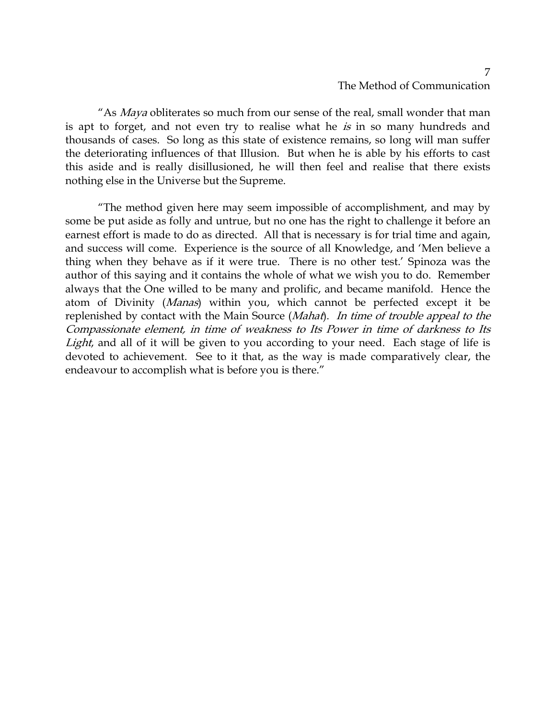# The Method of Communication

"As *Maya* obliterates so much from our sense of the real, small wonder that man is apt to forget, and not even try to realise what he is in so many hundreds and thousands of cases. So long as this state of existence remains, so long will man suffer the deteriorating influences of that Illusion. But when he is able by his efforts to cast this aside and is really disillusioned, he will then feel and realise that there exists nothing else in the Universe but the Supreme.

"The method given here may seem impossible of accomplishment, and may by some be put aside as folly and untrue, but no one has the right to challenge it before an earnest effort is made to do as directed. All that is necessary is for trial time and again, and success will come. Experience is the source of all Knowledge, and 'Men believe a thing when they behave as if it were true. There is no other test.' Spinoza was the author of this saying and it contains the whole of what we wish you to do. Remember always that the One willed to be many and prolific, and became manifold. Hence the atom of Divinity (Manas) within you, which cannot be perfected except it be replenished by contact with the Main Source (Mahat). In time of trouble appeal to the Compassionate element, in time of weakness to Its Power in time of darkness to Its Light, and all of it will be given to you according to your need. Each stage of life is devoted to achievement. See to it that, as the way is made comparatively clear, the endeavour to accomplish what is before you is there."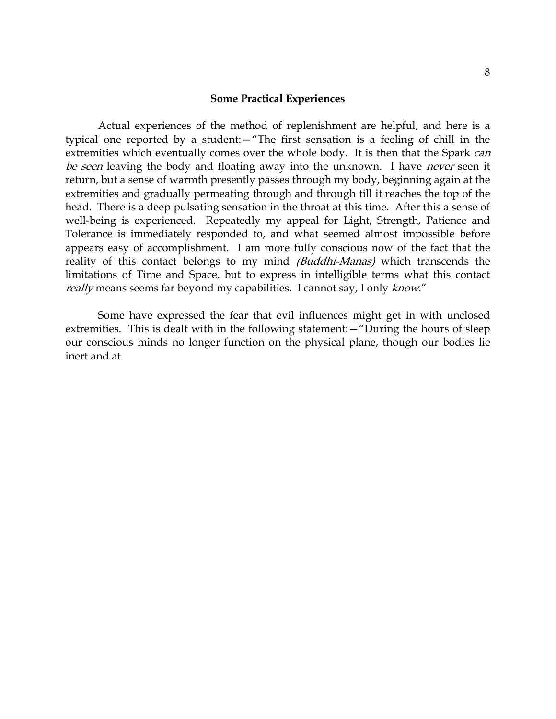#### **Some Practical Experiences**

Actual experiences of the method of replenishment are helpful, and here is a typical one reported by a student:—"The first sensation is a feeling of chill in the extremities which eventually comes over the whole body. It is then that the Spark can be seen leaving the body and floating away into the unknown. I have never seen it return, but a sense of warmth presently passes through my body, beginning again at the extremities and gradually permeating through and through till it reaches the top of the head. There is a deep pulsating sensation in the throat at this time. After this a sense of well-being is experienced. Repeatedly my appeal for Light, Strength, Patience and Tolerance is immediately responded to, and what seemed almost impossible before appears easy of accomplishment. I am more fully conscious now of the fact that the reality of this contact belongs to my mind (Buddhi-Manas) which transcends the limitations of Time and Space, but to express in intelligible terms what this contact really means seems far beyond my capabilities. I cannot say, I only know."

Some have expressed the fear that evil influences might get in with unclosed extremities. This is dealt with in the following statement:—"During the hours of sleep our conscious minds no longer function on the physical plane, though our bodies lie inert and at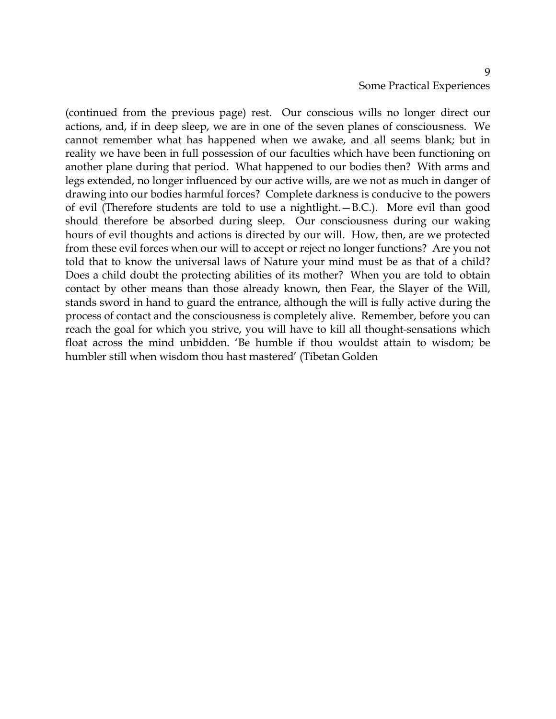(continued from the previous page) rest. Our conscious wills no longer direct our actions, and, if in deep sleep, we are in one of the seven planes of consciousness. We cannot remember what has happened when we awake, and all seems blank; but in reality we have been in full possession of our faculties which have been functioning on another plane during that period. What happened to our bodies then? With arms and legs extended, no longer influenced by our active wills, are we not as much in danger of drawing into our bodies harmful forces? Complete darkness is conducive to the powers of evil (Therefore students are told to use a nightlight.—B.C.). More evil than good should therefore be absorbed during sleep. Our consciousness during our waking hours of evil thoughts and actions is directed by our will. How, then, are we protected from these evil forces when our will to accept or reject no longer functions? Are you not told that to know the universal laws of Nature your mind must be as that of a child? Does a child doubt the protecting abilities of its mother? When you are told to obtain contact by other means than those already known, then Fear, the Slayer of the Will, stands sword in hand to guard the entrance, although the will is fully active during the process of contact and the consciousness is completely alive. Remember, before you can reach the goal for which you strive, you will have to kill all thought-sensations which float across the mind unbidden. 'Be humble if thou wouldst attain to wisdom; be humbler still when wisdom thou hast mastered' (Tibetan Golden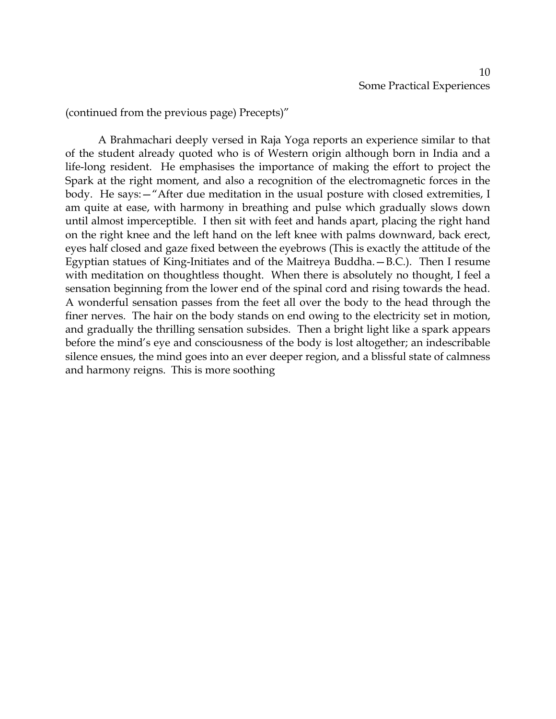(continued from the previous page) Precepts)"

A Brahmachari deeply versed in Raja Yoga reports an experience similar to that of the student already quoted who is of Western origin although born in India and a life-long resident. He emphasises the importance of making the effort to project the Spark at the right moment, and also a recognition of the electromagnetic forces in the body. He says:—"After due meditation in the usual posture with closed extremities, I am quite at ease, with harmony in breathing and pulse which gradually slows down until almost imperceptible. I then sit with feet and hands apart, placing the right hand on the right knee and the left hand on the left knee with palms downward, back erect, eyes half closed and gaze fixed between the eyebrows (This is exactly the attitude of the Egyptian statues of King-Initiates and of the Maitreya Buddha.—B.C.). Then I resume with meditation on thoughtless thought. When there is absolutely no thought, I feel a sensation beginning from the lower end of the spinal cord and rising towards the head. A wonderful sensation passes from the feet all over the body to the head through the finer nerves. The hair on the body stands on end owing to the electricity set in motion, and gradually the thrilling sensation subsides. Then a bright light like a spark appears before the mind's eye and consciousness of the body is lost altogether; an indescribable silence ensues, the mind goes into an ever deeper region, and a blissful state of calmness and harmony reigns. This is more soothing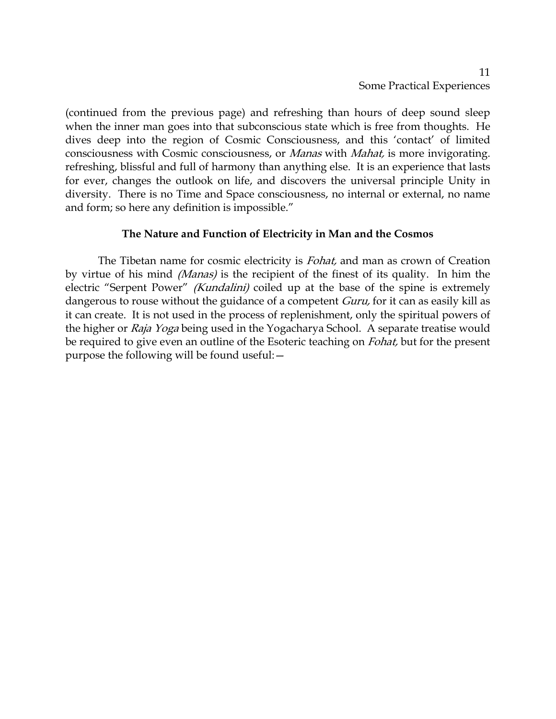(continued from the previous page) and refreshing than hours of deep sound sleep when the inner man goes into that subconscious state which is free from thoughts. He dives deep into the region of Cosmic Consciousness, and this 'contact' of limited consciousness with Cosmic consciousness, or Manas with Mahat, is more invigorating. refreshing, blissful and full of harmony than anything else. It is an experience that lasts for ever, changes the outlook on life, and discovers the universal principle Unity in diversity. There is no Time and Space consciousness, no internal or external, no name and form; so here any definition is impossible."

### **The Nature and Function of Electricity in Man and the Cosmos**

The Tibetan name for cosmic electricity is *Fohat*, and man as crown of Creation by virtue of his mind (Manas) is the recipient of the finest of its quality. In him the electric "Serpent Power" *(Kundalini)* coiled up at the base of the spine is extremely dangerous to rouse without the guidance of a competent *Guru*, for it can as easily kill as it can create. It is not used in the process of replenishment, only the spiritual powers of the higher or *Raja Yoga* being used in the Yogacharya School. A separate treatise would be required to give even an outline of the Esoteric teaching on *Fohat*, but for the present purpose the following will be found useful:—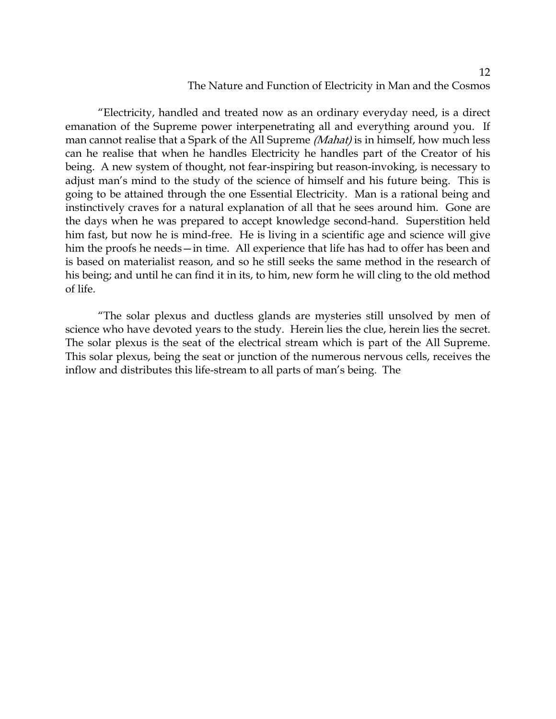### The Nature and Function of Electricity in Man and the Cosmos

"Electricity, handled and treated now as an ordinary everyday need, is a direct emanation of the Supreme power interpenetrating all and everything around you. If man cannot realise that a Spark of the All Supreme (Mahat) is in himself, how much less can he realise that when he handles Electricity he handles part of the Creator of his being. A new system of thought, not fear-inspiring but reason-invoking, is necessary to adjust man's mind to the study of the science of himself and his future being. This is going to be attained through the one Essential Electricity. Man is a rational being and instinctively craves for a natural explanation of all that he sees around him. Gone are the days when he was prepared to accept knowledge second-hand. Superstition held him fast, but now he is mind-free. He is living in a scientific age and science will give him the proofs he needs—in time. All experience that life has had to offer has been and is based on materialist reason, and so he still seeks the same method in the research of his being; and until he can find it in its, to him, new form he will cling to the old method of life.

"The solar plexus and ductless glands are mysteries still unsolved by men of science who have devoted years to the study. Herein lies the clue, herein lies the secret. The solar plexus is the seat of the electrical stream which is part of the All Supreme. This solar plexus, being the seat or junction of the numerous nervous cells, receives the inflow and distributes this life-stream to all parts of man's being. The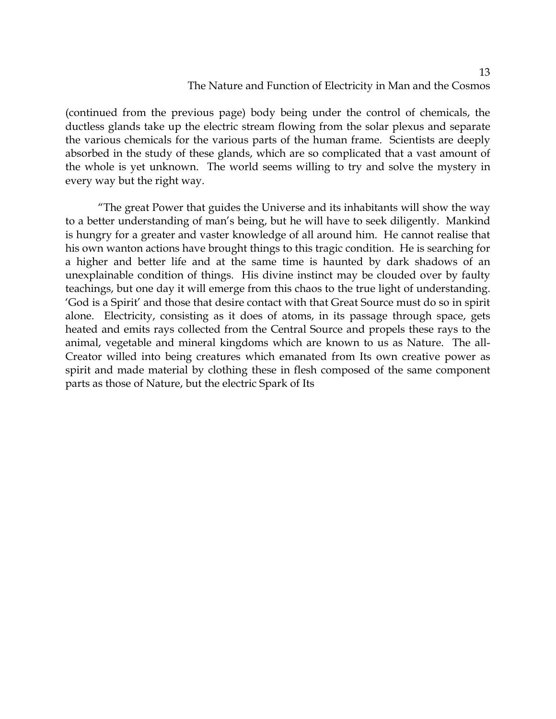### The Nature and Function of Electricity in Man and the Cosmos

(continued from the previous page) body being under the control of chemicals, the ductless glands take up the electric stream flowing from the solar plexus and separate the various chemicals for the various parts of the human frame. Scientists are deeply absorbed in the study of these glands, which are so complicated that a vast amount of the whole is yet unknown. The world seems willing to try and solve the mystery in every way but the right way.

"The great Power that guides the Universe and its inhabitants will show the way to a better understanding of man's being, but he will have to seek diligently. Mankind is hungry for a greater and vaster knowledge of all around him. He cannot realise that his own wanton actions have brought things to this tragic condition. He is searching for a higher and better life and at the same time is haunted by dark shadows of an unexplainable condition of things. His divine instinct may be clouded over by faulty teachings, but one day it will emerge from this chaos to the true light of understanding. 'God is a Spirit' and those that desire contact with that Great Source must do so in spirit alone. Electricity, consisting as it does of atoms, in its passage through space, gets heated and emits rays collected from the Central Source and propels these rays to the animal, vegetable and mineral kingdoms which are known to us as Nature. The all-Creator willed into being creatures which emanated from Its own creative power as spirit and made material by clothing these in flesh composed of the same component parts as those of Nature, but the electric Spark of Its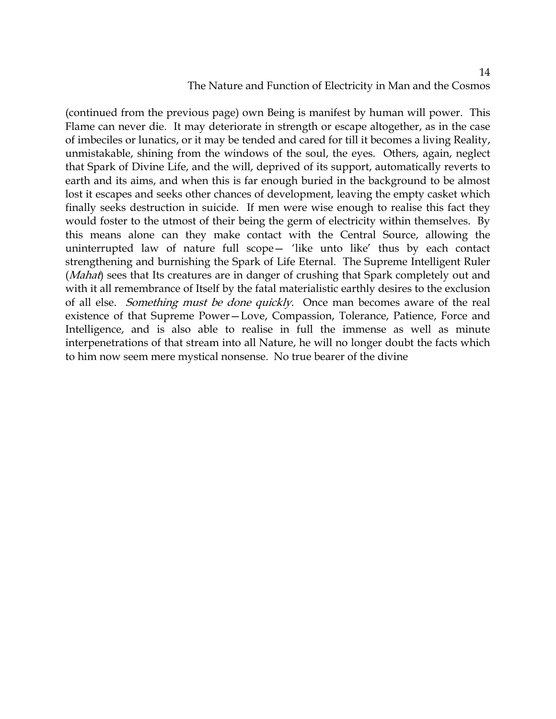## The Nature and Function of Electricity in Man and the Cosmos

(continued from the previous page) own Being is manifest by human will power. This Flame can never die. It may deteriorate in strength or escape altogether, as in the case of imbeciles or lunatics, or it may be tended and cared for till it becomes a living Reality, unmistakable, shining from the windows of the soul, the eyes. Others, again, neglect that Spark of Divine Life, and the will, deprived of its support, automatically reverts to earth and its aims, and when this is far enough buried in the background to be almost lost it escapes and seeks other chances of development, leaving the empty casket which finally seeks destruction in suicide. If men were wise enough to realise this fact they would foster to the utmost of their being the germ of electricity within themselves. By this means alone can they make contact with the Central Source, allowing the uninterrupted law of nature full scope— 'like unto like' thus by each contact strengthening and burnishing the Spark of Life Eternal. The Supreme Intelligent Ruler (*Mahat*) sees that Its creatures are in danger of crushing that Spark completely out and with it all remembrance of Itself by the fatal materialistic earthly desires to the exclusion of all else. Something must be done quickly. Once man becomes aware of the real existence of that Supreme Power—Love, Compassion, Tolerance, Patience, Force and Intelligence, and is also able to realise in full the immense as well as minute interpenetrations of that stream into all Nature, he will no longer doubt the facts which to him now seem mere mystical nonsense. No true bearer of the divine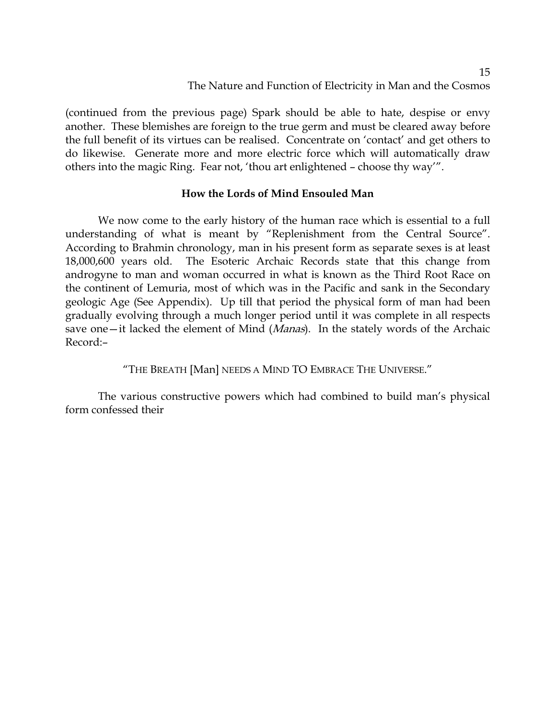(continued from the previous page) Spark should be able to hate, despise or envy another. These blemishes are foreign to the true germ and must be cleared away before the full benefit of its virtues can be realised. Concentrate on 'contact' and get others to do likewise. Generate more and more electric force which will automatically draw others into the magic Ring. Fear not, 'thou art enlightened – choose thy way'".

### **How the Lords of Mind Ensouled Man**

We now come to the early history of the human race which is essential to a full understanding of what is meant by "Replenishment from the Central Source". According to Brahmin chronology, man in his present form as separate sexes is at least 18,000,600 years old. The Esoteric Archaic Records state that this change from androgyne to man and woman occurred in what is known as the Third Root Race on the continent of Lemuria, most of which was in the Pacific and sank in the Secondary geologic Age (See Appendix). Up till that period the physical form of man had been gradually evolving through a much longer period until it was complete in all respects save one—it lacked the element of Mind (*Manas*). In the stately words of the Archaic Record:–

"THE BREATH [Man] NEEDS A MIND TO EMBRACE THE UNIVERSE."

The various constructive powers which had combined to build man's physical form confessed their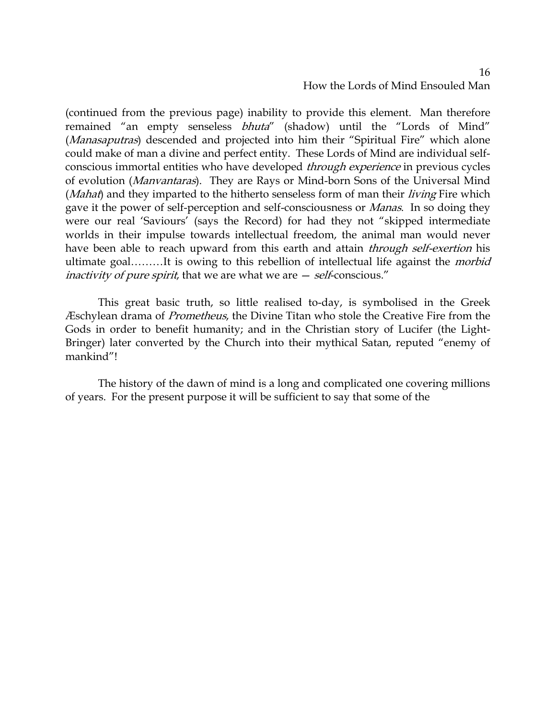# How the Lords of Mind Ensouled Man

(continued from the previous page) inability to provide this element. Man therefore remained "an empty senseless bhuta" (shadow) until the "Lords of Mind" (*Manasaputras*) descended and projected into him their "Spiritual Fire" which alone could make of man a divine and perfect entity. These Lords of Mind are individual selfconscious immortal entities who have developed through experience in previous cycles of evolution (Manvantaras). They are Rays or Mind-born Sons of the Universal Mind (Mahat) and they imparted to the hitherto senseless form of man their living Fire which gave it the power of self-perception and self-consciousness or *Manas*. In so doing they were our real 'Saviours' (says the Record) for had they not "skipped intermediate worlds in their impulse towards intellectual freedom, the animal man would never have been able to reach upward from this earth and attain *through self-exertion* his ultimate goal.........It is owing to this rebellion of intellectual life against the *morbid inactivity of pure spirit,* that we are what we are  $-$  *self*-conscious."

This great basic truth, so little realised to-day, is symbolised in the Greek Æschylean drama of Prometheus, the Divine Titan who stole the Creative Fire from the Gods in order to benefit humanity; and in the Christian story of Lucifer (the Light-Bringer) later converted by the Church into their mythical Satan, reputed "enemy of mankind"!

The history of the dawn of mind is a long and complicated one covering millions of years. For the present purpose it will be sufficient to say that some of the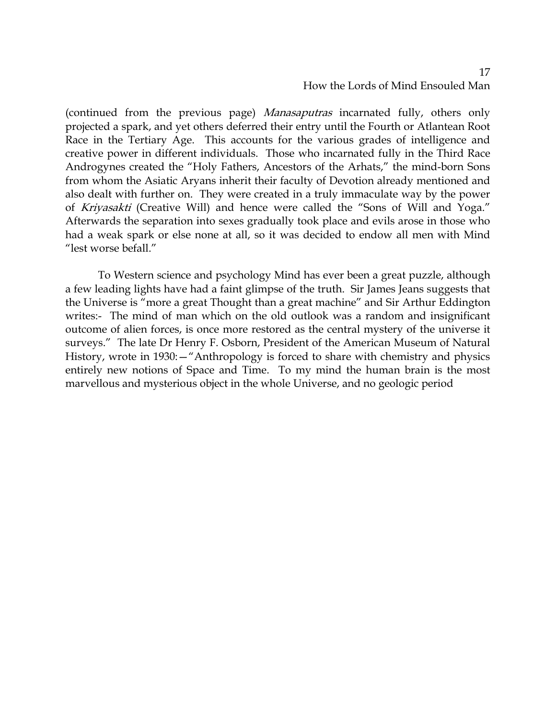# How the Lords of Mind Ensouled Man

(continued from the previous page) *Manasaputras* incarnated fully, others only projected a spark, and yet others deferred their entry until the Fourth or Atlantean Root Race in the Tertiary Age. This accounts for the various grades of intelligence and creative power in different individuals. Those who incarnated fully in the Third Race Androgynes created the "Holy Fathers, Ancestors of the Arhats," the mind-born Sons from whom the Asiatic Aryans inherit their faculty of Devotion already mentioned and also dealt with further on. They were created in a truly immaculate way by the power of Kriyasakti (Creative Will) and hence were called the "Sons of Will and Yoga." Afterwards the separation into sexes gradually took place and evils arose in those who had a weak spark or else none at all, so it was decided to endow all men with Mind "lest worse befall."

To Western science and psychology Mind has ever been a great puzzle, although a few leading lights have had a faint glimpse of the truth. Sir James Jeans suggests that the Universe is "more a great Thought than a great machine" and Sir Arthur Eddington writes:- The mind of man which on the old outlook was a random and insignificant outcome of alien forces, is once more restored as the central mystery of the universe it surveys." The late Dr Henry F. Osborn, President of the American Museum of Natural History, wrote in 1930:—"Anthropology is forced to share with chemistry and physics entirely new notions of Space and Time. To my mind the human brain is the most marvellous and mysterious object in the whole Universe, and no geologic period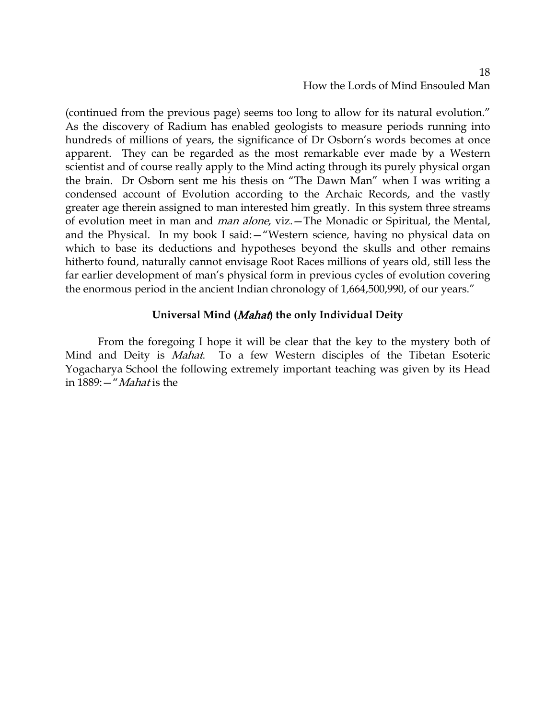### 18 How the Lords of Mind Ensouled Man

(continued from the previous page) seems too long to allow for its natural evolution." As the discovery of Radium has enabled geologists to measure periods running into hundreds of millions of years, the significance of Dr Osborn's words becomes at once apparent. They can be regarded as the most remarkable ever made by a Western scientist and of course really apply to the Mind acting through its purely physical organ the brain. Dr Osborn sent me his thesis on "The Dawn Man" when I was writing a condensed account of Evolution according to the Archaic Records, and the vastly greater age therein assigned to man interested him greatly. In this system three streams of evolution meet in man and man alone, viz.—The Monadic or Spiritual, the Mental, and the Physical. In my book I said:—"Western science, having no physical data on which to base its deductions and hypotheses beyond the skulls and other remains hitherto found, naturally cannot envisage Root Races millions of years old, still less the far earlier development of man's physical form in previous cycles of evolution covering the enormous period in the ancient Indian chronology of 1,664,500,990, of our years."

### **Universal Mind (**Mahat**) the only Individual Deity**

From the foregoing I hope it will be clear that the key to the mystery both of Mind and Deity is *Mahat*. To a few Western disciples of the Tibetan Esoteric Yogacharya School the following extremely important teaching was given by its Head in 1889:—"Mahat is the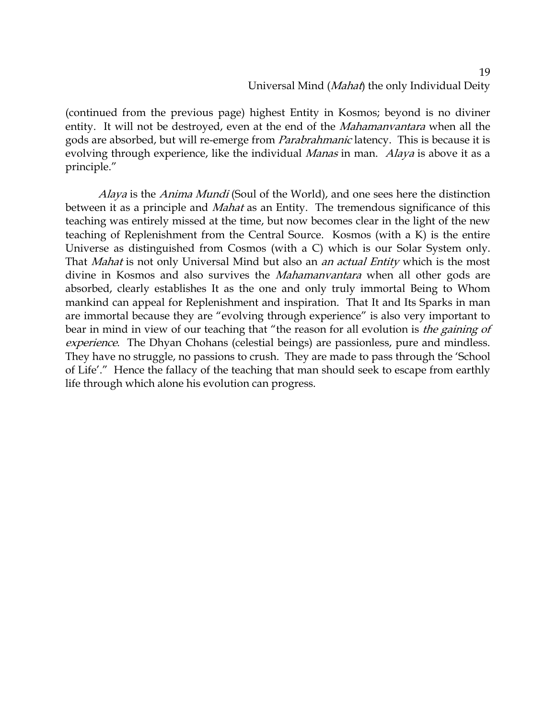# Universal Mind (Mahat) the only Individual Deity

(continued from the previous page) highest Entity in Kosmos; beyond is no diviner entity. It will not be destroyed, even at the end of the *Mahamanvantara* when all the gods are absorbed, but will re-emerge from *Parabrahmanic* latency. This is because it is evolving through experience, like the individual *Manas* in man. *Alaya* is above it as a principle."

Alaya is the Anima Mundi (Soul of the World), and one sees here the distinction between it as a principle and *Mahat* as an Entity. The tremendous significance of this teaching was entirely missed at the time, but now becomes clear in the light of the new teaching of Replenishment from the Central Source. Kosmos (with a K) is the entire Universe as distinguished from Cosmos (with a C) which is our Solar System only. That *Mahat* is not only Universal Mind but also an *an actual Entity* which is the most divine in Kosmos and also survives the *Mahamanvantara* when all other gods are absorbed, clearly establishes It as the one and only truly immortal Being to Whom mankind can appeal for Replenishment and inspiration. That It and Its Sparks in man are immortal because they are "evolving through experience" is also very important to bear in mind in view of our teaching that "the reason for all evolution is *the gaining of* experience. The Dhyan Chohans (celestial beings) are passionless, pure and mindless. They have no struggle, no passions to crush. They are made to pass through the 'School of Life'." Hence the fallacy of the teaching that man should seek to escape from earthly life through which alone his evolution can progress.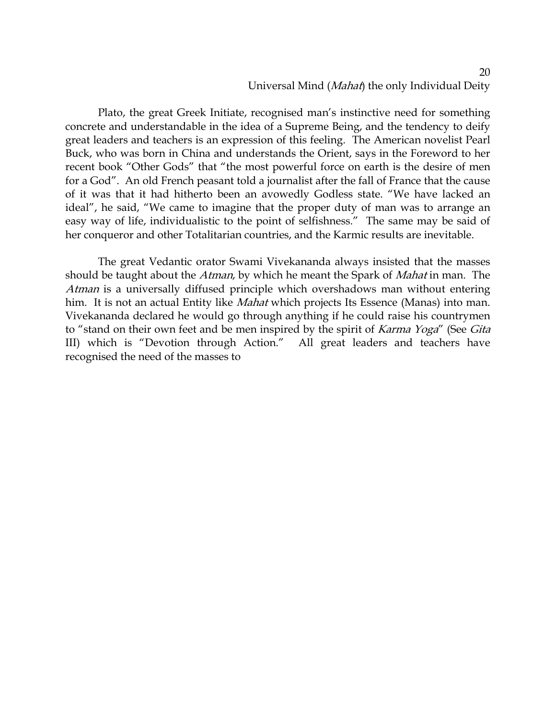### 20 Universal Mind (Mahat) the only Individual Deity

Plato, the great Greek Initiate, recognised man's instinctive need for something concrete and understandable in the idea of a Supreme Being, and the tendency to deify great leaders and teachers is an expression of this feeling. The American novelist Pearl Buck, who was born in China and understands the Orient, says in the Foreword to her recent book "Other Gods" that "the most powerful force on earth is the desire of men for a God". An old French peasant told a journalist after the fall of France that the cause of it was that it had hitherto been an avowedly Godless state. "We have lacked an ideal", he said, "We came to imagine that the proper duty of man was to arrange an easy way of life, individualistic to the point of selfishness." The same may be said of her conqueror and other Totalitarian countries, and the Karmic results are inevitable.

The great Vedantic orator Swami Vivekananda always insisted that the masses should be taught about the Atman, by which he meant the Spark of Mahat in man. The Atman is a universally diffused principle which overshadows man without entering him. It is not an actual Entity like *Mahat* which projects Its Essence (Manas) into man. Vivekananda declared he would go through anything if he could raise his countrymen to "stand on their own feet and be men inspired by the spirit of Karma Yoga" (See Gita III) which is "Devotion through Action." All great leaders and teachers have recognised the need of the masses to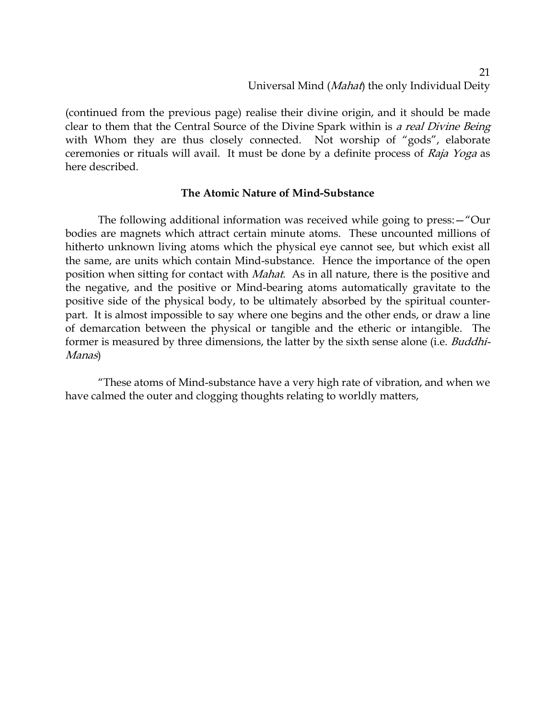(continued from the previous page) realise their divine origin, and it should be made clear to them that the Central Source of the Divine Spark within is a real Divine Being with Whom they are thus closely connected. Not worship of "gods", elaborate ceremonies or rituals will avail. It must be done by a definite process of Raja Yoga as here described.

### **The Atomic Nature of Mind-Substance**

The following additional information was received while going to press:—"Our bodies are magnets which attract certain minute atoms. These uncounted millions of hitherto unknown living atoms which the physical eye cannot see, but which exist all the same, are units which contain Mind-substance. Hence the importance of the open position when sitting for contact with Mahat. As in all nature, there is the positive and the negative, and the positive or Mind-bearing atoms automatically gravitate to the positive side of the physical body, to be ultimately absorbed by the spiritual counterpart. It is almost impossible to say where one begins and the other ends, or draw a line of demarcation between the physical or tangible and the etheric or intangible. The former is measured by three dimensions, the latter by the sixth sense alone (i.e. Buddhi-Manas)

"These atoms of Mind-substance have a very high rate of vibration, and when we have calmed the outer and clogging thoughts relating to worldly matters,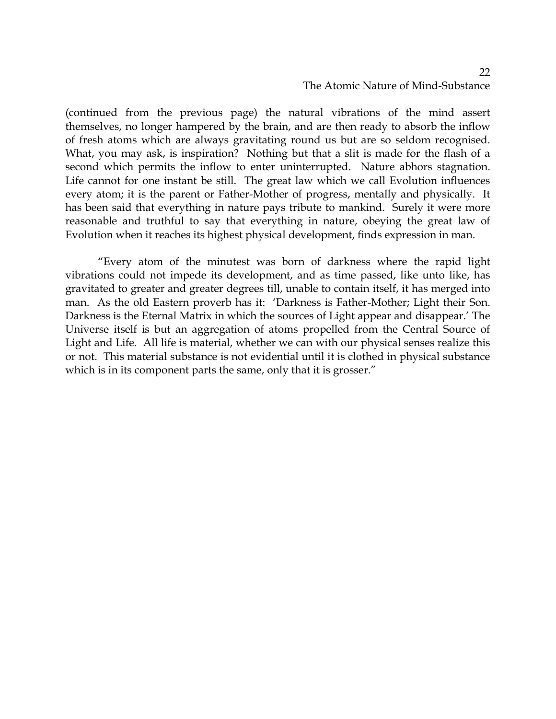## The Atomic Nature of Mind-Substance

(continued from the previous page) the natural vibrations of the mind assert themselves, no longer hampered by the brain, and are then ready to absorb the inflow of fresh atoms which are always gravitating round us but are so seldom recognised. What, you may ask, is inspiration? Nothing but that a slit is made for the flash of a second which permits the inflow to enter uninterrupted. Nature abhors stagnation. Life cannot for one instant be still. The great law which we call Evolution influences every atom; it is the parent or Father-Mother of progress, mentally and physically. It has been said that everything in nature pays tribute to mankind. Surely it were more reasonable and truthful to say that everything in nature, obeying the great law of Evolution when it reaches its highest physical development, finds expression in man.

"Every atom of the minutest was born of darkness where the rapid light vibrations could not impede its development, and as time passed, like unto like, has gravitated to greater and greater degrees till, unable to contain itself, it has merged into man. As the old Eastern proverb has it: 'Darkness is Father-Mother; Light their Son. Darkness is the Eternal Matrix in which the sources of Light appear and disappear.' The Universe itself is but an aggregation of atoms propelled from the Central Source of Light and Life. All life is material, whether we can with our physical senses realize this or not. This material substance is not evidential until it is clothed in physical substance which is in its component parts the same, only that it is grosser."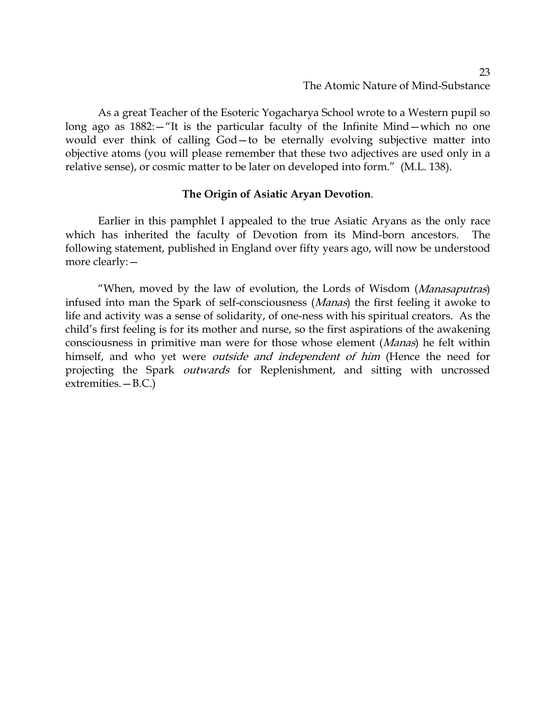As a great Teacher of the Esoteric Yogacharya School wrote to a Western pupil so long ago as 1882:—"It is the particular faculty of the Infinite Mind—which no one would ever think of calling God—to be eternally evolving subjective matter into objective atoms (you will please remember that these two adjectives are used only in a relative sense), or cosmic matter to be later on developed into form." (M.L. 138).

## **The Origin of Asiatic Aryan Devotion**.

Earlier in this pamphlet I appealed to the true Asiatic Aryans as the only race which has inherited the faculty of Devotion from its Mind-born ancestors. The following statement, published in England over fifty years ago, will now be understood more clearly:—

"When, moved by the law of evolution, the Lords of Wisdom (Manasaputras) infused into man the Spark of self-consciousness (Manas) the first feeling it awoke to life and activity was a sense of solidarity, of one-ness with his spiritual creators. As the child's first feeling is for its mother and nurse, so the first aspirations of the awakening consciousness in primitive man were for those whose element (Manas) he felt within himself, and who yet were *outside and independent of him* (Hence the need for projecting the Spark *outwards* for Replenishment, and sitting with uncrossed extremities.—B.C.)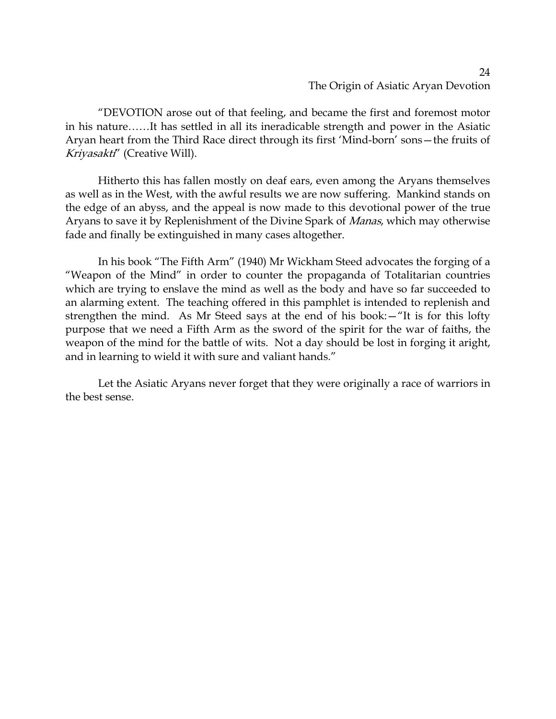### 24 The Origin of Asiatic Aryan Devotion

"DEVOTION arose out of that feeling, and became the first and foremost motor in his nature……It has settled in all its ineradicable strength and power in the Asiatic Aryan heart from the Third Race direct through its first 'Mind-born' sons—the fruits of Kriyasakti" (Creative Will).

Hitherto this has fallen mostly on deaf ears, even among the Aryans themselves as well as in the West, with the awful results we are now suffering. Mankind stands on the edge of an abyss, and the appeal is now made to this devotional power of the true Aryans to save it by Replenishment of the Divine Spark of Manas, which may otherwise fade and finally be extinguished in many cases altogether.

In his book "The Fifth Arm" (1940) Mr Wickham Steed advocates the forging of a "Weapon of the Mind" in order to counter the propaganda of Totalitarian countries which are trying to enslave the mind as well as the body and have so far succeeded to an alarming extent. The teaching offered in this pamphlet is intended to replenish and strengthen the mind. As Mr Steed says at the end of his book:—"It is for this lofty purpose that we need a Fifth Arm as the sword of the spirit for the war of faiths, the weapon of the mind for the battle of wits. Not a day should be lost in forging it aright, and in learning to wield it with sure and valiant hands."

Let the Asiatic Aryans never forget that they were originally a race of warriors in the best sense.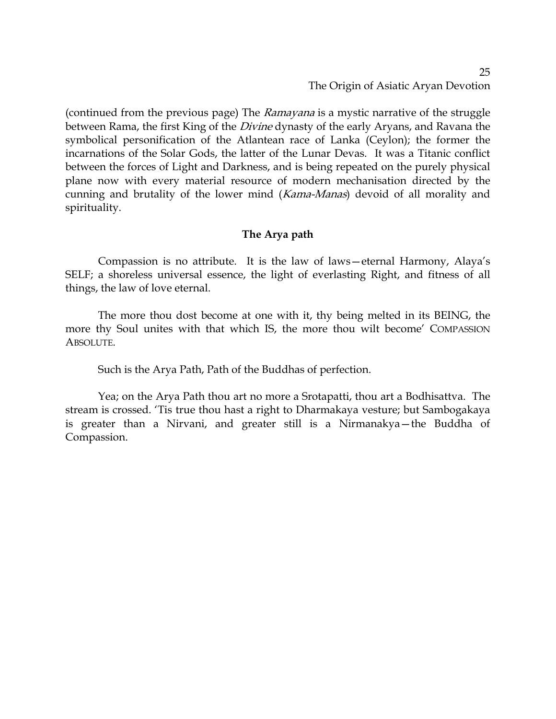### 25 The Origin of Asiatic Aryan Devotion

(continued from the previous page) The *Ramayana* is a mystic narrative of the struggle between Rama, the first King of the *Divine* dynasty of the early Aryans, and Ravana the symbolical personification of the Atlantean race of Lanka (Ceylon); the former the incarnations of the Solar Gods, the latter of the Lunar Devas. It was a Titanic conflict between the forces of Light and Darkness, and is being repeated on the purely physical plane now with every material resource of modern mechanisation directed by the cunning and brutality of the lower mind (Kama-Manas) devoid of all morality and spirituality.

### **The Arya path**

Compassion is no attribute. It is the law of laws—eternal Harmony, Alaya's SELF; a shoreless universal essence, the light of everlasting Right, and fitness of all things, the law of love eternal.

The more thou dost become at one with it, thy being melted in its BEING, the more thy Soul unites with that which IS, the more thou wilt become' COMPASSION ABSOLUTE.

Such is the Arya Path, Path of the Buddhas of perfection.

Yea; on the Arya Path thou art no more a Srotapatti, thou art a Bodhisattva. The stream is crossed. 'Tis true thou hast a right to Dharmakaya vesture; but Sambogakaya is greater than a Nirvani, and greater still is a Nirmanakya—the Buddha of Compassion.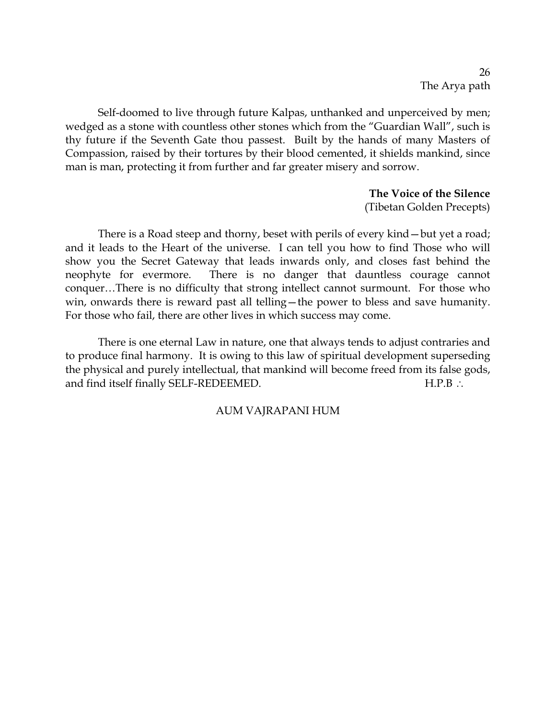Self-doomed to live through future Kalpas, unthanked and unperceived by men; wedged as a stone with countless other stones which from the "Guardian Wall", such is thy future if the Seventh Gate thou passest. Built by the hands of many Masters of Compassion, raised by their tortures by their blood cemented, it shields mankind, since man is man, protecting it from further and far greater misery and sorrow.

> **The Voice of the Silence** (Tibetan Golden Precepts)

There is a Road steep and thorny, beset with perils of every kind—but yet a road; and it leads to the Heart of the universe. I can tell you how to find Those who will show you the Secret Gateway that leads inwards only, and closes fast behind the neophyte for evermore. There is no danger that dauntless courage cannot conquer…There is no difficulty that strong intellect cannot surmount. For those who win, onwards there is reward past all telling—the power to bless and save humanity. For those who fail, there are other lives in which success may come.

There is one eternal Law in nature, one that always tends to adjust contraries and to produce final harmony. It is owing to this law of spiritual development superseding the physical and purely intellectual, that mankind will become freed from its false gods, and find itself finally SELF-REDEEMED. H.P.B ∴

### AUM VAJRAPANI HUM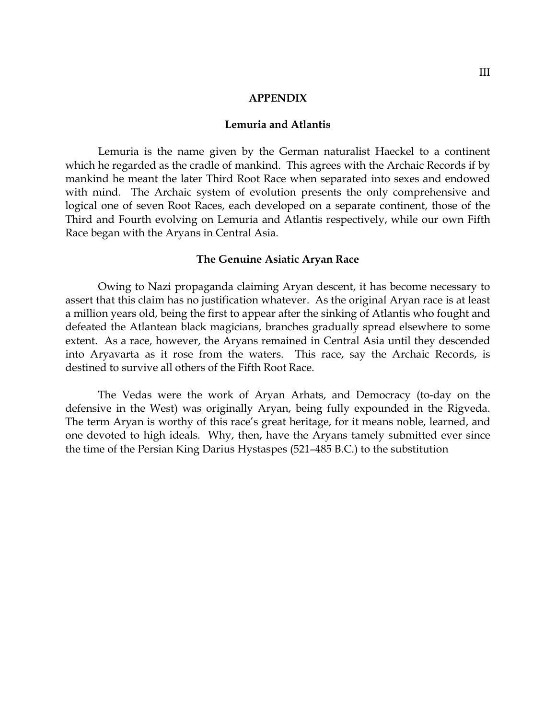#### **APPENDIX**

### **Lemuria and Atlantis**

Lemuria is the name given by the German naturalist Haeckel to a continent which he regarded as the cradle of mankind. This agrees with the Archaic Records if by mankind he meant the later Third Root Race when separated into sexes and endowed with mind. The Archaic system of evolution presents the only comprehensive and logical one of seven Root Races, each developed on a separate continent, those of the Third and Fourth evolving on Lemuria and Atlantis respectively, while our own Fifth Race began with the Aryans in Central Asia.

### **The Genuine Asiatic Aryan Race**

Owing to Nazi propaganda claiming Aryan descent, it has become necessary to assert that this claim has no justification whatever. As the original Aryan race is at least a million years old, being the first to appear after the sinking of Atlantis who fought and defeated the Atlantean black magicians, branches gradually spread elsewhere to some extent. As a race, however, the Aryans remained in Central Asia until they descended into Aryavarta as it rose from the waters. This race, say the Archaic Records, is destined to survive all others of the Fifth Root Race.

The Vedas were the work of Aryan Arhats, and Democracy (to-day on the defensive in the West) was originally Aryan, being fully expounded in the Rigveda. The term Aryan is worthy of this race's great heritage, for it means noble, learned, and one devoted to high ideals. Why, then, have the Aryans tamely submitted ever since the time of the Persian King Darius Hystaspes (521–485 B.C.) to the substitution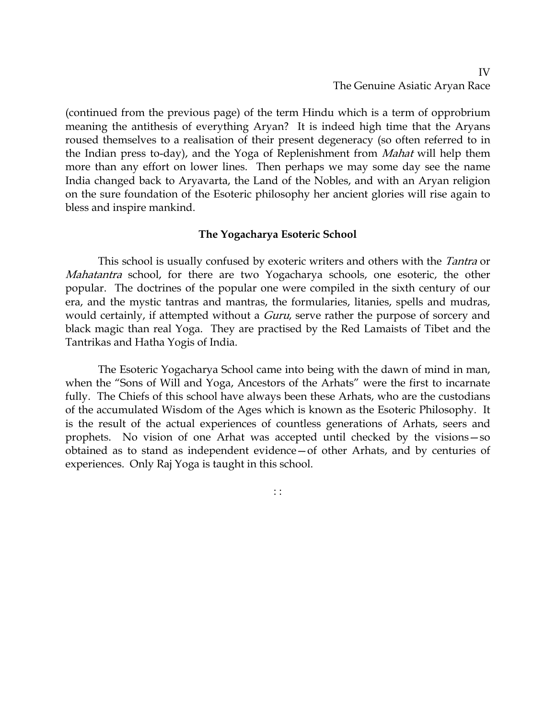(continued from the previous page) of the term Hindu which is a term of opprobrium meaning the antithesis of everything Aryan? It is indeed high time that the Aryans roused themselves to a realisation of their present degeneracy (so often referred to in the Indian press to-day), and the Yoga of Replenishment from *Mahat* will help them more than any effort on lower lines. Then perhaps we may some day see the name India changed back to Aryavarta, the Land of the Nobles, and with an Aryan religion on the sure foundation of the Esoteric philosophy her ancient glories will rise again to bless and inspire mankind.

## **The Yogacharya Esoteric School**

This school is usually confused by exoteric writers and others with the *Tantra* or Mahatantra school, for there are two Yogacharya schools, one esoteric, the other popular. The doctrines of the popular one were compiled in the sixth century of our era, and the mystic tantras and mantras, the formularies, litanies, spells and mudras, would certainly, if attempted without a *Guru*, serve rather the purpose of sorcery and black magic than real Yoga. They are practised by the Red Lamaists of Tibet and the Tantrikas and Hatha Yogis of India.

The Esoteric Yogacharya School came into being with the dawn of mind in man, when the "Sons of Will and Yoga, Ancestors of the Arhats" were the first to incarnate fully. The Chiefs of this school have always been these Arhats, who are the custodians of the accumulated Wisdom of the Ages which is known as the Esoteric Philosophy. It is the result of the actual experiences of countless generations of Arhats, seers and prophets. No vision of one Arhat was accepted until checked by the visions—so obtained as to stand as independent evidence—of other Arhats, and by centuries of experiences. Only Raj Yoga is taught in this school.

: :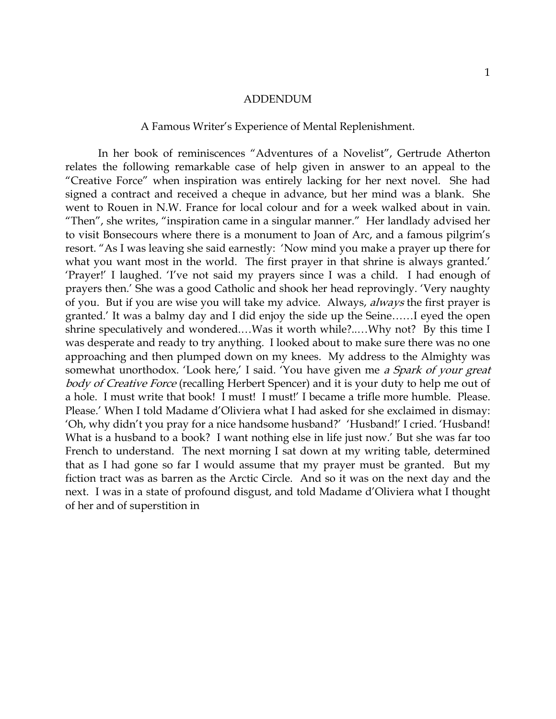### ADDENDUM

### A Famous Writer's Experience of Mental Replenishment.

In her book of reminiscences "Adventures of a Novelist", Gertrude Atherton relates the following remarkable case of help given in answer to an appeal to the "Creative Force" when inspiration was entirely lacking for her next novel. She had signed a contract and received a cheque in advance, but her mind was a blank. She went to Rouen in N.W. France for local colour and for a week walked about in vain. "Then", she writes, "inspiration came in a singular manner." Her landlady advised her to visit Bonsecours where there is a monument to Joan of Arc, and a famous pilgrim's resort. "As I was leaving she said earnestly: 'Now mind you make a prayer up there for what you want most in the world. The first prayer in that shrine is always granted.' 'Prayer!' I laughed. 'I've not said my prayers since I was a child. I had enough of prayers then.' She was a good Catholic and shook her head reprovingly. 'Very naughty of you. But if you are wise you will take my advice. Always, always the first prayer is granted.' It was a balmy day and I did enjoy the side up the Seine……I eyed the open shrine speculatively and wondered.…Was it worth while?..…Why not? By this time I was desperate and ready to try anything. I looked about to make sure there was no one approaching and then plumped down on my knees. My address to the Almighty was somewhat unorthodox. 'Look here,' I said. 'You have given me a Spark of your great body of Creative Force (recalling Herbert Spencer) and it is your duty to help me out of a hole. I must write that book! I must! I must!' I became a trifle more humble. Please. Please.' When I told Madame d'Oliviera what I had asked for she exclaimed in dismay: 'Oh, why didn't you pray for a nice handsome husband?' 'Husband!' I cried. 'Husband! What is a husband to a book? I want nothing else in life just now.' But she was far too French to understand. The next morning I sat down at my writing table, determined that as I had gone so far I would assume that my prayer must be granted. But my fiction tract was as barren as the Arctic Circle. And so it was on the next day and the next. I was in a state of profound disgust, and told Madame d'Oliviera what I thought of her and of superstition in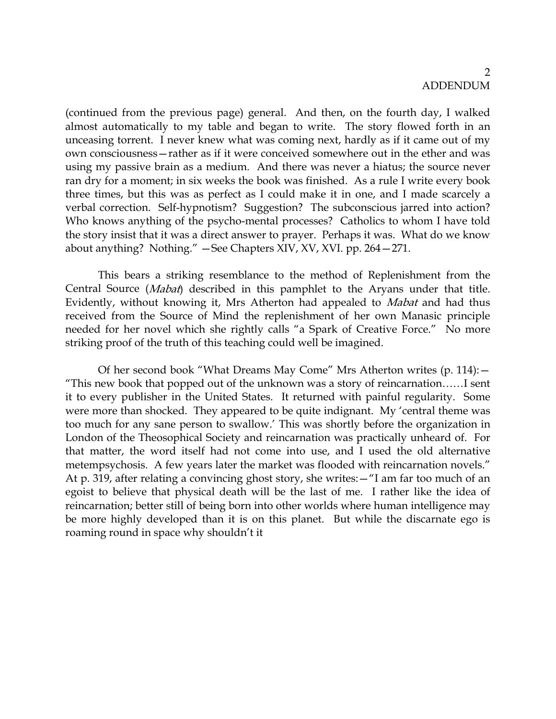### $\mathcal{D}$ ADDENDUM

(continued from the previous page) general. And then, on the fourth day, I walked almost automatically to my table and began to write. The story flowed forth in an unceasing torrent. I never knew what was coming next, hardly as if it came out of my own consciousness—rather as if it were conceived somewhere out in the ether and was using my passive brain as a medium. And there was never a hiatus; the source never ran dry for a moment; in six weeks the book was finished. As a rule I write every book three times, but this was as perfect as I could make it in one, and I made scarcely a verbal correction. Self-hypnotism? Suggestion? The subconscious jarred into action? Who knows anything of the psycho-mental processes? Catholics to whom I have told the story insist that it was a direct answer to prayer. Perhaps it was. What do we know about anything? Nothing." —See Chapters XIV, XV, XVI. pp. 264—271.

This bears a striking resemblance to the method of Replenishment from the Central Source (Mabat) described in this pamphlet to the Aryans under that title. Evidently, without knowing it, Mrs Atherton had appealed to Mabat and had thus received from the Source of Mind the replenishment of her own Manasic principle needed for her novel which she rightly calls "a Spark of Creative Force." No more striking proof of the truth of this teaching could well be imagined.

Of her second book "What Dreams May Come" Mrs Atherton writes (p. 114):— "This new book that popped out of the unknown was a story of reincarnation……I sent it to every publisher in the United States. It returned with painful regularity. Some were more than shocked. They appeared to be quite indignant. My 'central theme was too much for any sane person to swallow.' This was shortly before the organization in London of the Theosophical Society and reincarnation was practically unheard of. For that matter, the word itself had not come into use, and I used the old alternative metempsychosis. A few years later the market was flooded with reincarnation novels." At p. 319, after relating a convincing ghost story, she writes:—"I am far too much of an egoist to believe that physical death will be the last of me. I rather like the idea of reincarnation; better still of being born into other worlds where human intelligence may be more highly developed than it is on this planet. But while the discarnate ego is roaming round in space why shouldn't it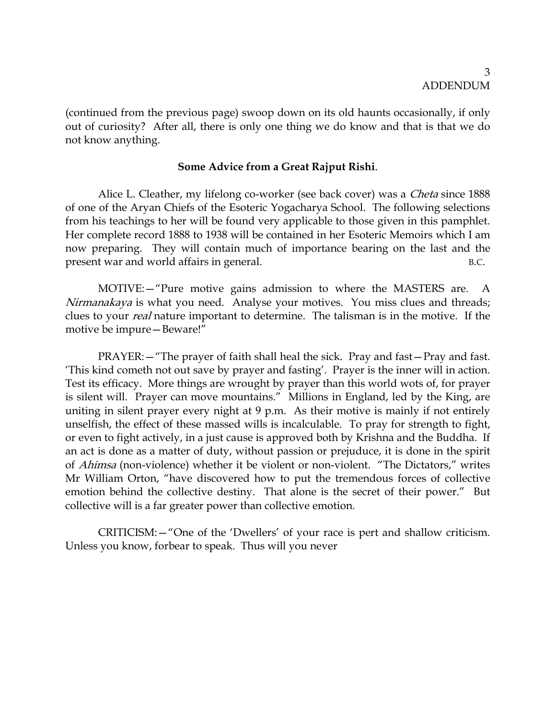(continued from the previous page) swoop down on its old haunts occasionally, if only out of curiosity? After all, there is only one thing we do know and that is that we do not know anything.

## **Some Advice from a Great Rajput Rishi**.

Alice L. Cleather, my lifelong co-worker (see back cover) was a *Cheta* since 1888 of one of the Aryan Chiefs of the Esoteric Yogacharya School. The following selections from his teachings to her will be found very applicable to those given in this pamphlet. Her complete record 1888 to 1938 will be contained in her Esoteric Memoirs which I am now preparing. They will contain much of importance bearing on the last and the present war and world affairs in general. B.C.

MOTIVE:—"Pure motive gains admission to where the MASTERS are. A Nirmanakaya is what you need. Analyse your motives. You miss clues and threads; clues to your real nature important to determine. The talisman is in the motive. If the motive be impure—Beware!"

PRAYER:—"The prayer of faith shall heal the sick. Pray and fast—Pray and fast. 'This kind cometh not out save by prayer and fasting'. Prayer is the inner will in action. Test its efficacy. More things are wrought by prayer than this world wots of, for prayer is silent will. Prayer can move mountains." Millions in England, led by the King, are uniting in silent prayer every night at 9 p.m. As their motive is mainly if not entirely unselfish, the effect of these massed wills is incalculable. To pray for strength to fight, or even to fight actively, in a just cause is approved both by Krishna and the Buddha. If an act is done as a matter of duty, without passion or prejuduce, it is done in the spirit of Ahimsa (non-violence) whether it be violent or non-violent. "The Dictators," writes Mr William Orton, "have discovered how to put the tremendous forces of collective emotion behind the collective destiny. That alone is the secret of their power." But collective will is a far greater power than collective emotion.

CRITICISM:—"One of the 'Dwellers' of your race is pert and shallow criticism. Unless you know, forbear to speak. Thus will you never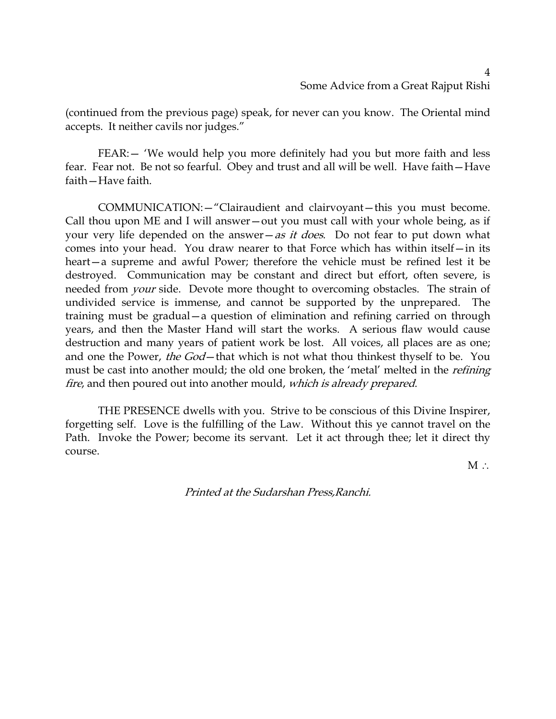(continued from the previous page) speak, for never can you know. The Oriental mind accepts. It neither cavils nor judges."

FEAR:— 'We would help you more definitely had you but more faith and less fear. Fear not. Be not so fearful. Obey and trust and all will be well. Have faith—Have faith—Have faith.

COMMUNICATION:—"Clairaudient and clairvoyant—this you must become. Call thou upon ME and I will answer—out you must call with your whole being, as if your very life depended on the answer—as it does. Do not fear to put down what comes into your head. You draw nearer to that Force which has within itself—in its heart—a supreme and awful Power; therefore the vehicle must be refined lest it be destroyed. Communication may be constant and direct but effort, often severe, is needed from *your* side. Devote more thought to overcoming obstacles. The strain of undivided service is immense, and cannot be supported by the unprepared. The training must be gradual—a question of elimination and refining carried on through years, and then the Master Hand will start the works. A serious flaw would cause destruction and many years of patient work be lost. All voices, all places are as one; and one the Power, the God-that which is not what thou thinkest thyself to be. You must be cast into another mould; the old one broken, the 'metal' melted in the *refining* fire, and then poured out into another mould, which is already prepared.

THE PRESENCE dwells with you. Strive to be conscious of this Divine Inspirer, forgetting self. Love is the fulfilling of the Law. Without this ye cannot travel on the Path. Invoke the Power; become its servant. Let it act through thee; let it direct thy course.

M ∴

Printed at the Sudarshan Press,Ranchi.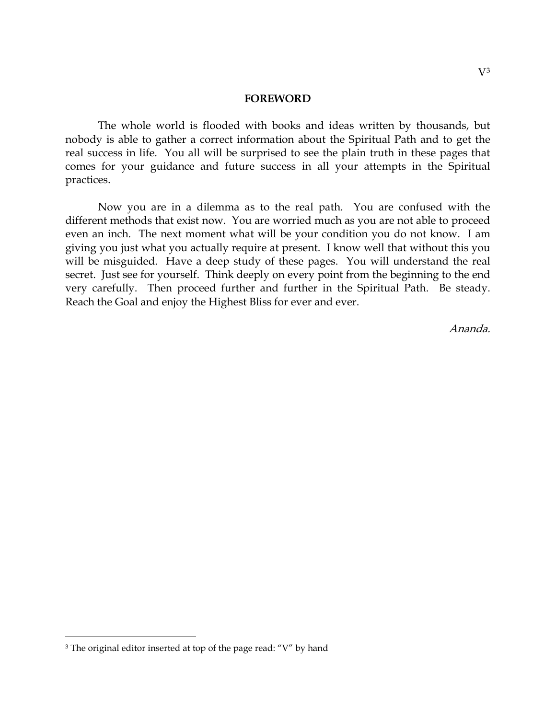#### **FOREWORD**

The whole world is flooded with books and ideas written by thousands, but nobody is able to gather a correct information about the Spiritual Path and to get the real success in life. You all will be surprised to see the plain truth in these pages that comes for your guidance and future success in all your attempts in the Spiritual practices.

Now you are in a dilemma as to the real path. You are confused with the different methods that exist now. You are worried much as you are not able to proceed even an inch. The next moment what will be your condition you do not know. I am giving you just what you actually require at present. I know well that without this you will be misguided. Have a deep study of these pages. You will understand the real secret. Just see for yourself. Think deeply on every point from the beginning to the end very carefully. Then proceed further and further in the Spiritual Path. Be steady. Reach the Goal and enjoy the Highest Bliss for ever and ever.

Ananda.

<span id="page-42-0"></span><sup>&</sup>lt;sup>3</sup> The original editor inserted at top of the page read: "V" by hand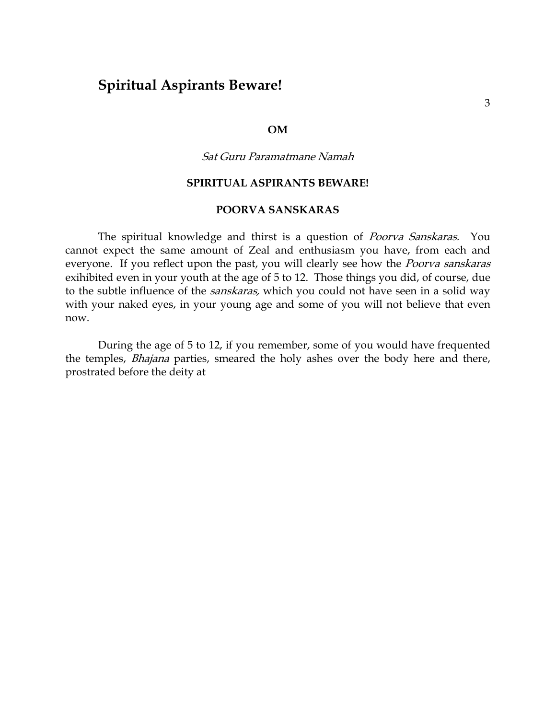# **Spiritual Aspirants Beware!**

### **OM**

### Sat Guru Paramatmane Namah

### **SPIRITUAL ASPIRANTS BEWARE!**

## **POORVA SANSKARAS**

The spiritual knowledge and thirst is a question of *Poorva Sanskaras*. You cannot expect the same amount of Zeal and enthusiasm you have, from each and everyone. If you reflect upon the past, you will clearly see how the *Poorva sanskaras* exihibited even in your youth at the age of 5 to 12. Those things you did, of course, due to the subtle influence of the *sanskaras*, which you could not have seen in a solid way with your naked eyes, in your young age and some of you will not believe that even now.

During the age of 5 to 12, if you remember, some of you would have frequented the temples, *Bhajana* parties, smeared the holy ashes over the body here and there, prostrated before the deity at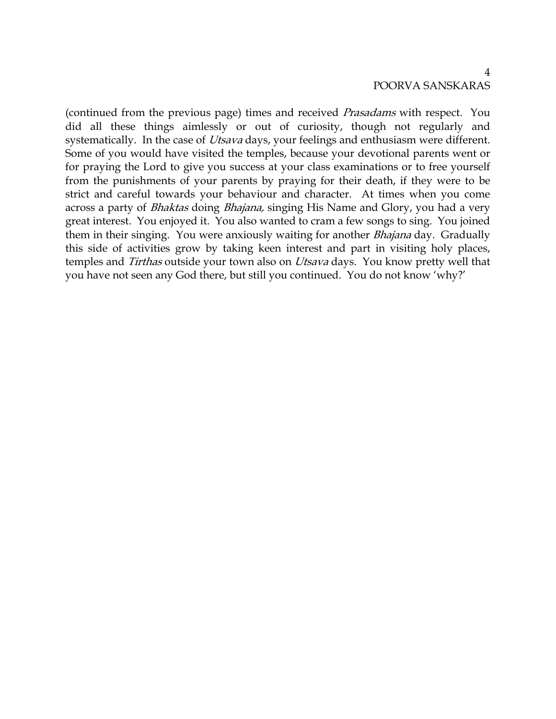## 4 POORVA SANSKARAS

(continued from the previous page) times and received Prasadams with respect. You did all these things aimlessly or out of curiosity, though not regularly and systematically. In the case of *Utsava* days, your feelings and enthusiasm were different. Some of you would have visited the temples, because your devotional parents went or for praying the Lord to give you success at your class examinations or to free yourself from the punishments of your parents by praying for their death, if they were to be strict and careful towards your behaviour and character. At times when you come across a party of *Bhaktas* doing *Bhajana*, singing His Name and Glory, you had a very great interest. You enjoyed it. You also wanted to cram a few songs to sing. You joined them in their singing. You were anxiously waiting for another *Bhajana* day. Gradually this side of activities grow by taking keen interest and part in visiting holy places, temples and Tirthas outside your town also on Utsava days. You know pretty well that you have not seen any God there, but still you continued. You do not know 'why?'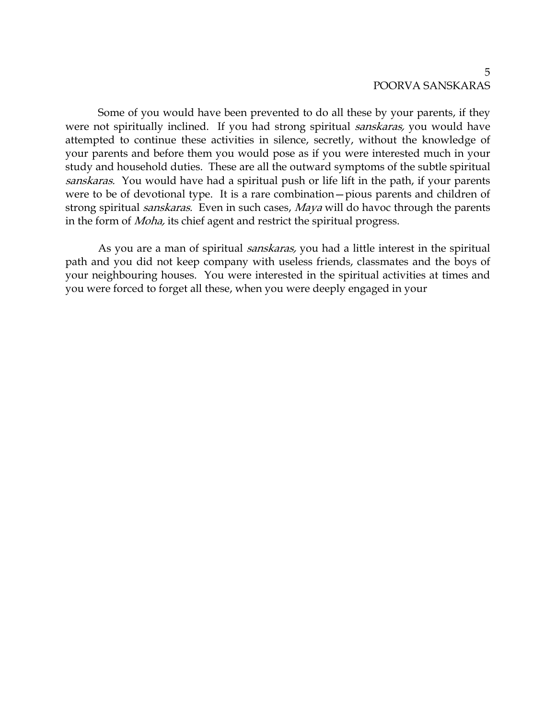## 5 POORVA SANSKARAS

Some of you would have been prevented to do all these by your parents, if they were not spiritually inclined. If you had strong spiritual sanskaras, you would have attempted to continue these activities in silence, secretly, without the knowledge of your parents and before them you would pose as if you were interested much in your study and household duties. These are all the outward symptoms of the subtle spiritual sanskaras. You would have had a spiritual push or life lift in the path, if your parents were to be of devotional type. It is a rare combination—pious parents and children of strong spiritual *sanskaras*. Even in such cases, Maya will do havoc through the parents in the form of Moha, its chief agent and restrict the spiritual progress.

As you are a man of spiritual *sanskaras*, you had a little interest in the spiritual path and you did not keep company with useless friends, classmates and the boys of your neighbouring houses. You were interested in the spiritual activities at times and you were forced to forget all these, when you were deeply engaged in your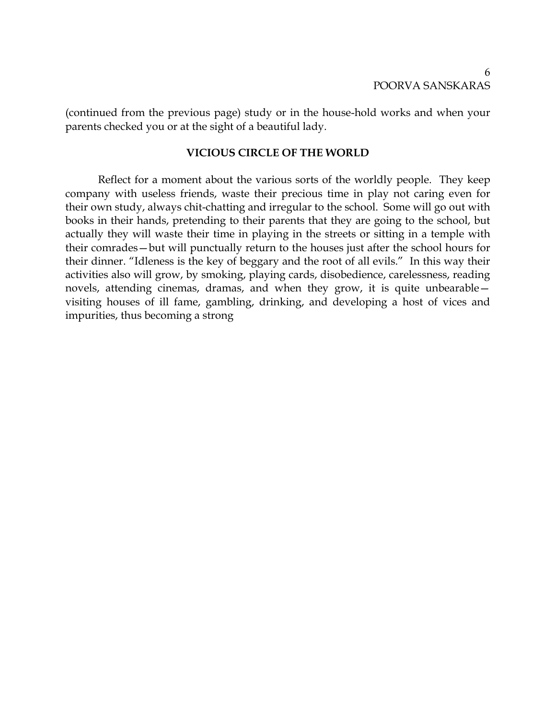(continued from the previous page) study or in the house-hold works and when your parents checked you or at the sight of a beautiful lady.

## **VICIOUS CIRCLE OF THE WORLD**

Reflect for a moment about the various sorts of the worldly people. They keep company with useless friends, waste their precious time in play not caring even for their own study, always chit-chatting and irregular to the school. Some will go out with books in their hands, pretending to their parents that they are going to the school, but actually they will waste their time in playing in the streets or sitting in a temple with their comrades—but will punctually return to the houses just after the school hours for their dinner. "Idleness is the key of beggary and the root of all evils." In this way their activities also will grow, by smoking, playing cards, disobedience, carelessness, reading novels, attending cinemas, dramas, and when they grow, it is quite unbearable visiting houses of ill fame, gambling, drinking, and developing a host of vices and impurities, thus becoming a strong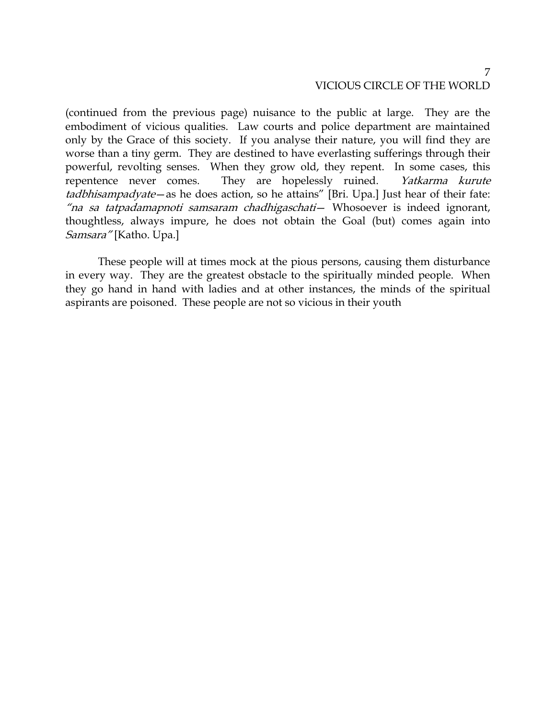(continued from the previous page) nuisance to the public at large. They are the embodiment of vicious qualities. Law courts and police department are maintained only by the Grace of this society. If you analyse their nature, you will find they are worse than a tiny germ. They are destined to have everlasting sufferings through their powerful, revolting senses. When they grow old, they repent. In some cases, this repentence never comes. They are hopelessly ruined. Yatkarma kurute tadbhisampadyate—as he does action, so he attains" [Bri. Upa.] Just hear of their fate: "na sa tatpadamapnoti samsaram chadhigaschati— Whosoever is indeed ignorant, thoughtless, always impure, he does not obtain the Goal (but) comes again into Samsara" [Katho. Upa.]

These people will at times mock at the pious persons, causing them disturbance in every way. They are the greatest obstacle to the spiritually minded people. When they go hand in hand with ladies and at other instances, the minds of the spiritual aspirants are poisoned. These people are not so vicious in their youth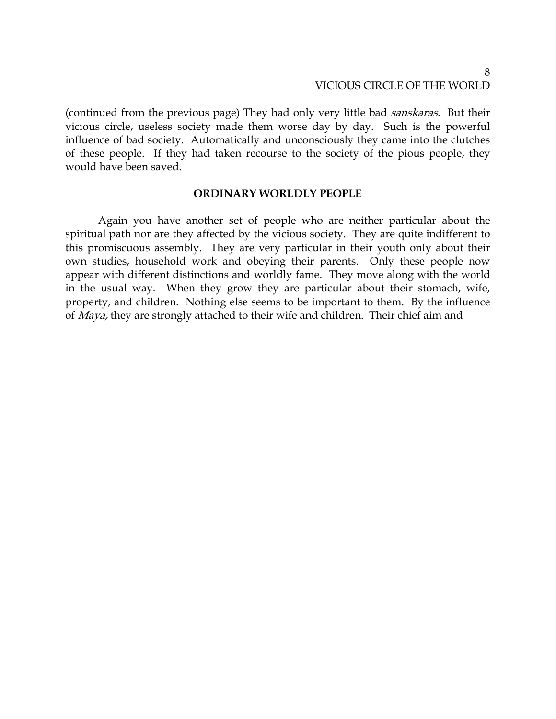(continued from the previous page) They had only very little bad sanskaras. But their vicious circle, useless society made them worse day by day. Such is the powerful influence of bad society. Automatically and unconsciously they came into the clutches of these people. If they had taken recourse to the society of the pious people, they would have been saved.

### **ORDINARY WORLDLY PEOPLE**

Again you have another set of people who are neither particular about the spiritual path nor are they affected by the vicious society. They are quite indifferent to this promiscuous assembly. They are very particular in their youth only about their own studies, household work and obeying their parents. Only these people now appear with different distinctions and worldly fame. They move along with the world in the usual way. When they grow they are particular about their stomach, wife, property, and children. Nothing else seems to be important to them. By the influence of *Maya*, they are strongly attached to their wife and children. Their chief aim and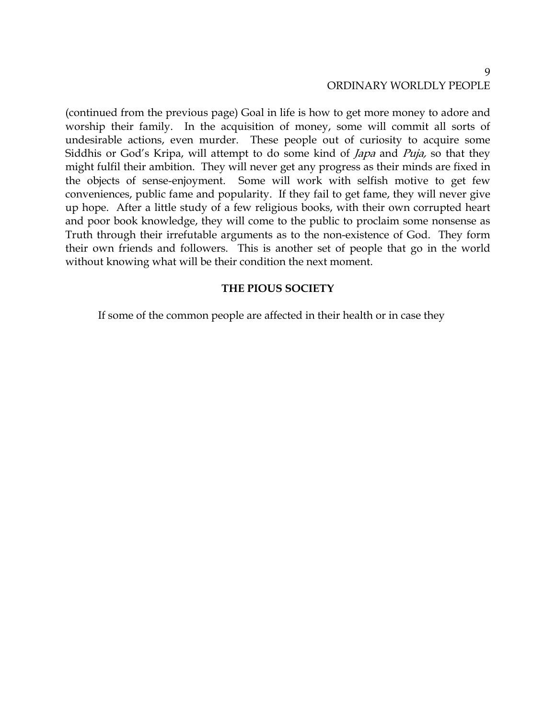# ORDINARY WORLDLY PEOPLE

(continued from the previous page) Goal in life is how to get more money to adore and worship their family. In the acquisition of money, some will commit all sorts of undesirable actions, even murder. These people out of curiosity to acquire some Siddhis or God's Kripa, will attempt to do some kind of *Japa* and *Puja*, so that they might fulfil their ambition. They will never get any progress as their minds are fixed in the objects of sense-enjoyment. Some will work with selfish motive to get few conveniences, public fame and popularity. If they fail to get fame, they will never give up hope. After a little study of a few religious books, with their own corrupted heart and poor book knowledge, they will come to the public to proclaim some nonsense as Truth through their irrefutable arguments as to the non-existence of God. They form their own friends and followers. This is another set of people that go in the world without knowing what will be their condition the next moment.

### **THE PIOUS SOCIETY**

If some of the common people are affected in their health or in case they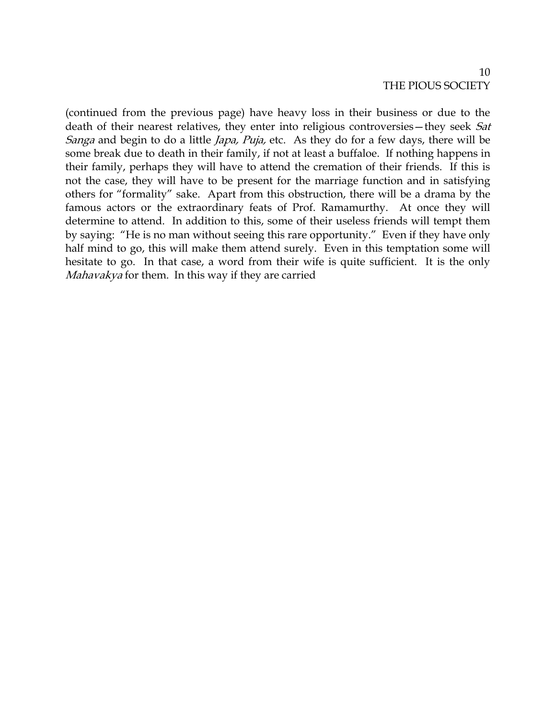## 10 THE PIOUS SOCIETY

(continued from the previous page) have heavy loss in their business or due to the death of their nearest relatives, they enter into religious controversies—they seek Sat Sanga and begin to do a little Japa, Puja, etc. As they do for a few days, there will be some break due to death in their family, if not at least a buffaloe. If nothing happens in their family, perhaps they will have to attend the cremation of their friends. If this is not the case, they will have to be present for the marriage function and in satisfying others for "formality" sake. Apart from this obstruction, there will be a drama by the famous actors or the extraordinary feats of Prof. Ramamurthy. At once they will determine to attend. In addition to this, some of their useless friends will tempt them by saying: "He is no man without seeing this rare opportunity." Even if they have only half mind to go, this will make them attend surely. Even in this temptation some will hesitate to go. In that case, a word from their wife is quite sufficient. It is the only Mahavakya for them. In this way if they are carried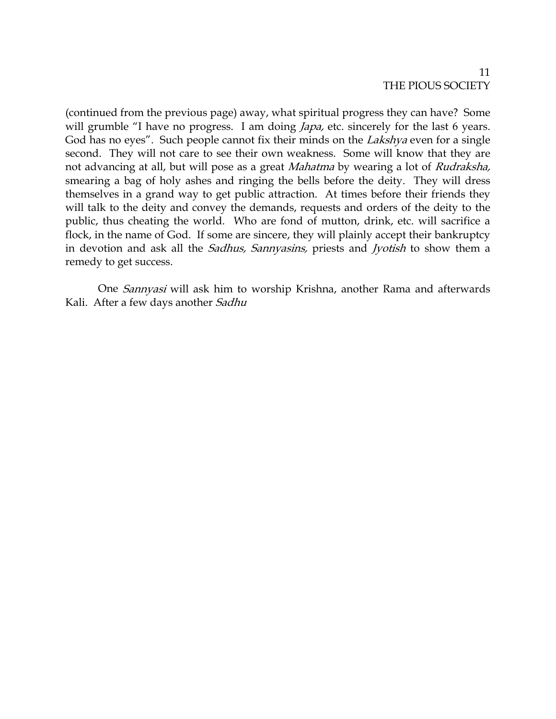## 11 THE PIOUS SOCIETY

(continued from the previous page) away, what spiritual progress they can have? Some will grumble "I have no progress. I am doing *Japa*, etc. sincerely for the last 6 years. God has no eyes". Such people cannot fix their minds on the *Lakshya* even for a single second. They will not care to see their own weakness. Some will know that they are not advancing at all, but will pose as a great *Mahatma* by wearing a lot of *Rudraksha*, smearing a bag of holy ashes and ringing the bells before the deity. They will dress themselves in a grand way to get public attraction. At times before their friends they will talk to the deity and convey the demands, requests and orders of the deity to the public, thus cheating the world. Who are fond of mutton, drink, etc. will sacrifice a flock, in the name of God. If some are sincere, they will plainly accept their bankruptcy in devotion and ask all the *Sadhus, Sannyasins,* priests and *Jyotish* to show them a remedy to get success.

One Sannyasi will ask him to worship Krishna, another Rama and afterwards Kali. After a few days another Sadhu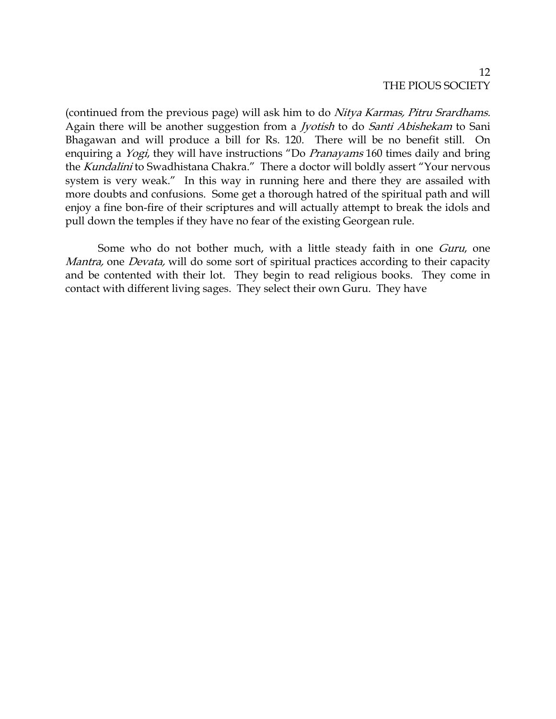## 12 THE PIOUS SOCIETY

(continued from the previous page) will ask him to do Nitya Karmas, Pitru Srardhams. Again there will be another suggestion from a *Jyotish* to do Santi Abishekam to Sani Bhagawan and will produce a bill for Rs. 120. There will be no benefit still. On enquiring a *Yogi*, they will have instructions "Do Pranayams 160 times daily and bring the Kundalini to Swadhistana Chakra." There a doctor will boldly assert "Your nervous system is very weak." In this way in running here and there they are assailed with more doubts and confusions. Some get a thorough hatred of the spiritual path and will enjoy a fine bon-fire of their scriptures and will actually attempt to break the idols and pull down the temples if they have no fear of the existing Georgean rule.

Some who do not bother much, with a little steady faith in one Guru, one Mantra, one Devata, will do some sort of spiritual practices according to their capacity and be contented with their lot. They begin to read religious books. They come in contact with different living sages. They select their own Guru. They have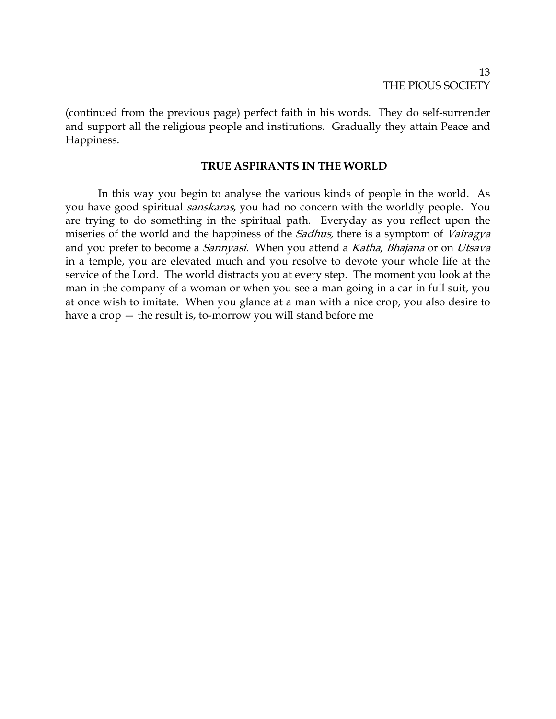(continued from the previous page) perfect faith in his words. They do self-surrender and support all the religious people and institutions. Gradually they attain Peace and Happiness.

### **TRUE ASPIRANTS IN THE WORLD**

In this way you begin to analyse the various kinds of people in the world. As you have good spiritual *sanskaras*, you had no concern with the worldly people. You are trying to do something in the spiritual path. Everyday as you reflect upon the miseries of the world and the happiness of the *Sadhus*, there is a symptom of *Vairagya* and you prefer to become a *Sannyasi*. When you attend a Katha, Bhajana or on Utsava in a temple, you are elevated much and you resolve to devote your whole life at the service of the Lord. The world distracts you at every step. The moment you look at the man in the company of a woman or when you see a man going in a car in full suit, you at once wish to imitate. When you glance at a man with a nice crop, you also desire to have a crop — the result is, to-morrow you will stand before me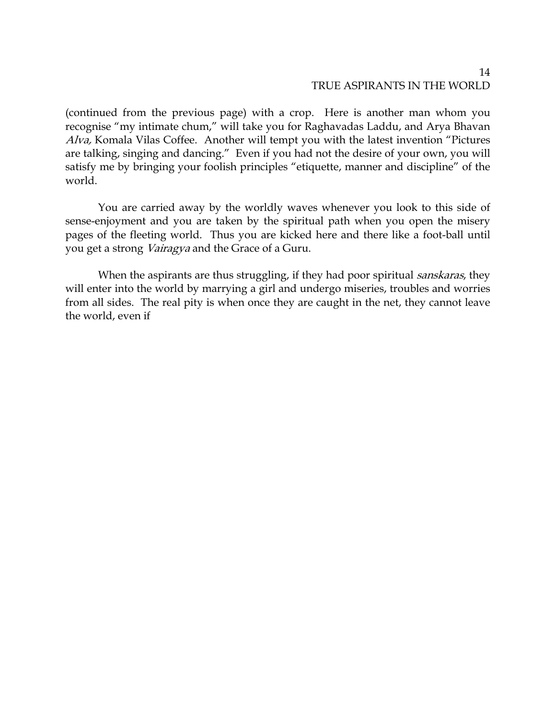### 14 TRUE ASPIRANTS IN THE WORLD

(continued from the previous page) with a crop. Here is another man whom you recognise "my intimate chum," will take you for Raghavadas Laddu, and Arya Bhavan Alva, Komala Vilas Coffee. Another will tempt you with the latest invention "Pictures are talking, singing and dancing." Even if you had not the desire of your own, you will satisfy me by bringing your foolish principles "etiquette, manner and discipline" of the world.

You are carried away by the worldly waves whenever you look to this side of sense-enjoyment and you are taken by the spiritual path when you open the misery pages of the fleeting world. Thus you are kicked here and there like a foot-ball until you get a strong Vairagya and the Grace of a Guru.

When the aspirants are thus struggling, if they had poor spiritual *sanskaras*, they will enter into the world by marrying a girl and undergo miseries, troubles and worries from all sides. The real pity is when once they are caught in the net, they cannot leave the world, even if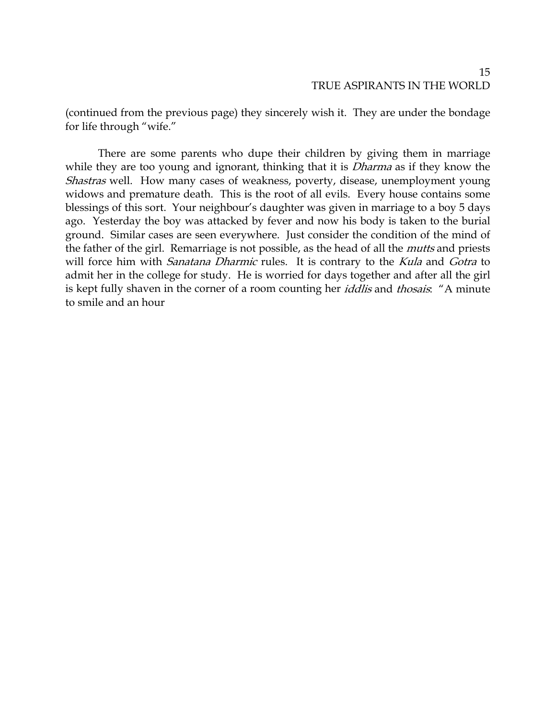(continued from the previous page) they sincerely wish it. They are under the bondage for life through "wife."

There are some parents who dupe their children by giving them in marriage while they are too young and ignorant, thinking that it is *Dharma* as if they know the Shastras well. How many cases of weakness, poverty, disease, unemployment young widows and premature death. This is the root of all evils. Every house contains some blessings of this sort. Your neighbour's daughter was given in marriage to a boy 5 days ago. Yesterday the boy was attacked by fever and now his body is taken to the burial ground. Similar cases are seen everywhere. Just consider the condition of the mind of the father of the girl. Remarriage is not possible, as the head of all the *mutts* and priests will force him with *Sanatana Dharmic* rules. It is contrary to the *Kula* and *Gotra* to admit her in the college for study. He is worried for days together and after all the girl is kept fully shaven in the corner of a room counting her *iddlis* and *thosais*: "A minute to smile and an hour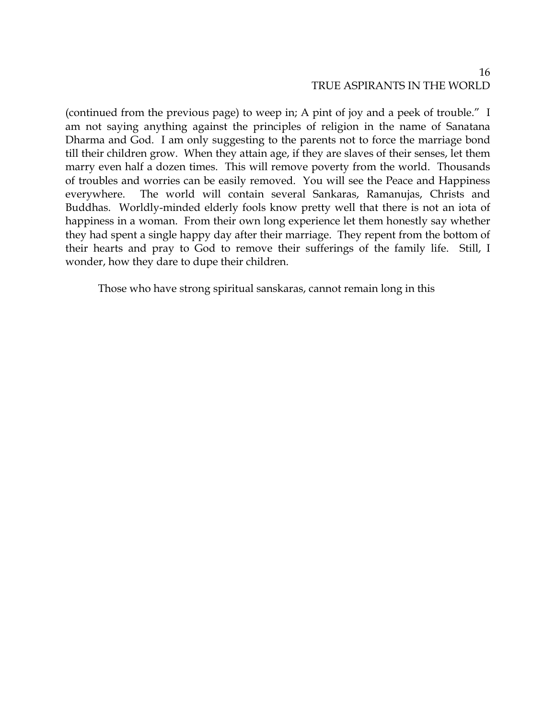(continued from the previous page) to weep in; A pint of joy and a peek of trouble." I am not saying anything against the principles of religion in the name of Sanatana Dharma and God. I am only suggesting to the parents not to force the marriage bond till their children grow. When they attain age, if they are slaves of their senses, let them marry even half a dozen times. This will remove poverty from the world. Thousands of troubles and worries can be easily removed. You will see the Peace and Happiness everywhere. The world will contain several Sankaras, Ramanujas, Christs and Buddhas. Worldly-minded elderly fools know pretty well that there is not an iota of happiness in a woman. From their own long experience let them honestly say whether they had spent a single happy day after their marriage. They repent from the bottom of their hearts and pray to God to remove their sufferings of the family life. Still, I wonder, how they dare to dupe their children.

Those who have strong spiritual sanskaras, cannot remain long in this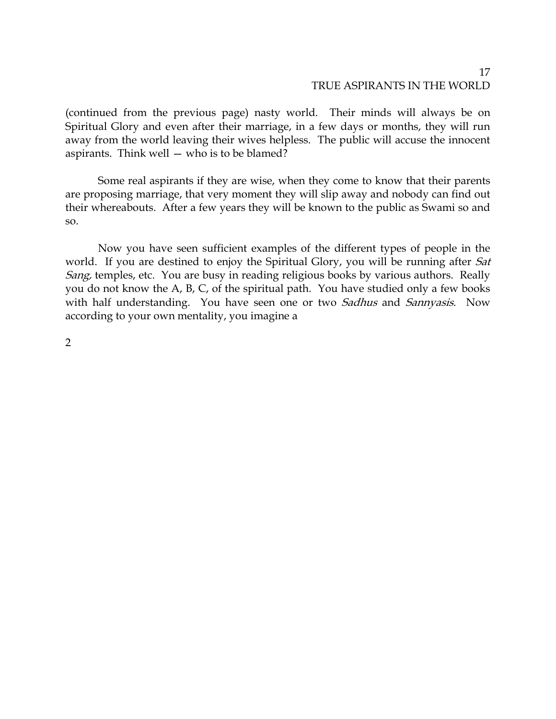### 17 TRUE ASPIRANTS IN THE WORLD

(continued from the previous page) nasty world. Their minds will always be on Spiritual Glory and even after their marriage, in a few days or months, they will run away from the world leaving their wives helpless. The public will accuse the innocent aspirants. Think well — who is to be blamed?

Some real aspirants if they are wise, when they come to know that their parents are proposing marriage, that very moment they will slip away and nobody can find out their whereabouts. After a few years they will be known to the public as Swami so and so.

Now you have seen sufficient examples of the different types of people in the world. If you are destined to enjoy the Spiritual Glory, you will be running after Sat Sang, temples, etc. You are busy in reading religious books by various authors. Really you do not know the A, B, C, of the spiritual path. You have studied only a few books with half understanding. You have seen one or two Sadhus and Sannyasis. Now according to your own mentality, you imagine a

2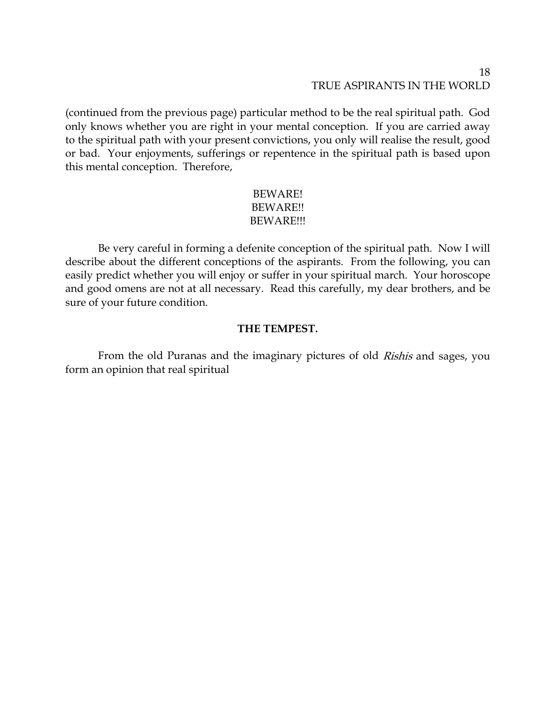## 18 TRUE ASPIRANTS IN THE WORLD

(continued from the previous page) particular method to be the real spiritual path. God only knows whether you are right in your mental conception. If you are carried away to the spiritual path with your present convictions, you only will realise the result, good or bad. Your enjoyments, sufferings or repentence in the spiritual path is based upon this mental conception. Therefore,

## BEWARE! BEWARE!! BEWARE!!!

Be very careful in forming a defenite conception of the spiritual path. Now I will describe about the different conceptions of the aspirants. From the following, you can easily predict whether you will enjoy or suffer in your spiritual march. Your horoscope and good omens are not at all necessary. Read this carefully, my dear brothers, and be sure of your future condition.

## **THE TEMPEST.**

From the old Puranas and the imaginary pictures of old *Rishis* and sages, you form an opinion that real spiritual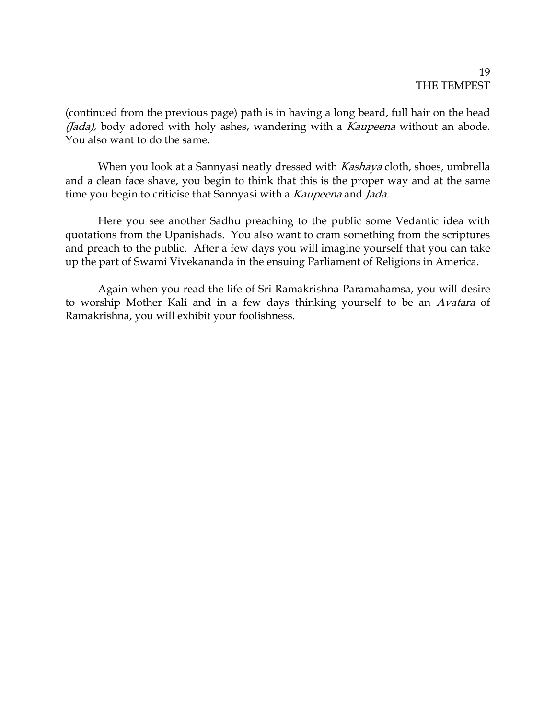## 19 THE TEMPEST

(continued from the previous page) path is in having a long beard, full hair on the head (Jada), body adored with holy ashes, wandering with a Kaupeena without an abode. You also want to do the same.

When you look at a Sannyasi neatly dressed with *Kashaya* cloth, shoes, umbrella and a clean face shave, you begin to think that this is the proper way and at the same time you begin to criticise that Sannyasi with a Kaupeena and Jada.

Here you see another Sadhu preaching to the public some Vedantic idea with quotations from the Upanishads. You also want to cram something from the scriptures and preach to the public. After a few days you will imagine yourself that you can take up the part of Swami Vivekananda in the ensuing Parliament of Religions in America.

Again when you read the life of Sri Ramakrishna Paramahamsa, you will desire to worship Mother Kali and in a few days thinking yourself to be an Avatara of Ramakrishna, you will exhibit your foolishness.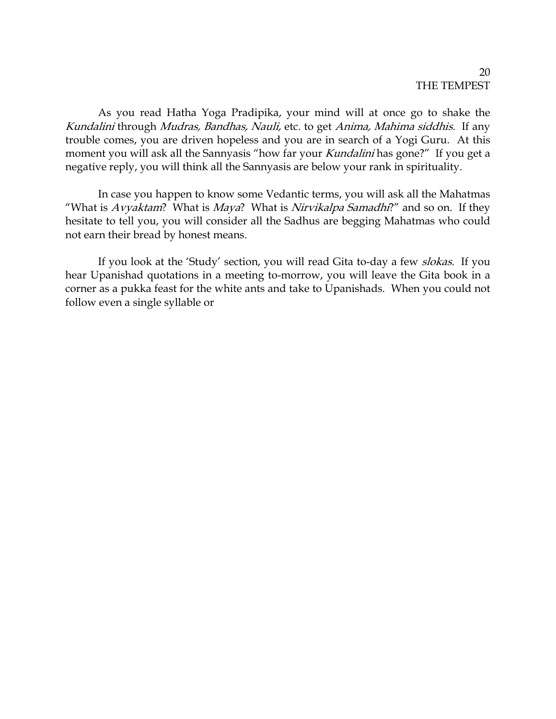As you read Hatha Yoga Pradipika, your mind will at once go to shake the Kundalini through Mudras, Bandhas, Nauli, etc. to get Anima, Mahima siddhis. If any trouble comes, you are driven hopeless and you are in search of a Yogi Guru. At this moment you will ask all the Sannyasis "how far your Kundalini has gone?" If you get a negative reply, you will think all the Sannyasis are below your rank in spirituality.

In case you happen to know some Vedantic terms, you will ask all the Mahatmas "What is  $Avyaktam$ ? What is  $Maya$ ? What is Nirvikalpa Samadhi?" and so on. If they hesitate to tell you, you will consider all the Sadhus are begging Mahatmas who could not earn their bread by honest means.

If you look at the 'Study' section, you will read Gita to-day a few *slokas*. If you hear Upanishad quotations in a meeting to-morrow, you will leave the Gita book in a corner as a pukka feast for the white ants and take to Upanishads. When you could not follow even a single syllable or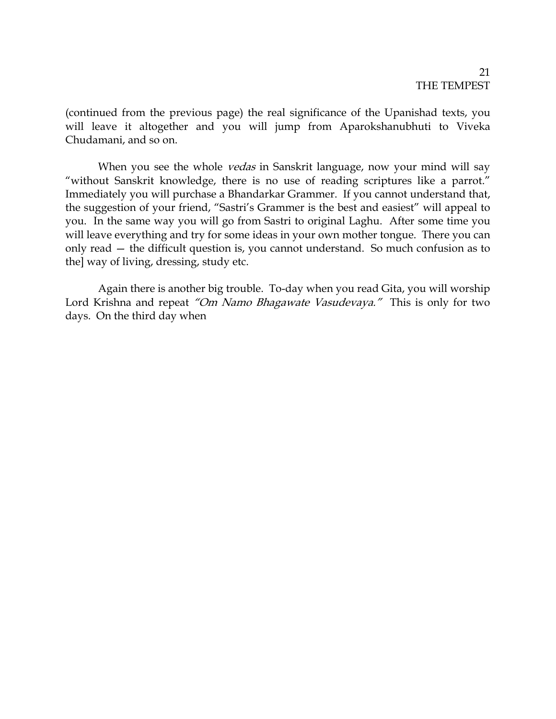### 21 THE TEMPEST

(continued from the previous page) the real significance of the Upanishad texts, you will leave it altogether and you will jump from Aparokshanubhuti to Viveka Chudamani, and so on.

When you see the whole *vedas* in Sanskrit language, now your mind will say "without Sanskrit knowledge, there is no use of reading scriptures like a parrot." Immediately you will purchase a Bhandarkar Grammer. If you cannot understand that, the suggestion of your friend, "Sastri's Grammer is the best and easiest" will appeal to you. In the same way you will go from Sastri to original Laghu. After some time you will leave everything and try for some ideas in your own mother tongue. There you can only read — the difficult question is, you cannot understand. So much confusion as to the] way of living, dressing, study etc.

Again there is another big trouble. To-day when you read Gita, you will worship Lord Krishna and repeat "Om Namo Bhagawate Vasudevaya." This is only for two days. On the third day when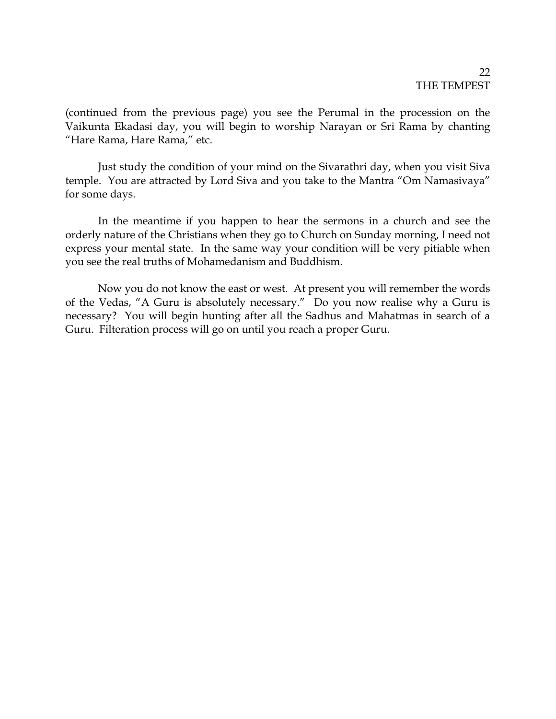## $22$ THE TEMPEST

(continued from the previous page) you see the Perumal in the procession on the Vaikunta Ekadasi day, you will begin to worship Narayan or Sri Rama by chanting "Hare Rama, Hare Rama," etc.

Just study the condition of your mind on the Sivarathri day, when you visit Siva temple. You are attracted by Lord Siva and you take to the Mantra "Om Namasivaya" for some days.

In the meantime if you happen to hear the sermons in a church and see the orderly nature of the Christians when they go to Church on Sunday morning, I need not express your mental state. In the same way your condition will be very pitiable when you see the real truths of Mohamedanism and Buddhism.

Now you do not know the east or west. At present you will remember the words of the Vedas, "A Guru is absolutely necessary." Do you now realise why a Guru is necessary? You will begin hunting after all the Sadhus and Mahatmas in search of a Guru. Filteration process will go on until you reach a proper Guru.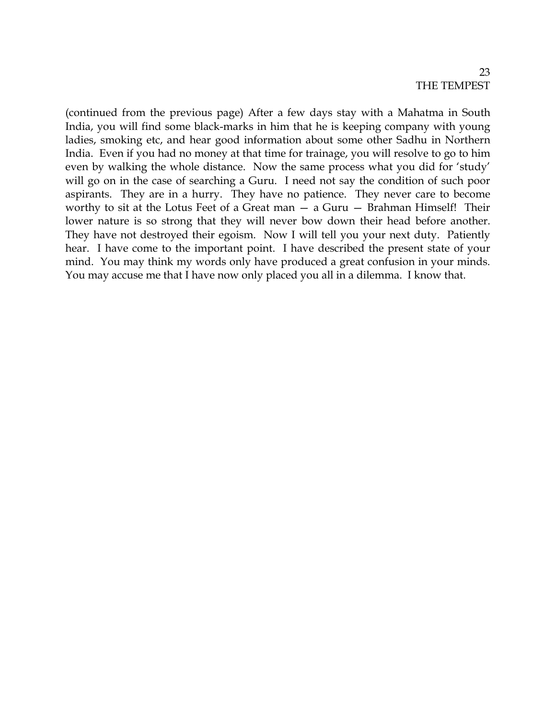(continued from the previous page) After a few days stay with a Mahatma in South India, you will find some black-marks in him that he is keeping company with young ladies, smoking etc, and hear good information about some other Sadhu in Northern India. Even if you had no money at that time for trainage, you will resolve to go to him even by walking the whole distance. Now the same process what you did for 'study' will go on in the case of searching a Guru. I need not say the condition of such poor aspirants. They are in a hurry. They have no patience. They never care to become worthy to sit at the Lotus Feet of a Great man — a Guru — Brahman Himself! Their lower nature is so strong that they will never bow down their head before another. They have not destroyed their egoism. Now I will tell you your next duty. Patiently hear. I have come to the important point. I have described the present state of your mind. You may think my words only have produced a great confusion in your minds. You may accuse me that I have now only placed you all in a dilemma. I know that.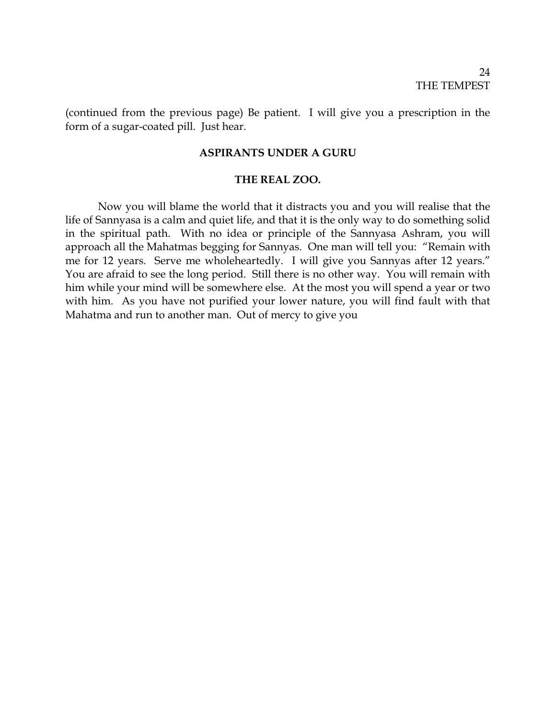(continued from the previous page) Be patient. I will give you a prescription in the form of a sugar-coated pill. Just hear.

### **ASPIRANTS UNDER A GURU**

### **THE REAL ZOO.**

Now you will blame the world that it distracts you and you will realise that the life of Sannyasa is a calm and quiet life, and that it is the only way to do something solid in the spiritual path. With no idea or principle of the Sannyasa Ashram, you will approach all the Mahatmas begging for Sannyas. One man will tell you: "Remain with me for 12 years. Serve me wholeheartedly. I will give you Sannyas after 12 years." You are afraid to see the long period. Still there is no other way. You will remain with him while your mind will be somewhere else. At the most you will spend a year or two with him. As you have not purified your lower nature, you will find fault with that Mahatma and run to another man. Out of mercy to give you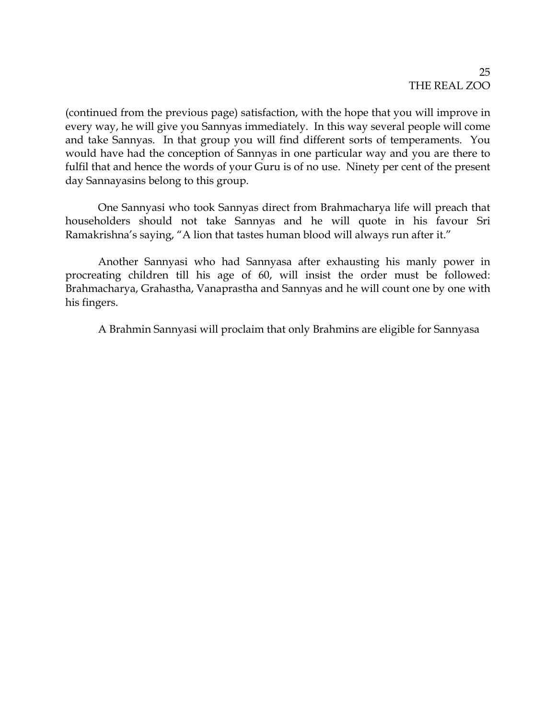(continued from the previous page) satisfaction, with the hope that you will improve in every way, he will give you Sannyas immediately. In this way several people will come and take Sannyas. In that group you will find different sorts of temperaments. You would have had the conception of Sannyas in one particular way and you are there to fulfil that and hence the words of your Guru is of no use. Ninety per cent of the present day Sannayasins belong to this group.

One Sannyasi who took Sannyas direct from Brahmacharya life will preach that householders should not take Sannyas and he will quote in his favour Sri Ramakrishna's saying, "A lion that tastes human blood will always run after it."

Another Sannyasi who had Sannyasa after exhausting his manly power in procreating children till his age of 60, will insist the order must be followed: Brahmacharya, Grahastha, Vanaprastha and Sannyas and he will count one by one with his fingers.

A Brahmin Sannyasi will proclaim that only Brahmins are eligible for Sannyasa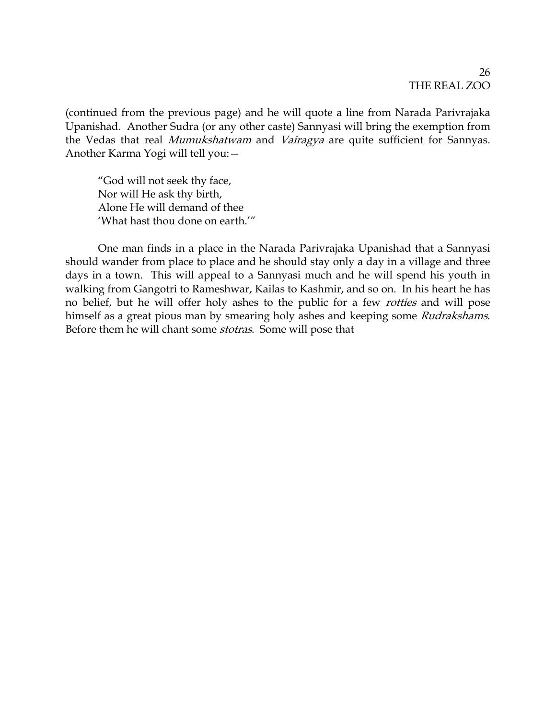(continued from the previous page) and he will quote a line from Narada Parivrajaka Upanishad. Another Sudra (or any other caste) Sannyasi will bring the exemption from the Vedas that real Mumukshatwam and Vairagya are quite sufficient for Sannyas. Another Karma Yogi will tell you:—

"God will not seek thy face, Nor will He ask thy birth, Alone He will demand of thee 'What hast thou done on earth.'"

One man finds in a place in the Narada Parivrajaka Upanishad that a Sannyasi should wander from place to place and he should stay only a day in a village and three days in a town. This will appeal to a Sannyasi much and he will spend his youth in walking from Gangotri to Rameshwar, Kailas to Kashmir, and so on. In his heart he has no belief, but he will offer holy ashes to the public for a few *rotties* and will pose himself as a great pious man by smearing holy ashes and keeping some Rudrakshams. Before them he will chant some stotras. Some will pose that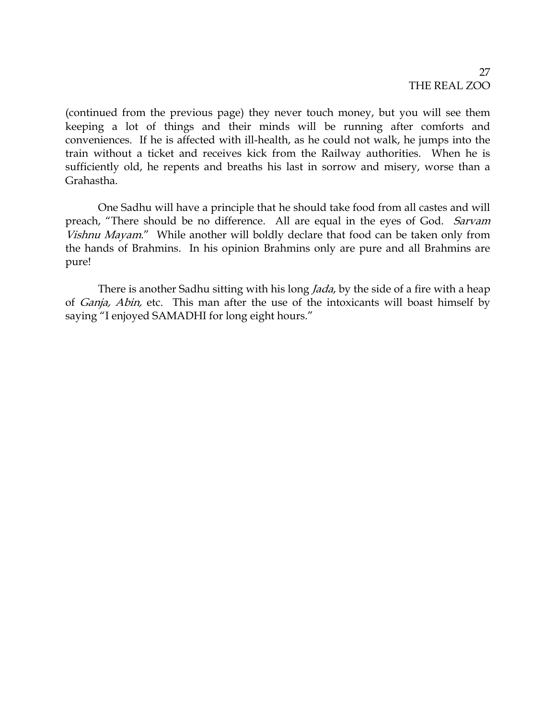(continued from the previous page) they never touch money, but you will see them keeping a lot of things and their minds will be running after comforts and conveniences. If he is affected with ill-health, as he could not walk, he jumps into the train without a ticket and receives kick from the Railway authorities. When he is sufficiently old, he repents and breaths his last in sorrow and misery, worse than a Grahastha.

One Sadhu will have a principle that he should take food from all castes and will preach, "There should be no difference. All are equal in the eyes of God. Sarvam Vishnu Mayam." While another will boldly declare that food can be taken only from the hands of Brahmins. In his opinion Brahmins only are pure and all Brahmins are pure!

There is another Sadhu sitting with his long *Jada*, by the side of a fire with a heap of Ganja, Abin, etc. This man after the use of the intoxicants will boast himself by saying "I enjoyed SAMADHI for long eight hours."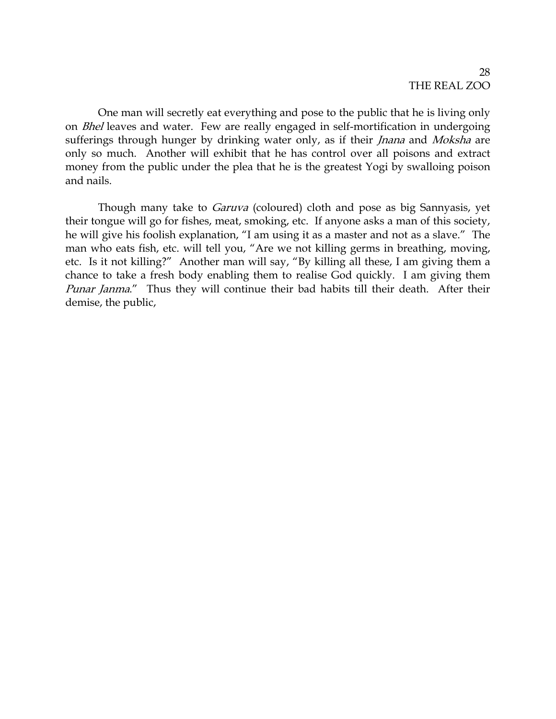One man will secretly eat everything and pose to the public that he is living only on Bhel leaves and water. Few are really engaged in self-mortification in undergoing sufferings through hunger by drinking water only, as if their *Jnana* and *Moksha* are only so much. Another will exhibit that he has control over all poisons and extract money from the public under the plea that he is the greatest Yogi by swalloing poison and nails.

Though many take to *Garuva* (coloured) cloth and pose as big Sannyasis, yet their tongue will go for fishes, meat, smoking, etc. If anyone asks a man of this society, he will give his foolish explanation, "I am using it as a master and not as a slave." The man who eats fish, etc. will tell you, "Are we not killing germs in breathing, moving, etc. Is it not killing?" Another man will say, "By killing all these, I am giving them a chance to take a fresh body enabling them to realise God quickly. I am giving them Punar Janma." Thus they will continue their bad habits till their death. After their demise, the public,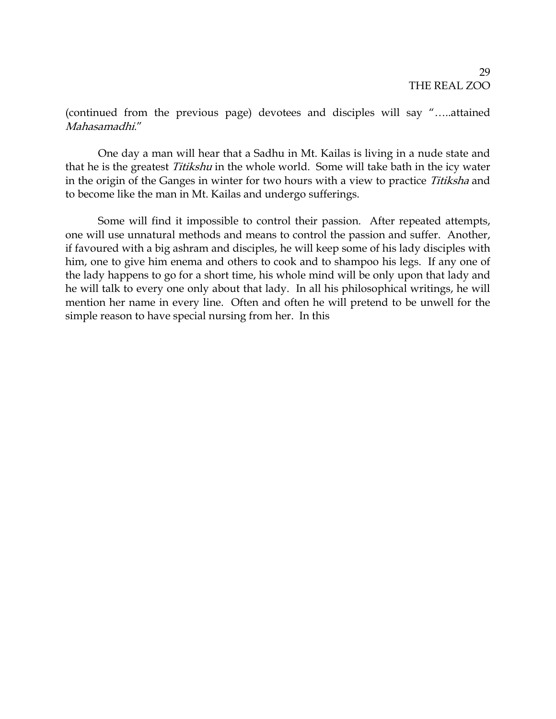(continued from the previous page) devotees and disciples will say "…..attained Mahasamadhi."

One day a man will hear that a Sadhu in Mt. Kailas is living in a nude state and that he is the greatest Titikshu in the whole world. Some will take bath in the icy water in the origin of the Ganges in winter for two hours with a view to practice Titiksha and to become like the man in Mt. Kailas and undergo sufferings.

Some will find it impossible to control their passion. After repeated attempts, one will use unnatural methods and means to control the passion and suffer. Another, if favoured with a big ashram and disciples, he will keep some of his lady disciples with him, one to give him enema and others to cook and to shampoo his legs. If any one of the lady happens to go for a short time, his whole mind will be only upon that lady and he will talk to every one only about that lady. In all his philosophical writings, he will mention her name in every line. Often and often he will pretend to be unwell for the simple reason to have special nursing from her. In this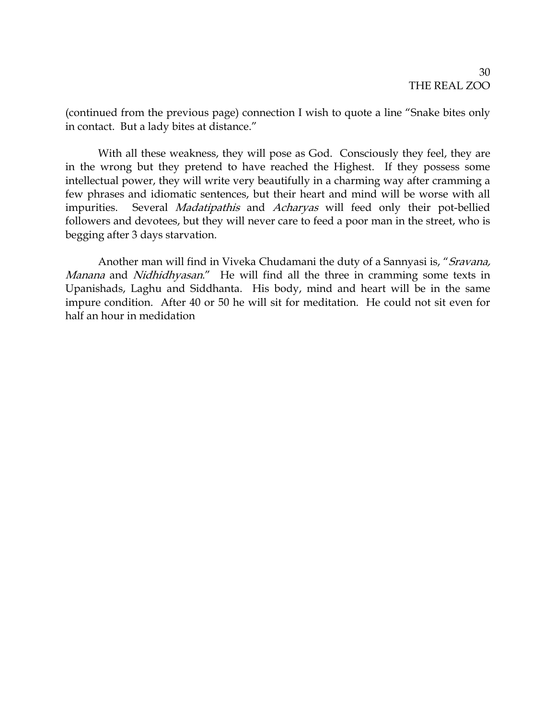(continued from the previous page) connection I wish to quote a line "Snake bites only in contact. But a lady bites at distance."

With all these weakness, they will pose as God. Consciously they feel, they are in the wrong but they pretend to have reached the Highest. If they possess some intellectual power, they will write very beautifully in a charming way after cramming a few phrases and idiomatic sentences, but their heart and mind will be worse with all impurities. Several Madatipathis and Acharyas will feed only their pot-bellied followers and devotees, but they will never care to feed a poor man in the street, who is begging after 3 days starvation.

Another man will find in Viveka Chudamani the duty of a Sannyasi is, "Sravana, Manana and Nidhidhyasan." He will find all the three in cramming some texts in Upanishads, Laghu and Siddhanta. His body, mind and heart will be in the same impure condition. After 40 or 50 he will sit for meditation. He could not sit even for half an hour in medidation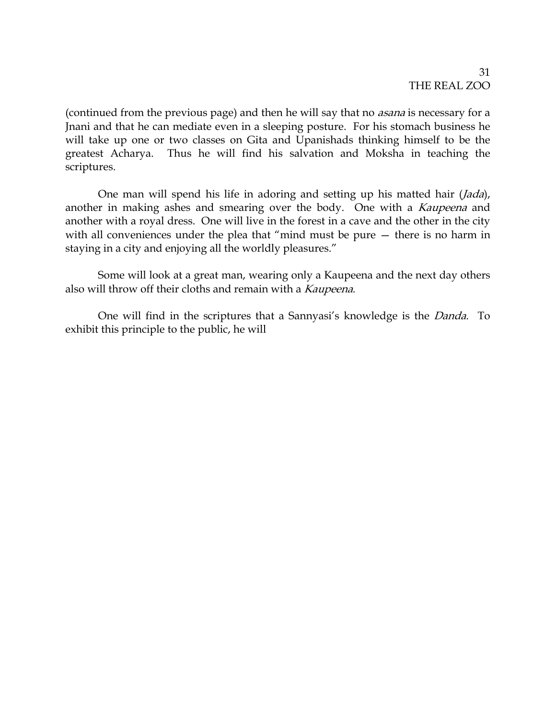(continued from the previous page) and then he will say that no *asana* is necessary for a Jnani and that he can mediate even in a sleeping posture. For his stomach business he will take up one or two classes on Gita and Upanishads thinking himself to be the greatest Acharya. Thus he will find his salvation and Moksha in teaching the scriptures.

One man will spend his life in adoring and setting up his matted hair (*Jada*), another in making ashes and smearing over the body. One with a *Kaupeena* and another with a royal dress. One will live in the forest in a cave and the other in the city with all conveniences under the plea that "mind must be pure — there is no harm in staying in a city and enjoying all the worldly pleasures."

Some will look at a great man, wearing only a Kaupeena and the next day others also will throw off their cloths and remain with a Kaupeena.

One will find in the scriptures that a Sannyasi's knowledge is the Danda. To exhibit this principle to the public, he will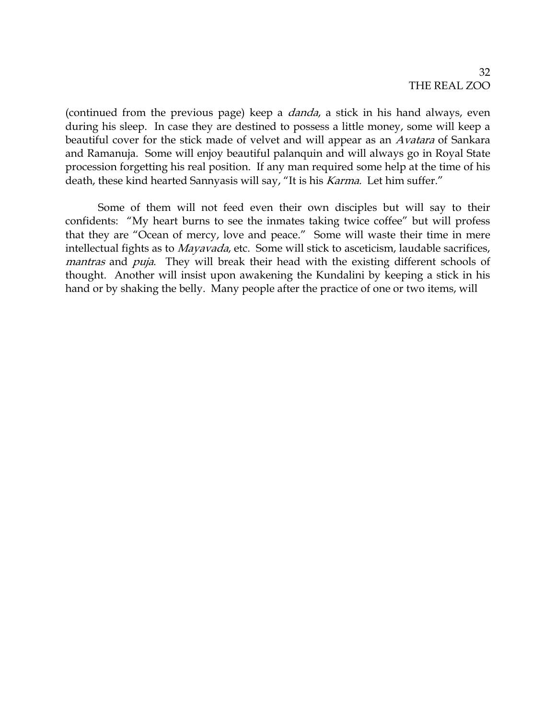(continued from the previous page) keep a *danda*, a stick in his hand always, even during his sleep. In case they are destined to possess a little money, some will keep a beautiful cover for the stick made of velvet and will appear as an Avatara of Sankara and Ramanuja. Some will enjoy beautiful palanquin and will always go in Royal State procession forgetting his real position. If any man required some help at the time of his death, these kind hearted Sannyasis will say, "It is his Karma. Let him suffer."

Some of them will not feed even their own disciples but will say to their confidents: "My heart burns to see the inmates taking twice coffee" but will profess that they are "Ocean of mercy, love and peace." Some will waste their time in mere intellectual fights as to Mayavada, etc. Some will stick to asceticism, laudable sacrifices, mantras and *puja*. They will break their head with the existing different schools of thought. Another will insist upon awakening the Kundalini by keeping a stick in his hand or by shaking the belly. Many people after the practice of one or two items, will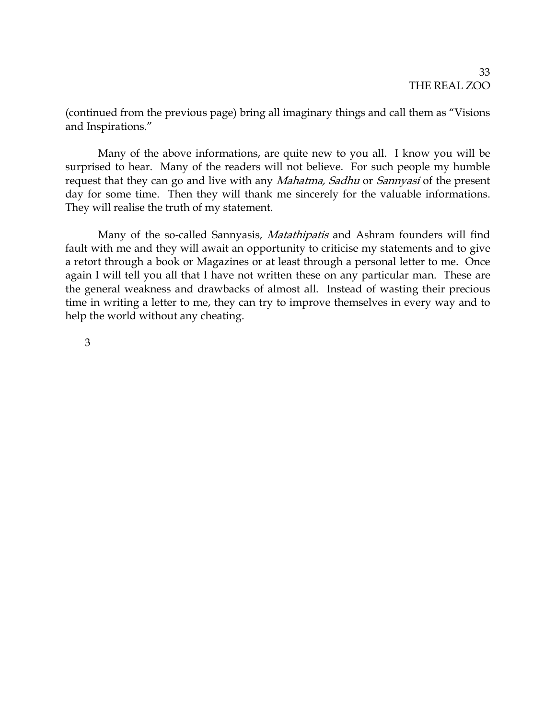(continued from the previous page) bring all imaginary things and call them as "Visions and Inspirations."

Many of the above informations, are quite new to you all. I know you will be surprised to hear. Many of the readers will not believe. For such people my humble request that they can go and live with any *Mahatma, Sadhu* or *Sannyasi* of the present day for some time. Then they will thank me sincerely for the valuable informations. They will realise the truth of my statement.

Many of the so-called Sannyasis, Matathipatis and Ashram founders will find fault with me and they will await an opportunity to criticise my statements and to give a retort through a book or Magazines or at least through a personal letter to me. Once again I will tell you all that I have not written these on any particular man. These are the general weakness and drawbacks of almost all. Instead of wasting their precious time in writing a letter to me, they can try to improve themselves in every way and to help the world without any cheating.

3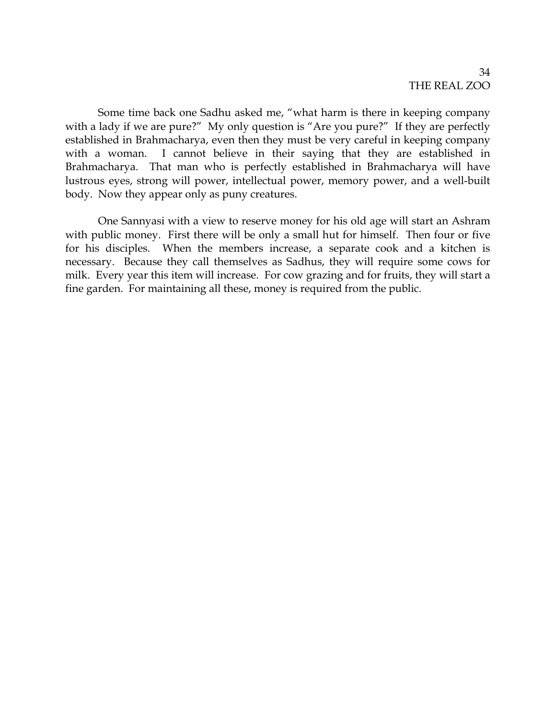Some time back one Sadhu asked me, "what harm is there in keeping company with a lady if we are pure?" My only question is "Are you pure?" If they are perfectly established in Brahmacharya, even then they must be very careful in keeping company with a woman. I cannot believe in their saying that they are established in Brahmacharya. That man who is perfectly established in Brahmacharya will have lustrous eyes, strong will power, intellectual power, memory power, and a well-built body. Now they appear only as puny creatures.

One Sannyasi with a view to reserve money for his old age will start an Ashram with public money. First there will be only a small hut for himself. Then four or five for his disciples. When the members increase, a separate cook and a kitchen is necessary. Because they call themselves as Sadhus, they will require some cows for milk. Every year this item will increase. For cow grazing and for fruits, they will start a fine garden. For maintaining all these, money is required from the public.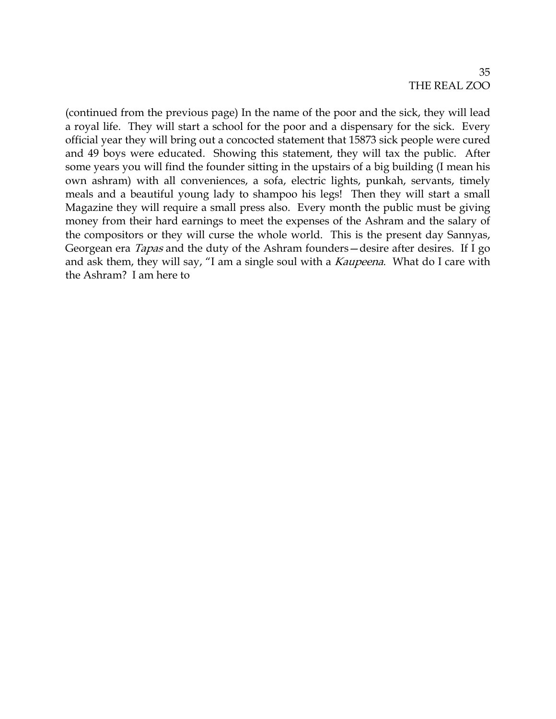(continued from the previous page) In the name of the poor and the sick, they will lead a royal life. They will start a school for the poor and a dispensary for the sick. Every official year they will bring out a concocted statement that 15873 sick people were cured and 49 boys were educated. Showing this statement, they will tax the public. After some years you will find the founder sitting in the upstairs of a big building (I mean his own ashram) with all conveniences, a sofa, electric lights, punkah, servants, timely meals and a beautiful young lady to shampoo his legs! Then they will start a small Magazine they will require a small press also. Every month the public must be giving money from their hard earnings to meet the expenses of the Ashram and the salary of the compositors or they will curse the whole world. This is the present day Sannyas, Georgean era *Tapas* and the duty of the Ashram founders—desire after desires. If I go and ask them, they will say, "I am a single soul with a *Kaupeena*. What do I care with the Ashram? I am here to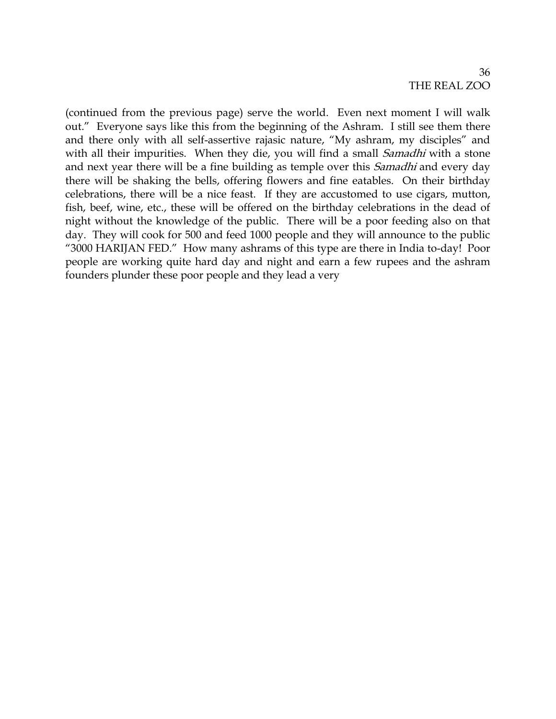36 THE REAL ZOO

(continued from the previous page) serve the world. Even next moment I will walk out." Everyone says like this from the beginning of the Ashram. I still see them there and there only with all self-assertive rajasic nature, "My ashram, my disciples" and with all their impurities. When they die, you will find a small *Samadhi* with a stone and next year there will be a fine building as temple over this *Samadhi* and every day there will be shaking the bells, offering flowers and fine eatables. On their birthday celebrations, there will be a nice feast. If they are accustomed to use cigars, mutton, fish, beef, wine, etc., these will be offered on the birthday celebrations in the dead of night without the knowledge of the public. There will be a poor feeding also on that day. They will cook for 500 and feed 1000 people and they will announce to the public "3000 HARIJAN FED." How many ashrams of this type are there in India to-day! Poor people are working quite hard day and night and earn a few rupees and the ashram founders plunder these poor people and they lead a very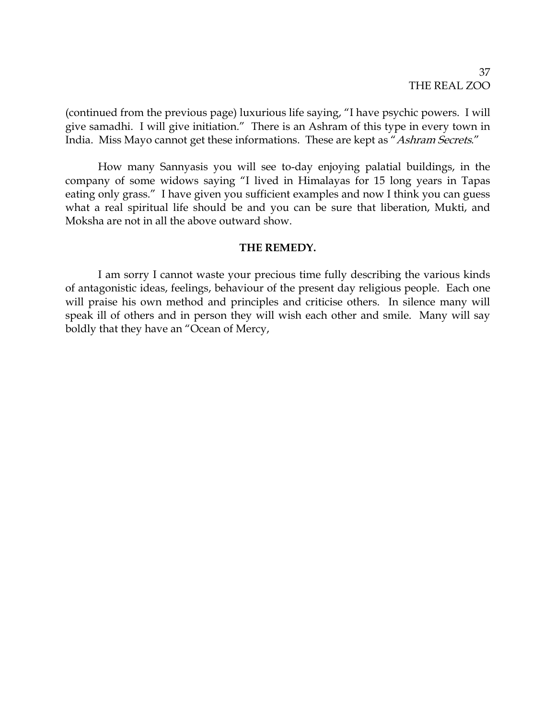### 37 THE REAL ZOO

(continued from the previous page) luxurious life saying, "I have psychic powers. I will give samadhi. I will give initiation." There is an Ashram of this type in every town in India. Miss Mayo cannot get these informations. These are kept as "Ashram Secrets."

How many Sannyasis you will see to-day enjoying palatial buildings, in the company of some widows saying "I lived in Himalayas for 15 long years in Tapas eating only grass." I have given you sufficient examples and now I think you can guess what a real spiritual life should be and you can be sure that liberation, Mukti, and Moksha are not in all the above outward show.

### **THE REMEDY.**

I am sorry I cannot waste your precious time fully describing the various kinds of antagonistic ideas, feelings, behaviour of the present day religious people. Each one will praise his own method and principles and criticise others. In silence many will speak ill of others and in person they will wish each other and smile. Many will say boldly that they have an "Ocean of Mercy,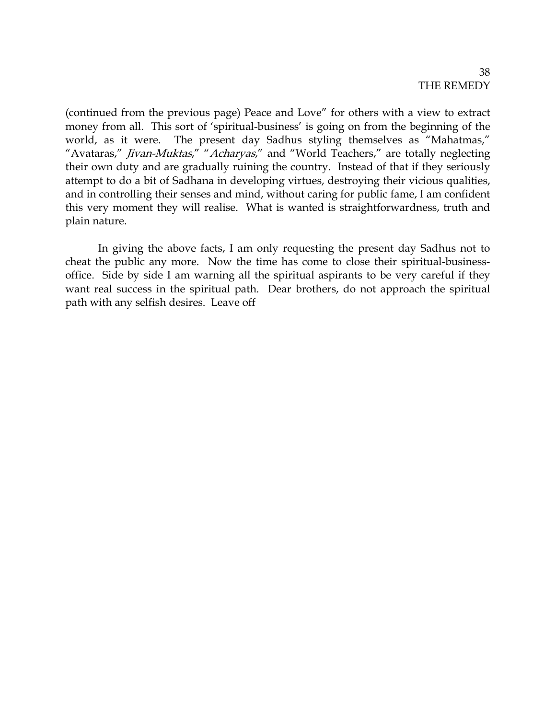(continued from the previous page) Peace and Love" for others with a view to extract money from all. This sort of 'spiritual-business' is going on from the beginning of the world, as it were. The present day Sadhus styling themselves as "Mahatmas," "Avataras," Jivan-Muktas," "Acharyas," and "World Teachers," are totally neglecting their own duty and are gradually ruining the country. Instead of that if they seriously attempt to do a bit of Sadhana in developing virtues, destroying their vicious qualities, and in controlling their senses and mind, without caring for public fame, I am confident this very moment they will realise. What is wanted is straightforwardness, truth and plain nature.

In giving the above facts, I am only requesting the present day Sadhus not to cheat the public any more. Now the time has come to close their spiritual-businessoffice. Side by side I am warning all the spiritual aspirants to be very careful if they want real success in the spiritual path. Dear brothers, do not approach the spiritual path with any selfish desires. Leave off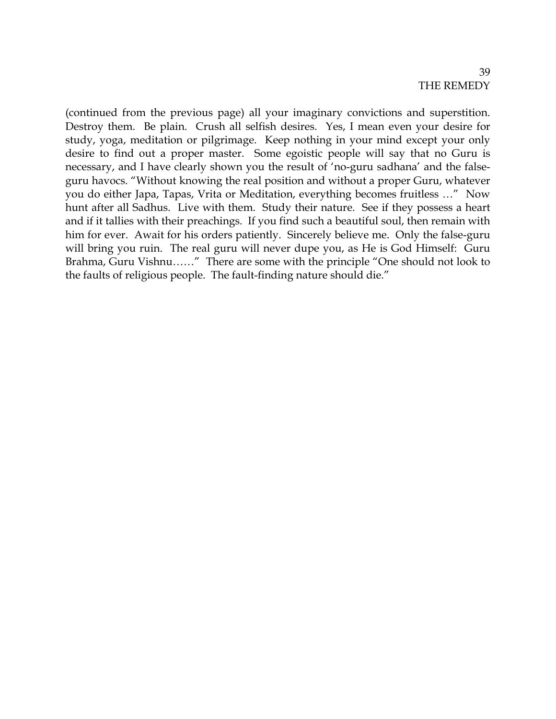# 39 THE REMEDY

(continued from the previous page) all your imaginary convictions and superstition. Destroy them. Be plain. Crush all selfish desires. Yes, I mean even your desire for study, yoga, meditation or pilgrimage. Keep nothing in your mind except your only desire to find out a proper master. Some egoistic people will say that no Guru is necessary, and I have clearly shown you the result of 'no-guru sadhana' and the falseguru havocs. "Without knowing the real position and without a proper Guru, whatever you do either Japa, Tapas, Vrita or Meditation, everything becomes fruitless …" Now hunt after all Sadhus. Live with them. Study their nature. See if they possess a heart and if it tallies with their preachings. If you find such a beautiful soul, then remain with him for ever. Await for his orders patiently. Sincerely believe me. Only the false-guru will bring you ruin. The real guru will never dupe you, as He is God Himself: Guru Brahma, Guru Vishnu……" There are some with the principle "One should not look to the faults of religious people. The fault-finding nature should die."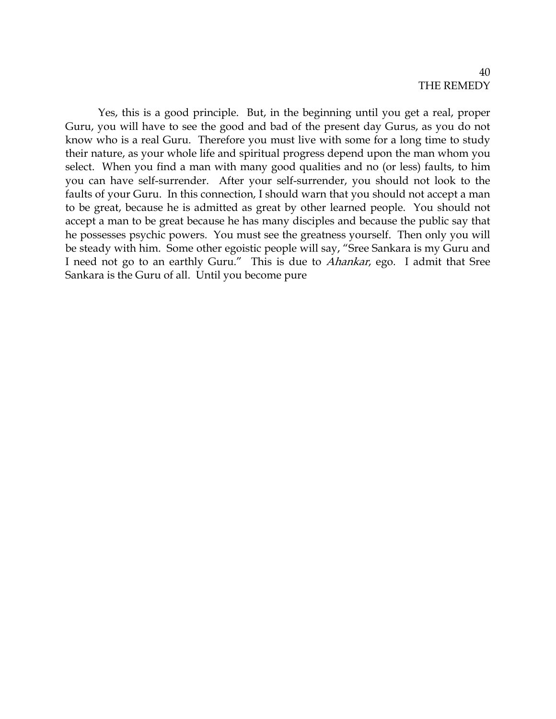### 40 THE REMEDY

Yes, this is a good principle. But, in the beginning until you get a real, proper Guru, you will have to see the good and bad of the present day Gurus, as you do not know who is a real Guru. Therefore you must live with some for a long time to study their nature, as your whole life and spiritual progress depend upon the man whom you select. When you find a man with many good qualities and no (or less) faults, to him you can have self-surrender. After your self-surrender, you should not look to the faults of your Guru. In this connection, I should warn that you should not accept a man to be great, because he is admitted as great by other learned people. You should not accept a man to be great because he has many disciples and because the public say that he possesses psychic powers. You must see the greatness yourself. Then only you will be steady with him. Some other egoistic people will say, "Sree Sankara is my Guru and I need not go to an earthly Guru." This is due to Ahankar, ego. I admit that Sree Sankara is the Guru of all. Until you become pure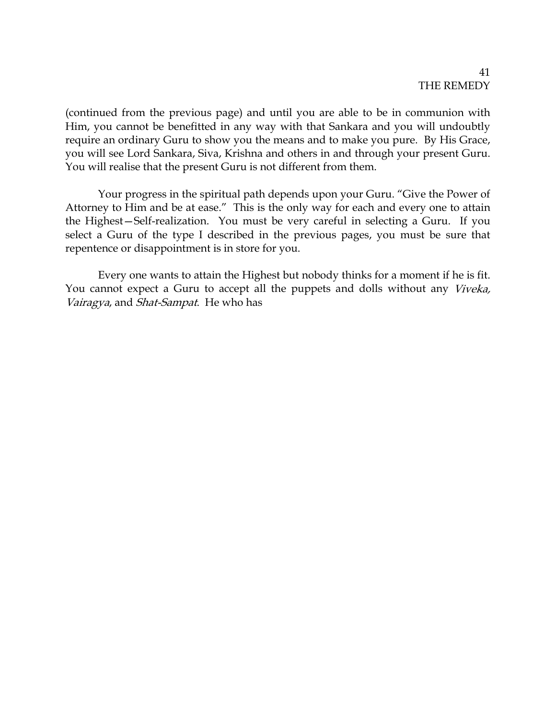(continued from the previous page) and until you are able to be in communion with Him, you cannot be benefitted in any way with that Sankara and you will undoubtly require an ordinary Guru to show you the means and to make you pure. By His Grace, you will see Lord Sankara, Siva, Krishna and others in and through your present Guru. You will realise that the present Guru is not different from them.

Your progress in the spiritual path depends upon your Guru. "Give the Power of Attorney to Him and be at ease." This is the only way for each and every one to attain the Highest—Self-realization. You must be very careful in selecting a Guru. If you select a Guru of the type I described in the previous pages, you must be sure that repentence or disappointment is in store for you.

Every one wants to attain the Highest but nobody thinks for a moment if he is fit. You cannot expect a Guru to accept all the puppets and dolls without any Viveka, Vairagya, and Shat-Sampat. He who has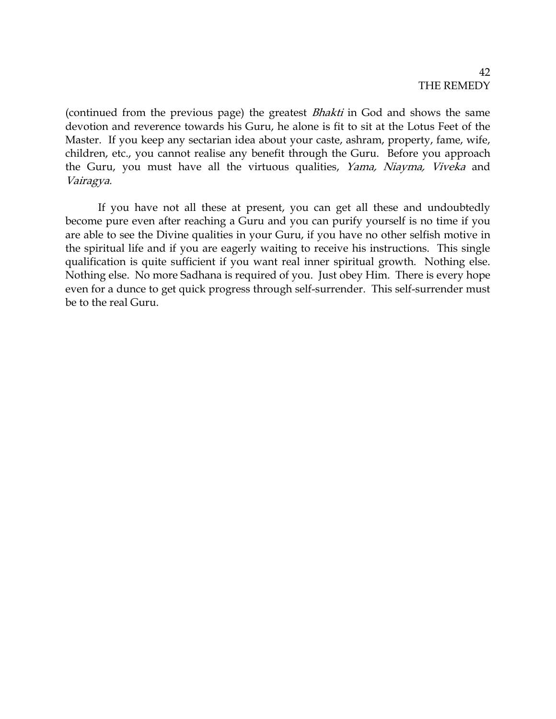(continued from the previous page) the greatest Bhakti in God and shows the same devotion and reverence towards his Guru, he alone is fit to sit at the Lotus Feet of the Master. If you keep any sectarian idea about your caste, ashram, property, fame, wife, children, etc., you cannot realise any benefit through the Guru. Before you approach the Guru, you must have all the virtuous qualities, Yama, Niayma, Viveka and Vairagya.

If you have not all these at present, you can get all these and undoubtedly become pure even after reaching a Guru and you can purify yourself is no time if you are able to see the Divine qualities in your Guru, if you have no other selfish motive in the spiritual life and if you are eagerly waiting to receive his instructions. This single qualification is quite sufficient if you want real inner spiritual growth. Nothing else. Nothing else. No more Sadhana is required of you. Just obey Him. There is every hope even for a dunce to get quick progress through self-surrender. This self-surrender must be to the real Guru.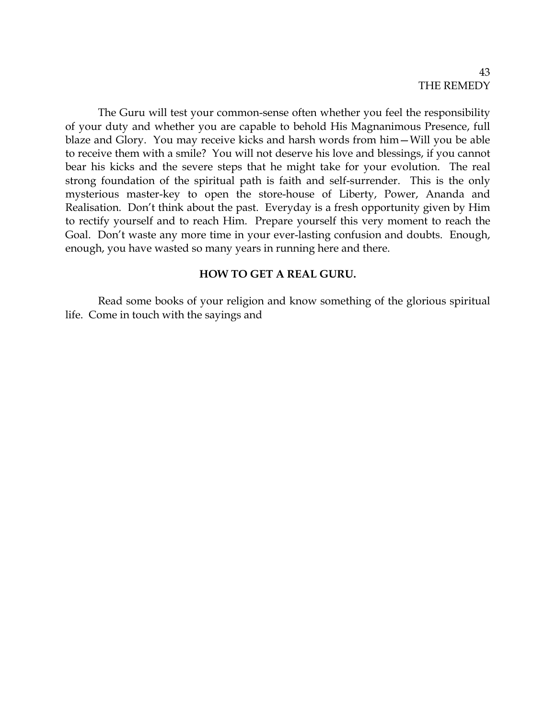The Guru will test your common-sense often whether you feel the responsibility of your duty and whether you are capable to behold His Magnanimous Presence, full blaze and Glory. You may receive kicks and harsh words from him—Will you be able to receive them with a smile? You will not deserve his love and blessings, if you cannot bear his kicks and the severe steps that he might take for your evolution. The real strong foundation of the spiritual path is faith and self-surrender. This is the only mysterious master-key to open the store-house of Liberty, Power, Ananda and Realisation. Don't think about the past. Everyday is a fresh opportunity given by Him to rectify yourself and to reach Him. Prepare yourself this very moment to reach the Goal. Don't waste any more time in your ever-lasting confusion and doubts. Enough, enough, you have wasted so many years in running here and there.

### **HOW TO GET A REAL GURU.**

Read some books of your religion and know something of the glorious spiritual life. Come in touch with the sayings and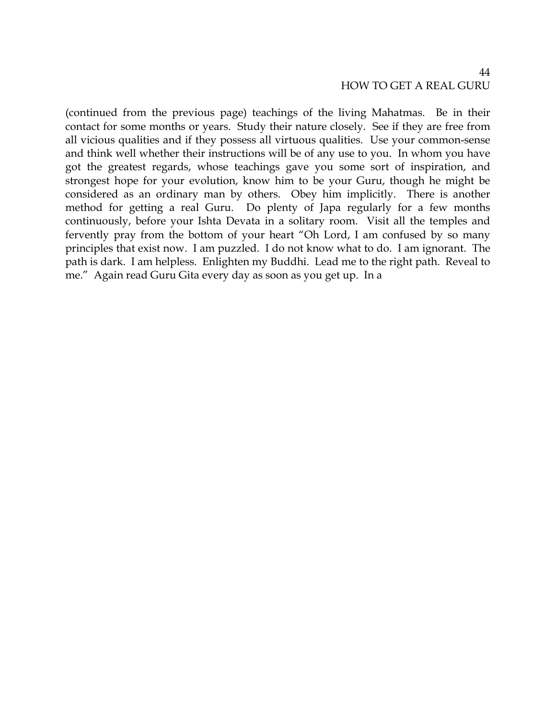(continued from the previous page) teachings of the living Mahatmas. Be in their contact for some months or years. Study their nature closely. See if they are free from all vicious qualities and if they possess all virtuous qualities. Use your common-sense and think well whether their instructions will be of any use to you. In whom you have got the greatest regards, whose teachings gave you some sort of inspiration, and strongest hope for your evolution, know him to be your Guru, though he might be considered as an ordinary man by others. Obey him implicitly. There is another method for getting a real Guru. Do plenty of Japa regularly for a few months continuously, before your Ishta Devata in a solitary room. Visit all the temples and fervently pray from the bottom of your heart "Oh Lord, I am confused by so many principles that exist now. I am puzzled. I do not know what to do. I am ignorant. The path is dark. I am helpless. Enlighten my Buddhi. Lead me to the right path. Reveal to me." Again read Guru Gita every day as soon as you get up. In a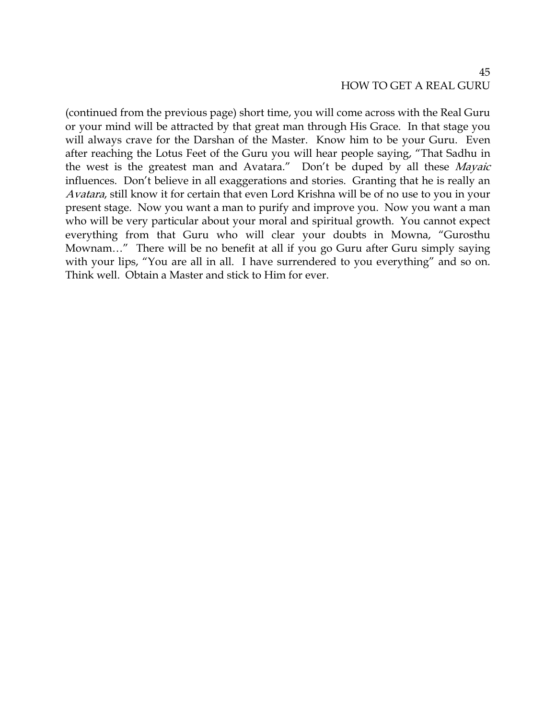### 45 HOW TO GET A REAL GURU

(continued from the previous page) short time, you will come across with the Real Guru or your mind will be attracted by that great man through His Grace. In that stage you will always crave for the Darshan of the Master. Know him to be your Guru. Even after reaching the Lotus Feet of the Guru you will hear people saying, "That Sadhu in the west is the greatest man and Avatara." Don't be duped by all these Mayaic influences. Don't believe in all exaggerations and stories. Granting that he is really an Avatara, still know it for certain that even Lord Krishna will be of no use to you in your present stage. Now you want a man to purify and improve you. Now you want a man who will be very particular about your moral and spiritual growth. You cannot expect everything from that Guru who will clear your doubts in Mowna, "Gurosthu Mownam…" There will be no benefit at all if you go Guru after Guru simply saying with your lips, "You are all in all. I have surrendered to you everything" and so on. Think well. Obtain a Master and stick to Him for ever.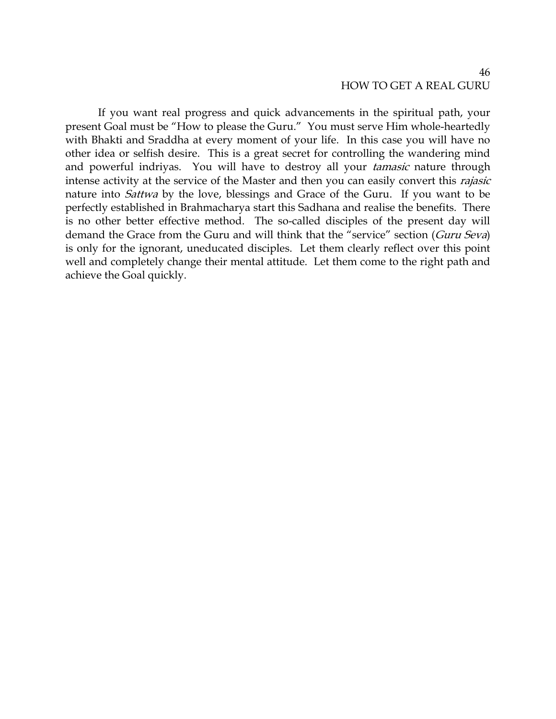### 46 HOW TO GET A REAL GURU

If you want real progress and quick advancements in the spiritual path, your present Goal must be "How to please the Guru." You must serve Him whole-heartedly with Bhakti and Sraddha at every moment of your life. In this case you will have no other idea or selfish desire. This is a great secret for controlling the wandering mind and powerful indriyas. You will have to destroy all your *tamasic* nature through intense activity at the service of the Master and then you can easily convert this *rajasic* nature into *Sattwa* by the love, blessings and Grace of the Guru. If you want to be perfectly established in Brahmacharya start this Sadhana and realise the benefits. There is no other better effective method. The so-called disciples of the present day will demand the Grace from the Guru and will think that the "service" section (Guru Seva) is only for the ignorant, uneducated disciples. Let them clearly reflect over this point well and completely change their mental attitude. Let them come to the right path and achieve the Goal quickly.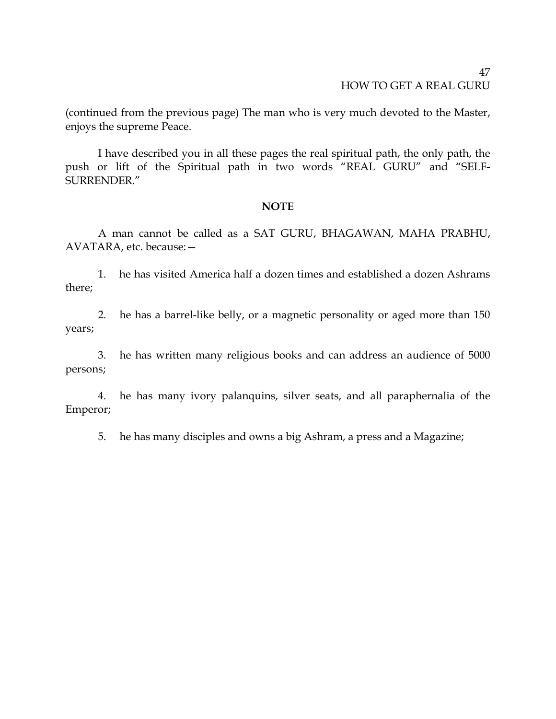### 47 HOW TO GET A REAL GURU

(continued from the previous page) The man who is very much devoted to the Master, enjoys the supreme Peace.

I have described you in all these pages the real spiritual path, the only path, the push or lift of the Spiritual path in two words "REAL GURU" and "SELF**-**SURRENDER."

### **NOTE**

A man cannot be called as a SAT GURU, BHAGAWAN, MAHA PRABHU, AVATARA, etc. because:—

1. he has visited America half a dozen times and established a dozen Ashrams there;

2. he has a barrel-like belly, or a magnetic personality or aged more than 150 years;

3. he has written many religious books and can address an audience of 5000 persons;

4. he has many ivory palanquins, silver seats, and all paraphernalia of the Emperor;

5. he has many disciples and owns a big Ashram, a press and a Magazine;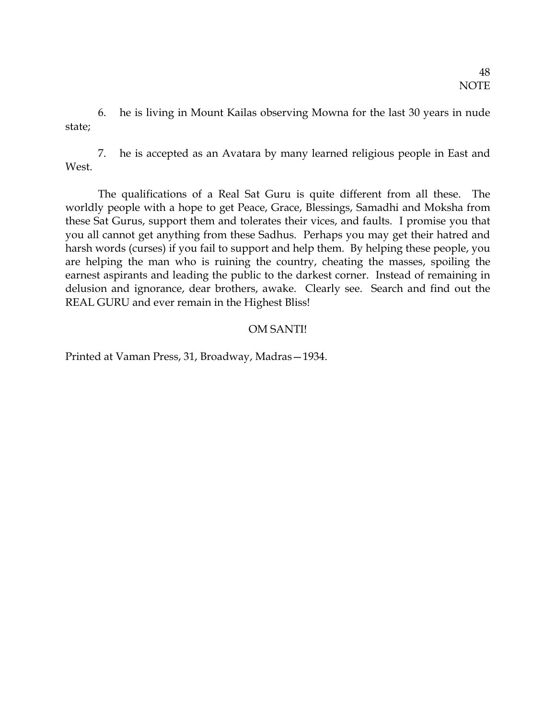6. he is living in Mount Kailas observing Mowna for the last 30 years in nude state;

7. he is accepted as an Avatara by many learned religious people in East and West.

The qualifications of a Real Sat Guru is quite different from all these. The worldly people with a hope to get Peace, Grace, Blessings, Samadhi and Moksha from these Sat Gurus, support them and tolerates their vices, and faults. I promise you that you all cannot get anything from these Sadhus. Perhaps you may get their hatred and harsh words (curses) if you fail to support and help them. By helping these people, you are helping the man who is ruining the country, cheating the masses, spoiling the earnest aspirants and leading the public to the darkest corner. Instead of remaining in delusion and ignorance, dear brothers, awake. Clearly see. Search and find out the REAL GURU and ever remain in the Highest Bliss!

# OM SANTI!

Printed at Vaman Press, 31, Broadway, Madras—1934.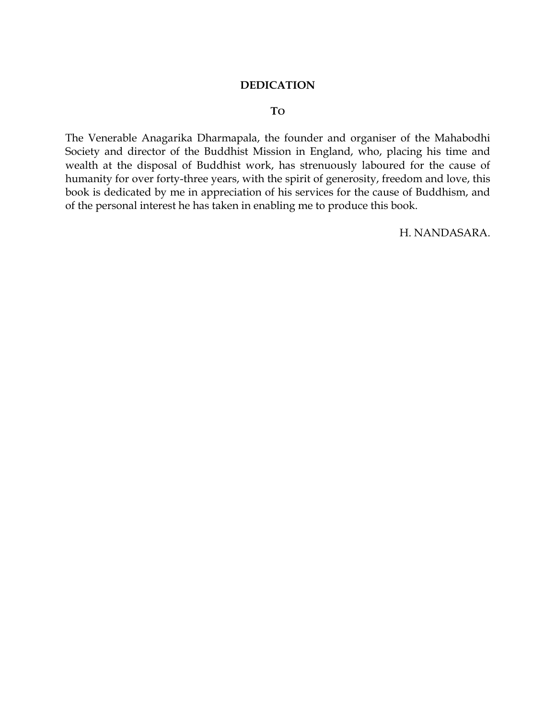### **DEDICATION**

### **TO**

The Venerable Anagarika Dharmapala, the founder and organiser of the Mahabodhi Society and director of the Buddhist Mission in England, who, placing his time and wealth at the disposal of Buddhist work, has strenuously laboured for the cause of humanity for over forty-three years, with the spirit of generosity, freedom and love, this book is dedicated by me in appreciation of his services for the cause of Buddhism, and of the personal interest he has taken in enabling me to produce this book.

H. NANDASARA.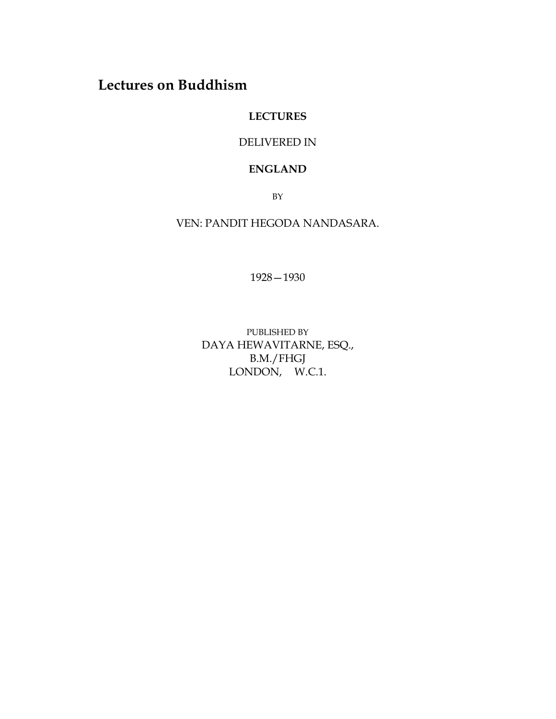# **Lectures on Buddhism**

# **LECTURES**

# DELIVERED IN

### **ENGLAND**

BY

VEN: PANDIT HEGODA NANDASARA.

1928—1930

PUBLISHED BY DAYA HEWAVITARNE, ESQ., B.M./FHGJ LONDON, W.C.1.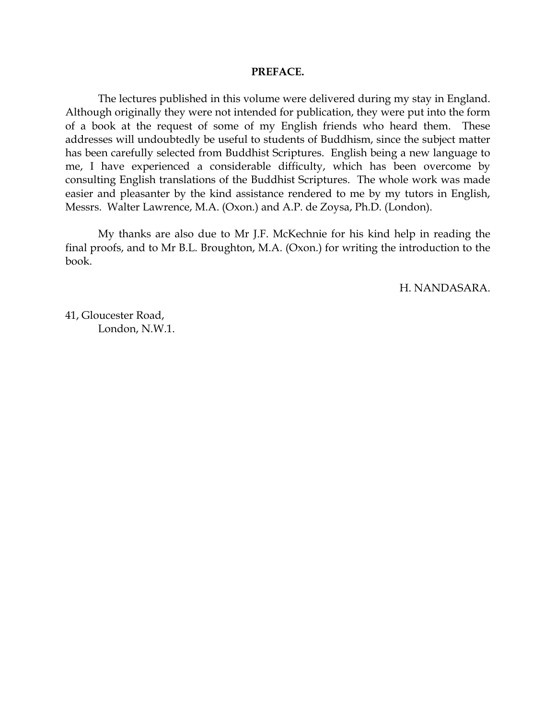#### **PREFACE.**

The lectures published in this volume were delivered during my stay in England. Although originally they were not intended for publication, they were put into the form of a book at the request of some of my English friends who heard them. These addresses will undoubtedly be useful to students of Buddhism, since the subject matter has been carefully selected from Buddhist Scriptures. English being a new language to me, I have experienced a considerable difficulty, which has been overcome by consulting English translations of the Buddhist Scriptures. The whole work was made easier and pleasanter by the kind assistance rendered to me by my tutors in English, Messrs. Walter Lawrence, M.A. (Oxon.) and A.P. de Zoysa, Ph.D. (London).

My thanks are also due to Mr J.F. McKechnie for his kind help in reading the final proofs, and to Mr B.L. Broughton, M.A. (Oxon.) for writing the introduction to the book.

H. NANDASARA.

41, Gloucester Road, London, N.W.1.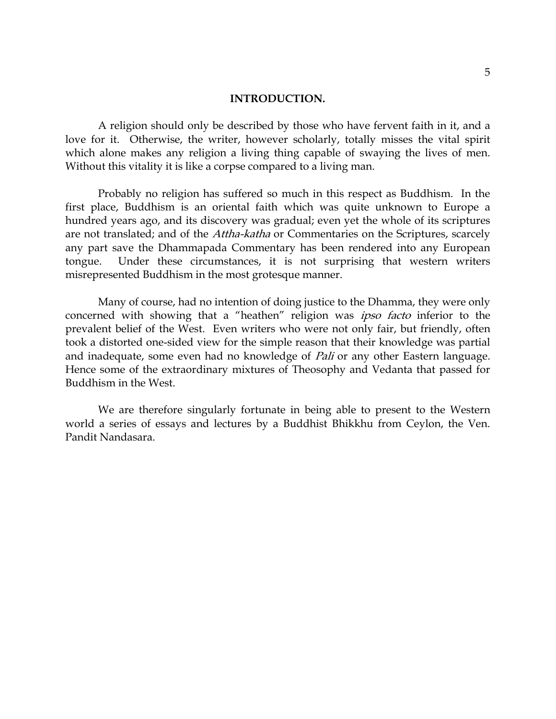A religion should only be described by those who have fervent faith in it, and a love for it. Otherwise, the writer, however scholarly, totally misses the vital spirit which alone makes any religion a living thing capable of swaying the lives of men. Without this vitality it is like a corpse compared to a living man.

Probably no religion has suffered so much in this respect as Buddhism. In the first place, Buddhism is an oriental faith which was quite unknown to Europe a hundred years ago, and its discovery was gradual; even yet the whole of its scriptures are not translated; and of the Attha-katha or Commentaries on the Scriptures, scarcely any part save the Dhammapada Commentary has been rendered into any European tongue. Under these circumstances, it is not surprising that western writers misrepresented Buddhism in the most grotesque manner.

Many of course, had no intention of doing justice to the Dhamma, they were only concerned with showing that a "heathen" religion was ipso facto inferior to the prevalent belief of the West. Even writers who were not only fair, but friendly, often took a distorted one-sided view for the simple reason that their knowledge was partial and inadequate, some even had no knowledge of *Pali* or any other Eastern language. Hence some of the extraordinary mixtures of Theosophy and Vedanta that passed for Buddhism in the West.

We are therefore singularly fortunate in being able to present to the Western world a series of essays and lectures by a Buddhist Bhikkhu from Ceylon, the Ven. Pandit Nandasara.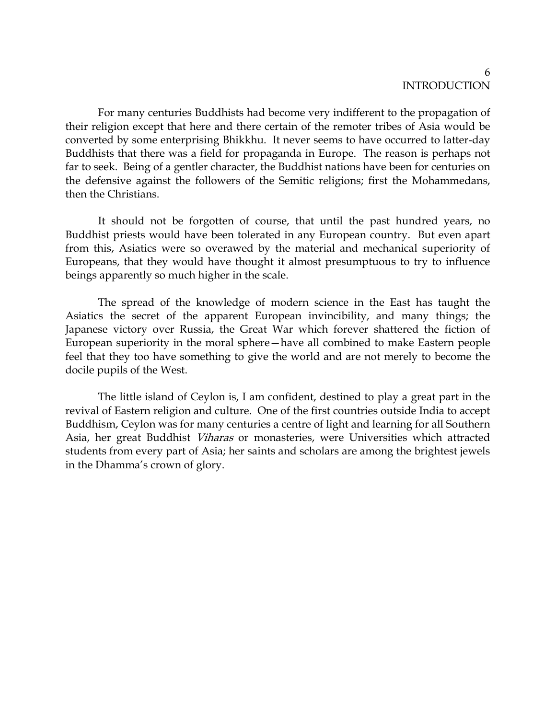For many centuries Buddhists had become very indifferent to the propagation of their religion except that here and there certain of the remoter tribes of Asia would be converted by some enterprising Bhikkhu. It never seems to have occurred to latter-day Buddhists that there was a field for propaganda in Europe. The reason is perhaps not far to seek. Being of a gentler character, the Buddhist nations have been for centuries on the defensive against the followers of the Semitic religions; first the Mohammedans, then the Christians.

It should not be forgotten of course, that until the past hundred years, no Buddhist priests would have been tolerated in any European country. But even apart from this, Asiatics were so overawed by the material and mechanical superiority of Europeans, that they would have thought it almost presumptuous to try to influence beings apparently so much higher in the scale.

The spread of the knowledge of modern science in the East has taught the Asiatics the secret of the apparent European invincibility, and many things; the Japanese victory over Russia, the Great War which forever shattered the fiction of European superiority in the moral sphere—have all combined to make Eastern people feel that they too have something to give the world and are not merely to become the docile pupils of the West.

The little island of Ceylon is, I am confident, destined to play a great part in the revival of Eastern religion and culture. One of the first countries outside India to accept Buddhism, Ceylon was for many centuries a centre of light and learning for all Southern Asia, her great Buddhist Viharas or monasteries, were Universities which attracted students from every part of Asia; her saints and scholars are among the brightest jewels in the Dhamma's crown of glory.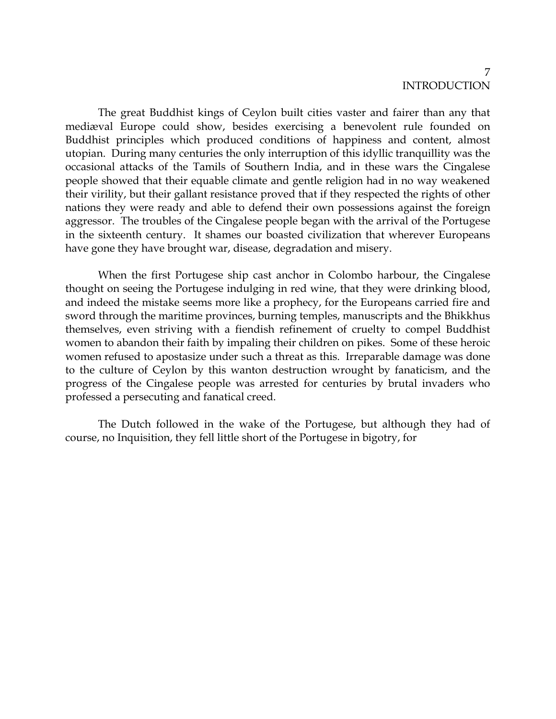7

The great Buddhist kings of Ceylon built cities vaster and fairer than any that mediæval Europe could show, besides exercising a benevolent rule founded on Buddhist principles which produced conditions of happiness and content, almost utopian. During many centuries the only interruption of this idyllic tranquillity was the occasional attacks of the Tamils of Southern India, and in these wars the Cingalese people showed that their equable climate and gentle religion had in no way weakened their virility, but their gallant resistance proved that if they respected the rights of other nations they were ready and able to defend their own possessions against the foreign aggressor. The troubles of the Cingalese people began with the arrival of the Portugese in the sixteenth century. It shames our boasted civilization that wherever Europeans have gone they have brought war, disease, degradation and misery.

When the first Portugese ship cast anchor in Colombo harbour, the Cingalese thought on seeing the Portugese indulging in red wine, that they were drinking blood, and indeed the mistake seems more like a prophecy, for the Europeans carried fire and sword through the maritime provinces, burning temples, manuscripts and the Bhikkhus themselves, even striving with a fiendish refinement of cruelty to compel Buddhist women to abandon their faith by impaling their children on pikes. Some of these heroic women refused to apostasize under such a threat as this. Irreparable damage was done to the culture of Ceylon by this wanton destruction wrought by fanaticism, and the progress of the Cingalese people was arrested for centuries by brutal invaders who professed a persecuting and fanatical creed.

The Dutch followed in the wake of the Portugese, but although they had of course, no Inquisition, they fell little short of the Portugese in bigotry, for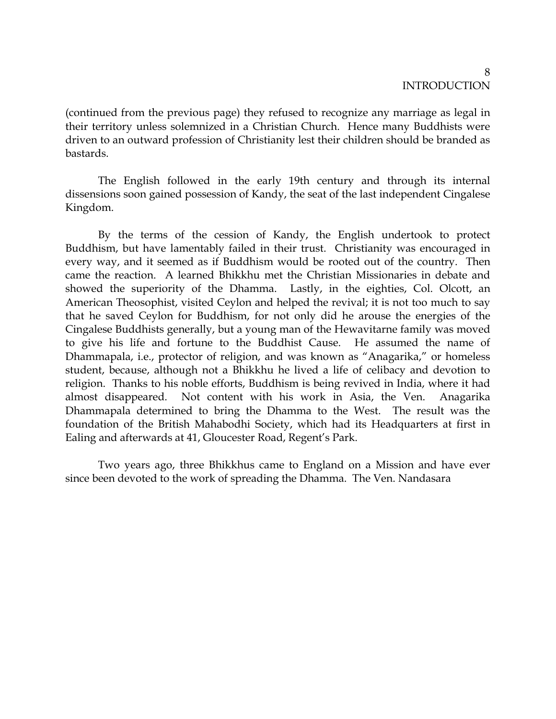(continued from the previous page) they refused to recognize any marriage as legal in their territory unless solemnized in a Christian Church. Hence many Buddhists were driven to an outward profession of Christianity lest their children should be branded as bastards.

The English followed in the early 19th century and through its internal dissensions soon gained possession of Kandy, the seat of the last independent Cingalese Kingdom.

By the terms of the cession of Kandy, the English undertook to protect Buddhism, but have lamentably failed in their trust. Christianity was encouraged in every way, and it seemed as if Buddhism would be rooted out of the country. Then came the reaction. A learned Bhikkhu met the Christian Missionaries in debate and showed the superiority of the Dhamma. Lastly, in the eighties, Col. Olcott, an American Theosophist, visited Ceylon and helped the revival; it is not too much to say that he saved Ceylon for Buddhism, for not only did he arouse the energies of the Cingalese Buddhists generally, but a young man of the Hewavitarne family was moved to give his life and fortune to the Buddhist Cause. He assumed the name of Dhammapala, i.e., protector of religion, and was known as "Anagarika," or homeless student, because, although not a Bhikkhu he lived a life of celibacy and devotion to religion. Thanks to his noble efforts, Buddhism is being revived in India, where it had almost disappeared. Not content with his work in Asia, the Ven. Anagarika Dhammapala determined to bring the Dhamma to the West. The result was the foundation of the British Mahabodhi Society, which had its Headquarters at first in Ealing and afterwards at 41, Gloucester Road, Regent's Park.

Two years ago, three Bhikkhus came to England on a Mission and have ever since been devoted to the work of spreading the Dhamma. The Ven. Nandasara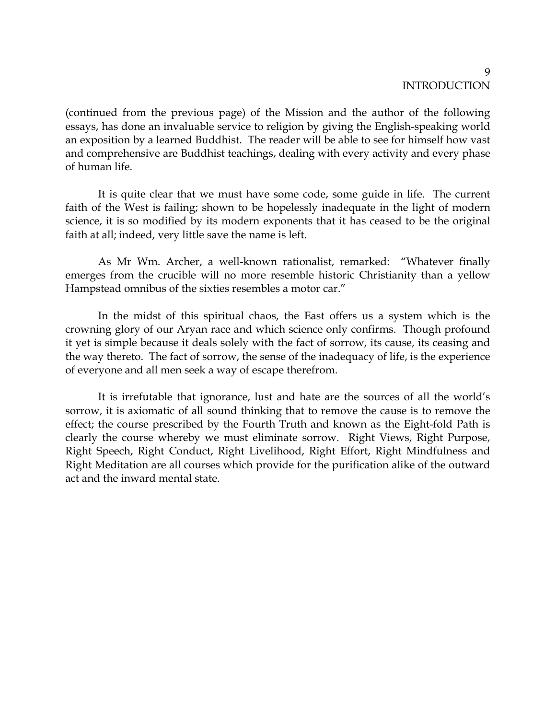(continued from the previous page) of the Mission and the author of the following essays, has done an invaluable service to religion by giving the English-speaking world an exposition by a learned Buddhist. The reader will be able to see for himself how vast and comprehensive are Buddhist teachings, dealing with every activity and every phase of human life.

It is quite clear that we must have some code, some guide in life. The current faith of the West is failing; shown to be hopelessly inadequate in the light of modern science, it is so modified by its modern exponents that it has ceased to be the original faith at all; indeed, very little save the name is left.

As Mr Wm. Archer, a well-known rationalist, remarked: "Whatever finally emerges from the crucible will no more resemble historic Christianity than a yellow Hampstead omnibus of the sixties resembles a motor car."

In the midst of this spiritual chaos, the East offers us a system which is the crowning glory of our Aryan race and which science only confirms. Though profound it yet is simple because it deals solely with the fact of sorrow, its cause, its ceasing and the way thereto. The fact of sorrow, the sense of the inadequacy of life, is the experience of everyone and all men seek a way of escape therefrom.

It is irrefutable that ignorance, lust and hate are the sources of all the world's sorrow, it is axiomatic of all sound thinking that to remove the cause is to remove the effect; the course prescribed by the Fourth Truth and known as the Eight-fold Path is clearly the course whereby we must eliminate sorrow. Right Views, Right Purpose, Right Speech, Right Conduct, Right Livelihood, Right Effort, Right Mindfulness and Right Meditation are all courses which provide for the purification alike of the outward act and the inward mental state.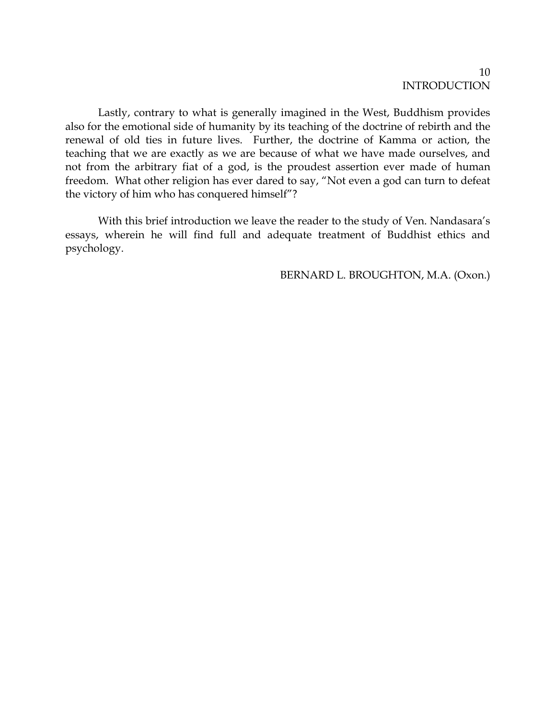Lastly, contrary to what is generally imagined in the West, Buddhism provides also for the emotional side of humanity by its teaching of the doctrine of rebirth and the renewal of old ties in future lives. Further, the doctrine of Kamma or action, the teaching that we are exactly as we are because of what we have made ourselves, and not from the arbitrary fiat of a god, is the proudest assertion ever made of human freedom. What other religion has ever dared to say, "Not even a god can turn to defeat the victory of him who has conquered himself"?

With this brief introduction we leave the reader to the study of Ven. Nandasara's essays, wherein he will find full and adequate treatment of Buddhist ethics and psychology.

BERNARD L. BROUGHTON, M.A. (Oxon.)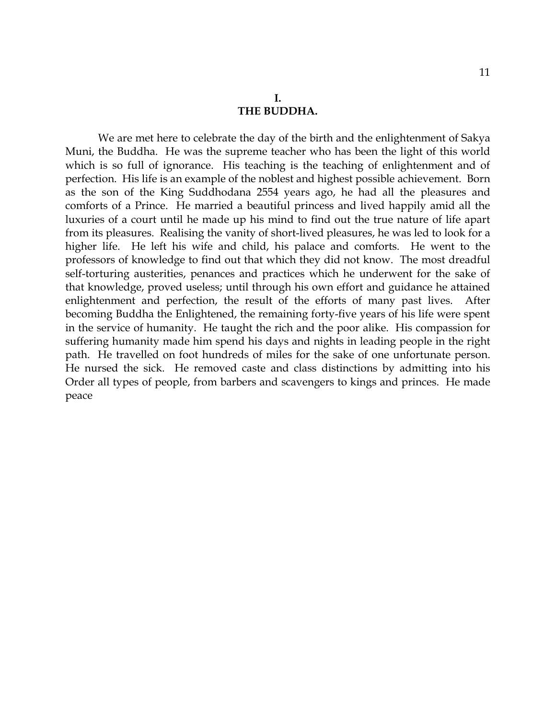#### **I. THE BUDDHA.**

We are met here to celebrate the day of the birth and the enlightenment of Sakya Muni, the Buddha. He was the supreme teacher who has been the light of this world which is so full of ignorance. His teaching is the teaching of enlightenment and of perfection. His life is an example of the noblest and highest possible achievement. Born as the son of the King Suddhodana 2554 years ago, he had all the pleasures and comforts of a Prince. He married a beautiful princess and lived happily amid all the luxuries of a court until he made up his mind to find out the true nature of life apart from its pleasures. Realising the vanity of short-lived pleasures, he was led to look for a higher life. He left his wife and child, his palace and comforts. He went to the professors of knowledge to find out that which they did not know. The most dreadful self-torturing austerities, penances and practices which he underwent for the sake of that knowledge, proved useless; until through his own effort and guidance he attained enlightenment and perfection, the result of the efforts of many past lives. After becoming Buddha the Enlightened, the remaining forty-five years of his life were spent in the service of humanity. He taught the rich and the poor alike. His compassion for suffering humanity made him spend his days and nights in leading people in the right path. He travelled on foot hundreds of miles for the sake of one unfortunate person. He nursed the sick. He removed caste and class distinctions by admitting into his Order all types of people, from barbers and scavengers to kings and princes. He made peace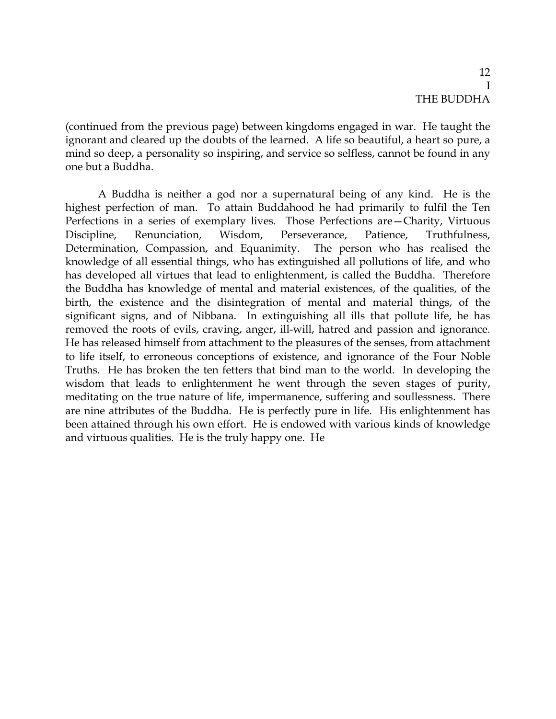# 12 I THE BUDDHA

(continued from the previous page) between kingdoms engaged in war. He taught the ignorant and cleared up the doubts of the learned. A life so beautiful, a heart so pure, a mind so deep, a personality so inspiring, and service so selfless, cannot be found in any one but a Buddha.

A Buddha is neither a god nor a supernatural being of any kind. He is the highest perfection of man. To attain Buddahood he had primarily to fulfil the Ten Perfections in a series of exemplary lives. Those Perfections are—Charity, Virtuous Discipline, Renunciation, Wisdom, Perseverance, Patience, Truthfulness, Determination, Compassion, and Equanimity. The person who has realised the knowledge of all essential things, who has extinguished all pollutions of life, and who has developed all virtues that lead to enlightenment, is called the Buddha. Therefore the Buddha has knowledge of mental and material existences, of the qualities, of the birth, the existence and the disintegration of mental and material things, of the significant signs, and of Nibbana. In extinguishing all ills that pollute life, he has removed the roots of evils, craving, anger, ill-will, hatred and passion and ignorance. He has released himself from attachment to the pleasures of the senses, from attachment to life itself, to erroneous conceptions of existence, and ignorance of the Four Noble Truths. He has broken the ten fetters that bind man to the world. In developing the wisdom that leads to enlightenment he went through the seven stages of purity, meditating on the true nature of life, impermanence, suffering and soullessness. There are nine attributes of the Buddha. He is perfectly pure in life. His enlightenment has been attained through his own effort. He is endowed with various kinds of knowledge and virtuous qualities. He is the truly happy one. He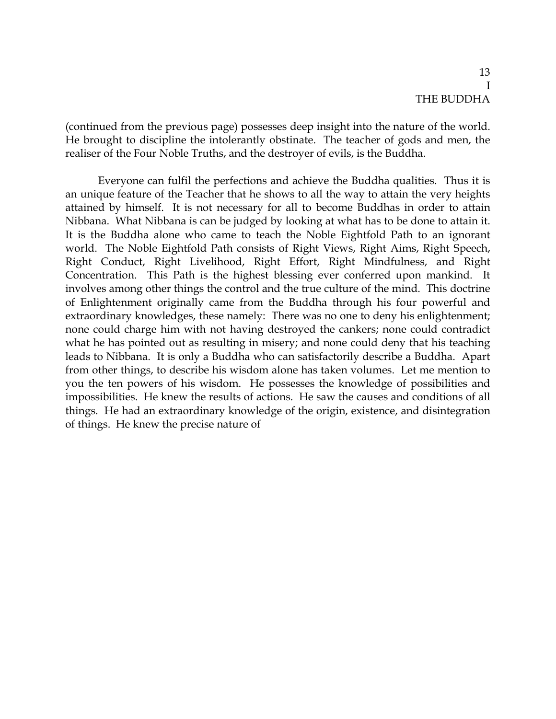# 13 I THE BUDDHA

(continued from the previous page) possesses deep insight into the nature of the world. He brought to discipline the intolerantly obstinate. The teacher of gods and men, the realiser of the Four Noble Truths, and the destroyer of evils, is the Buddha.

Everyone can fulfil the perfections and achieve the Buddha qualities. Thus it is an unique feature of the Teacher that he shows to all the way to attain the very heights attained by himself. It is not necessary for all to become Buddhas in order to attain Nibbana. What Nibbana is can be judged by looking at what has to be done to attain it. It is the Buddha alone who came to teach the Noble Eightfold Path to an ignorant world. The Noble Eightfold Path consists of Right Views, Right Aims, Right Speech, Right Conduct, Right Livelihood, Right Effort, Right Mindfulness, and Right Concentration. This Path is the highest blessing ever conferred upon mankind. It involves among other things the control and the true culture of the mind. This doctrine of Enlightenment originally came from the Buddha through his four powerful and extraordinary knowledges, these namely: There was no one to deny his enlightenment; none could charge him with not having destroyed the cankers; none could contradict what he has pointed out as resulting in misery; and none could deny that his teaching leads to Nibbana. It is only a Buddha who can satisfactorily describe a Buddha. Apart from other things, to describe his wisdom alone has taken volumes. Let me mention to you the ten powers of his wisdom. He possesses the knowledge of possibilities and impossibilities. He knew the results of actions. He saw the causes and conditions of all things. He had an extraordinary knowledge of the origin, existence, and disintegration of things. He knew the precise nature of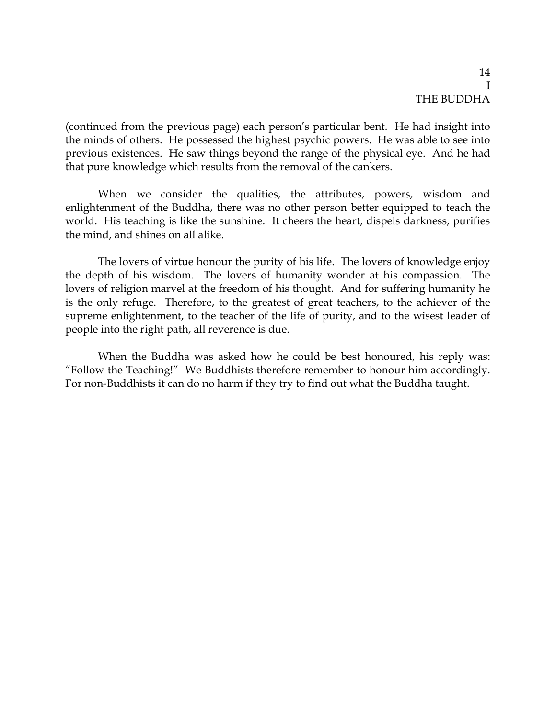# 14 I THE BUDDHA

(continued from the previous page) each person's particular bent. He had insight into the minds of others. He possessed the highest psychic powers. He was able to see into previous existences. He saw things beyond the range of the physical eye. And he had that pure knowledge which results from the removal of the cankers.

When we consider the qualities, the attributes, powers, wisdom and enlightenment of the Buddha, there was no other person better equipped to teach the world. His teaching is like the sunshine. It cheers the heart, dispels darkness, purifies the mind, and shines on all alike.

The lovers of virtue honour the purity of his life. The lovers of knowledge enjoy the depth of his wisdom. The lovers of humanity wonder at his compassion. The lovers of religion marvel at the freedom of his thought. And for suffering humanity he is the only refuge. Therefore, to the greatest of great teachers, to the achiever of the supreme enlightenment, to the teacher of the life of purity, and to the wisest leader of people into the right path, all reverence is due.

When the Buddha was asked how he could be best honoured, his reply was: "Follow the Teaching!" We Buddhists therefore remember to honour him accordingly. For non-Buddhists it can do no harm if they try to find out what the Buddha taught.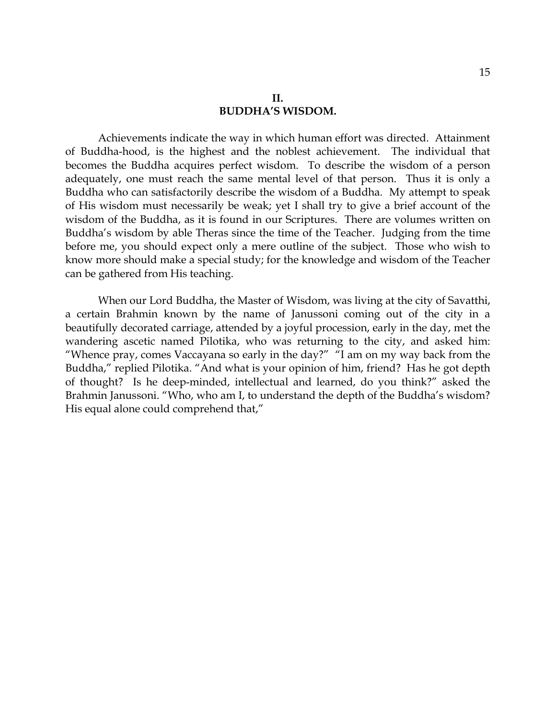Achievements indicate the way in which human effort was directed. Attainment of Buddha-hood, is the highest and the noblest achievement. The individual that becomes the Buddha acquires perfect wisdom. To describe the wisdom of a person adequately, one must reach the same mental level of that person. Thus it is only a Buddha who can satisfactorily describe the wisdom of a Buddha. My attempt to speak of His wisdom must necessarily be weak; yet I shall try to give a brief account of the wisdom of the Buddha, as it is found in our Scriptures. There are volumes written on Buddha's wisdom by able Theras since the time of the Teacher. Judging from the time before me, you should expect only a mere outline of the subject. Those who wish to know more should make a special study; for the knowledge and wisdom of the Teacher can be gathered from His teaching.

When our Lord Buddha, the Master of Wisdom, was living at the city of Savatthi, a certain Brahmin known by the name of Janussoni coming out of the city in a beautifully decorated carriage, attended by a joyful procession, early in the day, met the wandering ascetic named Pilotika, who was returning to the city, and asked him: "Whence pray, comes Vaccayana so early in the day?" "I am on my way back from the Buddha," replied Pilotika. "And what is your opinion of him, friend? Has he got depth of thought? Is he deep-minded, intellectual and learned, do you think?" asked the Brahmin Janussoni. "Who, who am I, to understand the depth of the Buddha's wisdom? His equal alone could comprehend that,"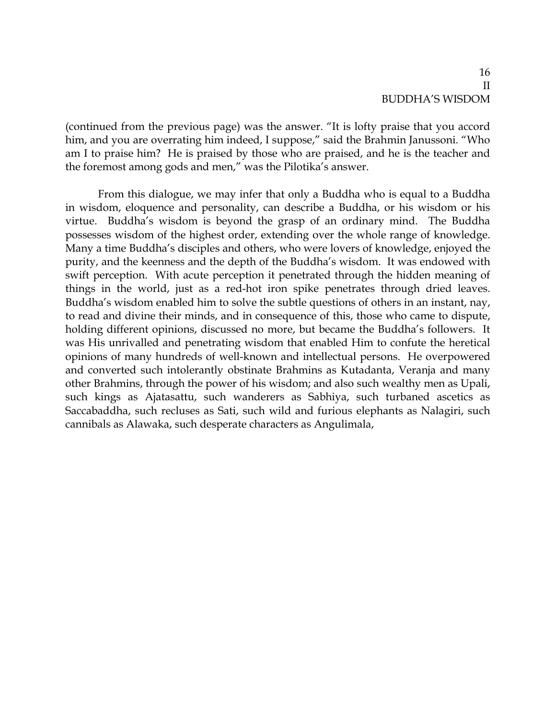(continued from the previous page) was the answer. "It is lofty praise that you accord him, and you are overrating him indeed, I suppose," said the Brahmin Janussoni. "Who am I to praise him? He is praised by those who are praised, and he is the teacher and the foremost among gods and men," was the Pilotika's answer.

From this dialogue, we may infer that only a Buddha who is equal to a Buddha in wisdom, eloquence and personality, can describe a Buddha, or his wisdom or his virtue. Buddha's wisdom is beyond the grasp of an ordinary mind. The Buddha possesses wisdom of the highest order, extending over the whole range of knowledge. Many a time Buddha's disciples and others, who were lovers of knowledge, enjoyed the purity, and the keenness and the depth of the Buddha's wisdom. It was endowed with swift perception. With acute perception it penetrated through the hidden meaning of things in the world, just as a red-hot iron spike penetrates through dried leaves. Buddha's wisdom enabled him to solve the subtle questions of others in an instant, nay, to read and divine their minds, and in consequence of this, those who came to dispute, holding different opinions, discussed no more, but became the Buddha's followers. It was His unrivalled and penetrating wisdom that enabled Him to confute the heretical opinions of many hundreds of well-known and intellectual persons. He overpowered and converted such intolerantly obstinate Brahmins as Kutadanta, Veranja and many other Brahmins, through the power of his wisdom; and also such wealthy men as Upali, such kings as Ajatasattu, such wanderers as Sabhiya, such turbaned ascetics as Saccabaddha, such recluses as Sati, such wild and furious elephants as Nalagiri, such cannibals as Alawaka, such desperate characters as Angulimala,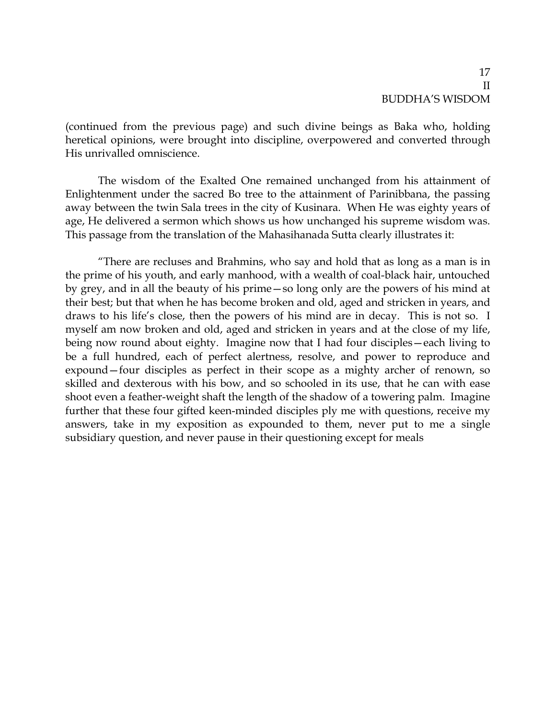(continued from the previous page) and such divine beings as Baka who, holding heretical opinions, were brought into discipline, overpowered and converted through His unrivalled omniscience.

The wisdom of the Exalted One remained unchanged from his attainment of Enlightenment under the sacred Bo tree to the attainment of Parinibbana, the passing away between the twin Sala trees in the city of Kusinara. When He was eighty years of age, He delivered a sermon which shows us how unchanged his supreme wisdom was. This passage from the translation of the Mahasihanada Sutta clearly illustrates it:

"There are recluses and Brahmins, who say and hold that as long as a man is in the prime of his youth, and early manhood, with a wealth of coal-black hair, untouched by grey, and in all the beauty of his prime—so long only are the powers of his mind at their best; but that when he has become broken and old, aged and stricken in years, and draws to his life's close, then the powers of his mind are in decay. This is not so. I myself am now broken and old, aged and stricken in years and at the close of my life, being now round about eighty. Imagine now that I had four disciples—each living to be a full hundred, each of perfect alertness, resolve, and power to reproduce and expound—four disciples as perfect in their scope as a mighty archer of renown, so skilled and dexterous with his bow, and so schooled in its use, that he can with ease shoot even a feather-weight shaft the length of the shadow of a towering palm. Imagine further that these four gifted keen-minded disciples ply me with questions, receive my answers, take in my exposition as expounded to them, never put to me a single subsidiary question, and never pause in their questioning except for meals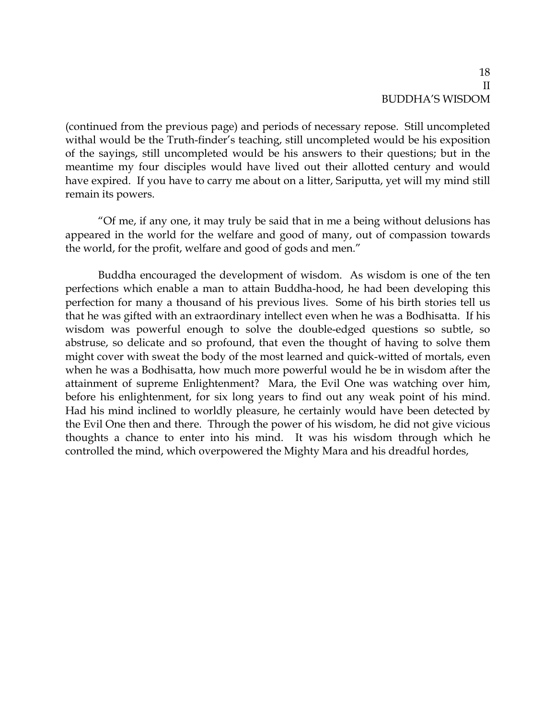(continued from the previous page) and periods of necessary repose. Still uncompleted withal would be the Truth-finder's teaching, still uncompleted would be his exposition of the sayings, still uncompleted would be his answers to their questions; but in the meantime my four disciples would have lived out their allotted century and would have expired. If you have to carry me about on a litter, Sariputta, yet will my mind still remain its powers.

"Of me, if any one, it may truly be said that in me a being without delusions has appeared in the world for the welfare and good of many, out of compassion towards the world, for the profit, welfare and good of gods and men."

Buddha encouraged the development of wisdom. As wisdom is one of the ten perfections which enable a man to attain Buddha-hood, he had been developing this perfection for many a thousand of his previous lives. Some of his birth stories tell us that he was gifted with an extraordinary intellect even when he was a Bodhisatta. If his wisdom was powerful enough to solve the double-edged questions so subtle, so abstruse, so delicate and so profound, that even the thought of having to solve them might cover with sweat the body of the most learned and quick-witted of mortals, even when he was a Bodhisatta, how much more powerful would he be in wisdom after the attainment of supreme Enlightenment? Mara, the Evil One was watching over him, before his enlightenment, for six long years to find out any weak point of his mind. Had his mind inclined to worldly pleasure, he certainly would have been detected by the Evil One then and there. Through the power of his wisdom, he did not give vicious thoughts a chance to enter into his mind. It was his wisdom through which he controlled the mind, which overpowered the Mighty Mara and his dreadful hordes,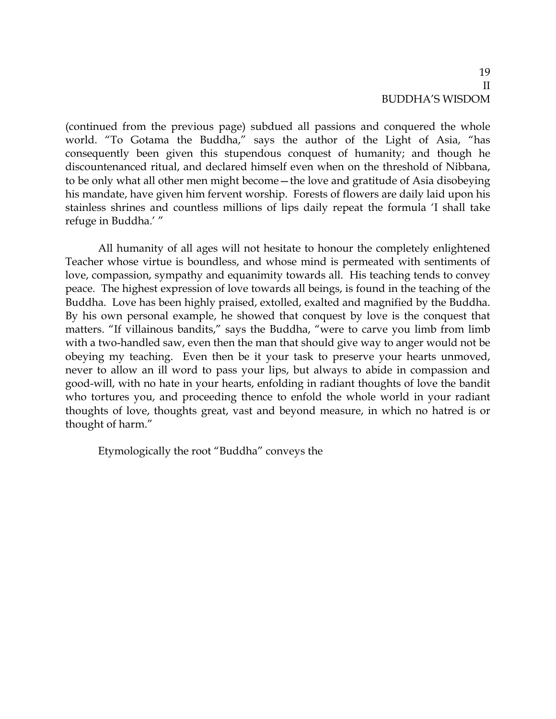(continued from the previous page) subdued all passions and conquered the whole world. "To Gotama the Buddha," says the author of the Light of Asia, "has consequently been given this stupendous conquest of humanity; and though he discountenanced ritual, and declared himself even when on the threshold of Nibbana, to be only what all other men might become—the love and gratitude of Asia disobeying his mandate, have given him fervent worship. Forests of flowers are daily laid upon his stainless shrines and countless millions of lips daily repeat the formula 'I shall take refuge in Buddha.' "

All humanity of all ages will not hesitate to honour the completely enlightened Teacher whose virtue is boundless, and whose mind is permeated with sentiments of love, compassion, sympathy and equanimity towards all. His teaching tends to convey peace. The highest expression of love towards all beings, is found in the teaching of the Buddha. Love has been highly praised, extolled, exalted and magnified by the Buddha. By his own personal example, he showed that conquest by love is the conquest that matters. "If villainous bandits," says the Buddha, "were to carve you limb from limb with a two-handled saw, even then the man that should give way to anger would not be obeying my teaching. Even then be it your task to preserve your hearts unmoved, never to allow an ill word to pass your lips, but always to abide in compassion and good-will, with no hate in your hearts, enfolding in radiant thoughts of love the bandit who tortures you, and proceeding thence to enfold the whole world in your radiant thoughts of love, thoughts great, vast and beyond measure, in which no hatred is or thought of harm."

Etymologically the root "Buddha" conveys the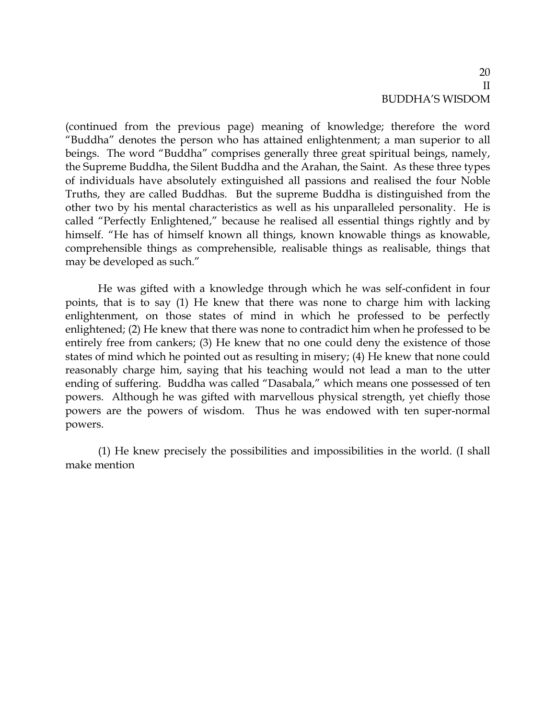(continued from the previous page) meaning of knowledge; therefore the word "Buddha" denotes the person who has attained enlightenment; a man superior to all beings. The word "Buddha" comprises generally three great spiritual beings, namely, the Supreme Buddha, the Silent Buddha and the Arahan, the Saint. As these three types of individuals have absolutely extinguished all passions and realised the four Noble Truths, they are called Buddhas. But the supreme Buddha is distinguished from the other two by his mental characteristics as well as his unparalleled personality. He is called "Perfectly Enlightened," because he realised all essential things rightly and by himself. "He has of himself known all things, known knowable things as knowable, comprehensible things as comprehensible, realisable things as realisable, things that may be developed as such."

He was gifted with a knowledge through which he was self-confident in four points, that is to say (1) He knew that there was none to charge him with lacking enlightenment, on those states of mind in which he professed to be perfectly enlightened; (2) He knew that there was none to contradict him when he professed to be entirely free from cankers; (3) He knew that no one could deny the existence of those states of mind which he pointed out as resulting in misery; (4) He knew that none could reasonably charge him, saying that his teaching would not lead a man to the utter ending of suffering. Buddha was called "Dasabala," which means one possessed of ten powers. Although he was gifted with marvellous physical strength, yet chiefly those powers are the powers of wisdom. Thus he was endowed with ten super-normal powers.

(1) He knew precisely the possibilities and impossibilities in the world. (I shall make mention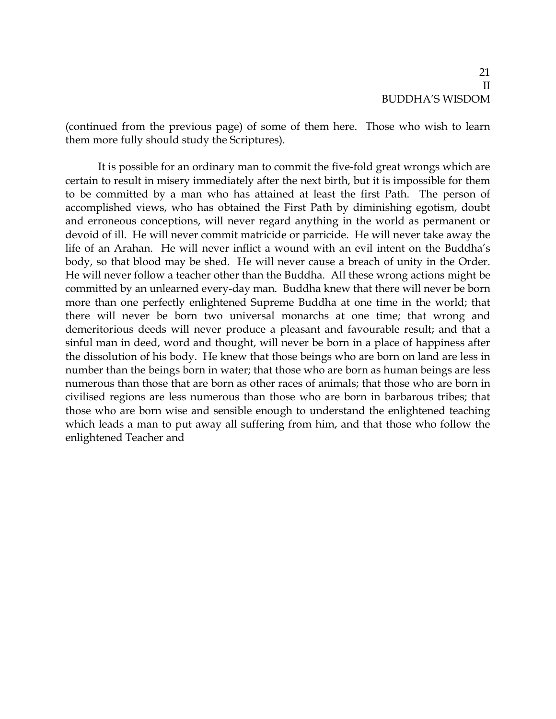(continued from the previous page) of some of them here. Those who wish to learn them more fully should study the Scriptures).

It is possible for an ordinary man to commit the five-fold great wrongs which are certain to result in misery immediately after the next birth, but it is impossible for them to be committed by a man who has attained at least the first Path. The person of accomplished views, who has obtained the First Path by diminishing egotism, doubt and erroneous conceptions, will never regard anything in the world as permanent or devoid of ill. He will never commit matricide or parricide. He will never take away the life of an Arahan. He will never inflict a wound with an evil intent on the Buddha's body, so that blood may be shed. He will never cause a breach of unity in the Order. He will never follow a teacher other than the Buddha. All these wrong actions might be committed by an unlearned every-day man. Buddha knew that there will never be born more than one perfectly enlightened Supreme Buddha at one time in the world; that there will never be born two universal monarchs at one time; that wrong and demeritorious deeds will never produce a pleasant and favourable result; and that a sinful man in deed, word and thought, will never be born in a place of happiness after the dissolution of his body. He knew that those beings who are born on land are less in number than the beings born in water; that those who are born as human beings are less numerous than those that are born as other races of animals; that those who are born in civilised regions are less numerous than those who are born in barbarous tribes; that those who are born wise and sensible enough to understand the enlightened teaching which leads a man to put away all suffering from him, and that those who follow the enlightened Teacher and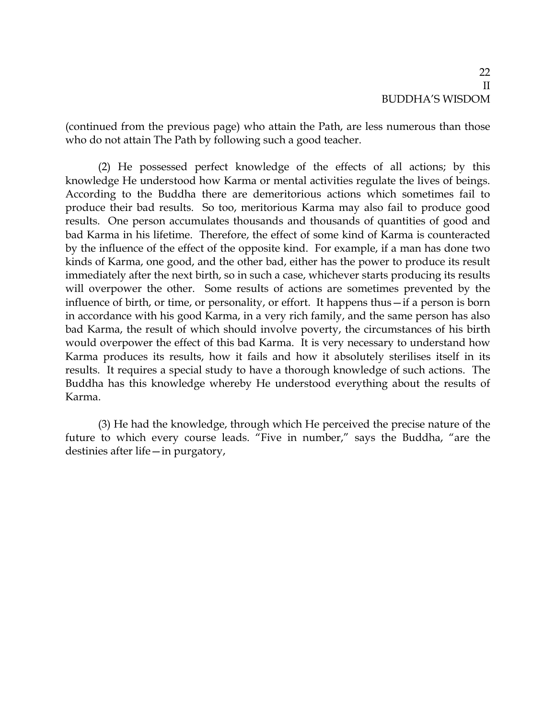(continued from the previous page) who attain the Path, are less numerous than those who do not attain The Path by following such a good teacher.

(2) He possessed perfect knowledge of the effects of all actions; by this knowledge He understood how Karma or mental activities regulate the lives of beings. According to the Buddha there are demeritorious actions which sometimes fail to produce their bad results. So too, meritorious Karma may also fail to produce good results. One person accumulates thousands and thousands of quantities of good and bad Karma in his lifetime. Therefore, the effect of some kind of Karma is counteracted by the influence of the effect of the opposite kind. For example, if a man has done two kinds of Karma, one good, and the other bad, either has the power to produce its result immediately after the next birth, so in such a case, whichever starts producing its results will overpower the other. Some results of actions are sometimes prevented by the influence of birth, or time, or personality, or effort. It happens thus—if a person is born in accordance with his good Karma, in a very rich family, and the same person has also bad Karma, the result of which should involve poverty, the circumstances of his birth would overpower the effect of this bad Karma. It is very necessary to understand how Karma produces its results, how it fails and how it absolutely sterilises itself in its results. It requires a special study to have a thorough knowledge of such actions. The Buddha has this knowledge whereby He understood everything about the results of Karma.

(3) He had the knowledge, through which He perceived the precise nature of the future to which every course leads. "Five in number," says the Buddha, "are the destinies after life—in purgatory,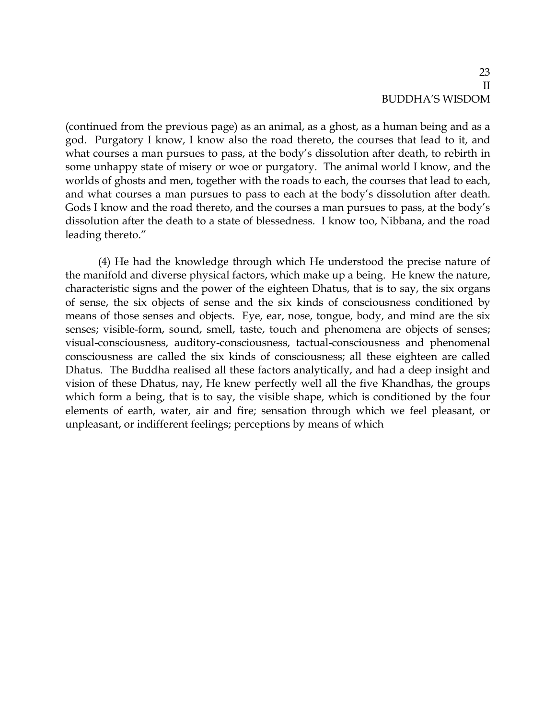(continued from the previous page) as an animal, as a ghost, as a human being and as a god. Purgatory I know, I know also the road thereto, the courses that lead to it, and what courses a man pursues to pass, at the body's dissolution after death, to rebirth in some unhappy state of misery or woe or purgatory. The animal world I know, and the worlds of ghosts and men, together with the roads to each, the courses that lead to each, and what courses a man pursues to pass to each at the body's dissolution after death. Gods I know and the road thereto, and the courses a man pursues to pass, at the body's dissolution after the death to a state of blessedness. I know too, Nibbana, and the road leading thereto."

(4) He had the knowledge through which He understood the precise nature of the manifold and diverse physical factors, which make up a being. He knew the nature, characteristic signs and the power of the eighteen Dhatus, that is to say, the six organs of sense, the six objects of sense and the six kinds of consciousness conditioned by means of those senses and objects. Eye, ear, nose, tongue, body, and mind are the six senses; visible-form, sound, smell, taste, touch and phenomena are objects of senses; visual-consciousness, auditory-consciousness, tactual-consciousness and phenomenal consciousness are called the six kinds of consciousness; all these eighteen are called Dhatus. The Buddha realised all these factors analytically, and had a deep insight and vision of these Dhatus, nay, He knew perfectly well all the five Khandhas, the groups which form a being, that is to say, the visible shape, which is conditioned by the four elements of earth, water, air and fire; sensation through which we feel pleasant, or unpleasant, or indifferent feelings; perceptions by means of which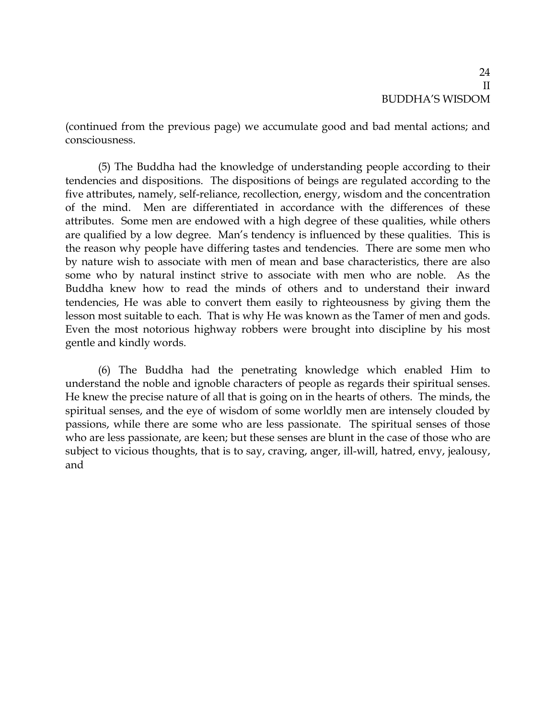(continued from the previous page) we accumulate good and bad mental actions; and consciousness.

(5) The Buddha had the knowledge of understanding people according to their tendencies and dispositions. The dispositions of beings are regulated according to the five attributes, namely, self-reliance, recollection, energy, wisdom and the concentration of the mind. Men are differentiated in accordance with the differences of these attributes. Some men are endowed with a high degree of these qualities, while others are qualified by a low degree. Man's tendency is influenced by these qualities. This is the reason why people have differing tastes and tendencies. There are some men who by nature wish to associate with men of mean and base characteristics, there are also some who by natural instinct strive to associate with men who are noble. As the Buddha knew how to read the minds of others and to understand their inward tendencies, He was able to convert them easily to righteousness by giving them the lesson most suitable to each. That is why He was known as the Tamer of men and gods. Even the most notorious highway robbers were brought into discipline by his most gentle and kindly words.

(6) The Buddha had the penetrating knowledge which enabled Him to understand the noble and ignoble characters of people as regards their spiritual senses. He knew the precise nature of all that is going on in the hearts of others. The minds, the spiritual senses, and the eye of wisdom of some worldly men are intensely clouded by passions, while there are some who are less passionate. The spiritual senses of those who are less passionate, are keen; but these senses are blunt in the case of those who are subject to vicious thoughts, that is to say, craving, anger, ill-will, hatred, envy, jealousy, and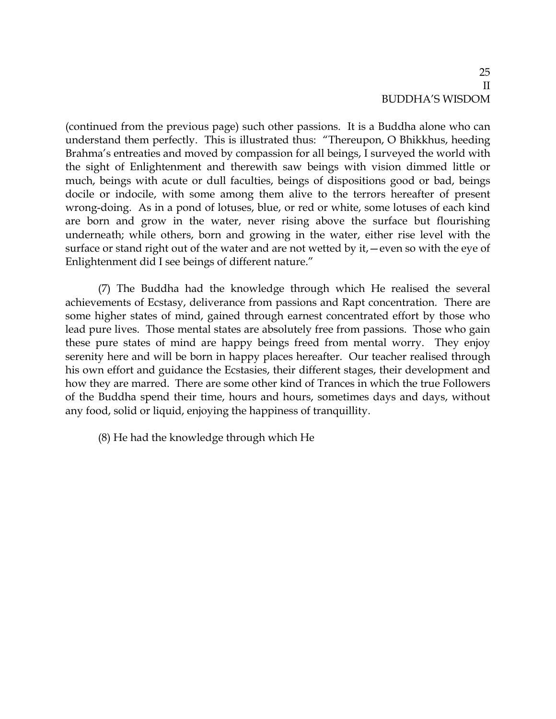(continued from the previous page) such other passions. It is a Buddha alone who can understand them perfectly. This is illustrated thus: "Thereupon, O Bhikkhus, heeding Brahma's entreaties and moved by compassion for all beings, I surveyed the world with the sight of Enlightenment and therewith saw beings with vision dimmed little or much, beings with acute or dull faculties, beings of dispositions good or bad, beings docile or indocile, with some among them alive to the terrors hereafter of present wrong-doing. As in a pond of lotuses, blue, or red or white, some lotuses of each kind are born and grow in the water, never rising above the surface but flourishing underneath; while others, born and growing in the water, either rise level with the surface or stand right out of the water and are not wetted by it,—even so with the eye of Enlightenment did I see beings of different nature."

(7) The Buddha had the knowledge through which He realised the several achievements of Ecstasy, deliverance from passions and Rapt concentration. There are some higher states of mind, gained through earnest concentrated effort by those who lead pure lives. Those mental states are absolutely free from passions. Those who gain these pure states of mind are happy beings freed from mental worry. They enjoy serenity here and will be born in happy places hereafter. Our teacher realised through his own effort and guidance the Ecstasies, their different stages, their development and how they are marred. There are some other kind of Trances in which the true Followers of the Buddha spend their time, hours and hours, sometimes days and days, without any food, solid or liquid, enjoying the happiness of tranquillity.

(8) He had the knowledge through which He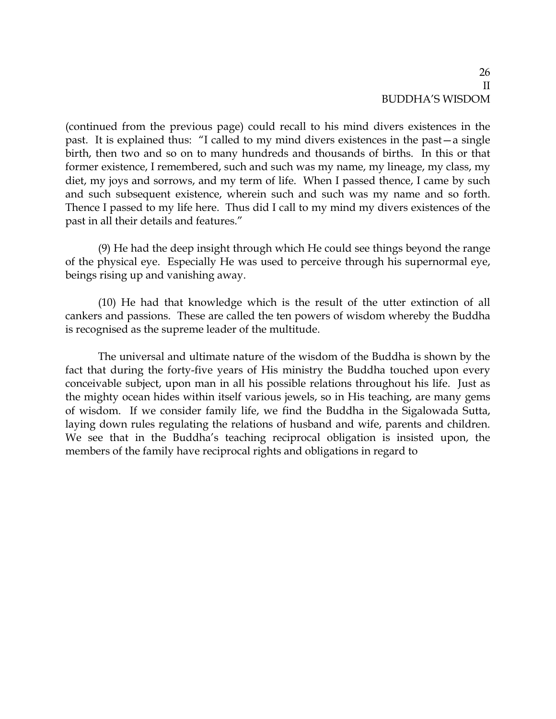(continued from the previous page) could recall to his mind divers existences in the past. It is explained thus: "I called to my mind divers existences in the past—a single birth, then two and so on to many hundreds and thousands of births. In this or that former existence, I remembered, such and such was my name, my lineage, my class, my diet, my joys and sorrows, and my term of life. When I passed thence, I came by such and such subsequent existence, wherein such and such was my name and so forth. Thence I passed to my life here. Thus did I call to my mind my divers existences of the past in all their details and features."

(9) He had the deep insight through which He could see things beyond the range of the physical eye. Especially He was used to perceive through his supernormal eye, beings rising up and vanishing away.

(10) He had that knowledge which is the result of the utter extinction of all cankers and passions. These are called the ten powers of wisdom whereby the Buddha is recognised as the supreme leader of the multitude.

The universal and ultimate nature of the wisdom of the Buddha is shown by the fact that during the forty-five years of His ministry the Buddha touched upon every conceivable subject, upon man in all his possible relations throughout his life. Just as the mighty ocean hides within itself various jewels, so in His teaching, are many gems of wisdom. If we consider family life, we find the Buddha in the Sigalowada Sutta, laying down rules regulating the relations of husband and wife, parents and children. We see that in the Buddha's teaching reciprocal obligation is insisted upon, the members of the family have reciprocal rights and obligations in regard to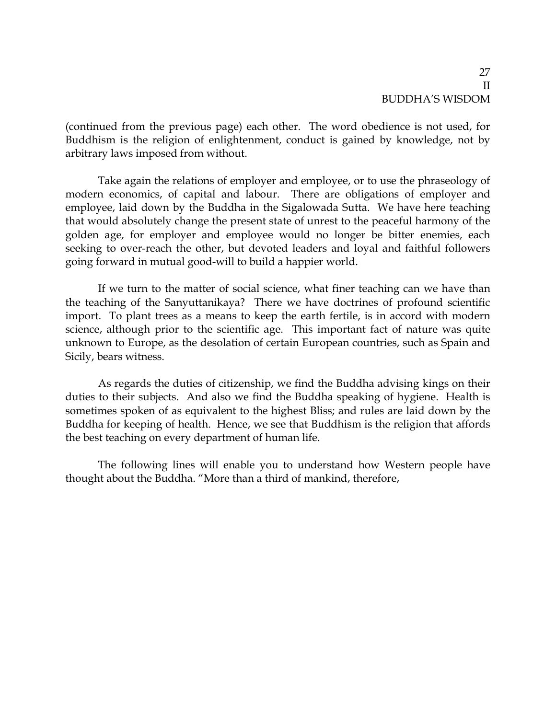(continued from the previous page) each other. The word obedience is not used, for Buddhism is the religion of enlightenment, conduct is gained by knowledge, not by arbitrary laws imposed from without.

Take again the relations of employer and employee, or to use the phraseology of modern economics, of capital and labour. There are obligations of employer and employee, laid down by the Buddha in the Sigalowada Sutta. We have here teaching that would absolutely change the present state of unrest to the peaceful harmony of the golden age, for employer and employee would no longer be bitter enemies, each seeking to over-reach the other, but devoted leaders and loyal and faithful followers going forward in mutual good-will to build a happier world.

If we turn to the matter of social science, what finer teaching can we have than the teaching of the Sanyuttanikaya? There we have doctrines of profound scientific import. To plant trees as a means to keep the earth fertile, is in accord with modern science, although prior to the scientific age. This important fact of nature was quite unknown to Europe, as the desolation of certain European countries, such as Spain and Sicily, bears witness.

As regards the duties of citizenship, we find the Buddha advising kings on their duties to their subjects. And also we find the Buddha speaking of hygiene. Health is sometimes spoken of as equivalent to the highest Bliss; and rules are laid down by the Buddha for keeping of health. Hence, we see that Buddhism is the religion that affords the best teaching on every department of human life.

The following lines will enable you to understand how Western people have thought about the Buddha. "More than a third of mankind, therefore,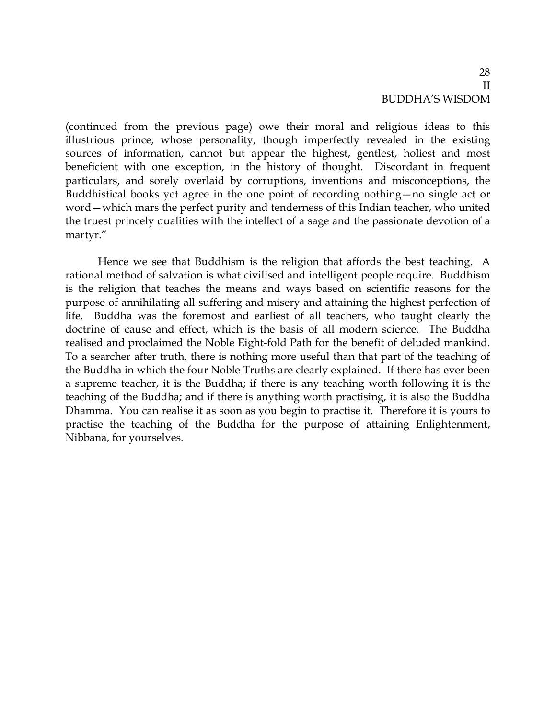(continued from the previous page) owe their moral and religious ideas to this illustrious prince, whose personality, though imperfectly revealed in the existing sources of information, cannot but appear the highest, gentlest, holiest and most beneficient with one exception, in the history of thought. Discordant in frequent particulars, and sorely overlaid by corruptions, inventions and misconceptions, the Buddhistical books yet agree in the one point of recording nothing—no single act or word—which mars the perfect purity and tenderness of this Indian teacher, who united the truest princely qualities with the intellect of a sage and the passionate devotion of a martyr."

Hence we see that Buddhism is the religion that affords the best teaching. A rational method of salvation is what civilised and intelligent people require. Buddhism is the religion that teaches the means and ways based on scientific reasons for the purpose of annihilating all suffering and misery and attaining the highest perfection of life. Buddha was the foremost and earliest of all teachers, who taught clearly the doctrine of cause and effect, which is the basis of all modern science. The Buddha realised and proclaimed the Noble Eight-fold Path for the benefit of deluded mankind. To a searcher after truth, there is nothing more useful than that part of the teaching of the Buddha in which the four Noble Truths are clearly explained. If there has ever been a supreme teacher, it is the Buddha; if there is any teaching worth following it is the teaching of the Buddha; and if there is anything worth practising, it is also the Buddha Dhamma. You can realise it as soon as you begin to practise it. Therefore it is yours to practise the teaching of the Buddha for the purpose of attaining Enlightenment, Nibbana, for yourselves.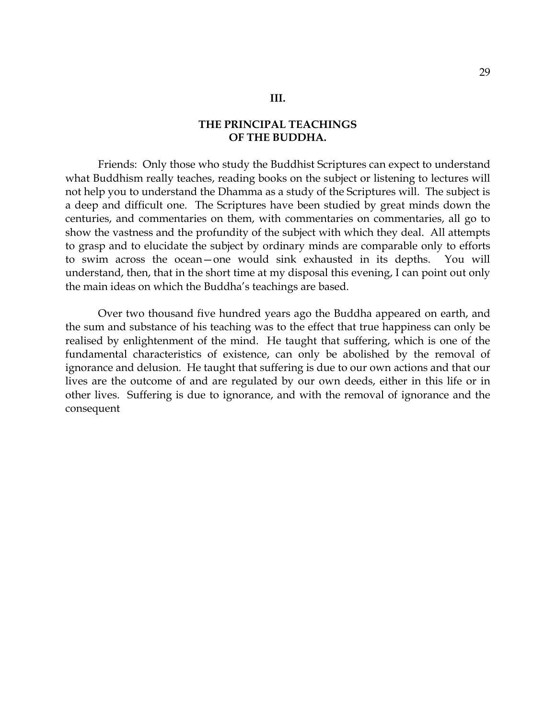Friends: Only those who study the Buddhist Scriptures can expect to understand what Buddhism really teaches, reading books on the subject or listening to lectures will not help you to understand the Dhamma as a study of the Scriptures will. The subject is a deep and difficult one. The Scriptures have been studied by great minds down the centuries, and commentaries on them, with commentaries on commentaries, all go to show the vastness and the profundity of the subject with which they deal. All attempts to grasp and to elucidate the subject by ordinary minds are comparable only to efforts to swim across the ocean—one would sink exhausted in its depths. You will understand, then, that in the short time at my disposal this evening, I can point out only the main ideas on which the Buddha's teachings are based.

Over two thousand five hundred years ago the Buddha appeared on earth, and the sum and substance of his teaching was to the effect that true happiness can only be realised by enlightenment of the mind. He taught that suffering, which is one of the fundamental characteristics of existence, can only be abolished by the removal of ignorance and delusion. He taught that suffering is due to our own actions and that our lives are the outcome of and are regulated by our own deeds, either in this life or in other lives. Suffering is due to ignorance, and with the removal of ignorance and the consequent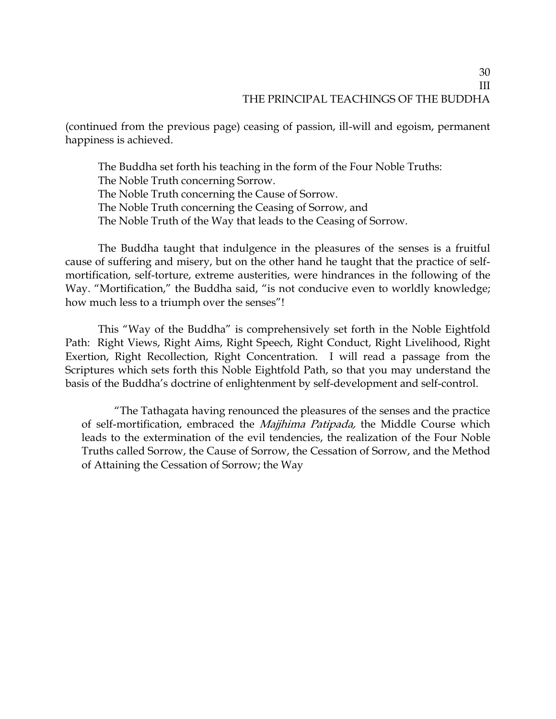(continued from the previous page) ceasing of passion, ill-will and egoism, permanent happiness is achieved.

The Buddha set forth his teaching in the form of the Four Noble Truths: The Noble Truth concerning Sorrow. The Noble Truth concerning the Cause of Sorrow. The Noble Truth concerning the Ceasing of Sorrow, and The Noble Truth of the Way that leads to the Ceasing of Sorrow.

The Buddha taught that indulgence in the pleasures of the senses is a fruitful cause of suffering and misery, but on the other hand he taught that the practice of selfmortification, self-torture, extreme austerities, were hindrances in the following of the Way. "Mortification," the Buddha said, "is not conducive even to worldly knowledge; how much less to a triumph over the senses"!

This "Way of the Buddha" is comprehensively set forth in the Noble Eightfold Path: Right Views, Right Aims, Right Speech, Right Conduct, Right Livelihood, Right Exertion, Right Recollection, Right Concentration. I will read a passage from the Scriptures which sets forth this Noble Eightfold Path, so that you may understand the basis of the Buddha's doctrine of enlightenment by self-development and self-control.

"The Tathagata having renounced the pleasures of the senses and the practice of self-mortification, embraced the Majjhima Patipada, the Middle Course which leads to the extermination of the evil tendencies, the realization of the Four Noble Truths called Sorrow, the Cause of Sorrow, the Cessation of Sorrow, and the Method of Attaining the Cessation of Sorrow; the Way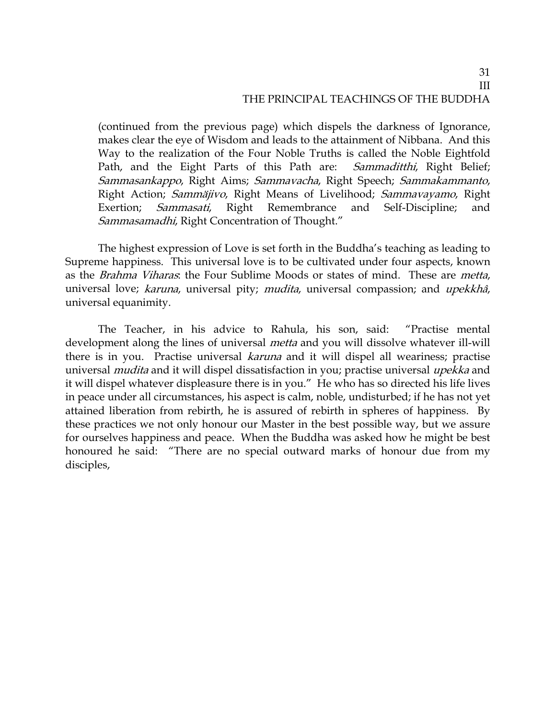(continued from the previous page) which dispels the darkness of Ignorance, makes clear the eye of Wisdom and leads to the attainment of Nibbana. And this Way to the realization of the Four Noble Truths is called the Noble Eightfold Path, and the Eight Parts of this Path are: *Sammaditthi*, Right Belief; Sammasankappo, Right Aims; Sammavacha, Right Speech; Sammakammanto, Right Action; Sammäjivo, Right Means of Livelihood; Sammavayamo, Right Exertion; *Sammasati*, Right Remembrance and Self-Discipline; and Sammasamadhi, Right Concentration of Thought."

The highest expression of Love is set forth in the Buddha's teaching as leading to Supreme happiness. This universal love is to be cultivated under four aspects, known as the *Brahma Viharas*: the Four Sublime Moods or states of mind. These are *metta*, universal love; karuna, universal pity; mudita, universal compassion; and upekkhâ, universal equanimity.

The Teacher, in his advice to Rahula, his son, said: "Practise mental development along the lines of universal *metta* and you will dissolve whatever ill-will there is in you. Practise universal *karuna* and it will dispel all weariness; practise universal *mudita* and it will dispel dissatisfaction in you; practise universal *upekka* and it will dispel whatever displeasure there is in you." He who has so directed his life lives in peace under all circumstances, his aspect is calm, noble, undisturbed; if he has not yet attained liberation from rebirth, he is assured of rebirth in spheres of happiness. By these practices we not only honour our Master in the best possible way, but we assure for ourselves happiness and peace. When the Buddha was asked how he might be best honoured he said: "There are no special outward marks of honour due from my disciples,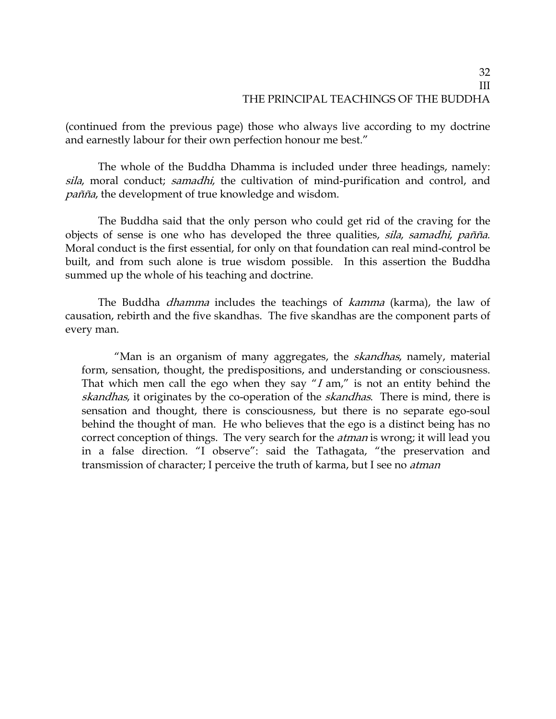(continued from the previous page) those who always live according to my doctrine and earnestly labour for their own perfection honour me best."

The whole of the Buddha Dhamma is included under three headings, namely: sila, moral conduct; samadhi, the cultivation of mind-purification and control, and pañña, the development of true knowledge and wisdom.

The Buddha said that the only person who could get rid of the craving for the objects of sense is one who has developed the three qualities, sila, samadhi, pañña. Moral conduct is the first essential, for only on that foundation can real mind-control be built, and from such alone is true wisdom possible. In this assertion the Buddha summed up the whole of his teaching and doctrine.

The Buddha *dhamma* includes the teachings of *kamma* (karma), the law of causation, rebirth and the five skandhas. The five skandhas are the component parts of every man.

"Man is an organism of many aggregates, the *skandhas*, namely, material form, sensation, thought, the predispositions, and understanding or consciousness. That which men call the ego when they say " $I$  am," is not an entity behind the skandhas, it originates by the co-operation of the *skandhas*. There is mind, there is sensation and thought, there is consciousness, but there is no separate ego-soul behind the thought of man. He who believes that the ego is a distinct being has no correct conception of things. The very search for the *atman* is wrong; it will lead you in a false direction. "I observe": said the Tathagata, "the preservation and transmission of character; I perceive the truth of karma, but I see no *atman*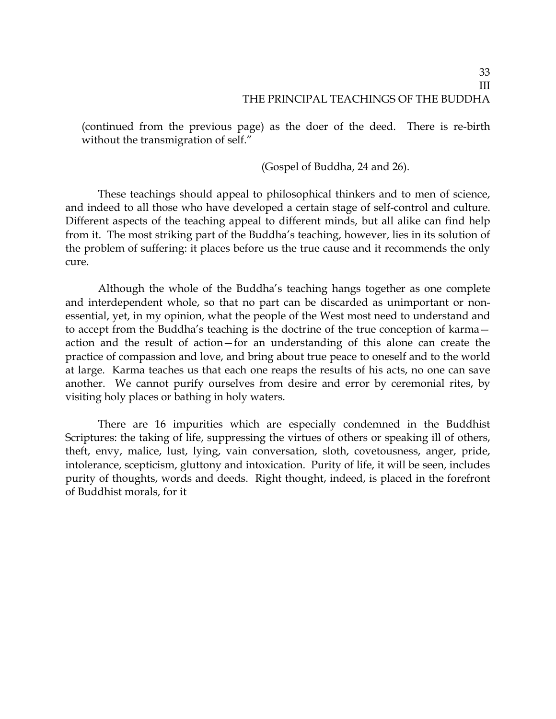(continued from the previous page) as the doer of the deed. There is re-birth without the transmigration of self."

(Gospel of Buddha, 24 and 26).

These teachings should appeal to philosophical thinkers and to men of science, and indeed to all those who have developed a certain stage of self-control and culture. Different aspects of the teaching appeal to different minds, but all alike can find help from it. The most striking part of the Buddha's teaching, however, lies in its solution of the problem of suffering: it places before us the true cause and it recommends the only cure.

Although the whole of the Buddha's teaching hangs together as one complete and interdependent whole, so that no part can be discarded as unimportant or nonessential, yet, in my opinion, what the people of the West most need to understand and to accept from the Buddha's teaching is the doctrine of the true conception of karma action and the result of action—for an understanding of this alone can create the practice of compassion and love, and bring about true peace to oneself and to the world at large. Karma teaches us that each one reaps the results of his acts, no one can save another. We cannot purify ourselves from desire and error by ceremonial rites, by visiting holy places or bathing in holy waters.

There are 16 impurities which are especially condemned in the Buddhist Scriptures: the taking of life, suppressing the virtues of others or speaking ill of others, theft, envy, malice, lust, lying, vain conversation, sloth, covetousness, anger, pride, intolerance, scepticism, gluttony and intoxication. Purity of life, it will be seen, includes purity of thoughts, words and deeds. Right thought, indeed, is placed in the forefront of Buddhist morals, for it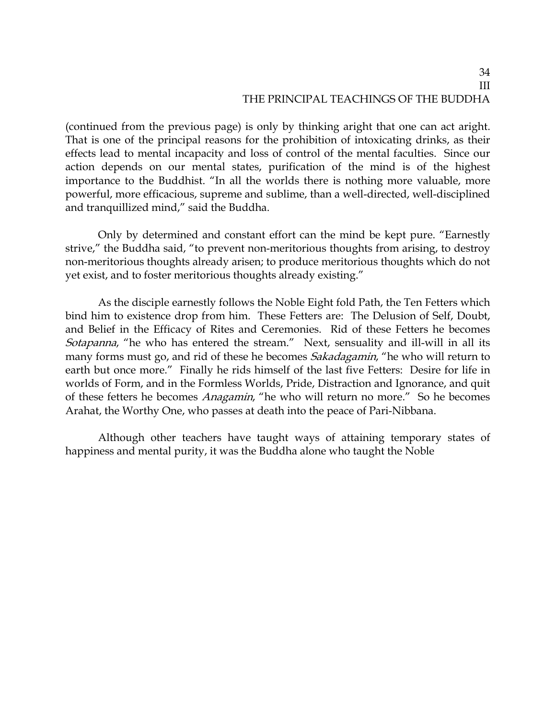(continued from the previous page) is only by thinking aright that one can act aright. That is one of the principal reasons for the prohibition of intoxicating drinks, as their effects lead to mental incapacity and loss of control of the mental faculties. Since our action depends on our mental states, purification of the mind is of the highest importance to the Buddhist. "In all the worlds there is nothing more valuable, more powerful, more efficacious, supreme and sublime, than a well-directed, well-disciplined and tranquillized mind," said the Buddha.

Only by determined and constant effort can the mind be kept pure. "Earnestly strive," the Buddha said, "to prevent non-meritorious thoughts from arising, to destroy non-meritorious thoughts already arisen; to produce meritorious thoughts which do not yet exist, and to foster meritorious thoughts already existing."

As the disciple earnestly follows the Noble Eight fold Path, the Ten Fetters which bind him to existence drop from him. These Fetters are: The Delusion of Self, Doubt, and Belief in the Efficacy of Rites and Ceremonies. Rid of these Fetters he becomes Sotapanna, "he who has entered the stream." Next, sensuality and ill-will in all its many forms must go, and rid of these he becomes *Sakadagamin*, "he who will return to earth but once more." Finally he rids himself of the last five Fetters: Desire for life in worlds of Form, and in the Formless Worlds, Pride, Distraction and Ignorance, and quit of these fetters he becomes Anagamin, "he who will return no more." So he becomes Arahat, the Worthy One, who passes at death into the peace of Pari-Nibbana.

Although other teachers have taught ways of attaining temporary states of happiness and mental purity, it was the Buddha alone who taught the Noble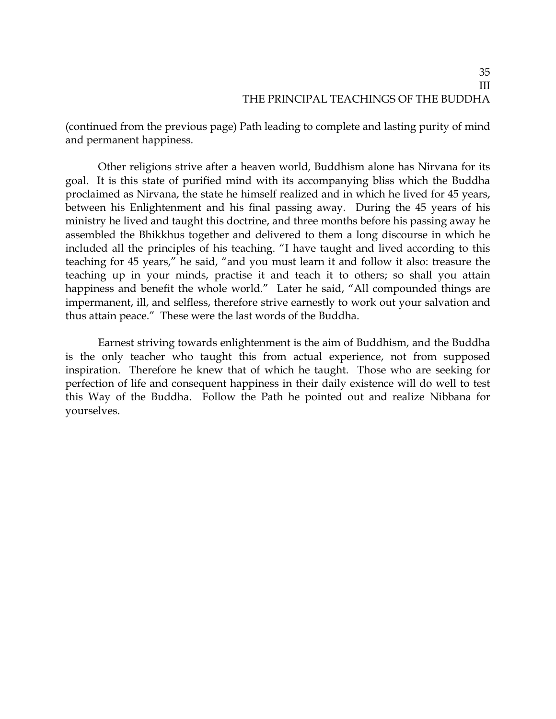(continued from the previous page) Path leading to complete and lasting purity of mind and permanent happiness.

Other religions strive after a heaven world, Buddhism alone has Nirvana for its goal. It is this state of purified mind with its accompanying bliss which the Buddha proclaimed as Nirvana, the state he himself realized and in which he lived for 45 years, between his Enlightenment and his final passing away. During the 45 years of his ministry he lived and taught this doctrine, and three months before his passing away he assembled the Bhikkhus together and delivered to them a long discourse in which he included all the principles of his teaching. "I have taught and lived according to this teaching for 45 years," he said, "and you must learn it and follow it also: treasure the teaching up in your minds, practise it and teach it to others; so shall you attain happiness and benefit the whole world." Later he said, "All compounded things are impermanent, ill, and selfless, therefore strive earnestly to work out your salvation and thus attain peace." These were the last words of the Buddha.

Earnest striving towards enlightenment is the aim of Buddhism, and the Buddha is the only teacher who taught this from actual experience, not from supposed inspiration. Therefore he knew that of which he taught. Those who are seeking for perfection of life and consequent happiness in their daily existence will do well to test this Way of the Buddha. Follow the Path he pointed out and realize Nibbana for yourselves.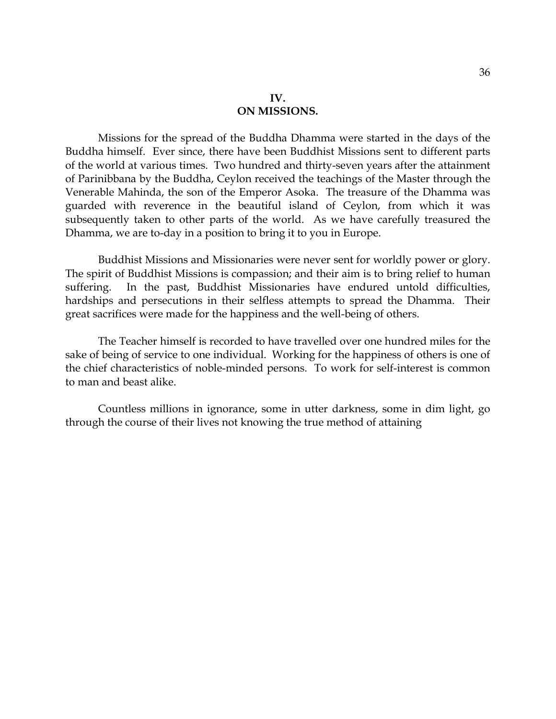Missions for the spread of the Buddha Dhamma were started in the days of the Buddha himself. Ever since, there have been Buddhist Missions sent to different parts of the world at various times. Two hundred and thirty-seven years after the attainment of Parinibbana by the Buddha, Ceylon received the teachings of the Master through the Venerable Mahinda, the son of the Emperor Asoka. The treasure of the Dhamma was guarded with reverence in the beautiful island of Ceylon, from which it was subsequently taken to other parts of the world. As we have carefully treasured the Dhamma, we are to-day in a position to bring it to you in Europe.

Buddhist Missions and Missionaries were never sent for worldly power or glory. The spirit of Buddhist Missions is compassion; and their aim is to bring relief to human suffering. In the past, Buddhist Missionaries have endured untold difficulties, hardships and persecutions in their selfless attempts to spread the Dhamma. Their great sacrifices were made for the happiness and the well-being of others.

The Teacher himself is recorded to have travelled over one hundred miles for the sake of being of service to one individual. Working for the happiness of others is one of the chief characteristics of noble-minded persons. To work for self-interest is common to man and beast alike.

Countless millions in ignorance, some in utter darkness, some in dim light, go through the course of their lives not knowing the true method of attaining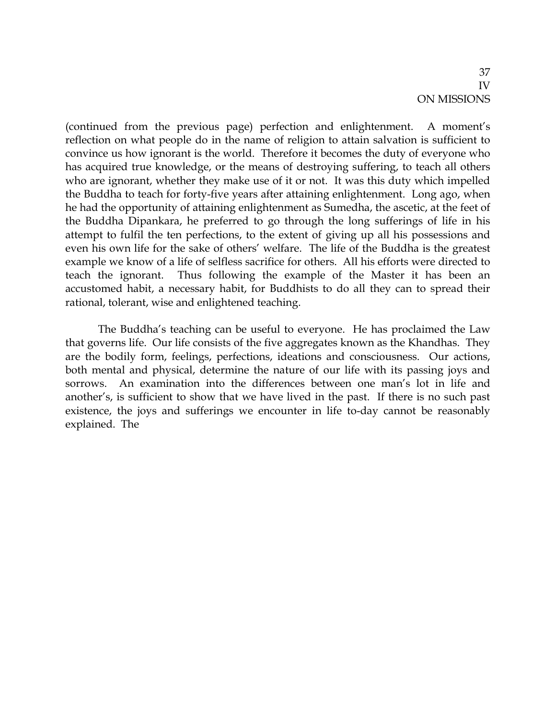(continued from the previous page) perfection and enlightenment. A moment's reflection on what people do in the name of religion to attain salvation is sufficient to convince us how ignorant is the world. Therefore it becomes the duty of everyone who has acquired true knowledge, or the means of destroying suffering, to teach all others who are ignorant, whether they make use of it or not. It was this duty which impelled the Buddha to teach for forty-five years after attaining enlightenment. Long ago, when he had the opportunity of attaining enlightenment as Sumedha, the ascetic, at the feet of the Buddha Dipankara, he preferred to go through the long sufferings of life in his attempt to fulfil the ten perfections, to the extent of giving up all his possessions and even his own life for the sake of others' welfare. The life of the Buddha is the greatest example we know of a life of selfless sacrifice for others. All his efforts were directed to teach the ignorant. Thus following the example of the Master it has been an accustomed habit, a necessary habit, for Buddhists to do all they can to spread their rational, tolerant, wise and enlightened teaching.

The Buddha's teaching can be useful to everyone. He has proclaimed the Law that governs life. Our life consists of the five aggregates known as the Khandhas. They are the bodily form, feelings, perfections, ideations and consciousness. Our actions, both mental and physical, determine the nature of our life with its passing joys and sorrows. An examination into the differences between one man's lot in life and another's, is sufficient to show that we have lived in the past. If there is no such past existence, the joys and sufferings we encounter in life to-day cannot be reasonably explained. The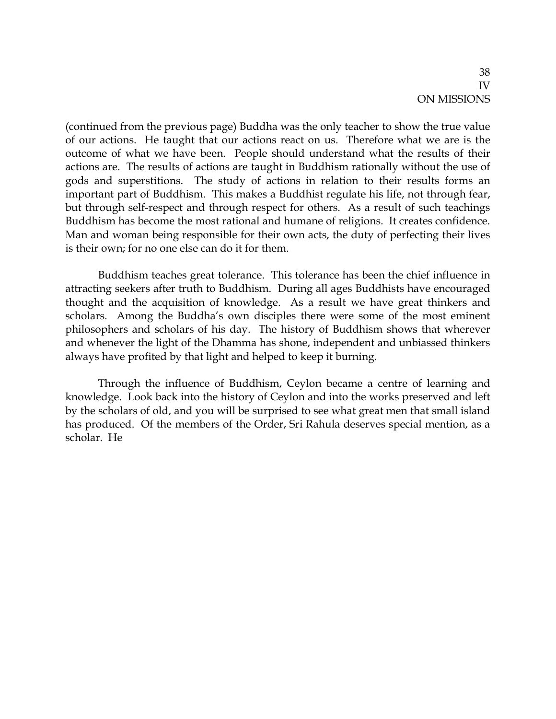(continued from the previous page) Buddha was the only teacher to show the true value of our actions. He taught that our actions react on us. Therefore what we are is the outcome of what we have been. People should understand what the results of their actions are. The results of actions are taught in Buddhism rationally without the use of gods and superstitions. The study of actions in relation to their results forms an important part of Buddhism. This makes a Buddhist regulate his life, not through fear, but through self-respect and through respect for others. As a result of such teachings Buddhism has become the most rational and humane of religions. It creates confidence. Man and woman being responsible for their own acts, the duty of perfecting their lives is their own; for no one else can do it for them.

Buddhism teaches great tolerance. This tolerance has been the chief influence in attracting seekers after truth to Buddhism. During all ages Buddhists have encouraged thought and the acquisition of knowledge. As a result we have great thinkers and scholars. Among the Buddha's own disciples there were some of the most eminent philosophers and scholars of his day. The history of Buddhism shows that wherever and whenever the light of the Dhamma has shone, independent and unbiassed thinkers always have profited by that light and helped to keep it burning.

Through the influence of Buddhism, Ceylon became a centre of learning and knowledge. Look back into the history of Ceylon and into the works preserved and left by the scholars of old, and you will be surprised to see what great men that small island has produced. Of the members of the Order, Sri Rahula deserves special mention, as a scholar. He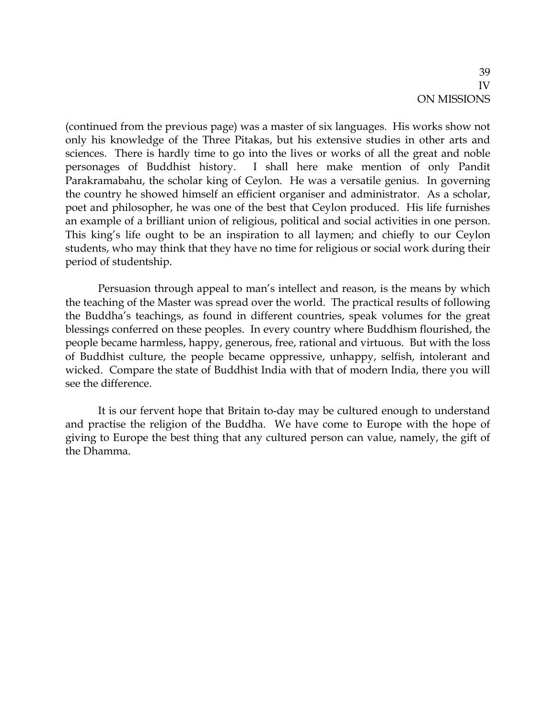(continued from the previous page) was a master of six languages. His works show not only his knowledge of the Three Pitakas, but his extensive studies in other arts and sciences. There is hardly time to go into the lives or works of all the great and noble personages of Buddhist history. I shall here make mention of only Pandit Parakramabahu, the scholar king of Ceylon. He was a versatile genius. In governing the country he showed himself an efficient organiser and administrator. As a scholar, poet and philosopher, he was one of the best that Ceylon produced. His life furnishes an example of a brilliant union of religious, political and social activities in one person. This king's life ought to be an inspiration to all laymen; and chiefly to our Ceylon students, who may think that they have no time for religious or social work during their period of studentship.

Persuasion through appeal to man's intellect and reason, is the means by which the teaching of the Master was spread over the world. The practical results of following the Buddha's teachings, as found in different countries, speak volumes for the great blessings conferred on these peoples. In every country where Buddhism flourished, the people became harmless, happy, generous, free, rational and virtuous. But with the loss of Buddhist culture, the people became oppressive, unhappy, selfish, intolerant and wicked. Compare the state of Buddhist India with that of modern India, there you will see the difference.

It is our fervent hope that Britain to-day may be cultured enough to understand and practise the religion of the Buddha. We have come to Europe with the hope of giving to Europe the best thing that any cultured person can value, namely, the gift of the Dhamma.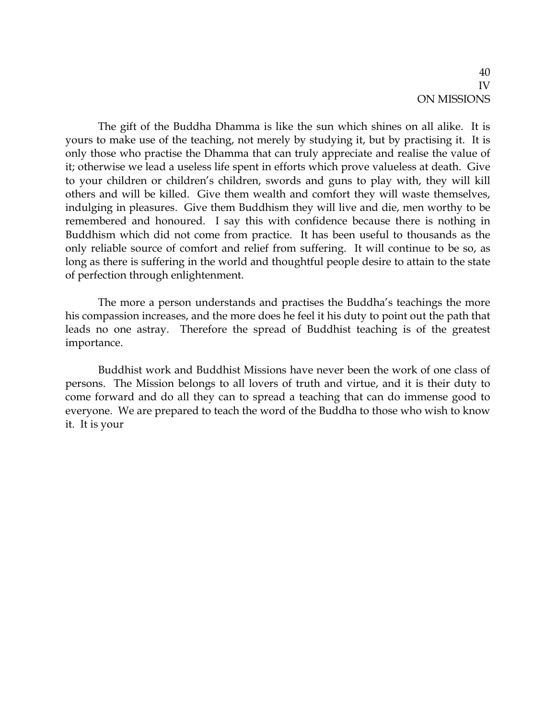The gift of the Buddha Dhamma is like the sun which shines on all alike. It is yours to make use of the teaching, not merely by studying it, but by practising it. It is only those who practise the Dhamma that can truly appreciate and realise the value of it; otherwise we lead a useless life spent in efforts which prove valueless at death. Give to your children or children's children, swords and guns to play with, they will kill others and will be killed. Give them wealth and comfort they will waste themselves, indulging in pleasures. Give them Buddhism they will live and die, men worthy to be remembered and honoured. I say this with confidence because there is nothing in Buddhism which did not come from practice. It has been useful to thousands as the only reliable source of comfort and relief from suffering. It will continue to be so, as long as there is suffering in the world and thoughtful people desire to attain to the state of perfection through enlightenment.

The more a person understands and practises the Buddha's teachings the more his compassion increases, and the more does he feel it his duty to point out the path that leads no one astray. Therefore the spread of Buddhist teaching is of the greatest importance.

Buddhist work and Buddhist Missions have never been the work of one class of persons. The Mission belongs to all lovers of truth and virtue, and it is their duty to come forward and do all they can to spread a teaching that can do immense good to everyone. We are prepared to teach the word of the Buddha to those who wish to know it. It is your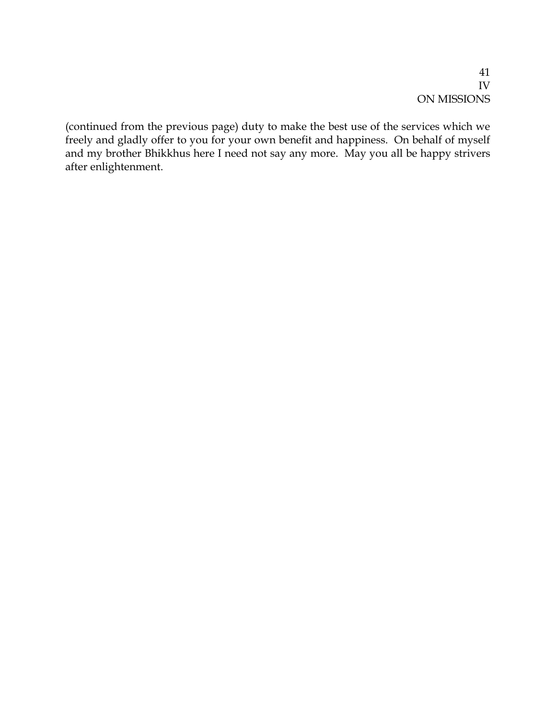(continued from the previous page) duty to make the best use of the services which we freely and gladly offer to you for your own benefit and happiness. On behalf of myself and my brother Bhikkhus here I need not say any more. May you all be happy strivers after enlightenment.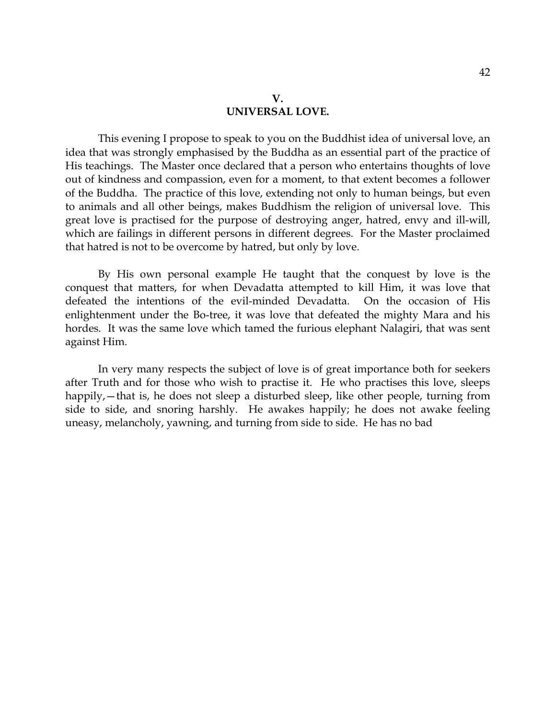This evening I propose to speak to you on the Buddhist idea of universal love, an idea that was strongly emphasised by the Buddha as an essential part of the practice of His teachings. The Master once declared that a person who entertains thoughts of love out of kindness and compassion, even for a moment, to that extent becomes a follower of the Buddha. The practice of this love, extending not only to human beings, but even to animals and all other beings, makes Buddhism the religion of universal love. This great love is practised for the purpose of destroying anger, hatred, envy and ill-will, which are failings in different persons in different degrees. For the Master proclaimed that hatred is not to be overcome by hatred, but only by love.

By His own personal example He taught that the conquest by love is the conquest that matters, for when Devadatta attempted to kill Him, it was love that defeated the intentions of the evil-minded Devadatta. On the occasion of His enlightenment under the Bo-tree, it was love that defeated the mighty Mara and his hordes. It was the same love which tamed the furious elephant Nalagiri, that was sent against Him.

In very many respects the subject of love is of great importance both for seekers after Truth and for those who wish to practise it. He who practises this love, sleeps happily, — that is, he does not sleep a disturbed sleep, like other people, turning from side to side, and snoring harshly. He awakes happily; he does not awake feeling uneasy, melancholy, yawning, and turning from side to side. He has no bad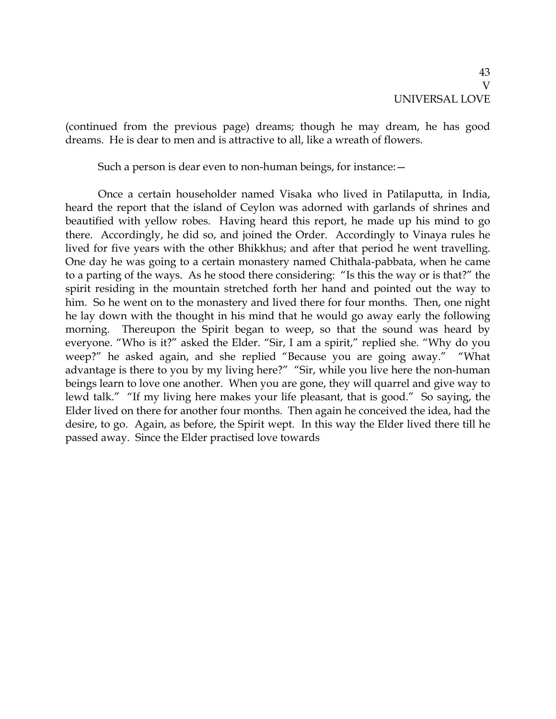(continued from the previous page) dreams; though he may dream, he has good dreams. He is dear to men and is attractive to all, like a wreath of flowers.

Such a person is dear even to non-human beings, for instance:—

Once a certain householder named Visaka who lived in Patilaputta, in India, heard the report that the island of Ceylon was adorned with garlands of shrines and beautified with yellow robes. Having heard this report, he made up his mind to go there. Accordingly, he did so, and joined the Order. Accordingly to Vinaya rules he lived for five years with the other Bhikkhus; and after that period he went travelling. One day he was going to a certain monastery named Chithala-pabbata, when he came to a parting of the ways. As he stood there considering: "Is this the way or is that?" the spirit residing in the mountain stretched forth her hand and pointed out the way to him. So he went on to the monastery and lived there for four months. Then, one night he lay down with the thought in his mind that he would go away early the following morning. Thereupon the Spirit began to weep, so that the sound was heard by everyone. "Who is it?" asked the Elder. "Sir, I am a spirit," replied she. "Why do you weep?" he asked again, and she replied "Because you are going away." "What advantage is there to you by my living here?" "Sir, while you live here the non-human beings learn to love one another. When you are gone, they will quarrel and give way to lewd talk." "If my living here makes your life pleasant, that is good." So saying, the Elder lived on there for another four months. Then again he conceived the idea, had the desire, to go. Again, as before, the Spirit wept. In this way the Elder lived there till he passed away. Since the Elder practised love towards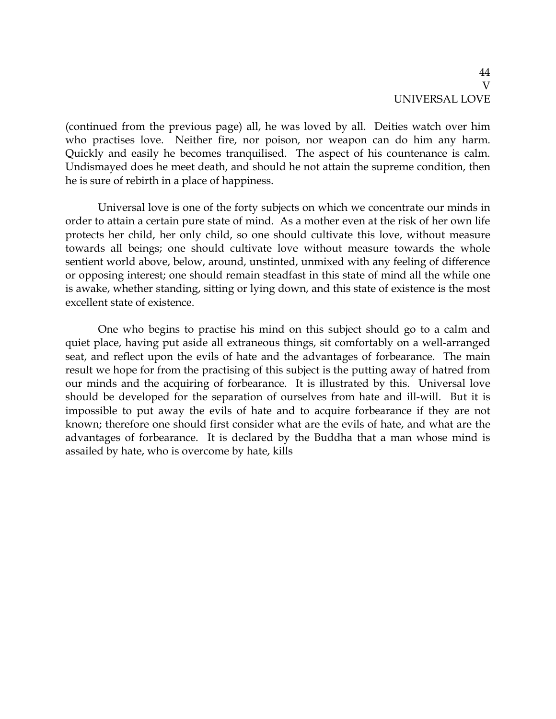(continued from the previous page) all, he was loved by all. Deities watch over him who practises love. Neither fire, nor poison, nor weapon can do him any harm. Quickly and easily he becomes tranquilised. The aspect of his countenance is calm. Undismayed does he meet death, and should he not attain the supreme condition, then he is sure of rebirth in a place of happiness.

Universal love is one of the forty subjects on which we concentrate our minds in order to attain a certain pure state of mind. As a mother even at the risk of her own life protects her child, her only child, so one should cultivate this love, without measure towards all beings; one should cultivate love without measure towards the whole sentient world above, below, around, unstinted, unmixed with any feeling of difference or opposing interest; one should remain steadfast in this state of mind all the while one is awake, whether standing, sitting or lying down, and this state of existence is the most excellent state of existence.

One who begins to practise his mind on this subject should go to a calm and quiet place, having put aside all extraneous things, sit comfortably on a well-arranged seat, and reflect upon the evils of hate and the advantages of forbearance. The main result we hope for from the practising of this subject is the putting away of hatred from our minds and the acquiring of forbearance. It is illustrated by this. Universal love should be developed for the separation of ourselves from hate and ill-will. But it is impossible to put away the evils of hate and to acquire forbearance if they are not known; therefore one should first consider what are the evils of hate, and what are the advantages of forbearance. It is declared by the Buddha that a man whose mind is assailed by hate, who is overcome by hate, kills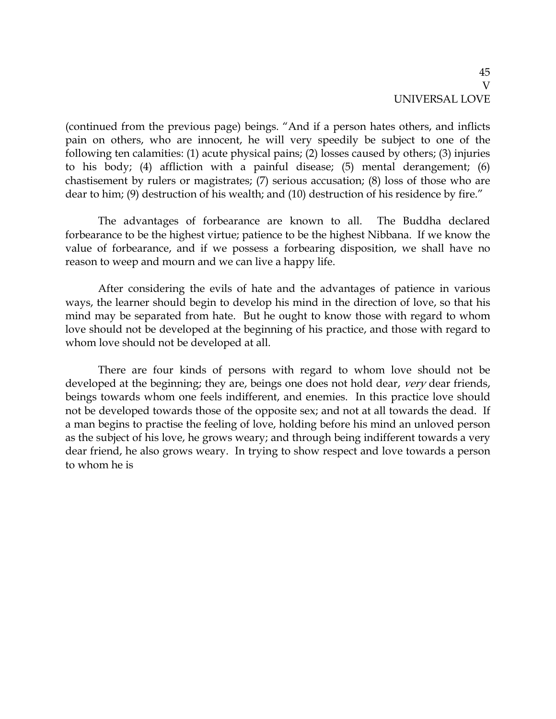(continued from the previous page) beings. "And if a person hates others, and inflicts pain on others, who are innocent, he will very speedily be subject to one of the following ten calamities: (1) acute physical pains; (2) losses caused by others; (3) injuries to his body; (4) affliction with a painful disease; (5) mental derangement; (6) chastisement by rulers or magistrates; (7) serious accusation; (8) loss of those who are dear to him; (9) destruction of his wealth; and (10) destruction of his residence by fire."

The advantages of forbearance are known to all. The Buddha declared forbearance to be the highest virtue; patience to be the highest Nibbana. If we know the value of forbearance, and if we possess a forbearing disposition, we shall have no reason to weep and mourn and we can live a happy life.

After considering the evils of hate and the advantages of patience in various ways, the learner should begin to develop his mind in the direction of love, so that his mind may be separated from hate. But he ought to know those with regard to whom love should not be developed at the beginning of his practice, and those with regard to whom love should not be developed at all.

There are four kinds of persons with regard to whom love should not be developed at the beginning; they are, beings one does not hold dear, very dear friends, beings towards whom one feels indifferent, and enemies. In this practice love should not be developed towards those of the opposite sex; and not at all towards the dead. If a man begins to practise the feeling of love, holding before his mind an unloved person as the subject of his love, he grows weary; and through being indifferent towards a very dear friend, he also grows weary. In trying to show respect and love towards a person to whom he is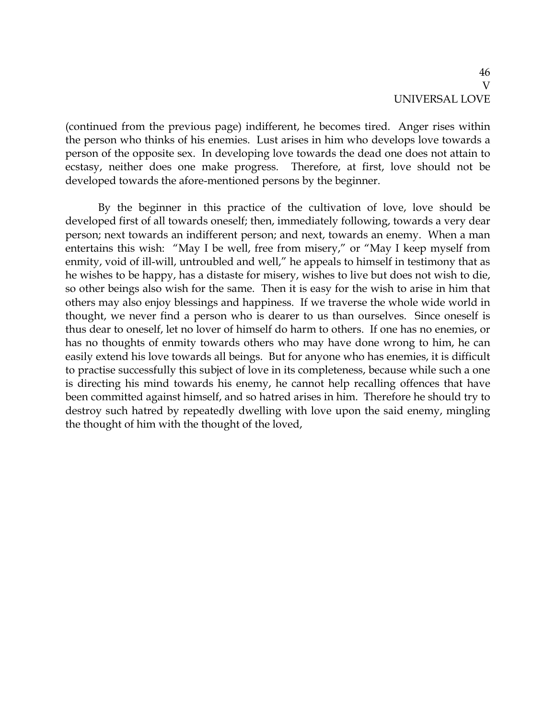(continued from the previous page) indifferent, he becomes tired. Anger rises within the person who thinks of his enemies. Lust arises in him who develops love towards a person of the opposite sex. In developing love towards the dead one does not attain to ecstasy, neither does one make progress. Therefore, at first, love should not be developed towards the afore-mentioned persons by the beginner.

By the beginner in this practice of the cultivation of love, love should be developed first of all towards oneself; then, immediately following, towards a very dear person; next towards an indifferent person; and next, towards an enemy. When a man entertains this wish: "May I be well, free from misery," or "May I keep myself from enmity, void of ill-will, untroubled and well," he appeals to himself in testimony that as he wishes to be happy, has a distaste for misery, wishes to live but does not wish to die, so other beings also wish for the same. Then it is easy for the wish to arise in him that others may also enjoy blessings and happiness. If we traverse the whole wide world in thought, we never find a person who is dearer to us than ourselves. Since oneself is thus dear to oneself, let no lover of himself do harm to others. If one has no enemies, or has no thoughts of enmity towards others who may have done wrong to him, he can easily extend his love towards all beings. But for anyone who has enemies, it is difficult to practise successfully this subject of love in its completeness, because while such a one is directing his mind towards his enemy, he cannot help recalling offences that have been committed against himself, and so hatred arises in him. Therefore he should try to destroy such hatred by repeatedly dwelling with love upon the said enemy, mingling the thought of him with the thought of the loved,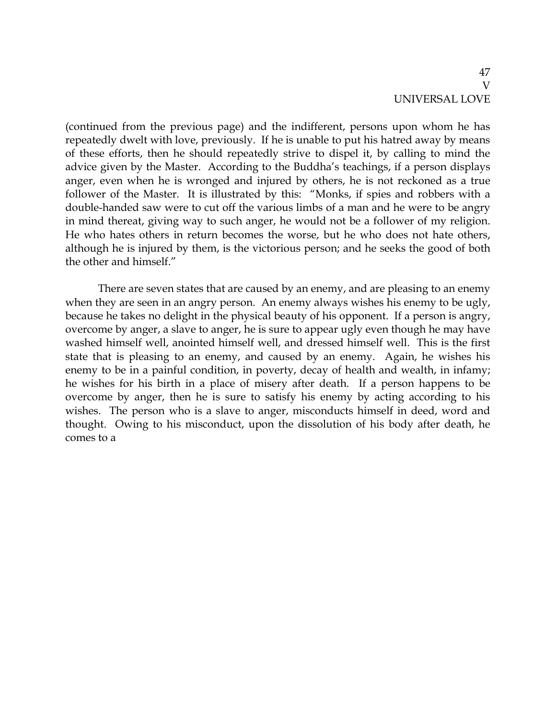(continued from the previous page) and the indifferent, persons upon whom he has repeatedly dwelt with love, previously. If he is unable to put his hatred away by means of these efforts, then he should repeatedly strive to dispel it, by calling to mind the advice given by the Master. According to the Buddha's teachings, if a person displays anger, even when he is wronged and injured by others, he is not reckoned as a true follower of the Master. It is illustrated by this: "Monks, if spies and robbers with a double-handed saw were to cut off the various limbs of a man and he were to be angry in mind thereat, giving way to such anger, he would not be a follower of my religion. He who hates others in return becomes the worse, but he who does not hate others, although he is injured by them, is the victorious person; and he seeks the good of both the other and himself."

There are seven states that are caused by an enemy, and are pleasing to an enemy when they are seen in an angry person. An enemy always wishes his enemy to be ugly, because he takes no delight in the physical beauty of his opponent. If a person is angry, overcome by anger, a slave to anger, he is sure to appear ugly even though he may have washed himself well, anointed himself well, and dressed himself well. This is the first state that is pleasing to an enemy, and caused by an enemy. Again, he wishes his enemy to be in a painful condition, in poverty, decay of health and wealth, in infamy; he wishes for his birth in a place of misery after death. If a person happens to be overcome by anger, then he is sure to satisfy his enemy by acting according to his wishes. The person who is a slave to anger, misconducts himself in deed, word and thought. Owing to his misconduct, upon the dissolution of his body after death, he comes to a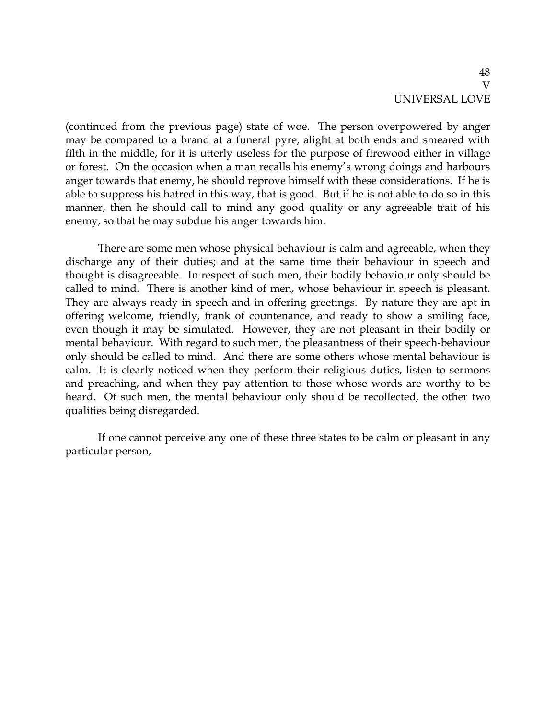(continued from the previous page) state of woe. The person overpowered by anger may be compared to a brand at a funeral pyre, alight at both ends and smeared with filth in the middle, for it is utterly useless for the purpose of firewood either in village or forest. On the occasion when a man recalls his enemy's wrong doings and harbours anger towards that enemy, he should reprove himself with these considerations. If he is able to suppress his hatred in this way, that is good. But if he is not able to do so in this manner, then he should call to mind any good quality or any agreeable trait of his enemy, so that he may subdue his anger towards him.

There are some men whose physical behaviour is calm and agreeable, when they discharge any of their duties; and at the same time their behaviour in speech and thought is disagreeable. In respect of such men, their bodily behaviour only should be called to mind. There is another kind of men, whose behaviour in speech is pleasant. They are always ready in speech and in offering greetings. By nature they are apt in offering welcome, friendly, frank of countenance, and ready to show a smiling face, even though it may be simulated. However, they are not pleasant in their bodily or mental behaviour. With regard to such men, the pleasantness of their speech-behaviour only should be called to mind. And there are some others whose mental behaviour is calm. It is clearly noticed when they perform their religious duties, listen to sermons and preaching, and when they pay attention to those whose words are worthy to be heard. Of such men, the mental behaviour only should be recollected, the other two qualities being disregarded.

If one cannot perceive any one of these three states to be calm or pleasant in any particular person,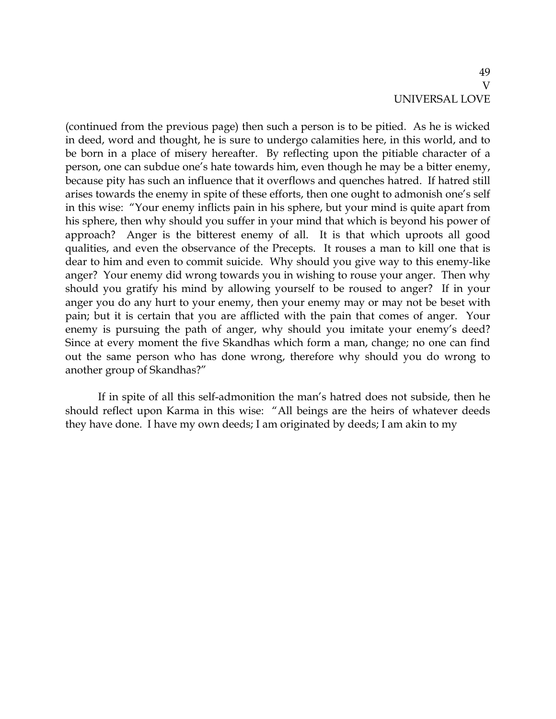(continued from the previous page) then such a person is to be pitied. As he is wicked in deed, word and thought, he is sure to undergo calamities here, in this world, and to be born in a place of misery hereafter. By reflecting upon the pitiable character of a person, one can subdue one's hate towards him, even though he may be a bitter enemy, because pity has such an influence that it overflows and quenches hatred. If hatred still arises towards the enemy in spite of these efforts, then one ought to admonish one's self in this wise: "Your enemy inflicts pain in his sphere, but your mind is quite apart from his sphere, then why should you suffer in your mind that which is beyond his power of approach? Anger is the bitterest enemy of all. It is that which uproots all good qualities, and even the observance of the Precepts. It rouses a man to kill one that is dear to him and even to commit suicide. Why should you give way to this enemy-like anger? Your enemy did wrong towards you in wishing to rouse your anger. Then why should you gratify his mind by allowing yourself to be roused to anger? If in your anger you do any hurt to your enemy, then your enemy may or may not be beset with pain; but it is certain that you are afflicted with the pain that comes of anger. Your enemy is pursuing the path of anger, why should you imitate your enemy's deed? Since at every moment the five Skandhas which form a man, change; no one can find out the same person who has done wrong, therefore why should you do wrong to another group of Skandhas?"

If in spite of all this self-admonition the man's hatred does not subside, then he should reflect upon Karma in this wise: "All beings are the heirs of whatever deeds they have done. I have my own deeds; I am originated by deeds; I am akin to my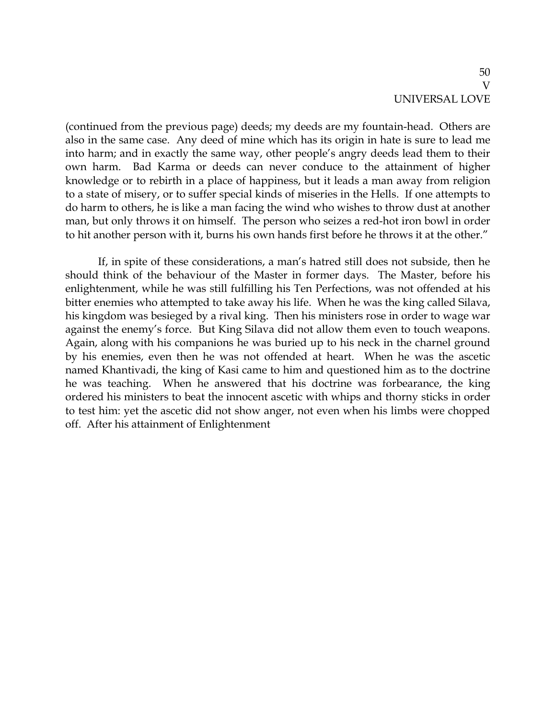(continued from the previous page) deeds; my deeds are my fountain-head. Others are also in the same case. Any deed of mine which has its origin in hate is sure to lead me into harm; and in exactly the same way, other people's angry deeds lead them to their own harm. Bad Karma or deeds can never conduce to the attainment of higher knowledge or to rebirth in a place of happiness, but it leads a man away from religion to a state of misery, or to suffer special kinds of miseries in the Hells. If one attempts to do harm to others, he is like a man facing the wind who wishes to throw dust at another man, but only throws it on himself. The person who seizes a red-hot iron bowl in order to hit another person with it, burns his own hands first before he throws it at the other."

If, in spite of these considerations, a man's hatred still does not subside, then he should think of the behaviour of the Master in former days. The Master, before his enlightenment, while he was still fulfilling his Ten Perfections, was not offended at his bitter enemies who attempted to take away his life. When he was the king called Silava, his kingdom was besieged by a rival king. Then his ministers rose in order to wage war against the enemy's force. But King Silava did not allow them even to touch weapons. Again, along with his companions he was buried up to his neck in the charnel ground by his enemies, even then he was not offended at heart. When he was the ascetic named Khantivadi, the king of Kasi came to him and questioned him as to the doctrine he was teaching. When he answered that his doctrine was forbearance, the king ordered his ministers to beat the innocent ascetic with whips and thorny sticks in order to test him: yet the ascetic did not show anger, not even when his limbs were chopped off. After his attainment of Enlightenment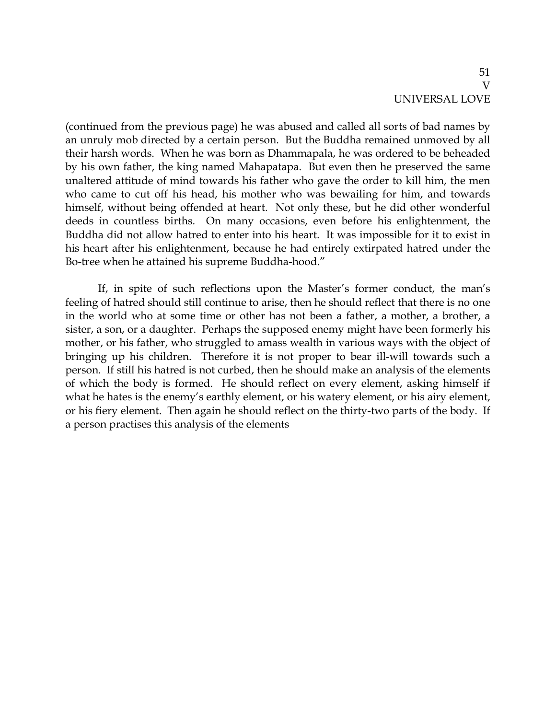(continued from the previous page) he was abused and called all sorts of bad names by an unruly mob directed by a certain person. But the Buddha remained unmoved by all their harsh words. When he was born as Dhammapala, he was ordered to be beheaded by his own father, the king named Mahapatapa. But even then he preserved the same unaltered attitude of mind towards his father who gave the order to kill him, the men who came to cut off his head, his mother who was bewailing for him, and towards himself, without being offended at heart. Not only these, but he did other wonderful deeds in countless births. On many occasions, even before his enlightenment, the Buddha did not allow hatred to enter into his heart. It was impossible for it to exist in his heart after his enlightenment, because he had entirely extirpated hatred under the Bo-tree when he attained his supreme Buddha-hood."

If, in spite of such reflections upon the Master's former conduct, the man's feeling of hatred should still continue to arise, then he should reflect that there is no one in the world who at some time or other has not been a father, a mother, a brother, a sister, a son, or a daughter. Perhaps the supposed enemy might have been formerly his mother, or his father, who struggled to amass wealth in various ways with the object of bringing up his children. Therefore it is not proper to bear ill-will towards such a person. If still his hatred is not curbed, then he should make an analysis of the elements of which the body is formed. He should reflect on every element, asking himself if what he hates is the enemy's earthly element, or his watery element, or his airy element, or his fiery element. Then again he should reflect on the thirty-two parts of the body. If a person practises this analysis of the elements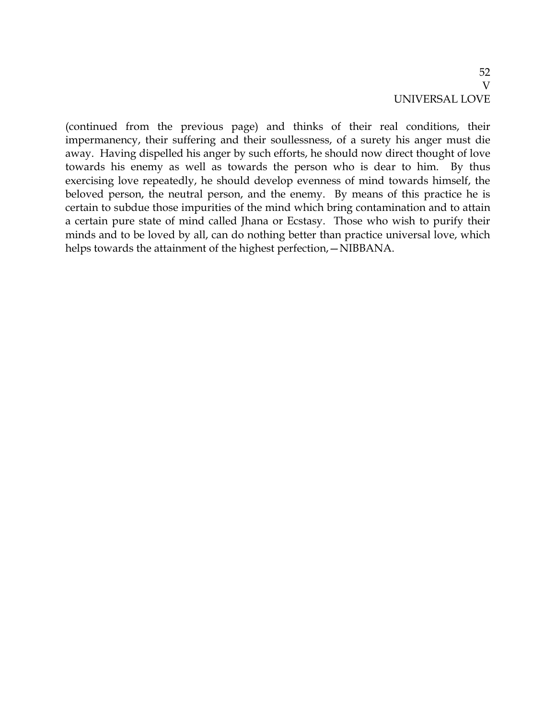(continued from the previous page) and thinks of their real conditions, their impermanency, their suffering and their soullessness, of a surety his anger must die away. Having dispelled his anger by such efforts, he should now direct thought of love towards his enemy as well as towards the person who is dear to him. By thus exercising love repeatedly, he should develop evenness of mind towards himself, the beloved person, the neutral person, and the enemy. By means of this practice he is certain to subdue those impurities of the mind which bring contamination and to attain a certain pure state of mind called Jhana or Ecstasy. Those who wish to purify their minds and to be loved by all, can do nothing better than practice universal love, which helps towards the attainment of the highest perfection, - NIBBANA.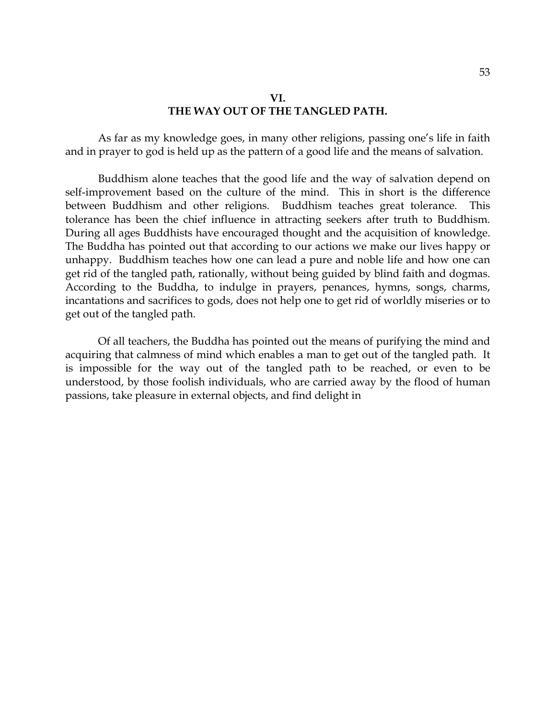#### **VI. THE WAY OUT OF THE TANGLED PATH.**

As far as my knowledge goes, in many other religions, passing one's life in faith and in prayer to god is held up as the pattern of a good life and the means of salvation.

Buddhism alone teaches that the good life and the way of salvation depend on self-improvement based on the culture of the mind. This in short is the difference between Buddhism and other religions. Buddhism teaches great tolerance. This tolerance has been the chief influence in attracting seekers after truth to Buddhism. During all ages Buddhists have encouraged thought and the acquisition of knowledge. The Buddha has pointed out that according to our actions we make our lives happy or unhappy. Buddhism teaches how one can lead a pure and noble life and how one can get rid of the tangled path, rationally, without being guided by blind faith and dogmas. According to the Buddha, to indulge in prayers, penances, hymns, songs, charms, incantations and sacrifices to gods, does not help one to get rid of worldly miseries or to get out of the tangled path.

Of all teachers, the Buddha has pointed out the means of purifying the mind and acquiring that calmness of mind which enables a man to get out of the tangled path. It is impossible for the way out of the tangled path to be reached, or even to be understood, by those foolish individuals, who are carried away by the flood of human passions, take pleasure in external objects, and find delight in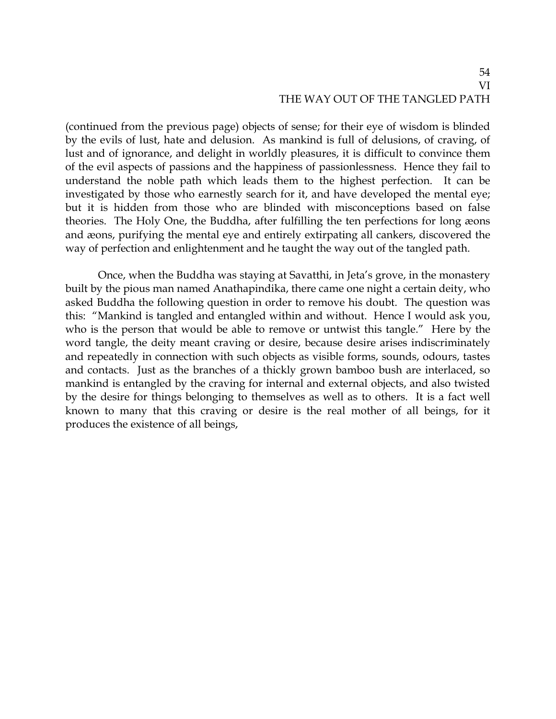### 54 VI THE WAY OUT OF THE TANGLED PATH

(continued from the previous page) objects of sense; for their eye of wisdom is blinded by the evils of lust, hate and delusion. As mankind is full of delusions, of craving, of lust and of ignorance, and delight in worldly pleasures, it is difficult to convince them of the evil aspects of passions and the happiness of passionlessness. Hence they fail to understand the noble path which leads them to the highest perfection. It can be investigated by those who earnestly search for it, and have developed the mental eye; but it is hidden from those who are blinded with misconceptions based on false theories. The Holy One, the Buddha, after fulfilling the ten perfections for long æons and æons, purifying the mental eye and entirely extirpating all cankers, discovered the way of perfection and enlightenment and he taught the way out of the tangled path.

Once, when the Buddha was staying at Savatthi, in Jeta's grove, in the monastery built by the pious man named Anathapindika, there came one night a certain deity, who asked Buddha the following question in order to remove his doubt. The question was this: "Mankind is tangled and entangled within and without. Hence I would ask you, who is the person that would be able to remove or untwist this tangle." Here by the word tangle, the deity meant craving or desire, because desire arises indiscriminately and repeatedly in connection with such objects as visible forms, sounds, odours, tastes and contacts. Just as the branches of a thickly grown bamboo bush are interlaced, so mankind is entangled by the craving for internal and external objects, and also twisted by the desire for things belonging to themselves as well as to others. It is a fact well known to many that this craving or desire is the real mother of all beings, for it produces the existence of all beings,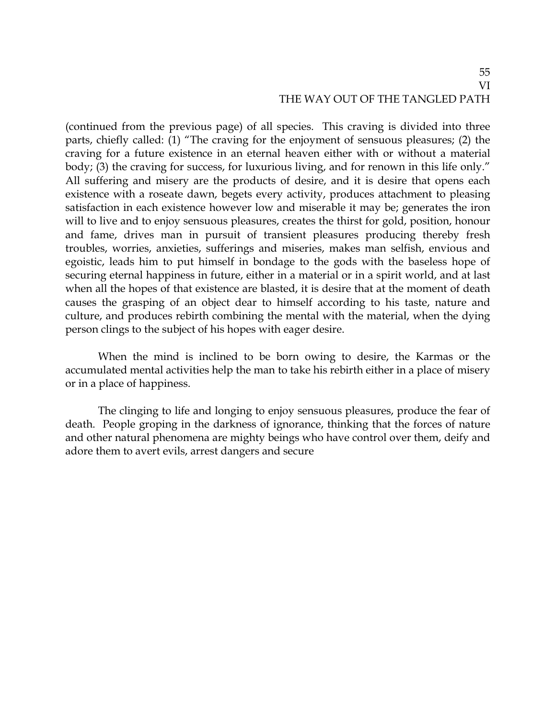### 55 VI THE WAY OUT OF THE TANGLED PATH

(continued from the previous page) of all species. This craving is divided into three parts, chiefly called: (1) "The craving for the enjoyment of sensuous pleasures; (2) the craving for a future existence in an eternal heaven either with or without a material body; (3) the craving for success, for luxurious living, and for renown in this life only." All suffering and misery are the products of desire, and it is desire that opens each existence with a roseate dawn, begets every activity, produces attachment to pleasing satisfaction in each existence however low and miserable it may be; generates the iron will to live and to enjoy sensuous pleasures, creates the thirst for gold, position, honour and fame, drives man in pursuit of transient pleasures producing thereby fresh troubles, worries, anxieties, sufferings and miseries, makes man selfish, envious and egoistic, leads him to put himself in bondage to the gods with the baseless hope of securing eternal happiness in future, either in a material or in a spirit world, and at last when all the hopes of that existence are blasted, it is desire that at the moment of death causes the grasping of an object dear to himself according to his taste, nature and culture, and produces rebirth combining the mental with the material, when the dying person clings to the subject of his hopes with eager desire.

When the mind is inclined to be born owing to desire, the Karmas or the accumulated mental activities help the man to take his rebirth either in a place of misery or in a place of happiness.

The clinging to life and longing to enjoy sensuous pleasures, produce the fear of death. People groping in the darkness of ignorance, thinking that the forces of nature and other natural phenomena are mighty beings who have control over them, deify and adore them to avert evils, arrest dangers and secure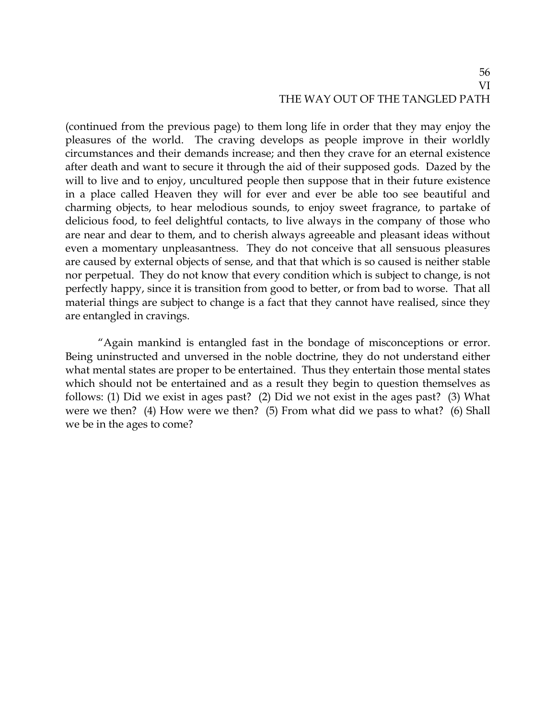## 56 VI THE WAY OUT OF THE TANGLED PATH

(continued from the previous page) to them long life in order that they may enjoy the pleasures of the world. The craving develops as people improve in their worldly circumstances and their demands increase; and then they crave for an eternal existence after death and want to secure it through the aid of their supposed gods. Dazed by the will to live and to enjoy, uncultured people then suppose that in their future existence in a place called Heaven they will for ever and ever be able too see beautiful and charming objects, to hear melodious sounds, to enjoy sweet fragrance, to partake of delicious food, to feel delightful contacts, to live always in the company of those who are near and dear to them, and to cherish always agreeable and pleasant ideas without even a momentary unpleasantness. They do not conceive that all sensuous pleasures are caused by external objects of sense, and that that which is so caused is neither stable nor perpetual. They do not know that every condition which is subject to change, is not perfectly happy, since it is transition from good to better, or from bad to worse. That all material things are subject to change is a fact that they cannot have realised, since they are entangled in cravings.

"Again mankind is entangled fast in the bondage of misconceptions or error. Being uninstructed and unversed in the noble doctrine, they do not understand either what mental states are proper to be entertained. Thus they entertain those mental states which should not be entertained and as a result they begin to question themselves as follows: (1) Did we exist in ages past? (2) Did we not exist in the ages past? (3) What were we then? (4) How were we then? (5) From what did we pass to what? (6) Shall we be in the ages to come?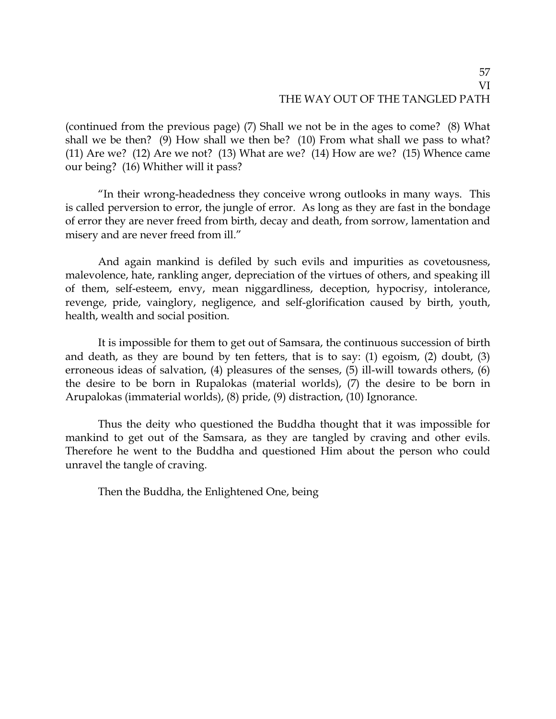(continued from the previous page) (7) Shall we not be in the ages to come? (8) What shall we be then? (9) How shall we then be? (10) From what shall we pass to what? (11) Are we? (12) Are we not? (13) What are we? (14) How are we? (15) Whence came our being? (16) Whither will it pass?

"In their wrong-headedness they conceive wrong outlooks in many ways. This is called perversion to error, the jungle of error. As long as they are fast in the bondage of error they are never freed from birth, decay and death, from sorrow, lamentation and misery and are never freed from ill."

And again mankind is defiled by such evils and impurities as covetousness, malevolence, hate, rankling anger, depreciation of the virtues of others, and speaking ill of them, self-esteem, envy, mean niggardliness, deception, hypocrisy, intolerance, revenge, pride, vainglory, negligence, and self-glorification caused by birth, youth, health, wealth and social position.

It is impossible for them to get out of Samsara, the continuous succession of birth and death, as they are bound by ten fetters, that is to say: (1) egoism, (2) doubt, (3) erroneous ideas of salvation, (4) pleasures of the senses, (5) ill-will towards others, (6) the desire to be born in Rupalokas (material worlds), (7) the desire to be born in Arupalokas (immaterial worlds), (8) pride, (9) distraction, (10) Ignorance.

Thus the deity who questioned the Buddha thought that it was impossible for mankind to get out of the Samsara, as they are tangled by craving and other evils. Therefore he went to the Buddha and questioned Him about the person who could unravel the tangle of craving.

Then the Buddha, the Enlightened One, being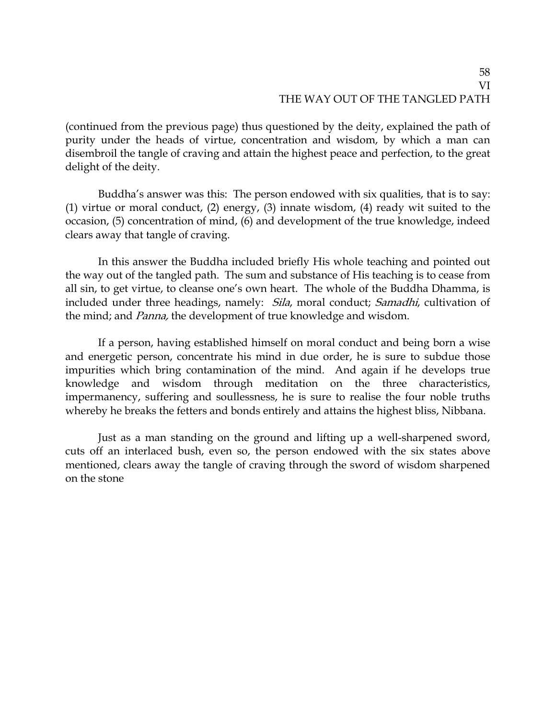(continued from the previous page) thus questioned by the deity, explained the path of purity under the heads of virtue, concentration and wisdom, by which a man can disembroil the tangle of craving and attain the highest peace and perfection, to the great delight of the deity.

Buddha's answer was this: The person endowed with six qualities, that is to say: (1) virtue or moral conduct, (2) energy, (3) innate wisdom, (4) ready wit suited to the occasion, (5) concentration of mind, (6) and development of the true knowledge, indeed clears away that tangle of craving.

In this answer the Buddha included briefly His whole teaching and pointed out the way out of the tangled path. The sum and substance of His teaching is to cease from all sin, to get virtue, to cleanse one's own heart. The whole of the Buddha Dhamma, is included under three headings, namely: *Sila*, moral conduct; *Samadhi*, cultivation of the mind; and Panna, the development of true knowledge and wisdom.

If a person, having established himself on moral conduct and being born a wise and energetic person, concentrate his mind in due order, he is sure to subdue those impurities which bring contamination of the mind. And again if he develops true knowledge and wisdom through meditation on the three characteristics, impermanency, suffering and soullessness, he is sure to realise the four noble truths whereby he breaks the fetters and bonds entirely and attains the highest bliss, Nibbana.

Just as a man standing on the ground and lifting up a well-sharpened sword, cuts off an interlaced bush, even so, the person endowed with the six states above mentioned, clears away the tangle of craving through the sword of wisdom sharpened on the stone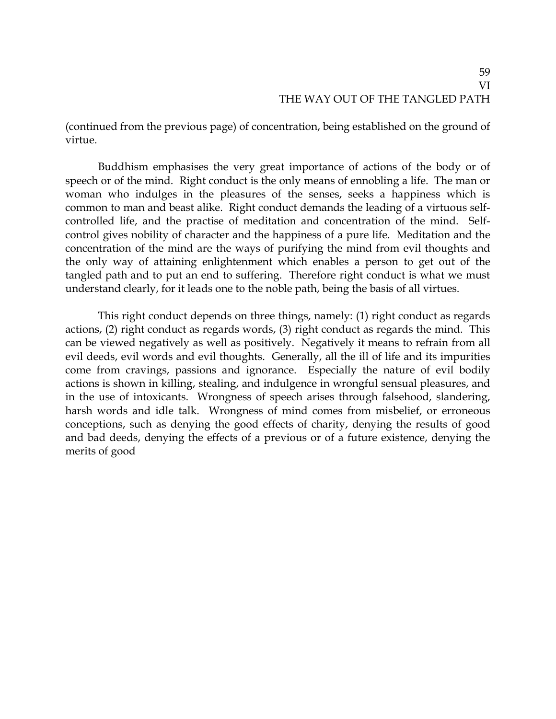(continued from the previous page) of concentration, being established on the ground of virtue.

Buddhism emphasises the very great importance of actions of the body or of speech or of the mind. Right conduct is the only means of ennobling a life. The man or woman who indulges in the pleasures of the senses, seeks a happiness which is common to man and beast alike. Right conduct demands the leading of a virtuous selfcontrolled life, and the practise of meditation and concentration of the mind. Selfcontrol gives nobility of character and the happiness of a pure life. Meditation and the concentration of the mind are the ways of purifying the mind from evil thoughts and the only way of attaining enlightenment which enables a person to get out of the tangled path and to put an end to suffering. Therefore right conduct is what we must understand clearly, for it leads one to the noble path, being the basis of all virtues.

This right conduct depends on three things, namely: (1) right conduct as regards actions, (2) right conduct as regards words, (3) right conduct as regards the mind. This can be viewed negatively as well as positively. Negatively it means to refrain from all evil deeds, evil words and evil thoughts. Generally, all the ill of life and its impurities come from cravings, passions and ignorance. Especially the nature of evil bodily actions is shown in killing, stealing, and indulgence in wrongful sensual pleasures, and in the use of intoxicants. Wrongness of speech arises through falsehood, slandering, harsh words and idle talk. Wrongness of mind comes from misbelief, or erroneous conceptions, such as denying the good effects of charity, denying the results of good and bad deeds, denying the effects of a previous or of a future existence, denying the merits of good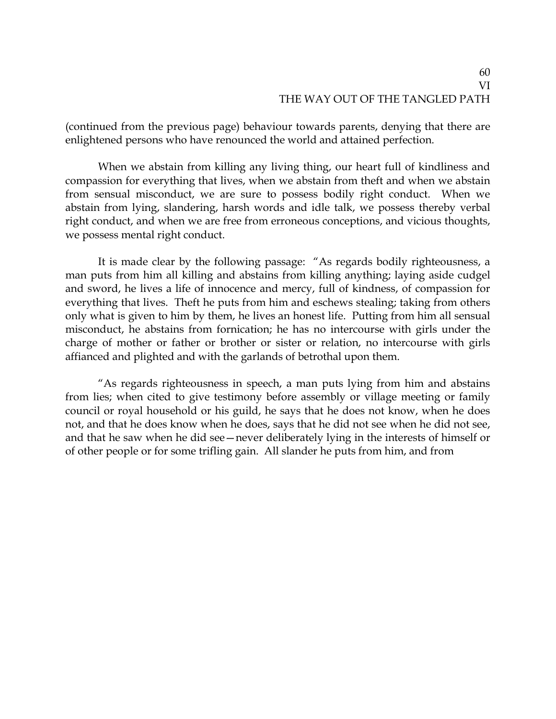(continued from the previous page) behaviour towards parents, denying that there are enlightened persons who have renounced the world and attained perfection.

When we abstain from killing any living thing, our heart full of kindliness and compassion for everything that lives, when we abstain from theft and when we abstain from sensual misconduct, we are sure to possess bodily right conduct. When we abstain from lying, slandering, harsh words and idle talk, we possess thereby verbal right conduct, and when we are free from erroneous conceptions, and vicious thoughts, we possess mental right conduct.

It is made clear by the following passage: "As regards bodily righteousness, a man puts from him all killing and abstains from killing anything; laying aside cudgel and sword, he lives a life of innocence and mercy, full of kindness, of compassion for everything that lives. Theft he puts from him and eschews stealing; taking from others only what is given to him by them, he lives an honest life. Putting from him all sensual misconduct, he abstains from fornication; he has no intercourse with girls under the charge of mother or father or brother or sister or relation, no intercourse with girls affianced and plighted and with the garlands of betrothal upon them.

"As regards righteousness in speech, a man puts lying from him and abstains from lies; when cited to give testimony before assembly or village meeting or family council or royal household or his guild, he says that he does not know, when he does not, and that he does know when he does, says that he did not see when he did not see, and that he saw when he did see—never deliberately lying in the interests of himself or of other people or for some trifling gain. All slander he puts from him, and from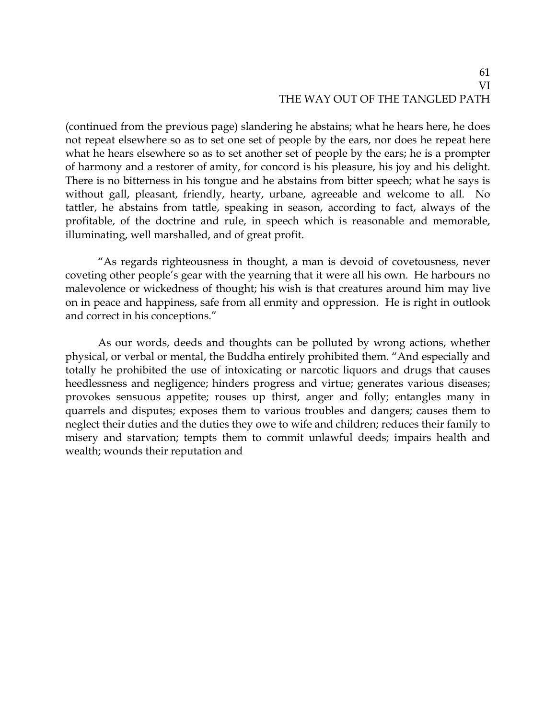(continued from the previous page) slandering he abstains; what he hears here, he does not repeat elsewhere so as to set one set of people by the ears, nor does he repeat here what he hears elsewhere so as to set another set of people by the ears; he is a prompter of harmony and a restorer of amity, for concord is his pleasure, his joy and his delight. There is no bitterness in his tongue and he abstains from bitter speech; what he says is without gall, pleasant, friendly, hearty, urbane, agreeable and welcome to all. No tattler, he abstains from tattle, speaking in season, according to fact, always of the profitable, of the doctrine and rule, in speech which is reasonable and memorable, illuminating, well marshalled, and of great profit.

"As regards righteousness in thought, a man is devoid of covetousness, never coveting other people's gear with the yearning that it were all his own. He harbours no malevolence or wickedness of thought; his wish is that creatures around him may live on in peace and happiness, safe from all enmity and oppression. He is right in outlook and correct in his conceptions."

As our words, deeds and thoughts can be polluted by wrong actions, whether physical, or verbal or mental, the Buddha entirely prohibited them. "And especially and totally he prohibited the use of intoxicating or narcotic liquors and drugs that causes heedlessness and negligence; hinders progress and virtue; generates various diseases; provokes sensuous appetite; rouses up thirst, anger and folly; entangles many in quarrels and disputes; exposes them to various troubles and dangers; causes them to neglect their duties and the duties they owe to wife and children; reduces their family to misery and starvation; tempts them to commit unlawful deeds; impairs health and wealth; wounds their reputation and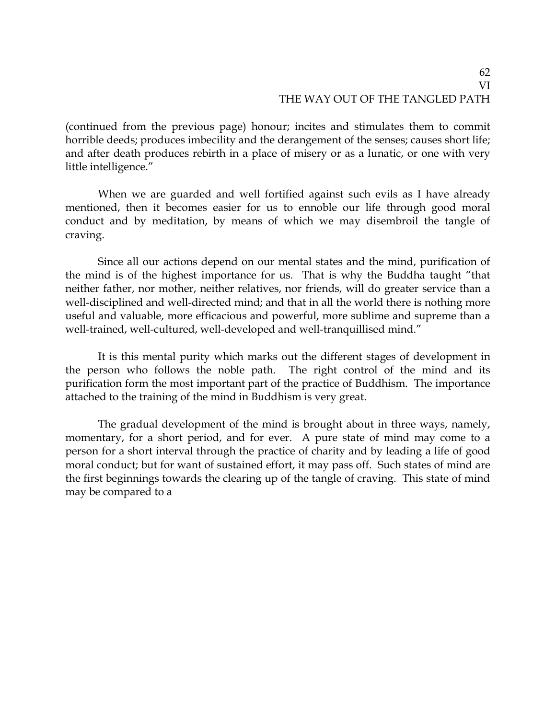(continued from the previous page) honour; incites and stimulates them to commit horrible deeds; produces imbecility and the derangement of the senses; causes short life; and after death produces rebirth in a place of misery or as a lunatic, or one with very little intelligence."

When we are guarded and well fortified against such evils as I have already mentioned, then it becomes easier for us to ennoble our life through good moral conduct and by meditation, by means of which we may disembroil the tangle of craving.

Since all our actions depend on our mental states and the mind, purification of the mind is of the highest importance for us. That is why the Buddha taught "that neither father, nor mother, neither relatives, nor friends, will do greater service than a well-disciplined and well-directed mind; and that in all the world there is nothing more useful and valuable, more efficacious and powerful, more sublime and supreme than a well-trained, well-cultured, well-developed and well-tranquillised mind."

It is this mental purity which marks out the different stages of development in the person who follows the noble path. The right control of the mind and its purification form the most important part of the practice of Buddhism. The importance attached to the training of the mind in Buddhism is very great.

The gradual development of the mind is brought about in three ways, namely, momentary, for a short period, and for ever. A pure state of mind may come to a person for a short interval through the practice of charity and by leading a life of good moral conduct; but for want of sustained effort, it may pass off. Such states of mind are the first beginnings towards the clearing up of the tangle of craving. This state of mind may be compared to a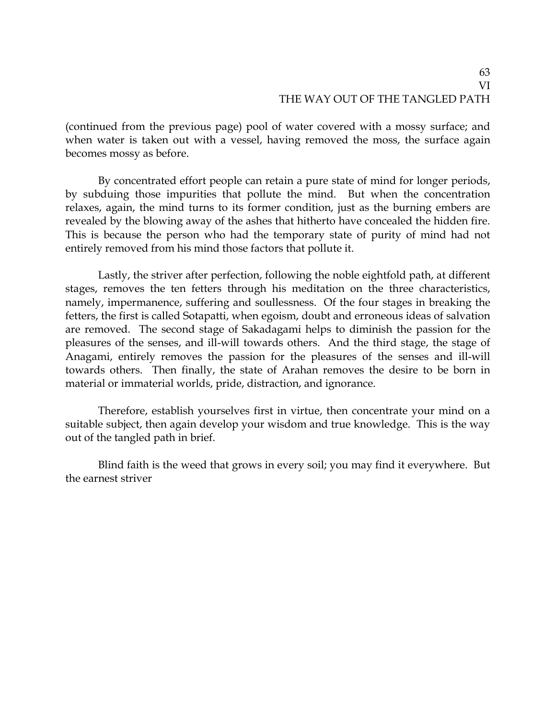(continued from the previous page) pool of water covered with a mossy surface; and when water is taken out with a vessel, having removed the moss, the surface again becomes mossy as before.

By concentrated effort people can retain a pure state of mind for longer periods, by subduing those impurities that pollute the mind. But when the concentration relaxes, again, the mind turns to its former condition, just as the burning embers are revealed by the blowing away of the ashes that hitherto have concealed the hidden fire. This is because the person who had the temporary state of purity of mind had not entirely removed from his mind those factors that pollute it.

Lastly, the striver after perfection, following the noble eightfold path, at different stages, removes the ten fetters through his meditation on the three characteristics, namely, impermanence, suffering and soullessness. Of the four stages in breaking the fetters, the first is called Sotapatti, when egoism, doubt and erroneous ideas of salvation are removed. The second stage of Sakadagami helps to diminish the passion for the pleasures of the senses, and ill-will towards others. And the third stage, the stage of Anagami, entirely removes the passion for the pleasures of the senses and ill-will towards others. Then finally, the state of Arahan removes the desire to be born in material or immaterial worlds, pride, distraction, and ignorance.

Therefore, establish yourselves first in virtue, then concentrate your mind on a suitable subject, then again develop your wisdom and true knowledge. This is the way out of the tangled path in brief.

Blind faith is the weed that grows in every soil; you may find it everywhere. But the earnest striver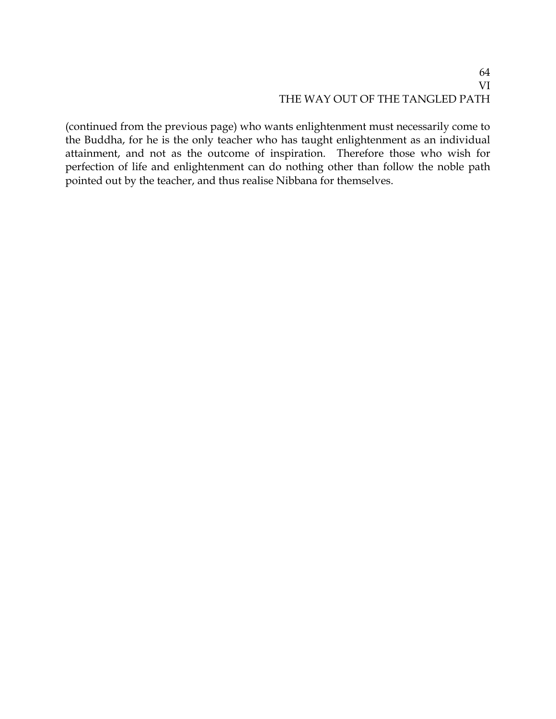(continued from the previous page) who wants enlightenment must necessarily come to the Buddha, for he is the only teacher who has taught enlightenment as an individual attainment, and not as the outcome of inspiration. Therefore those who wish for perfection of life and enlightenment can do nothing other than follow the noble path pointed out by the teacher, and thus realise Nibbana for themselves.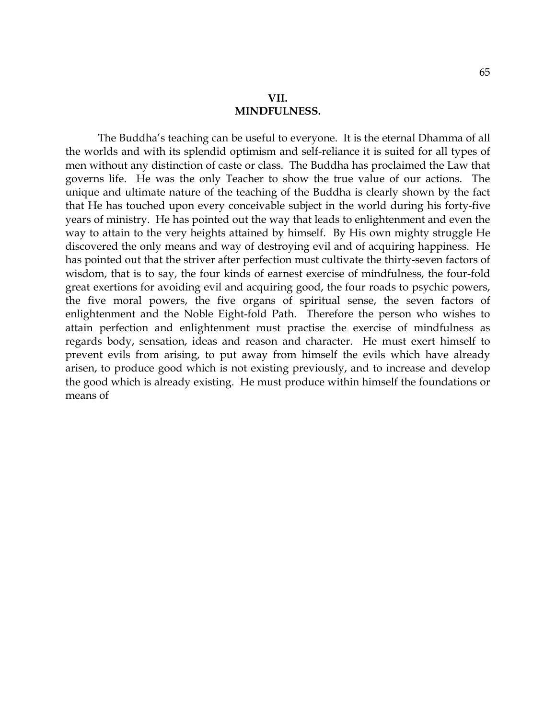The Buddha's teaching can be useful to everyone. It is the eternal Dhamma of all the worlds and with its splendid optimism and self-reliance it is suited for all types of men without any distinction of caste or class. The Buddha has proclaimed the Law that governs life. He was the only Teacher to show the true value of our actions. The unique and ultimate nature of the teaching of the Buddha is clearly shown by the fact that He has touched upon every conceivable subject in the world during his forty-five years of ministry. He has pointed out the way that leads to enlightenment and even the way to attain to the very heights attained by himself. By His own mighty struggle He discovered the only means and way of destroying evil and of acquiring happiness. He has pointed out that the striver after perfection must cultivate the thirty-seven factors of wisdom, that is to say, the four kinds of earnest exercise of mindfulness, the four-fold great exertions for avoiding evil and acquiring good, the four roads to psychic powers, the five moral powers, the five organs of spiritual sense, the seven factors of enlightenment and the Noble Eight-fold Path. Therefore the person who wishes to attain perfection and enlightenment must practise the exercise of mindfulness as regards body, sensation, ideas and reason and character. He must exert himself to prevent evils from arising, to put away from himself the evils which have already arisen, to produce good which is not existing previously, and to increase and develop the good which is already existing. He must produce within himself the foundations or means of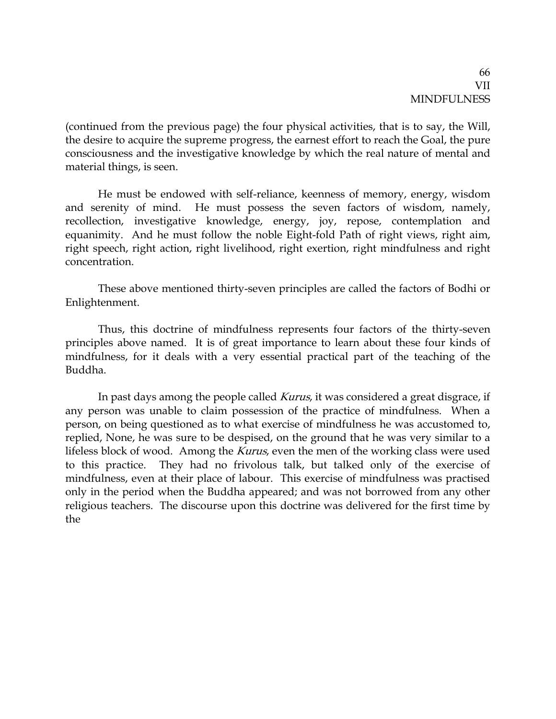(continued from the previous page) the four physical activities, that is to say, the Will, the desire to acquire the supreme progress, the earnest effort to reach the Goal, the pure consciousness and the investigative knowledge by which the real nature of mental and material things, is seen.

He must be endowed with self-reliance, keenness of memory, energy, wisdom and serenity of mind. He must possess the seven factors of wisdom, namely, recollection, investigative knowledge, energy, joy, repose, contemplation and equanimity. And he must follow the noble Eight-fold Path of right views, right aim, right speech, right action, right livelihood, right exertion, right mindfulness and right concentration.

These above mentioned thirty-seven principles are called the factors of Bodhi or Enlightenment.

Thus, this doctrine of mindfulness represents four factors of the thirty-seven principles above named. It is of great importance to learn about these four kinds of mindfulness, for it deals with a very essential practical part of the teaching of the Buddha.

In past days among the people called *Kurus*, it was considered a great disgrace, if any person was unable to claim possession of the practice of mindfulness. When a person, on being questioned as to what exercise of mindfulness he was accustomed to, replied, None, he was sure to be despised, on the ground that he was very similar to a lifeless block of wood. Among the *Kurus*, even the men of the working class were used to this practice. They had no frivolous talk, but talked only of the exercise of mindfulness, even at their place of labour. This exercise of mindfulness was practised only in the period when the Buddha appeared; and was not borrowed from any other religious teachers. The discourse upon this doctrine was delivered for the first time by the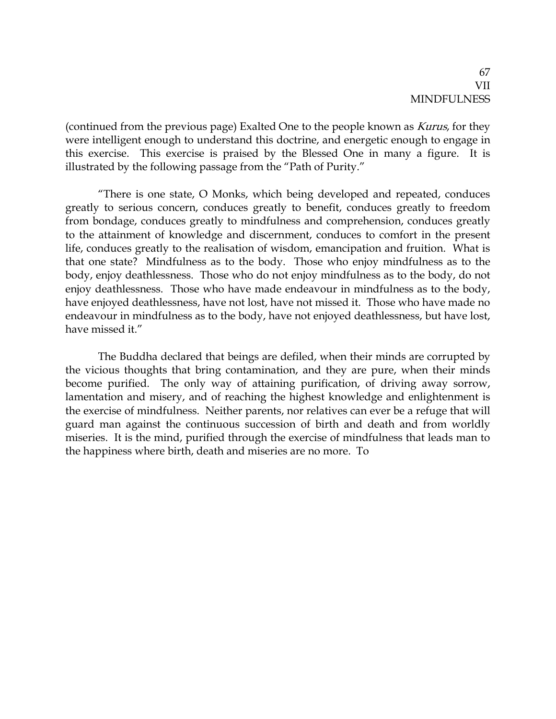(continued from the previous page) Exalted One to the people known as Kurus, for they were intelligent enough to understand this doctrine, and energetic enough to engage in this exercise. This exercise is praised by the Blessed One in many a figure. It is illustrated by the following passage from the "Path of Purity."

"There is one state, O Monks, which being developed and repeated, conduces greatly to serious concern, conduces greatly to benefit, conduces greatly to freedom from bondage, conduces greatly to mindfulness and comprehension, conduces greatly to the attainment of knowledge and discernment, conduces to comfort in the present life, conduces greatly to the realisation of wisdom, emancipation and fruition. What is that one state? Mindfulness as to the body. Those who enjoy mindfulness as to the body, enjoy deathlessness. Those who do not enjoy mindfulness as to the body, do not enjoy deathlessness. Those who have made endeavour in mindfulness as to the body, have enjoyed deathlessness, have not lost, have not missed it. Those who have made no endeavour in mindfulness as to the body, have not enjoyed deathlessness, but have lost, have missed it."

The Buddha declared that beings are defiled, when their minds are corrupted by the vicious thoughts that bring contamination, and they are pure, when their minds become purified. The only way of attaining purification, of driving away sorrow, lamentation and misery, and of reaching the highest knowledge and enlightenment is the exercise of mindfulness. Neither parents, nor relatives can ever be a refuge that will guard man against the continuous succession of birth and death and from worldly miseries. It is the mind, purified through the exercise of mindfulness that leads man to the happiness where birth, death and miseries are no more. To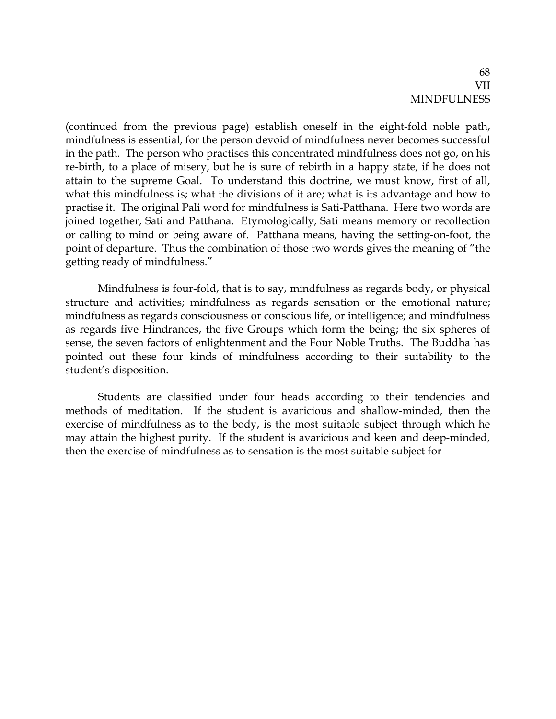(continued from the previous page) establish oneself in the eight-fold noble path, mindfulness is essential, for the person devoid of mindfulness never becomes successful in the path. The person who practises this concentrated mindfulness does not go, on his re-birth, to a place of misery, but he is sure of rebirth in a happy state, if he does not attain to the supreme Goal. To understand this doctrine, we must know, first of all, what this mindfulness is; what the divisions of it are; what is its advantage and how to practise it. The original Pali word for mindfulness is Sati-Patthana. Here two words are joined together, Sati and Patthana. Etymologically, Sati means memory or recollection or calling to mind or being aware of. Patthana means, having the setting-on-foot, the point of departure. Thus the combination of those two words gives the meaning of "the getting ready of mindfulness."

Mindfulness is four-fold, that is to say, mindfulness as regards body, or physical structure and activities; mindfulness as regards sensation or the emotional nature; mindfulness as regards consciousness or conscious life, or intelligence; and mindfulness as regards five Hindrances, the five Groups which form the being; the six spheres of sense, the seven factors of enlightenment and the Four Noble Truths. The Buddha has pointed out these four kinds of mindfulness according to their suitability to the student's disposition.

Students are classified under four heads according to their tendencies and methods of meditation. If the student is avaricious and shallow-minded, then the exercise of mindfulness as to the body, is the most suitable subject through which he may attain the highest purity. If the student is avaricious and keen and deep-minded, then the exercise of mindfulness as to sensation is the most suitable subject for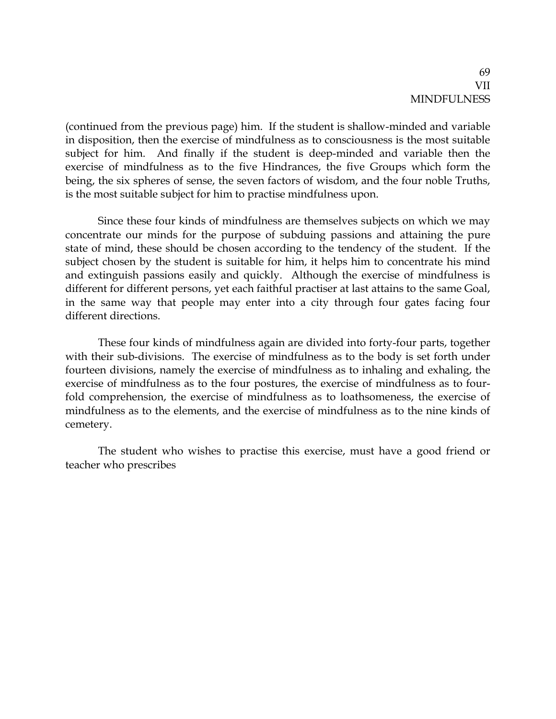(continued from the previous page) him. If the student is shallow-minded and variable in disposition, then the exercise of mindfulness as to consciousness is the most suitable subject for him. And finally if the student is deep-minded and variable then the exercise of mindfulness as to the five Hindrances, the five Groups which form the being, the six spheres of sense, the seven factors of wisdom, and the four noble Truths, is the most suitable subject for him to practise mindfulness upon.

Since these four kinds of mindfulness are themselves subjects on which we may concentrate our minds for the purpose of subduing passions and attaining the pure state of mind, these should be chosen according to the tendency of the student. If the subject chosen by the student is suitable for him, it helps him to concentrate his mind and extinguish passions easily and quickly. Although the exercise of mindfulness is different for different persons, yet each faithful practiser at last attains to the same Goal, in the same way that people may enter into a city through four gates facing four different directions.

These four kinds of mindfulness again are divided into forty-four parts, together with their sub-divisions. The exercise of mindfulness as to the body is set forth under fourteen divisions, namely the exercise of mindfulness as to inhaling and exhaling, the exercise of mindfulness as to the four postures, the exercise of mindfulness as to fourfold comprehension, the exercise of mindfulness as to loathsomeness, the exercise of mindfulness as to the elements, and the exercise of mindfulness as to the nine kinds of cemetery.

The student who wishes to practise this exercise, must have a good friend or teacher who prescribes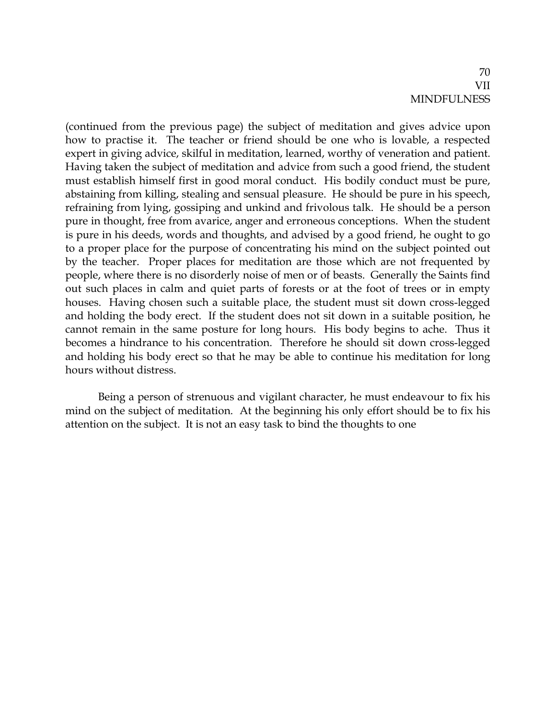(continued from the previous page) the subject of meditation and gives advice upon how to practise it. The teacher or friend should be one who is lovable, a respected expert in giving advice, skilful in meditation, learned, worthy of veneration and patient. Having taken the subject of meditation and advice from such a good friend, the student must establish himself first in good moral conduct. His bodily conduct must be pure, abstaining from killing, stealing and sensual pleasure. He should be pure in his speech, refraining from lying, gossiping and unkind and frivolous talk. He should be a person pure in thought, free from avarice, anger and erroneous conceptions. When the student is pure in his deeds, words and thoughts, and advised by a good friend, he ought to go to a proper place for the purpose of concentrating his mind on the subject pointed out by the teacher. Proper places for meditation are those which are not frequented by people, where there is no disorderly noise of men or of beasts. Generally the Saints find out such places in calm and quiet parts of forests or at the foot of trees or in empty houses. Having chosen such a suitable place, the student must sit down cross-legged and holding the body erect. If the student does not sit down in a suitable position, he cannot remain in the same posture for long hours. His body begins to ache. Thus it becomes a hindrance to his concentration. Therefore he should sit down cross-legged and holding his body erect so that he may be able to continue his meditation for long hours without distress.

Being a person of strenuous and vigilant character, he must endeavour to fix his mind on the subject of meditation. At the beginning his only effort should be to fix his attention on the subject. It is not an easy task to bind the thoughts to one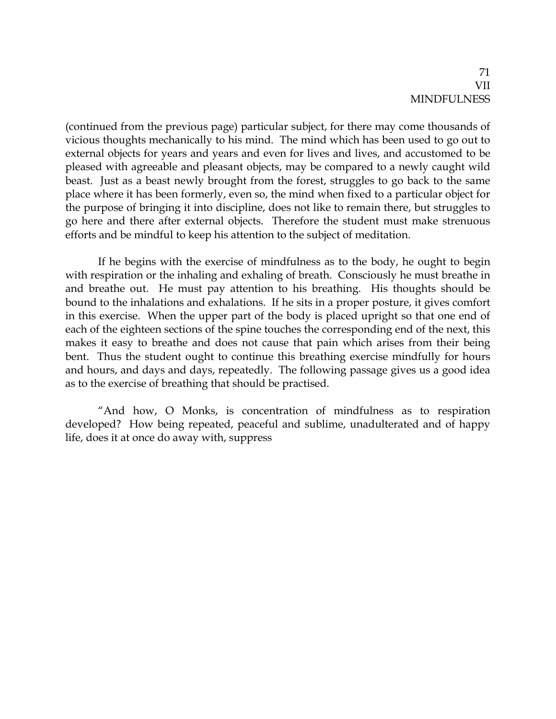(continued from the previous page) particular subject, for there may come thousands of vicious thoughts mechanically to his mind. The mind which has been used to go out to external objects for years and years and even for lives and lives, and accustomed to be pleased with agreeable and pleasant objects, may be compared to a newly caught wild beast. Just as a beast newly brought from the forest, struggles to go back to the same place where it has been formerly, even so, the mind when fixed to a particular object for the purpose of bringing it into discipline, does not like to remain there, but struggles to go here and there after external objects. Therefore the student must make strenuous efforts and be mindful to keep his attention to the subject of meditation.

If he begins with the exercise of mindfulness as to the body, he ought to begin with respiration or the inhaling and exhaling of breath. Consciously he must breathe in and breathe out. He must pay attention to his breathing. His thoughts should be bound to the inhalations and exhalations. If he sits in a proper posture, it gives comfort in this exercise. When the upper part of the body is placed upright so that one end of each of the eighteen sections of the spine touches the corresponding end of the next, this makes it easy to breathe and does not cause that pain which arises from their being bent. Thus the student ought to continue this breathing exercise mindfully for hours and hours, and days and days, repeatedly. The following passage gives us a good idea as to the exercise of breathing that should be practised.

"And how, O Monks, is concentration of mindfulness as to respiration developed? How being repeated, peaceful and sublime, unadulterated and of happy life, does it at once do away with, suppress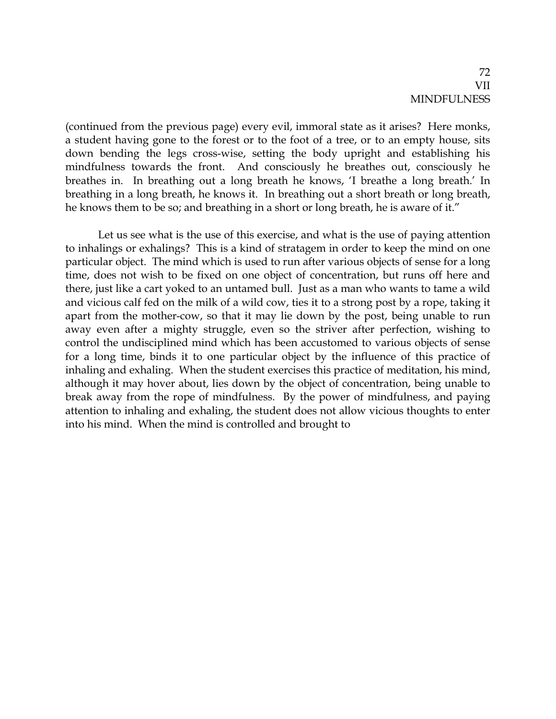(continued from the previous page) every evil, immoral state as it arises? Here monks, a student having gone to the forest or to the foot of a tree, or to an empty house, sits down bending the legs cross-wise, setting the body upright and establishing his mindfulness towards the front. And consciously he breathes out, consciously he breathes in. In breathing out a long breath he knows, 'I breathe a long breath.' In breathing in a long breath, he knows it. In breathing out a short breath or long breath, he knows them to be so; and breathing in a short or long breath, he is aware of it."

Let us see what is the use of this exercise, and what is the use of paying attention to inhalings or exhalings? This is a kind of stratagem in order to keep the mind on one particular object. The mind which is used to run after various objects of sense for a long time, does not wish to be fixed on one object of concentration, but runs off here and there, just like a cart yoked to an untamed bull. Just as a man who wants to tame a wild and vicious calf fed on the milk of a wild cow, ties it to a strong post by a rope, taking it apart from the mother-cow, so that it may lie down by the post, being unable to run away even after a mighty struggle, even so the striver after perfection, wishing to control the undisciplined mind which has been accustomed to various objects of sense for a long time, binds it to one particular object by the influence of this practice of inhaling and exhaling. When the student exercises this practice of meditation, his mind, although it may hover about, lies down by the object of concentration, being unable to break away from the rope of mindfulness. By the power of mindfulness, and paying attention to inhaling and exhaling, the student does not allow vicious thoughts to enter into his mind. When the mind is controlled and brought to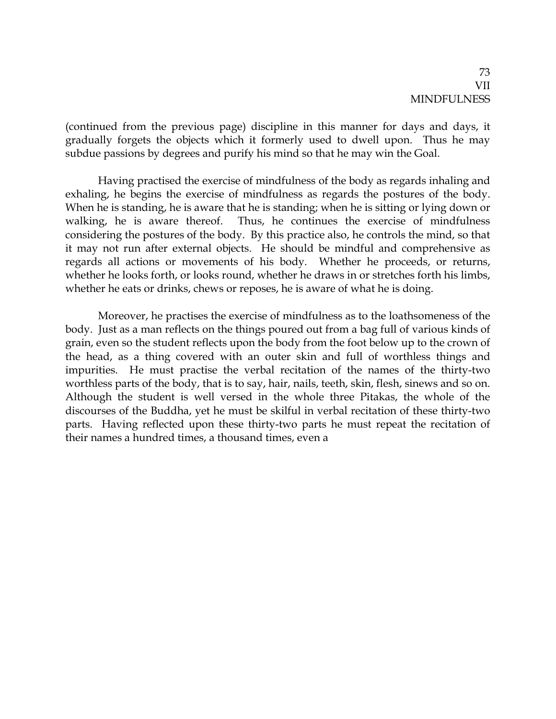(continued from the previous page) discipline in this manner for days and days, it gradually forgets the objects which it formerly used to dwell upon. Thus he may subdue passions by degrees and purify his mind so that he may win the Goal.

Having practised the exercise of mindfulness of the body as regards inhaling and exhaling, he begins the exercise of mindfulness as regards the postures of the body. When he is standing, he is aware that he is standing; when he is sitting or lying down or walking, he is aware thereof. Thus, he continues the exercise of mindfulness considering the postures of the body. By this practice also, he controls the mind, so that it may not run after external objects. He should be mindful and comprehensive as regards all actions or movements of his body. Whether he proceeds, or returns, whether he looks forth, or looks round, whether he draws in or stretches forth his limbs, whether he eats or drinks, chews or reposes, he is aware of what he is doing.

Moreover, he practises the exercise of mindfulness as to the loathsomeness of the body. Just as a man reflects on the things poured out from a bag full of various kinds of grain, even so the student reflects upon the body from the foot below up to the crown of the head, as a thing covered with an outer skin and full of worthless things and impurities. He must practise the verbal recitation of the names of the thirty-two worthless parts of the body, that is to say, hair, nails, teeth, skin, flesh, sinews and so on. Although the student is well versed in the whole three Pitakas, the whole of the discourses of the Buddha, yet he must be skilful in verbal recitation of these thirty-two parts. Having reflected upon these thirty-two parts he must repeat the recitation of their names a hundred times, a thousand times, even a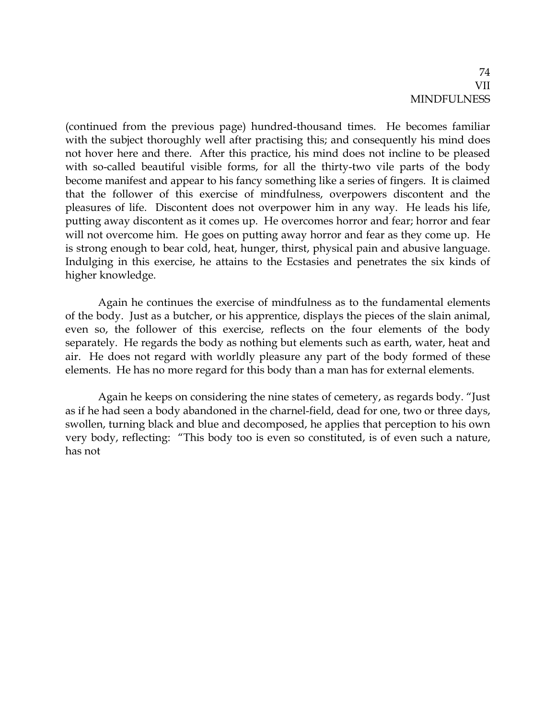(continued from the previous page) hundred-thousand times. He becomes familiar with the subject thoroughly well after practising this; and consequently his mind does not hover here and there. After this practice, his mind does not incline to be pleased with so-called beautiful visible forms, for all the thirty-two vile parts of the body become manifest and appear to his fancy something like a series of fingers. It is claimed that the follower of this exercise of mindfulness, overpowers discontent and the pleasures of life. Discontent does not overpower him in any way. He leads his life, putting away discontent as it comes up. He overcomes horror and fear; horror and fear will not overcome him. He goes on putting away horror and fear as they come up. He is strong enough to bear cold, heat, hunger, thirst, physical pain and abusive language. Indulging in this exercise, he attains to the Ecstasies and penetrates the six kinds of higher knowledge.

Again he continues the exercise of mindfulness as to the fundamental elements of the body. Just as a butcher, or his apprentice, displays the pieces of the slain animal, even so, the follower of this exercise, reflects on the four elements of the body separately. He regards the body as nothing but elements such as earth, water, heat and air. He does not regard with worldly pleasure any part of the body formed of these elements. He has no more regard for this body than a man has for external elements.

Again he keeps on considering the nine states of cemetery, as regards body. "Just as if he had seen a body abandoned in the charnel-field, dead for one, two or three days, swollen, turning black and blue and decomposed, he applies that perception to his own very body, reflecting: "This body too is even so constituted, is of even such a nature, has not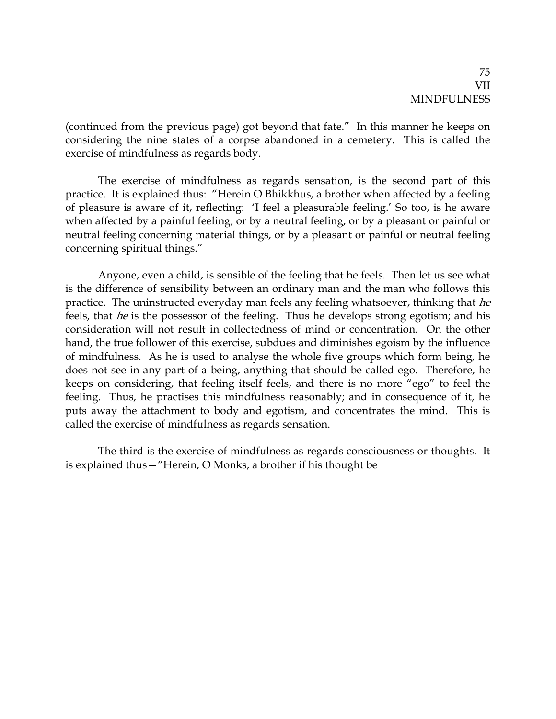(continued from the previous page) got beyond that fate." In this manner he keeps on considering the nine states of a corpse abandoned in a cemetery. This is called the exercise of mindfulness as regards body.

The exercise of mindfulness as regards sensation, is the second part of this practice. It is explained thus: "Herein O Bhikkhus, a brother when affected by a feeling of pleasure is aware of it, reflecting: 'I feel a pleasurable feeling.' So too, is he aware when affected by a painful feeling, or by a neutral feeling, or by a pleasant or painful or neutral feeling concerning material things, or by a pleasant or painful or neutral feeling concerning spiritual things."

Anyone, even a child, is sensible of the feeling that he feels. Then let us see what is the difference of sensibility between an ordinary man and the man who follows this practice. The uninstructed everyday man feels any feeling whatsoever, thinking that he feels, that he is the possessor of the feeling. Thus he develops strong egotism; and his consideration will not result in collectedness of mind or concentration. On the other hand, the true follower of this exercise, subdues and diminishes egoism by the influence of mindfulness. As he is used to analyse the whole five groups which form being, he does not see in any part of a being, anything that should be called ego. Therefore, he keeps on considering, that feeling itself feels, and there is no more "ego" to feel the feeling. Thus, he practises this mindfulness reasonably; and in consequence of it, he puts away the attachment to body and egotism, and concentrates the mind. This is called the exercise of mindfulness as regards sensation.

The third is the exercise of mindfulness as regards consciousness or thoughts. It is explained thus—"Herein, O Monks, a brother if his thought be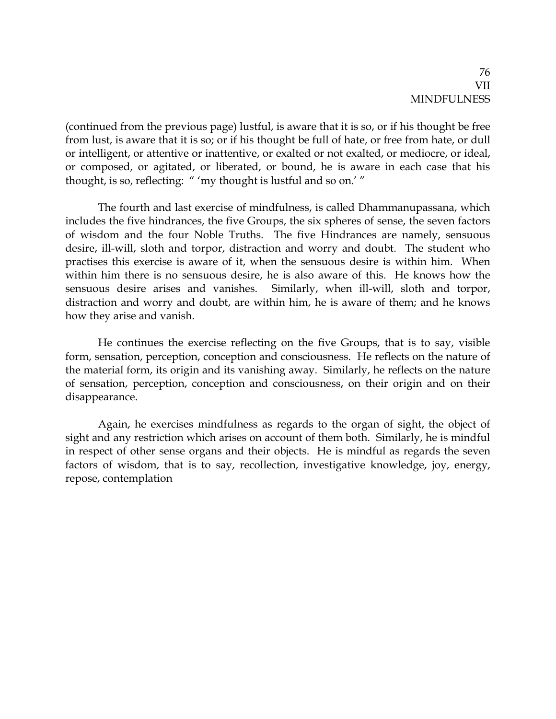(continued from the previous page) lustful, is aware that it is so, or if his thought be free from lust, is aware that it is so; or if his thought be full of hate, or free from hate, or dull or intelligent, or attentive or inattentive, or exalted or not exalted, or mediocre, or ideal, or composed, or agitated, or liberated, or bound, he is aware in each case that his thought, is so, reflecting: " 'my thought is lustful and so on.' "

The fourth and last exercise of mindfulness, is called Dhammanupassana, which includes the five hindrances, the five Groups, the six spheres of sense, the seven factors of wisdom and the four Noble Truths. The five Hindrances are namely, sensuous desire, ill-will, sloth and torpor, distraction and worry and doubt. The student who practises this exercise is aware of it, when the sensuous desire is within him. When within him there is no sensuous desire, he is also aware of this. He knows how the sensuous desire arises and vanishes. Similarly, when ill-will, sloth and torpor, distraction and worry and doubt, are within him, he is aware of them; and he knows how they arise and vanish.

He continues the exercise reflecting on the five Groups, that is to say, visible form, sensation, perception, conception and consciousness. He reflects on the nature of the material form, its origin and its vanishing away. Similarly, he reflects on the nature of sensation, perception, conception and consciousness, on their origin and on their disappearance.

Again, he exercises mindfulness as regards to the organ of sight, the object of sight and any restriction which arises on account of them both. Similarly, he is mindful in respect of other sense organs and their objects. He is mindful as regards the seven factors of wisdom, that is to say, recollection, investigative knowledge, joy, energy, repose, contemplation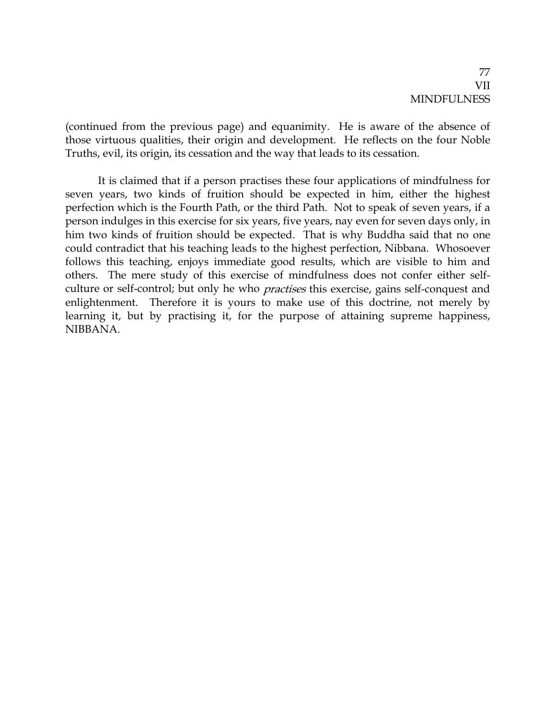(continued from the previous page) and equanimity. He is aware of the absence of those virtuous qualities, their origin and development. He reflects on the four Noble Truths, evil, its origin, its cessation and the way that leads to its cessation.

It is claimed that if a person practises these four applications of mindfulness for seven years, two kinds of fruition should be expected in him, either the highest perfection which is the Fourth Path, or the third Path. Not to speak of seven years, if a person indulges in this exercise for six years, five years, nay even for seven days only, in him two kinds of fruition should be expected. That is why Buddha said that no one could contradict that his teaching leads to the highest perfection, Nibbana. Whosoever follows this teaching, enjoys immediate good results, which are visible to him and others. The mere study of this exercise of mindfulness does not confer either selfculture or self-control; but only he who *practises* this exercise, gains self-conquest and enlightenment. Therefore it is yours to make use of this doctrine, not merely by learning it, but by practising it, for the purpose of attaining supreme happiness, NIBBANA.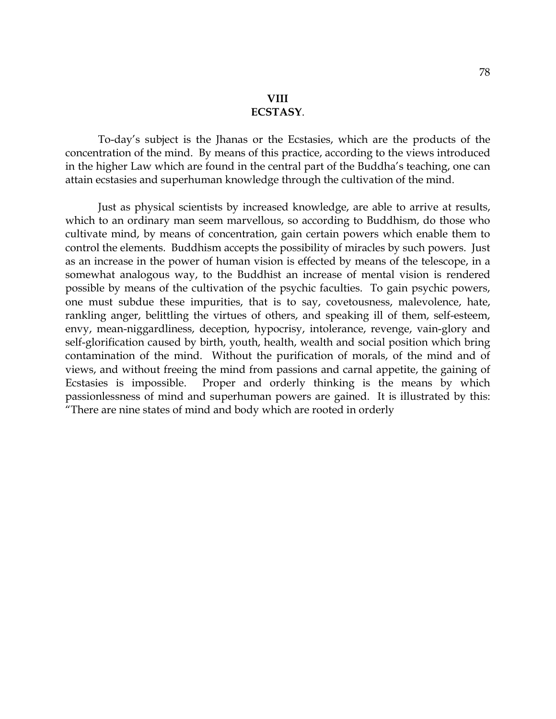To-day's subject is the Jhanas or the Ecstasies, which are the products of the concentration of the mind. By means of this practice, according to the views introduced in the higher Law which are found in the central part of the Buddha's teaching, one can attain ecstasies and superhuman knowledge through the cultivation of the mind.

Just as physical scientists by increased knowledge, are able to arrive at results, which to an ordinary man seem marvellous, so according to Buddhism, do those who cultivate mind, by means of concentration, gain certain powers which enable them to control the elements. Buddhism accepts the possibility of miracles by such powers. Just as an increase in the power of human vision is effected by means of the telescope, in a somewhat analogous way, to the Buddhist an increase of mental vision is rendered possible by means of the cultivation of the psychic faculties. To gain psychic powers, one must subdue these impurities, that is to say, covetousness, malevolence, hate, rankling anger, belittling the virtues of others, and speaking ill of them, self-esteem, envy, mean-niggardliness, deception, hypocrisy, intolerance, revenge, vain-glory and self-glorification caused by birth, youth, health, wealth and social position which bring contamination of the mind. Without the purification of morals, of the mind and of views, and without freeing the mind from passions and carnal appetite, the gaining of Ecstasies is impossible. Proper and orderly thinking is the means by which passionlessness of mind and superhuman powers are gained. It is illustrated by this: "There are nine states of mind and body which are rooted in orderly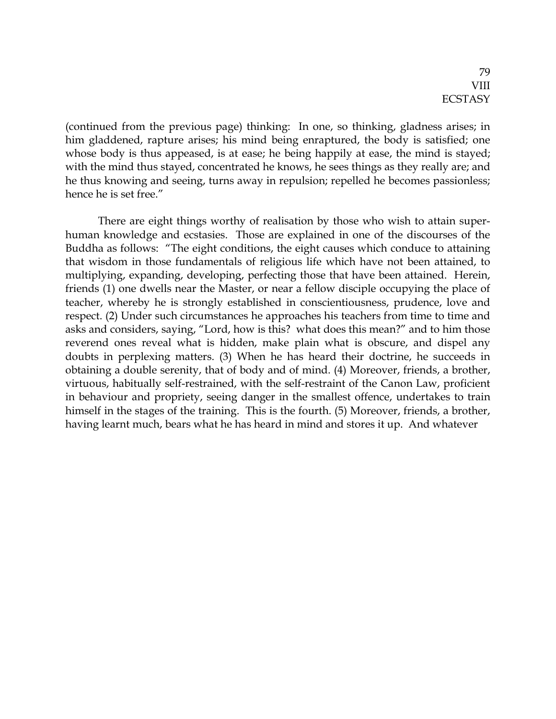(continued from the previous page) thinking: In one, so thinking, gladness arises; in him gladdened, rapture arises; his mind being enraptured, the body is satisfied; one whose body is thus appeased, is at ease; he being happily at ease, the mind is stayed; with the mind thus stayed, concentrated he knows, he sees things as they really are; and he thus knowing and seeing, turns away in repulsion; repelled he becomes passionless; hence he is set free."

There are eight things worthy of realisation by those who wish to attain superhuman knowledge and ecstasies. Those are explained in one of the discourses of the Buddha as follows: "The eight conditions, the eight causes which conduce to attaining that wisdom in those fundamentals of religious life which have not been attained, to multiplying, expanding, developing, perfecting those that have been attained. Herein, friends (1) one dwells near the Master, or near a fellow disciple occupying the place of teacher, whereby he is strongly established in conscientiousness, prudence, love and respect. (2) Under such circumstances he approaches his teachers from time to time and asks and considers, saying, "Lord, how is this? what does this mean?" and to him those reverend ones reveal what is hidden, make plain what is obscure, and dispel any doubts in perplexing matters. (3) When he has heard their doctrine, he succeeds in obtaining a double serenity, that of body and of mind. (4) Moreover, friends, a brother, virtuous, habitually self-restrained, with the self-restraint of the Canon Law, proficient in behaviour and propriety, seeing danger in the smallest offence, undertakes to train himself in the stages of the training. This is the fourth. (5) Moreover, friends, a brother, having learnt much, bears what he has heard in mind and stores it up. And whatever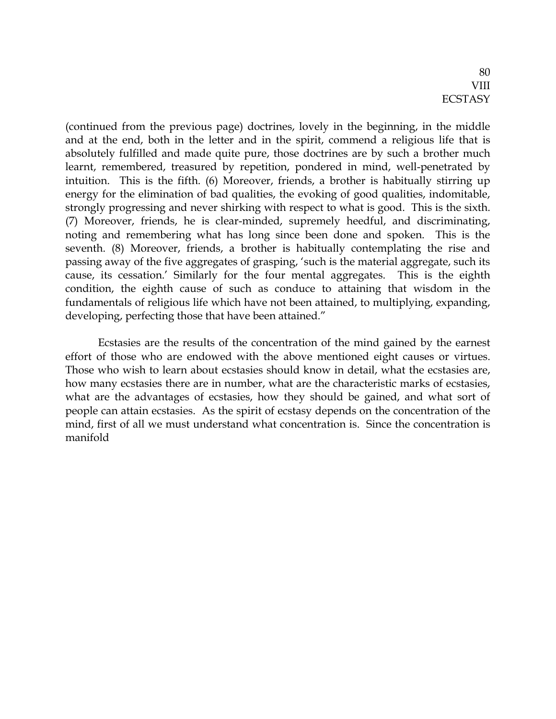(continued from the previous page) doctrines, lovely in the beginning, in the middle and at the end, both in the letter and in the spirit, commend a religious life that is absolutely fulfilled and made quite pure, those doctrines are by such a brother much learnt, remembered, treasured by repetition, pondered in mind, well-penetrated by intuition. This is the fifth. (6) Moreover, friends, a brother is habitually stirring up energy for the elimination of bad qualities, the evoking of good qualities, indomitable, strongly progressing and never shirking with respect to what is good. This is the sixth. (7) Moreover, friends, he is clear-minded, supremely heedful, and discriminating, noting and remembering what has long since been done and spoken. This is the seventh. (8) Moreover, friends, a brother is habitually contemplating the rise and passing away of the five aggregates of grasping, 'such is the material aggregate, such its cause, its cessation.' Similarly for the four mental aggregates. This is the eighth condition, the eighth cause of such as conduce to attaining that wisdom in the fundamentals of religious life which have not been attained, to multiplying, expanding, developing, perfecting those that have been attained."

Ecstasies are the results of the concentration of the mind gained by the earnest effort of those who are endowed with the above mentioned eight causes or virtues. Those who wish to learn about ecstasies should know in detail, what the ecstasies are, how many ecstasies there are in number, what are the characteristic marks of ecstasies, what are the advantages of ecstasies, how they should be gained, and what sort of people can attain ecstasies. As the spirit of ecstasy depends on the concentration of the mind, first of all we must understand what concentration is. Since the concentration is manifold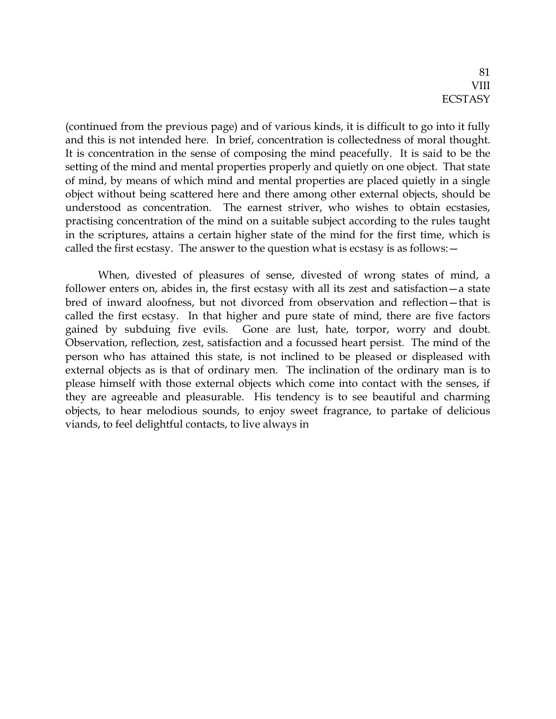(continued from the previous page) and of various kinds, it is difficult to go into it fully and this is not intended here. In brief, concentration is collectedness of moral thought. It is concentration in the sense of composing the mind peacefully. It is said to be the setting of the mind and mental properties properly and quietly on one object. That state of mind, by means of which mind and mental properties are placed quietly in a single object without being scattered here and there among other external objects, should be understood as concentration. The earnest striver, who wishes to obtain ecstasies, practising concentration of the mind on a suitable subject according to the rules taught in the scriptures, attains a certain higher state of the mind for the first time, which is called the first ecstasy. The answer to the question what is ecstasy is as follows:—

When, divested of pleasures of sense, divested of wrong states of mind, a follower enters on, abides in, the first ecstasy with all its zest and satisfaction—a state bred of inward aloofness, but not divorced from observation and reflection—that is called the first ecstasy. In that higher and pure state of mind, there are five factors gained by subduing five evils. Gone are lust, hate, torpor, worry and doubt. Observation, reflection, zest, satisfaction and a focussed heart persist. The mind of the person who has attained this state, is not inclined to be pleased or displeased with external objects as is that of ordinary men. The inclination of the ordinary man is to please himself with those external objects which come into contact with the senses, if they are agreeable and pleasurable. His tendency is to see beautiful and charming objects, to hear melodious sounds, to enjoy sweet fragrance, to partake of delicious viands, to feel delightful contacts, to live always in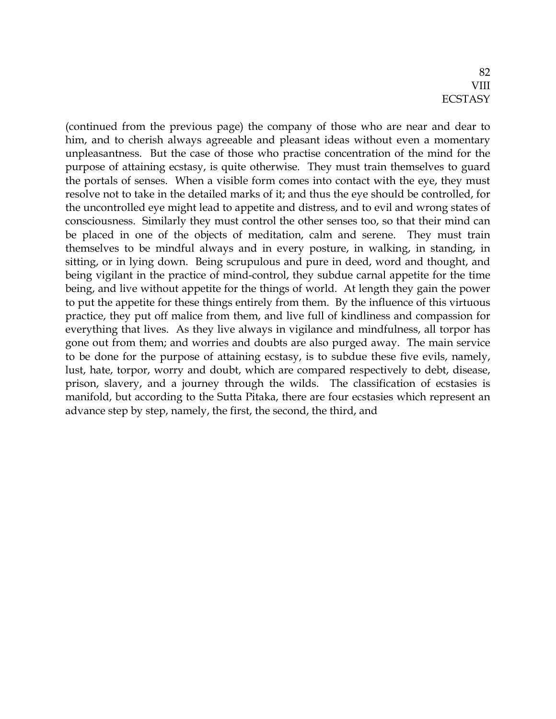(continued from the previous page) the company of those who are near and dear to him, and to cherish always agreeable and pleasant ideas without even a momentary unpleasantness. But the case of those who practise concentration of the mind for the purpose of attaining ecstasy, is quite otherwise. They must train themselves to guard the portals of senses. When a visible form comes into contact with the eye, they must resolve not to take in the detailed marks of it; and thus the eye should be controlled, for the uncontrolled eye might lead to appetite and distress, and to evil and wrong states of consciousness. Similarly they must control the other senses too, so that their mind can be placed in one of the objects of meditation, calm and serene. They must train themselves to be mindful always and in every posture, in walking, in standing, in sitting, or in lying down. Being scrupulous and pure in deed, word and thought, and being vigilant in the practice of mind-control, they subdue carnal appetite for the time being, and live without appetite for the things of world. At length they gain the power to put the appetite for these things entirely from them. By the influence of this virtuous practice, they put off malice from them, and live full of kindliness and compassion for everything that lives. As they live always in vigilance and mindfulness, all torpor has gone out from them; and worries and doubts are also purged away. The main service to be done for the purpose of attaining ecstasy, is to subdue these five evils, namely, lust, hate, torpor, worry and doubt, which are compared respectively to debt, disease, prison, slavery, and a journey through the wilds. The classification of ecstasies is manifold, but according to the Sutta Pitaka, there are four ecstasies which represent an advance step by step, namely, the first, the second, the third, and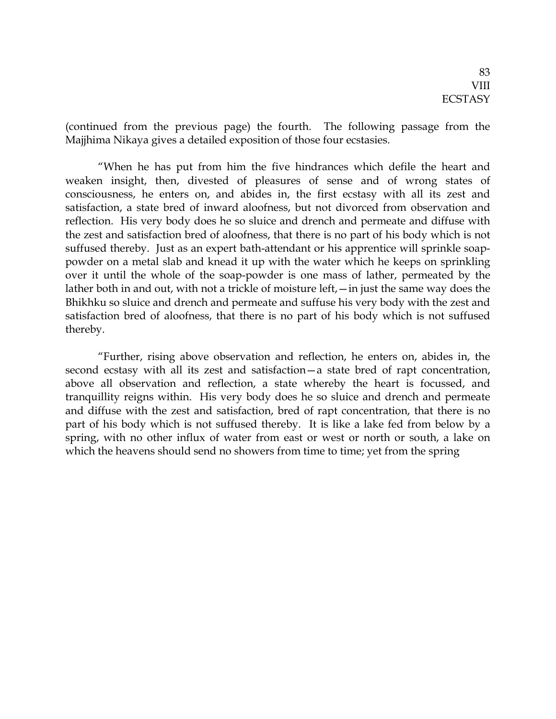(continued from the previous page) the fourth. The following passage from the Majjhima Nikaya gives a detailed exposition of those four ecstasies.

"When he has put from him the five hindrances which defile the heart and weaken insight, then, divested of pleasures of sense and of wrong states of consciousness, he enters on, and abides in, the first ecstasy with all its zest and satisfaction, a state bred of inward aloofness, but not divorced from observation and reflection. His very body does he so sluice and drench and permeate and diffuse with the zest and satisfaction bred of aloofness, that there is no part of his body which is not suffused thereby. Just as an expert bath-attendant or his apprentice will sprinkle soappowder on a metal slab and knead it up with the water which he keeps on sprinkling over it until the whole of the soap-powder is one mass of lather, permeated by the lather both in and out, with not a trickle of moisture left,—in just the same way does the Bhikhku so sluice and drench and permeate and suffuse his very body with the zest and satisfaction bred of aloofness, that there is no part of his body which is not suffused thereby.

"Further, rising above observation and reflection, he enters on, abides in, the second ecstasy with all its zest and satisfaction—a state bred of rapt concentration, above all observation and reflection, a state whereby the heart is focussed, and tranquillity reigns within. His very body does he so sluice and drench and permeate and diffuse with the zest and satisfaction, bred of rapt concentration, that there is no part of his body which is not suffused thereby. It is like a lake fed from below by a spring, with no other influx of water from east or west or north or south, a lake on which the heavens should send no showers from time to time; yet from the spring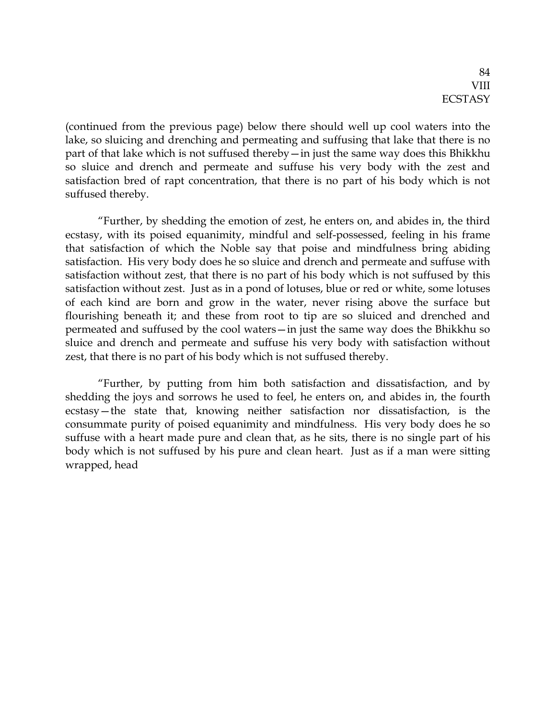(continued from the previous page) below there should well up cool waters into the lake, so sluicing and drenching and permeating and suffusing that lake that there is no part of that lake which is not suffused thereby—in just the same way does this Bhikkhu so sluice and drench and permeate and suffuse his very body with the zest and satisfaction bred of rapt concentration, that there is no part of his body which is not suffused thereby.

"Further, by shedding the emotion of zest, he enters on, and abides in, the third ecstasy, with its poised equanimity, mindful and self-possessed, feeling in his frame that satisfaction of which the Noble say that poise and mindfulness bring abiding satisfaction. His very body does he so sluice and drench and permeate and suffuse with satisfaction without zest, that there is no part of his body which is not suffused by this satisfaction without zest. Just as in a pond of lotuses, blue or red or white, some lotuses of each kind are born and grow in the water, never rising above the surface but flourishing beneath it; and these from root to tip are so sluiced and drenched and permeated and suffused by the cool waters—in just the same way does the Bhikkhu so sluice and drench and permeate and suffuse his very body with satisfaction without zest, that there is no part of his body which is not suffused thereby.

"Further, by putting from him both satisfaction and dissatisfaction, and by shedding the joys and sorrows he used to feel, he enters on, and abides in, the fourth ecstasy—the state that, knowing neither satisfaction nor dissatisfaction, is the consummate purity of poised equanimity and mindfulness. His very body does he so suffuse with a heart made pure and clean that, as he sits, there is no single part of his body which is not suffused by his pure and clean heart. Just as if a man were sitting wrapped, head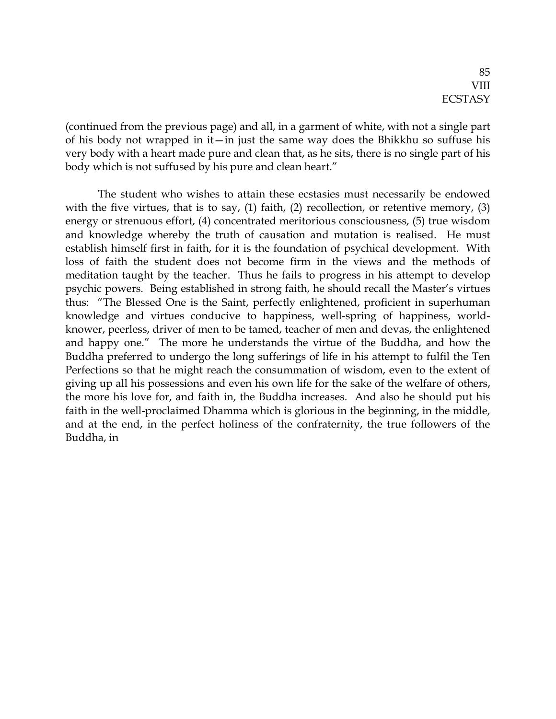(continued from the previous page) and all, in a garment of white, with not a single part of his body not wrapped in it—in just the same way does the Bhikkhu so suffuse his very body with a heart made pure and clean that, as he sits, there is no single part of his body which is not suffused by his pure and clean heart."

The student who wishes to attain these ecstasies must necessarily be endowed with the five virtues, that is to say, (1) faith, (2) recollection, or retentive memory, (3) energy or strenuous effort, (4) concentrated meritorious consciousness, (5) true wisdom and knowledge whereby the truth of causation and mutation is realised. He must establish himself first in faith, for it is the foundation of psychical development. With loss of faith the student does not become firm in the views and the methods of meditation taught by the teacher. Thus he fails to progress in his attempt to develop psychic powers. Being established in strong faith, he should recall the Master's virtues thus: "The Blessed One is the Saint, perfectly enlightened, proficient in superhuman knowledge and virtues conducive to happiness, well-spring of happiness, worldknower, peerless, driver of men to be tamed, teacher of men and devas, the enlightened and happy one." The more he understands the virtue of the Buddha, and how the Buddha preferred to undergo the long sufferings of life in his attempt to fulfil the Ten Perfections so that he might reach the consummation of wisdom, even to the extent of giving up all his possessions and even his own life for the sake of the welfare of others, the more his love for, and faith in, the Buddha increases. And also he should put his faith in the well-proclaimed Dhamma which is glorious in the beginning, in the middle, and at the end, in the perfect holiness of the confraternity, the true followers of the Buddha, in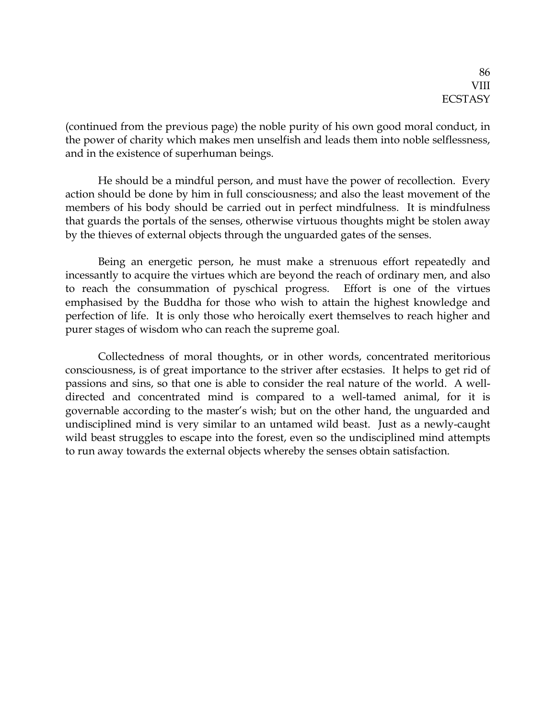(continued from the previous page) the noble purity of his own good moral conduct, in the power of charity which makes men unselfish and leads them into noble selflessness, and in the existence of superhuman beings.

He should be a mindful person, and must have the power of recollection. Every action should be done by him in full consciousness; and also the least movement of the members of his body should be carried out in perfect mindfulness. It is mindfulness that guards the portals of the senses, otherwise virtuous thoughts might be stolen away by the thieves of external objects through the unguarded gates of the senses.

Being an energetic person, he must make a strenuous effort repeatedly and incessantly to acquire the virtues which are beyond the reach of ordinary men, and also to reach the consummation of pyschical progress. Effort is one of the virtues emphasised by the Buddha for those who wish to attain the highest knowledge and perfection of life. It is only those who heroically exert themselves to reach higher and purer stages of wisdom who can reach the supreme goal.

Collectedness of moral thoughts, or in other words, concentrated meritorious consciousness, is of great importance to the striver after ecstasies. It helps to get rid of passions and sins, so that one is able to consider the real nature of the world. A welldirected and concentrated mind is compared to a well-tamed animal, for it is governable according to the master's wish; but on the other hand, the unguarded and undisciplined mind is very similar to an untamed wild beast. Just as a newly-caught wild beast struggles to escape into the forest, even so the undisciplined mind attempts to run away towards the external objects whereby the senses obtain satisfaction.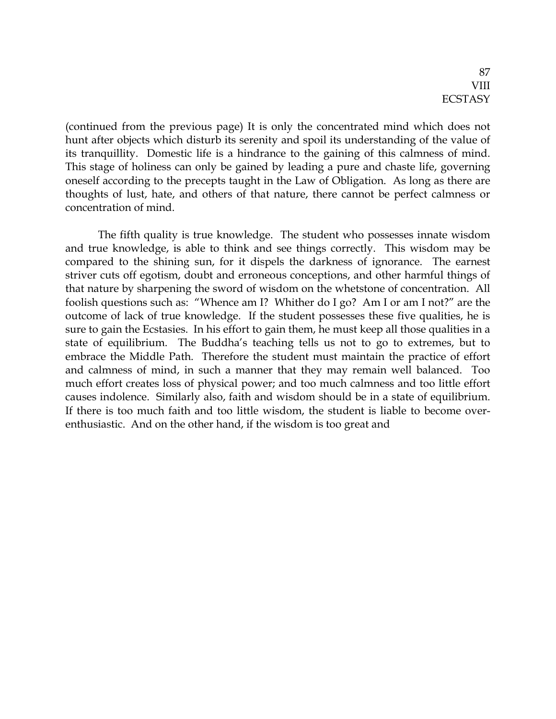(continued from the previous page) It is only the concentrated mind which does not hunt after objects which disturb its serenity and spoil its understanding of the value of its tranquillity. Domestic life is a hindrance to the gaining of this calmness of mind. This stage of holiness can only be gained by leading a pure and chaste life, governing oneself according to the precepts taught in the Law of Obligation. As long as there are thoughts of lust, hate, and others of that nature, there cannot be perfect calmness or concentration of mind.

The fifth quality is true knowledge. The student who possesses innate wisdom and true knowledge, is able to think and see things correctly. This wisdom may be compared to the shining sun, for it dispels the darkness of ignorance. The earnest striver cuts off egotism, doubt and erroneous conceptions, and other harmful things of that nature by sharpening the sword of wisdom on the whetstone of concentration. All foolish questions such as: "Whence am I? Whither do I go? Am I or am I not?" are the outcome of lack of true knowledge. If the student possesses these five qualities, he is sure to gain the Ecstasies. In his effort to gain them, he must keep all those qualities in a state of equilibrium. The Buddha's teaching tells us not to go to extremes, but to embrace the Middle Path. Therefore the student must maintain the practice of effort and calmness of mind, in such a manner that they may remain well balanced. Too much effort creates loss of physical power; and too much calmness and too little effort causes indolence. Similarly also, faith and wisdom should be in a state of equilibrium. If there is too much faith and too little wisdom, the student is liable to become overenthusiastic. And on the other hand, if the wisdom is too great and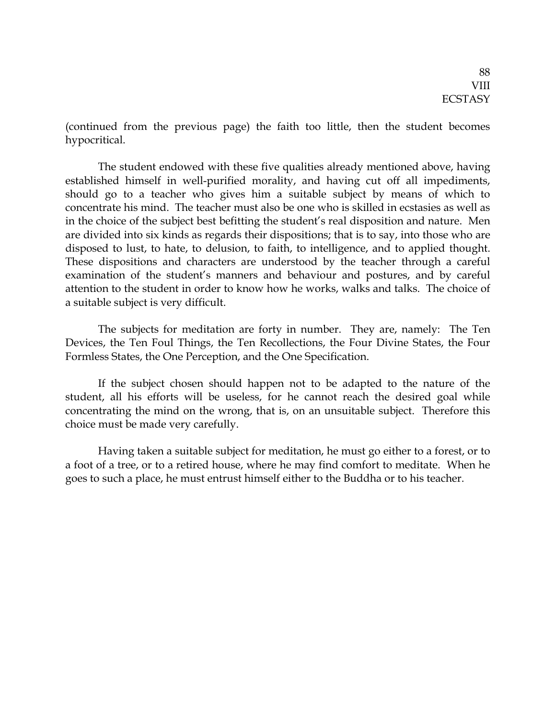(continued from the previous page) the faith too little, then the student becomes hypocritical.

The student endowed with these five qualities already mentioned above, having established himself in well-purified morality, and having cut off all impediments, should go to a teacher who gives him a suitable subject by means of which to concentrate his mind. The teacher must also be one who is skilled in ecstasies as well as in the choice of the subject best befitting the student's real disposition and nature. Men are divided into six kinds as regards their dispositions; that is to say, into those who are disposed to lust, to hate, to delusion, to faith, to intelligence, and to applied thought. These dispositions and characters are understood by the teacher through a careful examination of the student's manners and behaviour and postures, and by careful attention to the student in order to know how he works, walks and talks. The choice of a suitable subject is very difficult.

The subjects for meditation are forty in number. They are, namely: The Ten Devices, the Ten Foul Things, the Ten Recollections, the Four Divine States, the Four Formless States, the One Perception, and the One Specification.

If the subject chosen should happen not to be adapted to the nature of the student, all his efforts will be useless, for he cannot reach the desired goal while concentrating the mind on the wrong, that is, on an unsuitable subject. Therefore this choice must be made very carefully.

Having taken a suitable subject for meditation, he must go either to a forest, or to a foot of a tree, or to a retired house, where he may find comfort to meditate. When he goes to such a place, he must entrust himself either to the Buddha or to his teacher.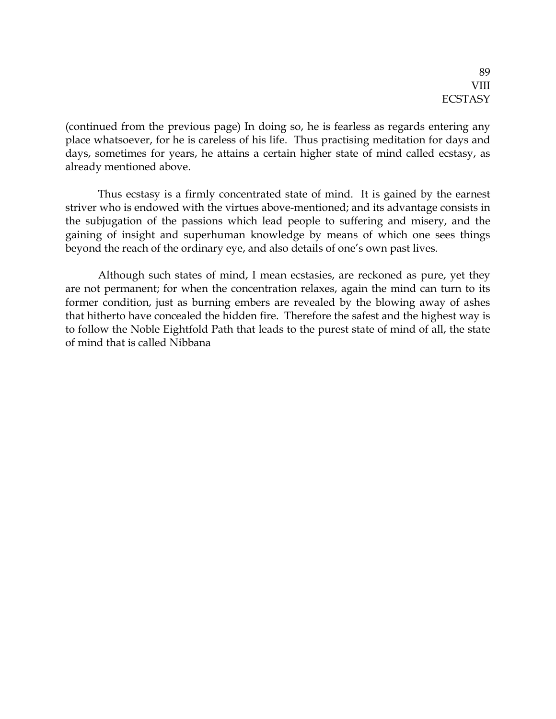(continued from the previous page) In doing so, he is fearless as regards entering any place whatsoever, for he is careless of his life. Thus practising meditation for days and days, sometimes for years, he attains a certain higher state of mind called ecstasy, as already mentioned above.

Thus ecstasy is a firmly concentrated state of mind. It is gained by the earnest striver who is endowed with the virtues above-mentioned; and its advantage consists in the subjugation of the passions which lead people to suffering and misery, and the gaining of insight and superhuman knowledge by means of which one sees things beyond the reach of the ordinary eye, and also details of one's own past lives.

Although such states of mind, I mean ecstasies, are reckoned as pure, yet they are not permanent; for when the concentration relaxes, again the mind can turn to its former condition, just as burning embers are revealed by the blowing away of ashes that hitherto have concealed the hidden fire. Therefore the safest and the highest way is to follow the Noble Eightfold Path that leads to the purest state of mind of all, the state of mind that is called Nibbana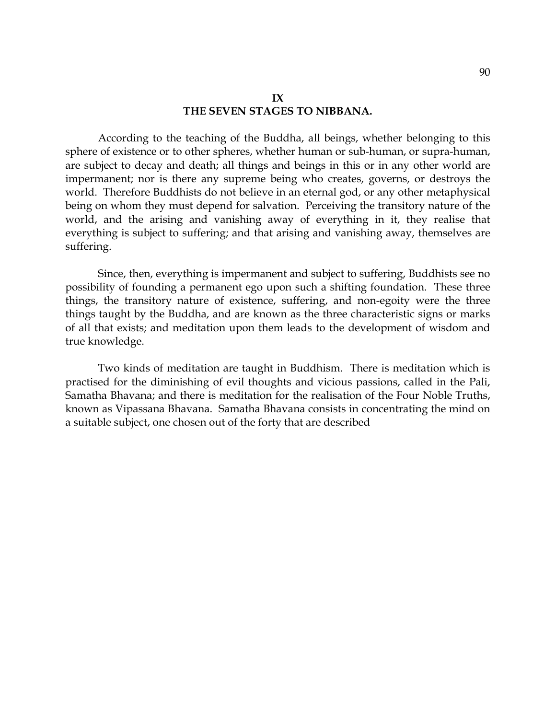#### **IX THE SEVEN STAGES TO NIBBANA.**

According to the teaching of the Buddha, all beings, whether belonging to this sphere of existence or to other spheres, whether human or sub-human, or supra-human, are subject to decay and death; all things and beings in this or in any other world are impermanent; nor is there any supreme being who creates, governs, or destroys the world. Therefore Buddhists do not believe in an eternal god, or any other metaphysical being on whom they must depend for salvation. Perceiving the transitory nature of the world, and the arising and vanishing away of everything in it, they realise that everything is subject to suffering; and that arising and vanishing away, themselves are suffering.

Since, then, everything is impermanent and subject to suffering, Buddhists see no possibility of founding a permanent ego upon such a shifting foundation. These three things, the transitory nature of existence, suffering, and non-egoity were the three things taught by the Buddha, and are known as the three characteristic signs or marks of all that exists; and meditation upon them leads to the development of wisdom and true knowledge.

Two kinds of meditation are taught in Buddhism. There is meditation which is practised for the diminishing of evil thoughts and vicious passions, called in the Pali, Samatha Bhavana; and there is meditation for the realisation of the Four Noble Truths, known as Vipassana Bhavana. Samatha Bhavana consists in concentrating the mind on a suitable subject, one chosen out of the forty that are described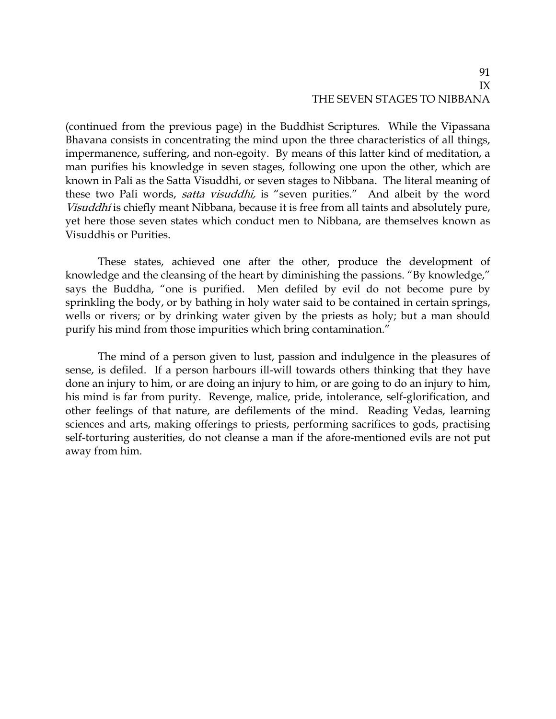## 91 IX THE SEVEN STAGES TO NIBBANA

(continued from the previous page) in the Buddhist Scriptures. While the Vipassana Bhavana consists in concentrating the mind upon the three characteristics of all things, impermanence, suffering, and non-egoity. By means of this latter kind of meditation, a man purifies his knowledge in seven stages, following one upon the other, which are known in Pali as the Satta Visuddhi, or seven stages to Nibbana. The literal meaning of these two Pali words, satta visuddhi, is "seven purities." And albeit by the word Visuddhi is chiefly meant Nibbana, because it is free from all taints and absolutely pure, yet here those seven states which conduct men to Nibbana, are themselves known as Visuddhis or Purities.

These states, achieved one after the other, produce the development of knowledge and the cleansing of the heart by diminishing the passions. "By knowledge," says the Buddha, "one is purified. Men defiled by evil do not become pure by sprinkling the body, or by bathing in holy water said to be contained in certain springs, wells or rivers; or by drinking water given by the priests as holy; but a man should purify his mind from those impurities which bring contamination."

The mind of a person given to lust, passion and indulgence in the pleasures of sense, is defiled. If a person harbours ill-will towards others thinking that they have done an injury to him, or are doing an injury to him, or are going to do an injury to him, his mind is far from purity. Revenge, malice, pride, intolerance, self-glorification, and other feelings of that nature, are defilements of the mind. Reading Vedas, learning sciences and arts, making offerings to priests, performing sacrifices to gods, practising self-torturing austerities, do not cleanse a man if the afore-mentioned evils are not put away from him.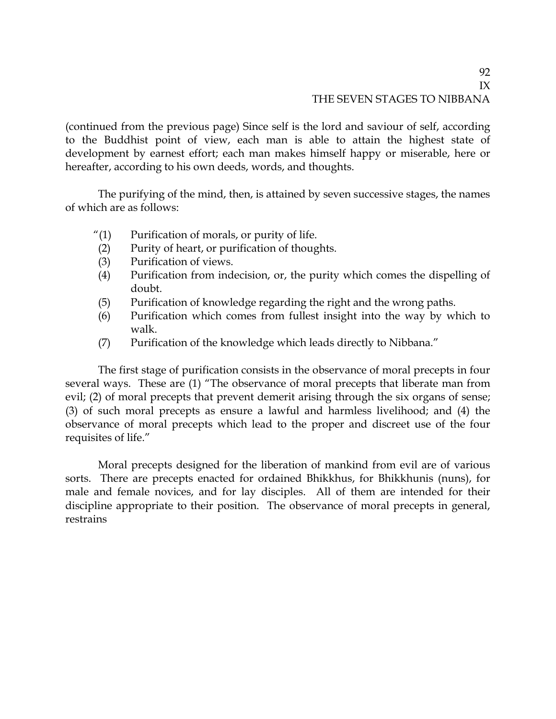## 92 IX THE SEVEN STAGES TO NIBBANA

(continued from the previous page) Since self is the lord and saviour of self, according to the Buddhist point of view, each man is able to attain the highest state of development by earnest effort; each man makes himself happy or miserable, here or hereafter, according to his own deeds, words, and thoughts.

The purifying of the mind, then, is attained by seven successive stages, the names of which are as follows:

- "(1) Purification of morals, or purity of life.
- (2) Purity of heart, or purification of thoughts.
- (3) Purification of views.
- (4) Purification from indecision, or, the purity which comes the dispelling of doubt.
- (5) Purification of knowledge regarding the right and the wrong paths.
- (6) Purification which comes from fullest insight into the way by which to walk.
- (7) Purification of the knowledge which leads directly to Nibbana."

The first stage of purification consists in the observance of moral precepts in four several ways. These are (1) "The observance of moral precepts that liberate man from evil; (2) of moral precepts that prevent demerit arising through the six organs of sense; (3) of such moral precepts as ensure a lawful and harmless livelihood; and (4) the observance of moral precepts which lead to the proper and discreet use of the four requisites of life."

Moral precepts designed for the liberation of mankind from evil are of various sorts. There are precepts enacted for ordained Bhikkhus, for Bhikkhunis (nuns), for male and female novices, and for lay disciples. All of them are intended for their discipline appropriate to their position. The observance of moral precepts in general, restrains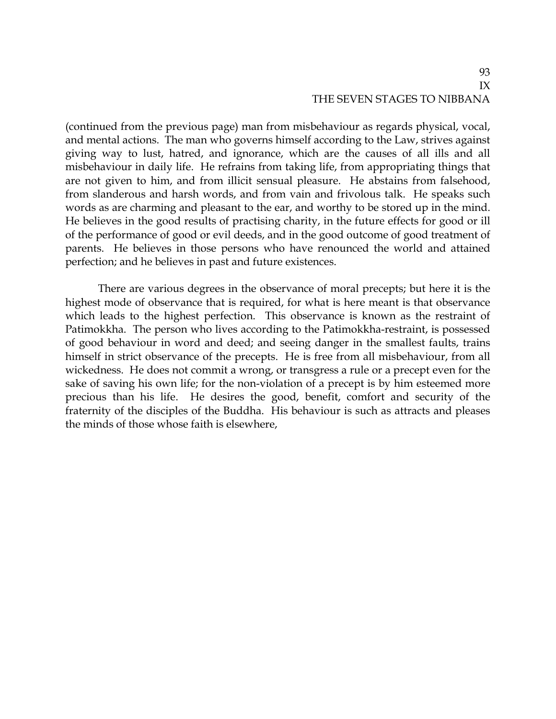(continued from the previous page) man from misbehaviour as regards physical, vocal, and mental actions. The man who governs himself according to the Law, strives against giving way to lust, hatred, and ignorance, which are the causes of all ills and all misbehaviour in daily life. He refrains from taking life, from appropriating things that are not given to him, and from illicit sensual pleasure. He abstains from falsehood, from slanderous and harsh words, and from vain and frivolous talk. He speaks such words as are charming and pleasant to the ear, and worthy to be stored up in the mind. He believes in the good results of practising charity, in the future effects for good or ill of the performance of good or evil deeds, and in the good outcome of good treatment of parents. He believes in those persons who have renounced the world and attained perfection; and he believes in past and future existences.

There are various degrees in the observance of moral precepts; but here it is the highest mode of observance that is required, for what is here meant is that observance which leads to the highest perfection. This observance is known as the restraint of Patimokkha. The person who lives according to the Patimokkha-restraint, is possessed of good behaviour in word and deed; and seeing danger in the smallest faults, trains himself in strict observance of the precepts. He is free from all misbehaviour, from all wickedness. He does not commit a wrong, or transgress a rule or a precept even for the sake of saving his own life; for the non-violation of a precept is by him esteemed more precious than his life. He desires the good, benefit, comfort and security of the fraternity of the disciples of the Buddha. His behaviour is such as attracts and pleases the minds of those whose faith is elsewhere,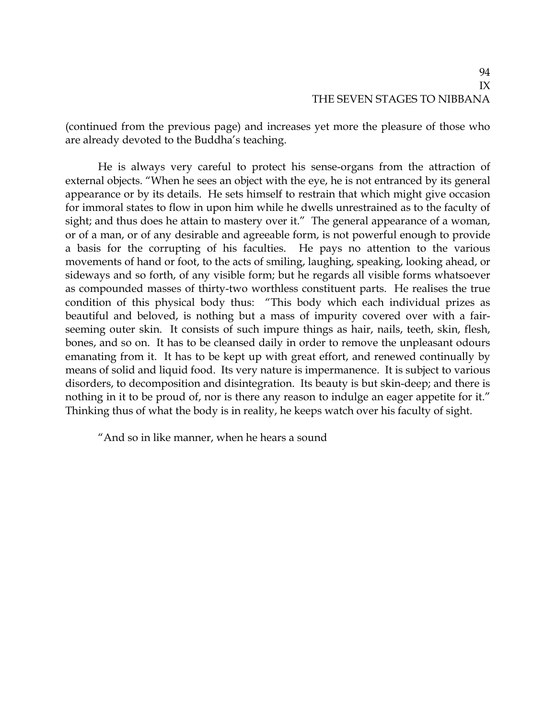(continued from the previous page) and increases yet more the pleasure of those who are already devoted to the Buddha's teaching.

He is always very careful to protect his sense-organs from the attraction of external objects. "When he sees an object with the eye, he is not entranced by its general appearance or by its details. He sets himself to restrain that which might give occasion for immoral states to flow in upon him while he dwells unrestrained as to the faculty of sight; and thus does he attain to mastery over it." The general appearance of a woman, or of a man, or of any desirable and agreeable form, is not powerful enough to provide a basis for the corrupting of his faculties. He pays no attention to the various movements of hand or foot, to the acts of smiling, laughing, speaking, looking ahead, or sideways and so forth, of any visible form; but he regards all visible forms whatsoever as compounded masses of thirty-two worthless constituent parts. He realises the true condition of this physical body thus: "This body which each individual prizes as beautiful and beloved, is nothing but a mass of impurity covered over with a fairseeming outer skin. It consists of such impure things as hair, nails, teeth, skin, flesh, bones, and so on. It has to be cleansed daily in order to remove the unpleasant odours emanating from it. It has to be kept up with great effort, and renewed continually by means of solid and liquid food. Its very nature is impermanence. It is subject to various disorders, to decomposition and disintegration. Its beauty is but skin-deep; and there is nothing in it to be proud of, nor is there any reason to indulge an eager appetite for it." Thinking thus of what the body is in reality, he keeps watch over his faculty of sight.

"And so in like manner, when he hears a sound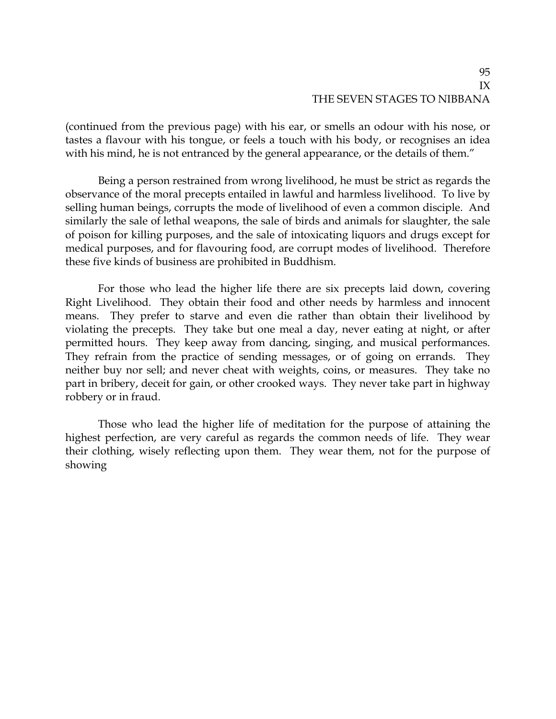(continued from the previous page) with his ear, or smells an odour with his nose, or tastes a flavour with his tongue, or feels a touch with his body, or recognises an idea with his mind, he is not entranced by the general appearance, or the details of them."

Being a person restrained from wrong livelihood, he must be strict as regards the observance of the moral precepts entailed in lawful and harmless livelihood. To live by selling human beings, corrupts the mode of livelihood of even a common disciple. And similarly the sale of lethal weapons, the sale of birds and animals for slaughter, the sale of poison for killing purposes, and the sale of intoxicating liquors and drugs except for medical purposes, and for flavouring food, are corrupt modes of livelihood. Therefore these five kinds of business are prohibited in Buddhism.

For those who lead the higher life there are six precepts laid down, covering Right Livelihood. They obtain their food and other needs by harmless and innocent means. They prefer to starve and even die rather than obtain their livelihood by violating the precepts. They take but one meal a day, never eating at night, or after permitted hours. They keep away from dancing, singing, and musical performances. They refrain from the practice of sending messages, or of going on errands. They neither buy nor sell; and never cheat with weights, coins, or measures. They take no part in bribery, deceit for gain, or other crooked ways. They never take part in highway robbery or in fraud.

Those who lead the higher life of meditation for the purpose of attaining the highest perfection, are very careful as regards the common needs of life. They wear their clothing, wisely reflecting upon them. They wear them, not for the purpose of showing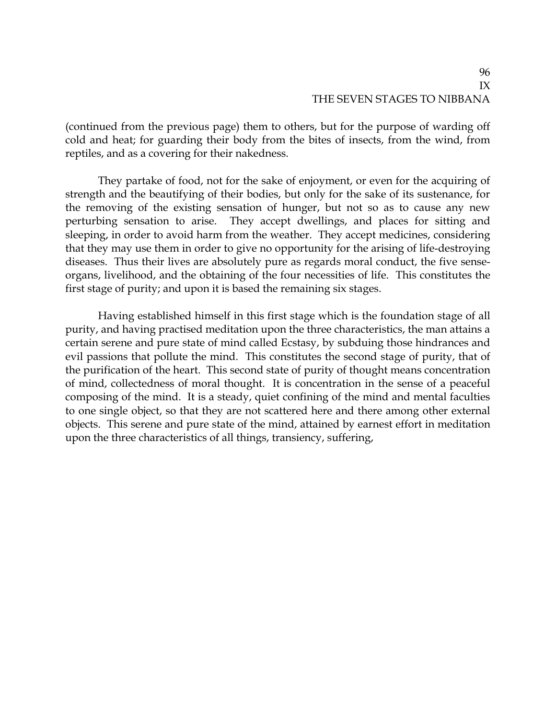(continued from the previous page) them to others, but for the purpose of warding off cold and heat; for guarding their body from the bites of insects, from the wind, from reptiles, and as a covering for their nakedness.

They partake of food, not for the sake of enjoyment, or even for the acquiring of strength and the beautifying of their bodies, but only for the sake of its sustenance, for the removing of the existing sensation of hunger, but not so as to cause any new perturbing sensation to arise. They accept dwellings, and places for sitting and sleeping, in order to avoid harm from the weather. They accept medicines, considering that they may use them in order to give no opportunity for the arising of life-destroying diseases. Thus their lives are absolutely pure as regards moral conduct, the five senseorgans, livelihood, and the obtaining of the four necessities of life. This constitutes the first stage of purity; and upon it is based the remaining six stages.

Having established himself in this first stage which is the foundation stage of all purity, and having practised meditation upon the three characteristics, the man attains a certain serene and pure state of mind called Ecstasy, by subduing those hindrances and evil passions that pollute the mind. This constitutes the second stage of purity, that of the purification of the heart. This second state of purity of thought means concentration of mind, collectedness of moral thought. It is concentration in the sense of a peaceful composing of the mind. It is a steady, quiet confining of the mind and mental faculties to one single object, so that they are not scattered here and there among other external objects. This serene and pure state of the mind, attained by earnest effort in meditation upon the three characteristics of all things, transiency, suffering,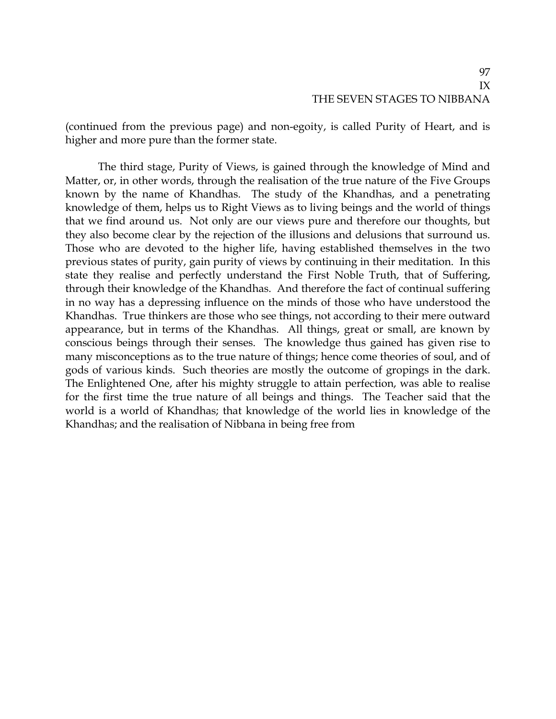(continued from the previous page) and non-egoity, is called Purity of Heart, and is higher and more pure than the former state.

The third stage, Purity of Views, is gained through the knowledge of Mind and Matter, or, in other words, through the realisation of the true nature of the Five Groups known by the name of Khandhas. The study of the Khandhas, and a penetrating knowledge of them, helps us to Right Views as to living beings and the world of things that we find around us. Not only are our views pure and therefore our thoughts, but they also become clear by the rejection of the illusions and delusions that surround us. Those who are devoted to the higher life, having established themselves in the two previous states of purity, gain purity of views by continuing in their meditation. In this state they realise and perfectly understand the First Noble Truth, that of Suffering, through their knowledge of the Khandhas. And therefore the fact of continual suffering in no way has a depressing influence on the minds of those who have understood the Khandhas. True thinkers are those who see things, not according to their mere outward appearance, but in terms of the Khandhas. All things, great or small, are known by conscious beings through their senses. The knowledge thus gained has given rise to many misconceptions as to the true nature of things; hence come theories of soul, and of gods of various kinds. Such theories are mostly the outcome of gropings in the dark. The Enlightened One, after his mighty struggle to attain perfection, was able to realise for the first time the true nature of all beings and things. The Teacher said that the world is a world of Khandhas; that knowledge of the world lies in knowledge of the Khandhas; and the realisation of Nibbana in being free from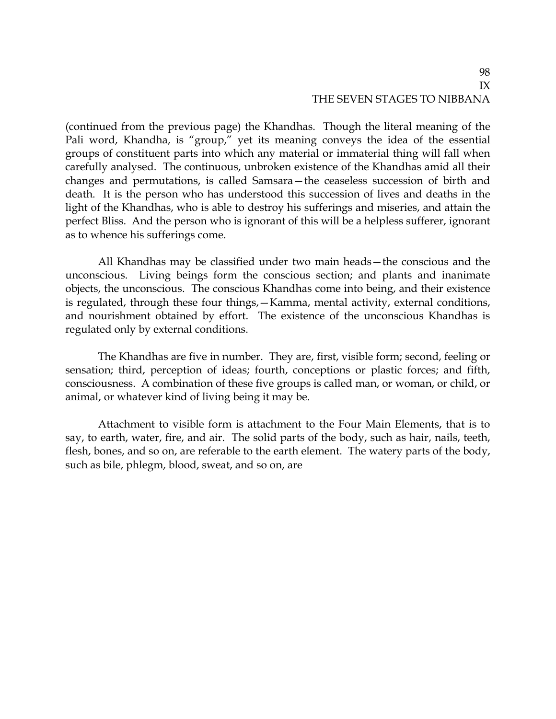(continued from the previous page) the Khandhas. Though the literal meaning of the Pali word, Khandha, is "group," yet its meaning conveys the idea of the essential groups of constituent parts into which any material or immaterial thing will fall when carefully analysed. The continuous, unbroken existence of the Khandhas amid all their changes and permutations, is called Samsara—the ceaseless succession of birth and death. It is the person who has understood this succession of lives and deaths in the light of the Khandhas, who is able to destroy his sufferings and miseries, and attain the perfect Bliss. And the person who is ignorant of this will be a helpless sufferer, ignorant as to whence his sufferings come.

All Khandhas may be classified under two main heads—the conscious and the unconscious. Living beings form the conscious section; and plants and inanimate objects, the unconscious. The conscious Khandhas come into being, and their existence is regulated, through these four things,—Kamma, mental activity, external conditions, and nourishment obtained by effort. The existence of the unconscious Khandhas is regulated only by external conditions.

The Khandhas are five in number. They are, first, visible form; second, feeling or sensation; third, perception of ideas; fourth, conceptions or plastic forces; and fifth, consciousness. A combination of these five groups is called man, or woman, or child, or animal, or whatever kind of living being it may be.

Attachment to visible form is attachment to the Four Main Elements, that is to say, to earth, water, fire, and air. The solid parts of the body, such as hair, nails, teeth, flesh, bones, and so on, are referable to the earth element. The watery parts of the body, such as bile, phlegm, blood, sweat, and so on, are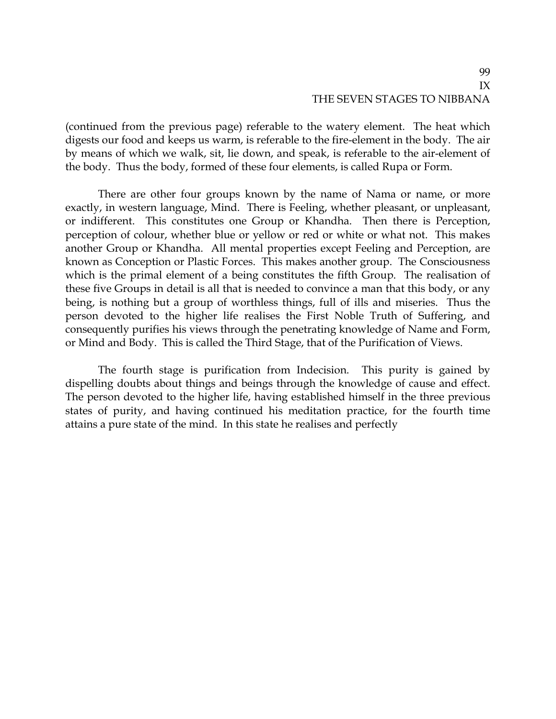(continued from the previous page) referable to the watery element. The heat which digests our food and keeps us warm, is referable to the fire-element in the body. The air by means of which we walk, sit, lie down, and speak, is referable to the air-element of the body. Thus the body, formed of these four elements, is called Rupa or Form.

There are other four groups known by the name of Nama or name, or more exactly, in western language, Mind. There is Feeling, whether pleasant, or unpleasant, or indifferent. This constitutes one Group or Khandha. Then there is Perception, perception of colour, whether blue or yellow or red or white or what not. This makes another Group or Khandha. All mental properties except Feeling and Perception, are known as Conception or Plastic Forces. This makes another group. The Consciousness which is the primal element of a being constitutes the fifth Group. The realisation of these five Groups in detail is all that is needed to convince a man that this body, or any being, is nothing but a group of worthless things, full of ills and miseries. Thus the person devoted to the higher life realises the First Noble Truth of Suffering, and consequently purifies his views through the penetrating knowledge of Name and Form, or Mind and Body. This is called the Third Stage, that of the Purification of Views.

The fourth stage is purification from Indecision. This purity is gained by dispelling doubts about things and beings through the knowledge of cause and effect. The person devoted to the higher life, having established himself in the three previous states of purity, and having continued his meditation practice, for the fourth time attains a pure state of the mind. In this state he realises and perfectly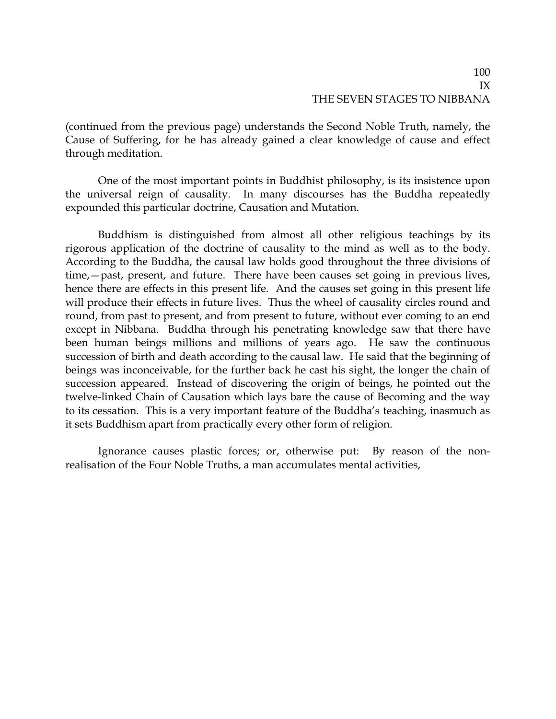(continued from the previous page) understands the Second Noble Truth, namely, the Cause of Suffering, for he has already gained a clear knowledge of cause and effect through meditation.

One of the most important points in Buddhist philosophy, is its insistence upon the universal reign of causality. In many discourses has the Buddha repeatedly expounded this particular doctrine, Causation and Mutation.

Buddhism is distinguished from almost all other religious teachings by its rigorous application of the doctrine of causality to the mind as well as to the body. According to the Buddha, the causal law holds good throughout the three divisions of time,—past, present, and future. There have been causes set going in previous lives, hence there are effects in this present life. And the causes set going in this present life will produce their effects in future lives. Thus the wheel of causality circles round and round, from past to present, and from present to future, without ever coming to an end except in Nibbana. Buddha through his penetrating knowledge saw that there have been human beings millions and millions of years ago. He saw the continuous succession of birth and death according to the causal law. He said that the beginning of beings was inconceivable, for the further back he cast his sight, the longer the chain of succession appeared. Instead of discovering the origin of beings, he pointed out the twelve-linked Chain of Causation which lays bare the cause of Becoming and the way to its cessation. This is a very important feature of the Buddha's teaching, inasmuch as it sets Buddhism apart from practically every other form of religion.

Ignorance causes plastic forces; or, otherwise put: By reason of the nonrealisation of the Four Noble Truths, a man accumulates mental activities,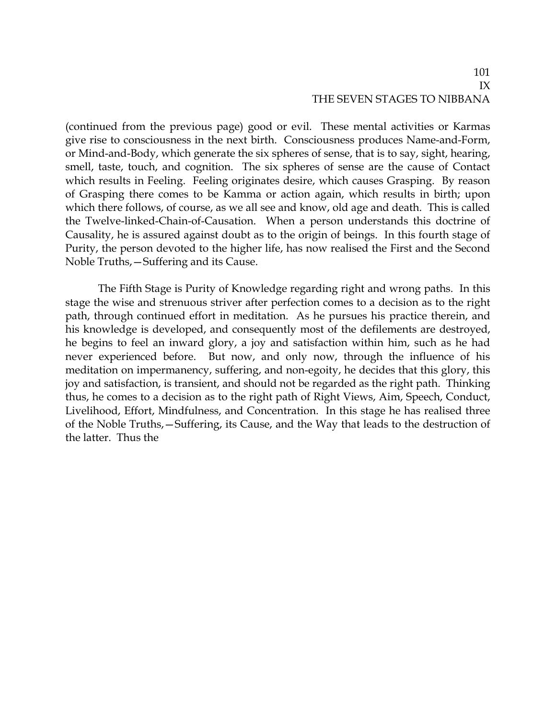(continued from the previous page) good or evil. These mental activities or Karmas give rise to consciousness in the next birth. Consciousness produces Name-and-Form, or Mind-and-Body, which generate the six spheres of sense, that is to say, sight, hearing, smell, taste, touch, and cognition. The six spheres of sense are the cause of Contact which results in Feeling. Feeling originates desire, which causes Grasping. By reason of Grasping there comes to be Kamma or action again, which results in birth; upon which there follows, of course, as we all see and know, old age and death. This is called the Twelve-linked-Chain-of-Causation. When a person understands this doctrine of Causality, he is assured against doubt as to the origin of beings. In this fourth stage of Purity, the person devoted to the higher life, has now realised the First and the Second Noble Truths,—Suffering and its Cause.

The Fifth Stage is Purity of Knowledge regarding right and wrong paths. In this stage the wise and strenuous striver after perfection comes to a decision as to the right path, through continued effort in meditation. As he pursues his practice therein, and his knowledge is developed, and consequently most of the defilements are destroyed, he begins to feel an inward glory, a joy and satisfaction within him, such as he had never experienced before. But now, and only now, through the influence of his meditation on impermanency, suffering, and non-egoity, he decides that this glory, this joy and satisfaction, is transient, and should not be regarded as the right path. Thinking thus, he comes to a decision as to the right path of Right Views, Aim, Speech, Conduct, Livelihood, Effort, Mindfulness, and Concentration. In this stage he has realised three of the Noble Truths,—Suffering, its Cause, and the Way that leads to the destruction of the latter. Thus the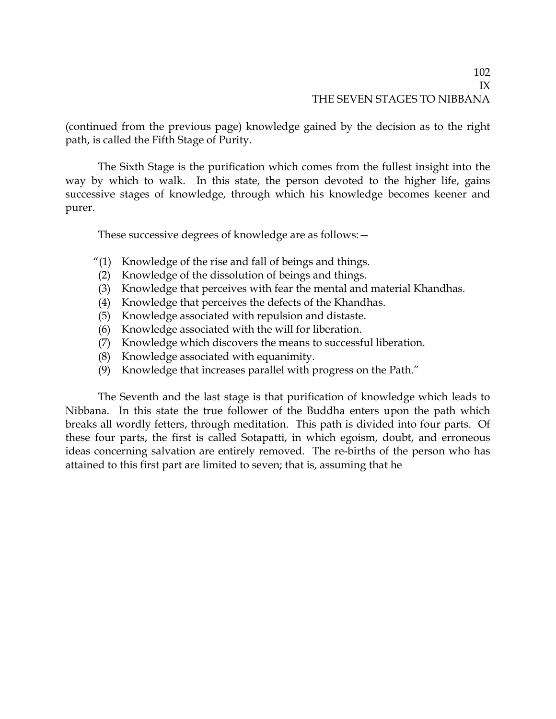(continued from the previous page) knowledge gained by the decision as to the right path, is called the Fifth Stage of Purity.

The Sixth Stage is the purification which comes from the fullest insight into the way by which to walk. In this state, the person devoted to the higher life, gains successive stages of knowledge, through which his knowledge becomes keener and purer.

These successive degrees of knowledge are as follows:—

- "(1) Knowledge of the rise and fall of beings and things.
- (2) Knowledge of the dissolution of beings and things.
- (3) Knowledge that perceives with fear the mental and material Khandhas.
- (4) Knowledge that perceives the defects of the Khandhas.
- (5) Knowledge associated with repulsion and distaste.
- (6) Knowledge associated with the will for liberation.
- (7) Knowledge which discovers the means to successful liberation.
- (8) Knowledge associated with equanimity.
- (9) Knowledge that increases parallel with progress on the Path."

The Seventh and the last stage is that purification of knowledge which leads to Nibbana. In this state the true follower of the Buddha enters upon the path which breaks all wordly fetters, through meditation. This path is divided into four parts. Of these four parts, the first is called Sotapatti, in which egoism, doubt, and erroneous ideas concerning salvation are entirely removed. The re-births of the person who has attained to this first part are limited to seven; that is, assuming that he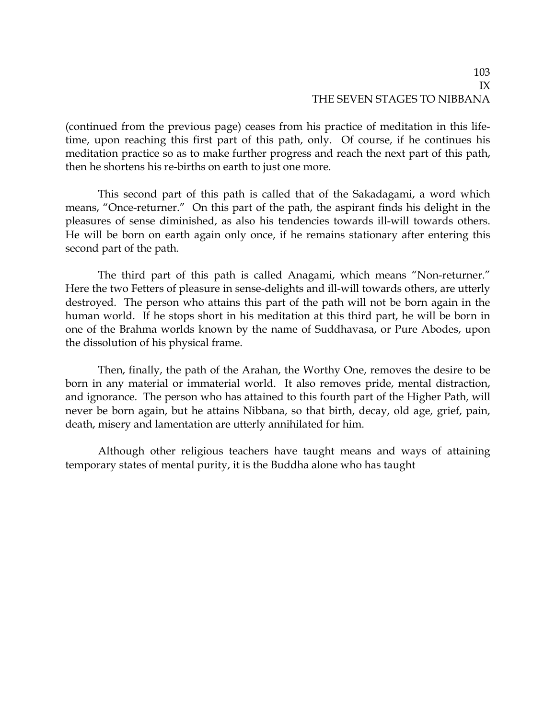(continued from the previous page) ceases from his practice of meditation in this lifetime, upon reaching this first part of this path, only. Of course, if he continues his meditation practice so as to make further progress and reach the next part of this path, then he shortens his re-births on earth to just one more.

This second part of this path is called that of the Sakadagami, a word which means, "Once-returner." On this part of the path, the aspirant finds his delight in the pleasures of sense diminished, as also his tendencies towards ill-will towards others. He will be born on earth again only once, if he remains stationary after entering this second part of the path.

The third part of this path is called Anagami, which means "Non-returner." Here the two Fetters of pleasure in sense-delights and ill-will towards others, are utterly destroyed. The person who attains this part of the path will not be born again in the human world. If he stops short in his meditation at this third part, he will be born in one of the Brahma worlds known by the name of Suddhavasa, or Pure Abodes, upon the dissolution of his physical frame.

Then, finally, the path of the Arahan, the Worthy One, removes the desire to be born in any material or immaterial world. It also removes pride, mental distraction, and ignorance. The person who has attained to this fourth part of the Higher Path, will never be born again, but he attains Nibbana, so that birth, decay, old age, grief, pain, death, misery and lamentation are utterly annihilated for him.

Although other religious teachers have taught means and ways of attaining temporary states of mental purity, it is the Buddha alone who has taught